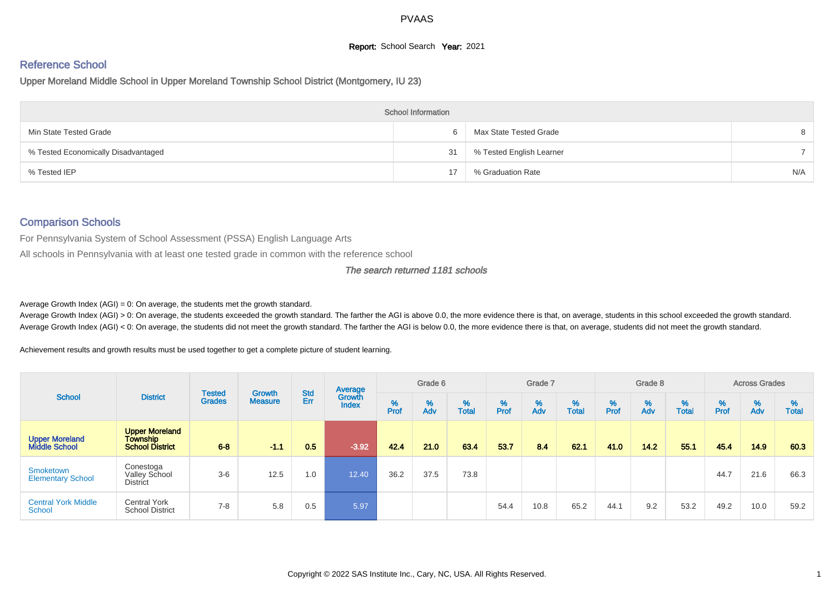# **Report:** School Search **Year:** 2021

# Reference School

Upper Moreland Middle School in Upper Moreland Township School District (Montgomery, IU 23)

|                                     | <b>School Information</b> |                          |     |
|-------------------------------------|---------------------------|--------------------------|-----|
| Min State Tested Grade              |                           | Max State Tested Grade   |     |
| % Tested Economically Disadvantaged | 31                        | % Tested English Learner |     |
| % Tested IEP                        |                           | % Graduation Rate        | N/A |

#### Comparison Schools

For Pennsylvania System of School Assessment (PSSA) English Language Arts

All schools in Pennsylvania with at least one tested grade in common with the reference school

#### The search returned 1181 schools

Average Growth Index  $(AGI) = 0$ : On average, the students met the growth standard.

Average Growth Index (AGI) > 0: On average, the students exceeded the growth standard. The farther the AGI is above 0.0, the more evidence there is that, on average, students in this school exceeded the growth standard. Average Growth Index (AGI) < 0: On average, the students did not meet the growth standard. The farther the AGI is below 0.0, the more evidence there is that, on average, students did not meet the growth standard.

Achievement results and growth results must be used together to get a complete picture of student learning.

|                                        |                                                                    | <b>Tested</b> | <b>Growth</b>  | <b>Std</b> | Average                |           | Grade 6  |                   |           | Grade 7  |                   |           | Grade 8  |                   |           | <b>Across Grades</b> |                   |
|----------------------------------------|--------------------------------------------------------------------|---------------|----------------|------------|------------------------|-----------|----------|-------------------|-----------|----------|-------------------|-----------|----------|-------------------|-----------|----------------------|-------------------|
| <b>School</b>                          | <b>District</b>                                                    | <b>Grades</b> | <b>Measure</b> | Err        | Growth<br><b>Index</b> | %<br>Prof | %<br>Adv | %<br><b>Total</b> | %<br>Prof | %<br>Adv | %<br><b>Total</b> | %<br>Prof | %<br>Adv | %<br><b>Total</b> | %<br>Prof | %<br>Adv             | %<br><b>Total</b> |
| <b>Upper Moreland</b><br>Middle School | <b>Upper Moreland</b><br><b>Township</b><br><b>School District</b> | $6 - 8$       | $-1.1$         | 0.5        | $-3.92$                | 42.4      | 21.0     | 63.4              | 53.7      | 8.4      | 62.1              | 41.0      | 14.2     | 55.1              | 45.4      | 14.9                 | 60.3              |
| Smoketown<br><b>Elementary School</b>  | Conestoga<br><b>Valley School</b><br><b>District</b>               | $3-6$         | 12.5           | 1.0        | 12.40                  | 36.2      | 37.5     | 73.8              |           |          |                   |           |          |                   | 44.7      | 21.6                 | 66.3              |
| <b>Central York Middle</b><br>School   | <b>Central York</b><br><b>School District</b>                      | $7 - 8$       | 5.8            | 0.5        | 5.97                   |           |          |                   | 54.4      | 10.8     | 65.2              | 44.1      | 9.2      | 53.2              | 49.2      | 10.0                 | 59.2              |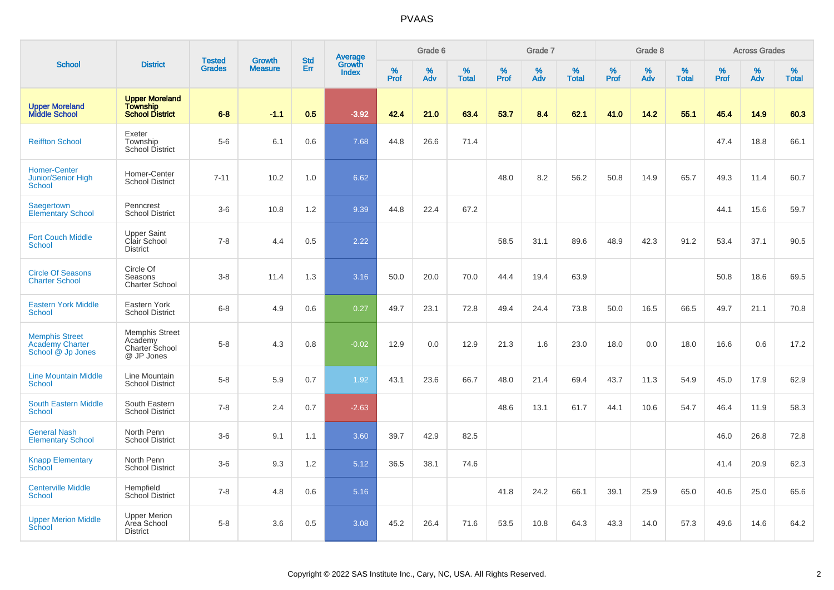|                                                                      |                                                                    | <b>Tested</b> | <b>Growth</b>  | <b>Std</b> |                                   |                  | Grade 6     |                   |           | Grade 7  |                   |              | Grade 8  |                   |              | <b>Across Grades</b> |                   |
|----------------------------------------------------------------------|--------------------------------------------------------------------|---------------|----------------|------------|-----------------------------------|------------------|-------------|-------------------|-----------|----------|-------------------|--------------|----------|-------------------|--------------|----------------------|-------------------|
| <b>School</b>                                                        | <b>District</b>                                                    | <b>Grades</b> | <b>Measure</b> | Err        | Average<br>Growth<br><b>Index</b> | %<br><b>Prof</b> | $\%$<br>Adv | %<br><b>Total</b> | %<br>Prof | %<br>Adv | %<br><b>Total</b> | $\%$<br>Prof | %<br>Adv | %<br><b>Total</b> | $\%$<br>Prof | %<br>Adv             | %<br><b>Total</b> |
| <b>Upper Moreland</b><br><b>Middle School</b>                        | <b>Upper Moreland</b><br><b>Township</b><br><b>School District</b> | $6 - 8$       | $-1.1$         | 0.5        | $-3.92$                           | 42.4             | 21.0        | 63.4              | 53.7      | 8.4      | 62.1              | 41.0         | 14.2     | 55.1              | 45.4         | 14.9                 | 60.3              |
| <b>Reiffton School</b>                                               | Exeter<br>Township<br><b>School District</b>                       | $5-6$         | 6.1            | 0.6        | 7.68                              | 44.8             | 26.6        | 71.4              |           |          |                   |              |          |                   | 47.4         | 18.8                 | 66.1              |
| <b>Homer-Center</b><br>Junior/Senior High<br>School                  | Homer-Center<br><b>School District</b>                             | $7 - 11$      | 10.2           | 1.0        | 6.62                              |                  |             |                   | 48.0      | 8.2      | 56.2              | 50.8         | 14.9     | 65.7              | 49.3         | 11.4                 | 60.7              |
| Saegertown<br><b>Elementary School</b>                               | Penncrest<br><b>School District</b>                                | $3-6$         | 10.8           | 1.2        | 9.39                              | 44.8             | 22.4        | 67.2              |           |          |                   |              |          |                   | 44.1         | 15.6                 | 59.7              |
| <b>Fort Couch Middle</b><br><b>School</b>                            | <b>Upper Saint</b><br>Clair School<br><b>District</b>              | $7 - 8$       | 4.4            | 0.5        | 2.22                              |                  |             |                   | 58.5      | 31.1     | 89.6              | 48.9         | 42.3     | 91.2              | 53.4         | 37.1                 | 90.5              |
| <b>Circle Of Seasons</b><br><b>Charter School</b>                    | Circle Of<br>Seasons<br>Charter School                             | $3 - 8$       | 11.4           | 1.3        | 3.16                              | 50.0             | 20.0        | 70.0              | 44.4      | 19.4     | 63.9              |              |          |                   | 50.8         | 18.6                 | 69.5              |
| <b>Eastern York Middle</b><br><b>School</b>                          | Eastern York<br><b>School District</b>                             | $6-8$         | 4.9            | 0.6        | 0.27                              | 49.7             | 23.1        | 72.8              | 49.4      | 24.4     | 73.8              | 50.0         | 16.5     | 66.5              | 49.7         | 21.1                 | 70.8              |
| <b>Memphis Street</b><br><b>Academy Charter</b><br>School @ Jp Jones | <b>Memphis Street</b><br>Academy<br>Charter School<br>@ JP Jones   | $5-8$         | 4.3            | 0.8        | $-0.02$                           | 12.9             | 0.0         | 12.9              | 21.3      | 1.6      | 23.0              | 18.0         | 0.0      | 18.0              | 16.6         | 0.6                  | 17.2              |
| <b>Line Mountain Middle</b><br><b>School</b>                         | Line Mountain<br><b>School District</b>                            | $5-8$         | 5.9            | 0.7        | 1.92                              | 43.1             | 23.6        | 66.7              | 48.0      | 21.4     | 69.4              | 43.7         | 11.3     | 54.9              | 45.0         | 17.9                 | 62.9              |
| <b>South Eastern Middle</b><br><b>School</b>                         | South Eastern<br><b>School District</b>                            | $7 - 8$       | 2.4            | 0.7        | $-2.63$                           |                  |             |                   | 48.6      | 13.1     | 61.7              | 44.1         | 10.6     | 54.7              | 46.4         | 11.9                 | 58.3              |
| <b>General Nash</b><br><b>Elementary School</b>                      | North Penn<br><b>School District</b>                               | $3-6$         | 9.1            | 1.1        | 3.60                              | 39.7             | 42.9        | 82.5              |           |          |                   |              |          |                   | 46.0         | 26.8                 | 72.8              |
| <b>Knapp Elementary</b><br><b>School</b>                             | North Penn<br><b>School District</b>                               | $3-6$         | 9.3            | 1.2        | 5.12                              | 36.5             | 38.1        | 74.6              |           |          |                   |              |          |                   | 41.4         | 20.9                 | 62.3              |
| <b>Centerville Middle</b><br>School                                  | Hempfield<br>School District                                       | $7 - 8$       | 4.8            | 0.6        | 5.16                              |                  |             |                   | 41.8      | 24.2     | 66.1              | 39.1         | 25.9     | 65.0              | 40.6         | 25.0                 | 65.6              |
| <b>Upper Merion Middle</b><br>School                                 | <b>Upper Merion</b><br>Area School<br><b>District</b>              | $5-8$         | 3.6            | 0.5        | 3.08                              | 45.2             | 26.4        | 71.6              | 53.5      | 10.8     | 64.3              | 43.3         | 14.0     | 57.3              | 49.6         | 14.6                 | 64.2              |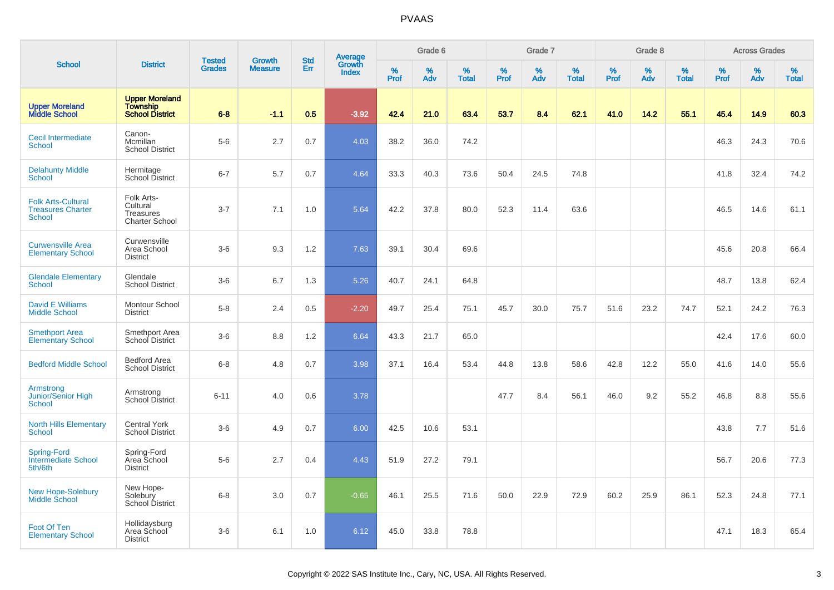|                                                                 |                                                                    |                                |                                 | <b>Std</b> |                                          |                  | Grade 6  |                   |           | Grade 7  |                   |           | Grade 8  |                   |           | <b>Across Grades</b> |                   |
|-----------------------------------------------------------------|--------------------------------------------------------------------|--------------------------------|---------------------------------|------------|------------------------------------------|------------------|----------|-------------------|-----------|----------|-------------------|-----------|----------|-------------------|-----------|----------------------|-------------------|
| <b>School</b>                                                   | <b>District</b>                                                    | <b>Tested</b><br><b>Grades</b> | <b>Growth</b><br><b>Measure</b> | Err        | <b>Average</b><br>Growth<br><b>Index</b> | %<br><b>Prof</b> | %<br>Adv | %<br><b>Total</b> | %<br>Prof | %<br>Adv | %<br><b>Total</b> | %<br>Prof | %<br>Adv | %<br><b>Total</b> | %<br>Prof | %<br>Adv             | %<br><b>Total</b> |
| <b>Upper Moreland</b><br><b>Middle School</b>                   | <b>Upper Moreland</b><br><b>Township</b><br><b>School District</b> | $6 - 8$                        | $-1.1$                          | 0.5        | $-3.92$                                  | 42.4             | 21.0     | 63.4              | 53.7      | 8.4      | 62.1              | 41.0      | 14.2     | 55.1              | 45.4      | 14.9                 | 60.3              |
| <b>Cecil Intermediate</b><br><b>School</b>                      | Canon-<br>Mcmillan<br><b>School District</b>                       | $5-6$                          | 2.7                             | 0.7        | 4.03                                     | 38.2             | 36.0     | 74.2              |           |          |                   |           |          |                   | 46.3      | 24.3                 | 70.6              |
| <b>Delahunty Middle</b><br>School                               | Hermitage<br>School District                                       | $6 - 7$                        | 5.7                             | 0.7        | 4.64                                     | 33.3             | 40.3     | 73.6              | 50.4      | 24.5     | 74.8              |           |          |                   | 41.8      | 32.4                 | 74.2              |
| <b>Folk Arts-Cultural</b><br><b>Treasures Charter</b><br>School | Folk Arts-<br>Cultural<br><b>Treasures</b><br>Charter School       | $3 - 7$                        | 7.1                             | 1.0        | 5.64                                     | 42.2             | 37.8     | 80.0              | 52.3      | 11.4     | 63.6              |           |          |                   | 46.5      | 14.6                 | 61.1              |
| <b>Curwensville Area</b><br><b>Elementary School</b>            | Curwensville<br>Area School<br><b>District</b>                     | $3-6$                          | 9.3                             | 1.2        | 7.63                                     | 39.1             | 30.4     | 69.6              |           |          |                   |           |          |                   | 45.6      | 20.8                 | 66.4              |
| <b>Glendale Elementary</b><br>School                            | Glendale<br><b>School District</b>                                 | $3-6$                          | 6.7                             | 1.3        | 5.26                                     | 40.7             | 24.1     | 64.8              |           |          |                   |           |          |                   | 48.7      | 13.8                 | 62.4              |
| <b>David E Williams</b><br><b>Middle School</b>                 | Montour School<br><b>District</b>                                  | $5-8$                          | 2.4                             | 0.5        | $-2.20$                                  | 49.7             | 25.4     | 75.1              | 45.7      | 30.0     | 75.7              | 51.6      | 23.2     | 74.7              | 52.1      | 24.2                 | 76.3              |
| <b>Smethport Area</b><br><b>Elementary School</b>               | Smethport Area<br>School District                                  | $3-6$                          | 8.8                             | 1.2        | 6.64                                     | 43.3             | 21.7     | 65.0              |           |          |                   |           |          |                   | 42.4      | 17.6                 | 60.0              |
| <b>Bedford Middle School</b>                                    | <b>Bedford Area</b><br><b>School District</b>                      | $6-8$                          | 4.8                             | 0.7        | 3.98                                     | 37.1             | 16.4     | 53.4              | 44.8      | 13.8     | 58.6              | 42.8      | 12.2     | 55.0              | 41.6      | 14.0                 | 55.6              |
| Armstrong<br>Junior/Senior High<br><b>School</b>                | Armstrong<br><b>School District</b>                                | $6 - 11$                       | 4.0                             | 0.6        | 3.78                                     |                  |          |                   | 47.7      | 8.4      | 56.1              | 46.0      | 9.2      | 55.2              | 46.8      | 8.8                  | 55.6              |
| <b>North Hills Elementary</b><br>School                         | <b>Central York</b><br><b>School District</b>                      | $3-6$                          | 4.9                             | 0.7        | 6.00                                     | 42.5             | 10.6     | 53.1              |           |          |                   |           |          |                   | 43.8      | 7.7                  | 51.6              |
| <b>Spring-Ford</b><br><b>Intermediate School</b><br>5th/6th     | Spring-Ford<br>Area School<br><b>District</b>                      | $5-6$                          | 2.7                             | 0.4        | 4.43                                     | 51.9             | 27.2     | 79.1              |           |          |                   |           |          |                   | 56.7      | 20.6                 | 77.3              |
| <b>New Hope-Solebury</b><br><b>Middle School</b>                | New Hope-<br>Solebury<br>School District                           | $6 - 8$                        | 3.0                             | 0.7        | $-0.65$                                  | 46.1             | 25.5     | 71.6              | 50.0      | 22.9     | 72.9              | 60.2      | 25.9     | 86.1              | 52.3      | 24.8                 | 77.1              |
| Foot Of Ten<br><b>Elementary School</b>                         | Hollidaysburg<br>Area School<br><b>District</b>                    | $3-6$                          | 6.1                             | 1.0        | 6.12                                     | 45.0             | 33.8     | 78.8              |           |          |                   |           |          |                   | 47.1      | 18.3                 | 65.4              |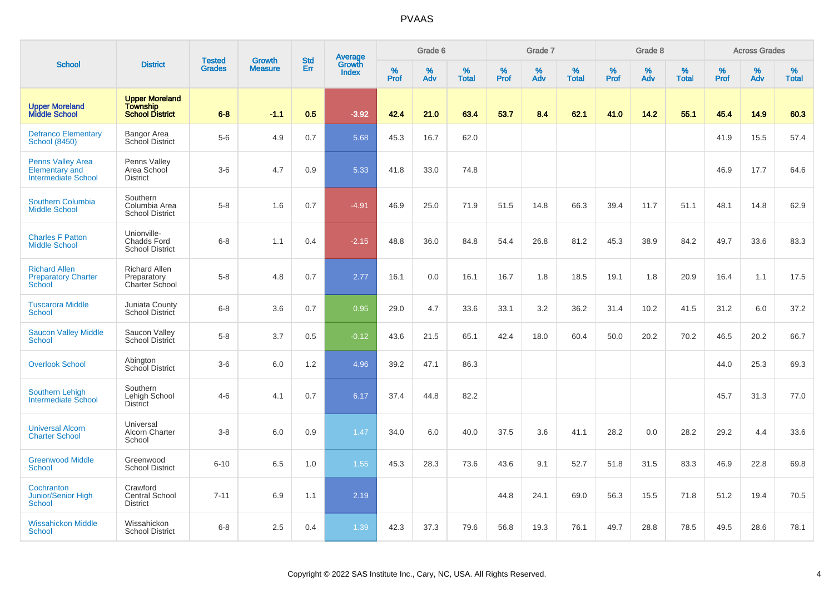|                                                                                 |                                                                    | <b>Tested</b> | <b>Growth</b>  | <b>Std</b> |                                   |           | Grade 6  |                   |           | Grade 7  |                   |           | Grade 8  |                   |           | <b>Across Grades</b> |                   |
|---------------------------------------------------------------------------------|--------------------------------------------------------------------|---------------|----------------|------------|-----------------------------------|-----------|----------|-------------------|-----------|----------|-------------------|-----------|----------|-------------------|-----------|----------------------|-------------------|
| <b>School</b>                                                                   | <b>District</b>                                                    | <b>Grades</b> | <b>Measure</b> | Err        | <b>Average</b><br>Growth<br>Index | %<br>Prof | %<br>Adv | %<br><b>Total</b> | %<br>Prof | %<br>Adv | %<br><b>Total</b> | %<br>Prof | %<br>Adv | %<br><b>Total</b> | %<br>Prof | %<br>Adv             | %<br><b>Total</b> |
| <b>Upper Moreland</b><br><b>Middle School</b>                                   | <b>Upper Moreland</b><br><b>Township</b><br><b>School District</b> | $6 - 8$       | $-1.1$         | 0.5        | $-3.92$                           | 42.4      | 21.0     | 63.4              | 53.7      | 8.4      | 62.1              | 41.0      | 14.2     | 55.1              | 45.4      | 14.9                 | 60.3              |
| <b>Defranco Elementary</b><br><b>School (8450)</b>                              | Bangor Area<br>School District                                     | $5-6$         | 4.9            | 0.7        | 5.68                              | 45.3      | 16.7     | 62.0              |           |          |                   |           |          |                   | 41.9      | 15.5                 | 57.4              |
| <b>Penns Valley Area</b><br><b>Elementary and</b><br><b>Intermediate School</b> | Penns Valley<br>Area School<br><b>District</b>                     | $3-6$         | 4.7            | 0.9        | 5.33                              | 41.8      | 33.0     | 74.8              |           |          |                   |           |          |                   | 46.9      | 17.7                 | 64.6              |
| Southern Columbia<br><b>Middle School</b>                                       | Southern<br>Columbia Area<br><b>School District</b>                | $5-8$         | 1.6            | 0.7        | $-4.91$                           | 46.9      | 25.0     | 71.9              | 51.5      | 14.8     | 66.3              | 39.4      | 11.7     | 51.1              | 48.1      | 14.8                 | 62.9              |
| <b>Charles F Patton</b><br><b>Middle School</b>                                 | Unionville-<br><b>Chadds Ford</b><br><b>School District</b>        | $6 - 8$       | 1.1            | 0.4        | $-2.15$                           | 48.8      | 36.0     | 84.8              | 54.4      | 26.8     | 81.2              | 45.3      | 38.9     | 84.2              | 49.7      | 33.6                 | 83.3              |
| <b>Richard Allen</b><br><b>Preparatory Charter</b><br>School                    | <b>Richard Allen</b><br>Preparatory<br>Charter School              | $5-8$         | 4.8            | 0.7        | 2.77                              | 16.1      | 0.0      | 16.1              | 16.7      | 1.8      | 18.5              | 19.1      | 1.8      | 20.9              | 16.4      | 1.1                  | 17.5              |
| <b>Tuscarora Middle</b><br><b>School</b>                                        | Juniata County<br>School District                                  | $6 - 8$       | 3.6            | 0.7        | 0.95                              | 29.0      | 4.7      | 33.6              | 33.1      | 3.2      | 36.2              | 31.4      | 10.2     | 41.5              | 31.2      | 6.0                  | 37.2              |
| <b>Saucon Valley Middle</b><br><b>School</b>                                    | Saucon Valley<br>School District                                   | $5-8$         | 3.7            | 0.5        | $-0.12$                           | 43.6      | 21.5     | 65.1              | 42.4      | 18.0     | 60.4              | 50.0      | 20.2     | 70.2              | 46.5      | 20.2                 | 66.7              |
| <b>Overlook School</b>                                                          | Abington<br><b>School District</b>                                 | $3-6$         | 6.0            | 1.2        | 4.96                              | 39.2      | 47.1     | 86.3              |           |          |                   |           |          |                   | 44.0      | 25.3                 | 69.3              |
| <b>Southern Lehigh</b><br><b>Intermediate School</b>                            | Southern<br>Lehigh School<br>District                              | $4 - 6$       | 4.1            | 0.7        | 6.17                              | 37.4      | 44.8     | 82.2              |           |          |                   |           |          |                   | 45.7      | 31.3                 | 77.0              |
| <b>Universal Alcorn</b><br><b>Charter School</b>                                | Universal<br><b>Alcorn Charter</b><br>School                       | $3-8$         | 6.0            | 0.9        | 1.47                              | 34.0      | 6.0      | 40.0              | 37.5      | 3.6      | 41.1              | 28.2      | 0.0      | 28.2              | 29.2      | 4.4                  | 33.6              |
| <b>Greenwood Middle</b><br><b>School</b>                                        | Greenwood<br><b>School District</b>                                | $6 - 10$      | 6.5            | 1.0        | 1.55                              | 45.3      | 28.3     | 73.6              | 43.6      | 9.1      | 52.7              | 51.8      | 31.5     | 83.3              | 46.9      | 22.8                 | 69.8              |
| Cochranton<br><b>Junior/Senior High</b><br>School                               | Crawford<br><b>Central School</b><br><b>District</b>               | $7 - 11$      | 6.9            | 1.1        | 2.19                              |           |          |                   | 44.8      | 24.1     | 69.0              | 56.3      | 15.5     | 71.8              | 51.2      | 19.4                 | 70.5              |
| <b>Wissahickon Middle</b><br>School                                             | Wissahickon<br><b>School District</b>                              | $6 - 8$       | 2.5            | 0.4        | 1.39                              | 42.3      | 37.3     | 79.6              | 56.8      | 19.3     | 76.1              | 49.7      | 28.8     | 78.5              | 49.5      | 28.6                 | 78.1              |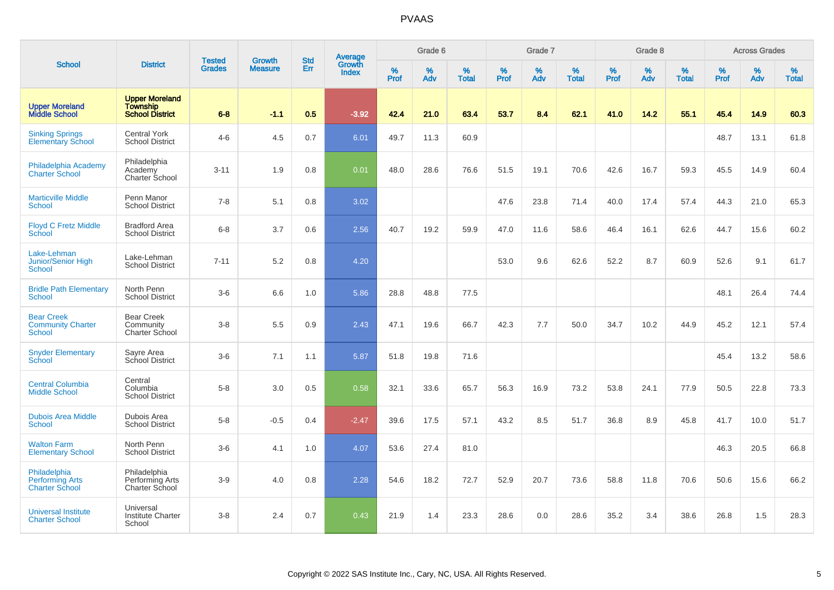|                                                                 |                                                                    | <b>Tested</b> | <b>Growth</b>  | <b>Std</b> |                                          |                  | Grade 6     |                   |              | Grade 7     |                      |              | Grade 8  |                   |              | <b>Across Grades</b> |                   |
|-----------------------------------------------------------------|--------------------------------------------------------------------|---------------|----------------|------------|------------------------------------------|------------------|-------------|-------------------|--------------|-------------|----------------------|--------------|----------|-------------------|--------------|----------------------|-------------------|
| <b>School</b>                                                   | <b>District</b>                                                    | <b>Grades</b> | <b>Measure</b> | Err        | <b>Average</b><br>Growth<br><b>Index</b> | %<br><b>Prof</b> | $\%$<br>Adv | %<br><b>Total</b> | $\%$<br>Prof | $\%$<br>Adv | $\%$<br><b>Total</b> | $\%$<br>Prof | %<br>Adv | %<br><b>Total</b> | $\%$<br>Prof | $\%$<br>Adv          | %<br><b>Total</b> |
| <b>Upper Moreland</b><br><b>Middle School</b>                   | <b>Upper Moreland</b><br><b>Township</b><br><b>School District</b> | $6 - 8$       | $-1.1$         | 0.5        | $-3.92$                                  | 42.4             | 21.0        | 63.4              | 53.7         | 8.4         | 62.1                 | 41.0         | 14.2     | 55.1              | 45.4         | 14.9                 | 60.3              |
| <b>Sinking Springs</b><br><b>Elementary School</b>              | <b>Central York</b><br><b>School District</b>                      | $4 - 6$       | 4.5            | 0.7        | 6.01                                     | 49.7             | 11.3        | 60.9              |              |             |                      |              |          |                   | 48.7         | 13.1                 | 61.8              |
| Philadelphia Academy<br><b>Charter School</b>                   | Philadelphia<br>Academy<br><b>Charter School</b>                   | $3 - 11$      | 1.9            | 0.8        | 0.01                                     | 48.0             | 28.6        | 76.6              | 51.5         | 19.1        | 70.6                 | 42.6         | 16.7     | 59.3              | 45.5         | 14.9                 | 60.4              |
| <b>Marticville Middle</b><br>School                             | Penn Manor<br><b>School District</b>                               | $7 - 8$       | 5.1            | 0.8        | 3.02                                     |                  |             |                   | 47.6         | 23.8        | 71.4                 | 40.0         | 17.4     | 57.4              | 44.3         | 21.0                 | 65.3              |
| <b>Floyd C Fretz Middle</b><br>School                           | <b>Bradford Area</b><br><b>School District</b>                     | $6-8$         | 3.7            | 0.6        | 2.56                                     | 40.7             | 19.2        | 59.9              | 47.0         | 11.6        | 58.6                 | 46.4         | 16.1     | 62.6              | 44.7         | 15.6                 | 60.2              |
| Lake-Lehman<br>Junior/Senior High<br>School                     | Lake-Lehman<br><b>School District</b>                              | $7 - 11$      | 5.2            | 0.8        | 4.20                                     |                  |             |                   | 53.0         | 9.6         | 62.6                 | 52.2         | 8.7      | 60.9              | 52.6         | 9.1                  | 61.7              |
| <b>Bridle Path Elementary</b><br>School                         | North Penn<br><b>School District</b>                               | $3-6$         | 6.6            | 1.0        | 5.86                                     | 28.8             | 48.8        | 77.5              |              |             |                      |              |          |                   | 48.1         | 26.4                 | 74.4              |
| <b>Bear Creek</b><br><b>Community Charter</b><br><b>School</b>  | <b>Bear Creek</b><br>Community<br>Charter School                   | $3-8$         | 5.5            | 0.9        | 2.43                                     | 47.1             | 19.6        | 66.7              | 42.3         | 7.7         | 50.0                 | 34.7         | 10.2     | 44.9              | 45.2         | 12.1                 | 57.4              |
| <b>Snyder Elementary</b><br>School                              | Sayre Area<br>School District                                      | $3-6$         | 7.1            | 1.1        | 5.87                                     | 51.8             | 19.8        | 71.6              |              |             |                      |              |          |                   | 45.4         | 13.2                 | 58.6              |
| <b>Central Columbia</b><br><b>Middle School</b>                 | Central<br>Columbia<br><b>School District</b>                      | $5-8$         | 3.0            | 0.5        | 0.58                                     | 32.1             | 33.6        | 65.7              | 56.3         | 16.9        | 73.2                 | 53.8         | 24.1     | 77.9              | 50.5         | 22.8                 | 73.3              |
| <b>Dubois Area Middle</b><br>School                             | Dubois Area<br><b>School District</b>                              | $5-8$         | $-0.5$         | 0.4        | $-2.47$                                  | 39.6             | 17.5        | 57.1              | 43.2         | 8.5         | 51.7                 | 36.8         | 8.9      | 45.8              | 41.7         | 10.0                 | 51.7              |
| <b>Walton Farm</b><br><b>Elementary School</b>                  | North Penn<br><b>School District</b>                               | $3-6$         | 4.1            | 1.0        | 4.07                                     | 53.6             | 27.4        | 81.0              |              |             |                      |              |          |                   | 46.3         | 20.5                 | 66.8              |
| Philadelphia<br><b>Performing Arts</b><br><b>Charter School</b> | Philadelphia<br>Performing Arts<br>Charter School                  | $3-9$         | 4.0            | 0.8        | 2.28                                     | 54.6             | 18.2        | 72.7              | 52.9         | 20.7        | 73.6                 | 58.8         | 11.8     | 70.6              | 50.6         | 15.6                 | 66.2              |
| <b>Universal Institute</b><br><b>Charter School</b>             | Universal<br><b>Institute Charter</b><br>School                    | $3-8$         | 2.4            | 0.7        | 0.43                                     | 21.9             | 1.4         | 23.3              | 28.6         | 0.0         | 28.6                 | 35.2         | 3.4      | 38.6              | 26.8         | 1.5                  | 28.3              |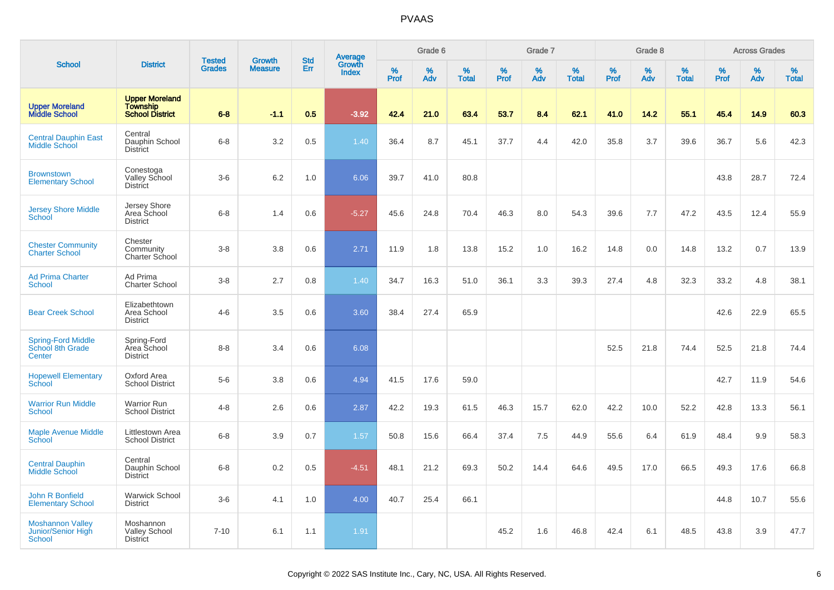|                                                         |                                                                    | <b>Tested</b> | <b>Growth</b>  | <b>Std</b> |                                   |           | Grade 6  |                   |                  | Grade 7  |                   |           | Grade 8  |                   |           | <b>Across Grades</b> |                   |
|---------------------------------------------------------|--------------------------------------------------------------------|---------------|----------------|------------|-----------------------------------|-----------|----------|-------------------|------------------|----------|-------------------|-----------|----------|-------------------|-----------|----------------------|-------------------|
| <b>School</b>                                           | <b>District</b>                                                    | <b>Grades</b> | <b>Measure</b> | Err        | Average<br>Growth<br><b>Index</b> | %<br>Prof | %<br>Adv | %<br><b>Total</b> | %<br><b>Prof</b> | %<br>Adv | %<br><b>Total</b> | %<br>Prof | %<br>Adv | %<br><b>Total</b> | %<br>Prof | %<br>Adv             | %<br><b>Total</b> |
| <b>Upper Moreland</b><br><b>Middle School</b>           | <b>Upper Moreland</b><br><b>Township</b><br><b>School District</b> | $6 - 8$       | $-1.1$         | 0.5        | $-3.92$                           | 42.4      | 21.0     | 63.4              | 53.7             | 8.4      | 62.1              | 41.0      | 14.2     | 55.1              | 45.4      | 14.9                 | 60.3              |
| <b>Central Dauphin East</b><br>Middle School            | Central<br>Dauphin School<br><b>District</b>                       | $6 - 8$       | 3.2            | 0.5        | 1.40                              | 36.4      | 8.7      | 45.1              | 37.7             | 4.4      | 42.0              | 35.8      | 3.7      | 39.6              | 36.7      | 5.6                  | 42.3              |
| <b>Brownstown</b><br><b>Elementary School</b>           | Conestoga<br>Valley School<br><b>District</b>                      | $3-6$         | 6.2            | 1.0        | 6.06                              | 39.7      | 41.0     | 80.8              |                  |          |                   |           |          |                   | 43.8      | 28.7                 | 72.4              |
| <b>Jersey Shore Middle</b><br>School                    | Jersey Shore<br>Area School<br><b>District</b>                     | $6 - 8$       | 1.4            | 0.6        | $-5.27$                           | 45.6      | 24.8     | 70.4              | 46.3             | 8.0      | 54.3              | 39.6      | 7.7      | 47.2              | 43.5      | 12.4                 | 55.9              |
| <b>Chester Community</b><br><b>Charter School</b>       | Chester<br>Community<br>Charter School                             | $3-8$         | 3.8            | 0.6        | 2.71                              | 11.9      | 1.8      | 13.8              | 15.2             | 1.0      | 16.2              | 14.8      | 0.0      | 14.8              | 13.2      | 0.7                  | 13.9              |
| <b>Ad Prima Charter</b><br>School                       | Ad Prima<br><b>Charter School</b>                                  | $3 - 8$       | 2.7            | 0.8        | 1.40                              | 34.7      | 16.3     | 51.0              | 36.1             | 3.3      | 39.3              | 27.4      | 4.8      | 32.3              | 33.2      | 4.8                  | 38.1              |
| <b>Bear Creek School</b>                                | Elizabethtown<br>Area School<br><b>District</b>                    | $4 - 6$       | 3.5            | 0.6        | 3.60                              | 38.4      | 27.4     | 65.9              |                  |          |                   |           |          |                   | 42.6      | 22.9                 | 65.5              |
| Spring-Ford Middle<br>School 8th Grade<br>Center        | Spring-Ford<br>Area School<br><b>District</b>                      | $8 - 8$       | 3.4            | 0.6        | 6.08                              |           |          |                   |                  |          |                   | 52.5      | 21.8     | 74.4              | 52.5      | 21.8                 | 74.4              |
| <b>Hopewell Elementary</b><br>School                    | Oxford Area<br><b>School District</b>                              | $5-6$         | 3.8            | 0.6        | 4.94                              | 41.5      | 17.6     | 59.0              |                  |          |                   |           |          |                   | 42.7      | 11.9                 | 54.6              |
| <b>Warrior Run Middle</b><br><b>School</b>              | <b>Warrior Run</b><br><b>School District</b>                       | $4 - 8$       | 2.6            | 0.6        | 2.87                              | 42.2      | 19.3     | 61.5              | 46.3             | 15.7     | 62.0              | 42.2      | 10.0     | 52.2              | 42.8      | 13.3                 | 56.1              |
| <b>Maple Avenue Middle</b><br>School                    | Littlestown Area<br><b>School District</b>                         | $6 - 8$       | 3.9            | 0.7        | 1.57                              | 50.8      | 15.6     | 66.4              | 37.4             | 7.5      | 44.9              | 55.6      | 6.4      | 61.9              | 48.4      | 9.9                  | 58.3              |
| <b>Central Dauphin</b><br>Middle School                 | Central<br>Dauphin School<br><b>District</b>                       | $6 - 8$       | 0.2            | 0.5        | $-4.51$                           | 48.1      | 21.2     | 69.3              | 50.2             | 14.4     | 64.6              | 49.5      | 17.0     | 66.5              | 49.3      | 17.6                 | 66.8              |
| John R Bonfield<br><b>Elementary School</b>             | <b>Warwick School</b><br><b>District</b>                           | $3-6$         | 4.1            | 1.0        | 4.00                              | 40.7      | 25.4     | 66.1              |                  |          |                   |           |          |                   | 44.8      | 10.7                 | 55.6              |
| <b>Moshannon Valley</b><br>Junior/Senior High<br>School | Moshannon<br><b>Valley School</b><br><b>District</b>               | $7 - 10$      | 6.1            | 1.1        | 1.91                              |           |          |                   | 45.2             | 1.6      | 46.8              | 42.4      | 6.1      | 48.5              | 43.8      | 3.9                  | 47.7              |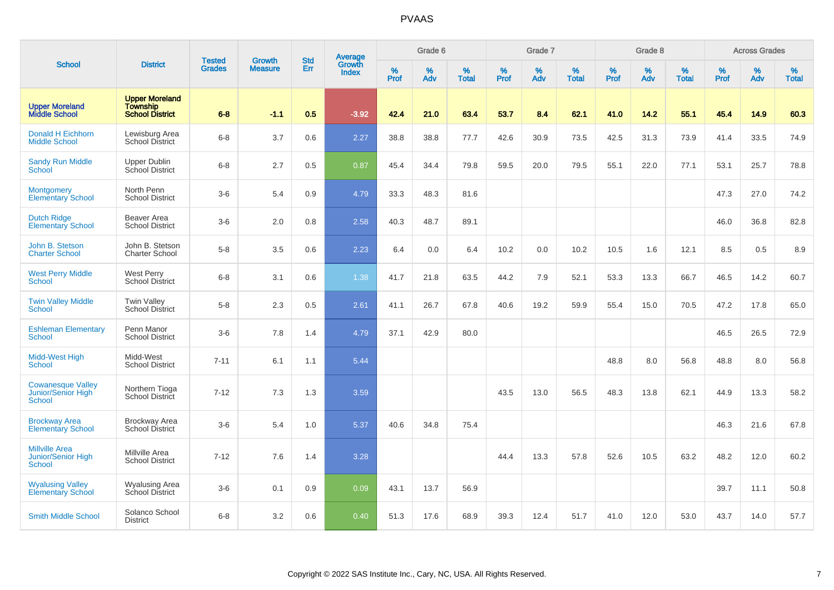|                                                                     |                                                                    | <b>Tested</b> | <b>Growth</b>  | <b>Std</b> | <b>Average</b><br>Growth |                  | Grade 6     |                   |           | Grade 7  |                   |                  | Grade 8  |                   |           | <b>Across Grades</b> |                   |
|---------------------------------------------------------------------|--------------------------------------------------------------------|---------------|----------------|------------|--------------------------|------------------|-------------|-------------------|-----------|----------|-------------------|------------------|----------|-------------------|-----------|----------------------|-------------------|
| <b>School</b>                                                       | <b>District</b>                                                    | <b>Grades</b> | <b>Measure</b> | Err        | <b>Index</b>             | %<br><b>Prof</b> | $\%$<br>Adv | %<br><b>Total</b> | %<br>Prof | %<br>Adv | %<br><b>Total</b> | %<br><b>Prof</b> | %<br>Adv | %<br><b>Total</b> | %<br>Prof | %<br>Adv             | %<br><b>Total</b> |
| <b>Upper Moreland</b><br><b>Middle School</b>                       | <b>Upper Moreland</b><br><b>Township</b><br><b>School District</b> | $6 - 8$       | $-1.1$         | 0.5        | $-3.92$                  | 42.4             | 21.0        | 63.4              | 53.7      | 8.4      | 62.1              | 41.0             | 14.2     | 55.1              | 45.4      | 14.9                 | 60.3              |
| Donald H Eichhorn<br><b>Middle School</b>                           | Lewisburg Area<br>School District                                  | $6 - 8$       | 3.7            | 0.6        | 2.27                     | 38.8             | 38.8        | 77.7              | 42.6      | 30.9     | 73.5              | 42.5             | 31.3     | 73.9              | 41.4      | 33.5                 | 74.9              |
| <b>Sandy Run Middle</b><br>School                                   | <b>Upper Dublin</b><br>School District                             | $6 - 8$       | 2.7            | 0.5        | 0.87                     | 45.4             | 34.4        | 79.8              | 59.5      | 20.0     | 79.5              | 55.1             | 22.0     | 77.1              | 53.1      | 25.7                 | 78.8              |
| <b>Montgomery</b><br><b>Elementary School</b>                       | North Penn<br><b>School District</b>                               | $3 - 6$       | 5.4            | 0.9        | 4.79                     | 33.3             | 48.3        | 81.6              |           |          |                   |                  |          |                   | 47.3      | 27.0                 | 74.2              |
| <b>Dutch Ridge</b><br><b>Elementary School</b>                      | Beaver Area<br><b>School District</b>                              | $3-6$         | 2.0            | 0.8        | 2.58                     | 40.3             | 48.7        | 89.1              |           |          |                   |                  |          |                   | 46.0      | 36.8                 | 82.8              |
| John B. Stetson<br><b>Charter School</b>                            | John B. Stetson<br>Charter School                                  | $5-8$         | 3.5            | 0.6        | 2.23                     | 6.4              | 0.0         | 6.4               | 10.2      | 0.0      | 10.2              | 10.5             | 1.6      | 12.1              | 8.5       | 0.5                  | 8.9               |
| <b>West Perry Middle</b><br><b>School</b>                           | <b>West Perry</b><br><b>School District</b>                        | $6 - 8$       | 3.1            | 0.6        | 1.38                     | 41.7             | 21.8        | 63.5              | 44.2      | 7.9      | 52.1              | 53.3             | 13.3     | 66.7              | 46.5      | 14.2                 | 60.7              |
| <b>Twin Valley Middle</b><br>School                                 | <b>Twin Valley</b><br><b>School District</b>                       | $5 - 8$       | 2.3            | 0.5        | 2.61                     | 41.1             | 26.7        | 67.8              | 40.6      | 19.2     | 59.9              | 55.4             | 15.0     | 70.5              | 47.2      | 17.8                 | 65.0              |
| <b>Eshleman Elementary</b><br>School                                | Penn Manor<br><b>School District</b>                               | $3-6$         | 7.8            | 1.4        | 4.79                     | 37.1             | 42.9        | 80.0              |           |          |                   |                  |          |                   | 46.5      | 26.5                 | 72.9              |
| Midd-West High<br><b>School</b>                                     | Midd-West<br><b>School District</b>                                | $7 - 11$      | 6.1            | 1.1        | 5.44                     |                  |             |                   |           |          |                   | 48.8             | 8.0      | 56.8              | 48.8      | 8.0                  | 56.8              |
| <b>Cowanesque Valley</b><br>Junior/Senior High<br><b>School</b>     | Northern Tioga<br><b>School District</b>                           | $7 - 12$      | 7.3            | 1.3        | 3.59                     |                  |             |                   | 43.5      | 13.0     | 56.5              | 48.3             | 13.8     | 62.1              | 44.9      | 13.3                 | 58.2              |
| <b>Brockway Area</b><br><b>Elementary School</b>                    | <b>Brockway Area</b><br><b>School District</b>                     | $3-6$         | 5.4            | 1.0        | 5.37                     | 40.6             | 34.8        | 75.4              |           |          |                   |                  |          |                   | 46.3      | 21.6                 | 67.8              |
| <b>Millville Area</b><br><b>Junior/Senior High</b><br><b>School</b> | Millville Area<br><b>School District</b>                           | $7 - 12$      | 7.6            | 1.4        | 3.28                     |                  |             |                   | 44.4      | 13.3     | 57.8              | 52.6             | 10.5     | 63.2              | 48.2      | 12.0                 | 60.2              |
| <b>Wyalusing Valley</b><br><b>Elementary School</b>                 | <b>Wyalusing Area</b><br>School District                           | $3-6$         | 0.1            | 0.9        | 0.09                     | 43.1             | 13.7        | 56.9              |           |          |                   |                  |          |                   | 39.7      | 11.1                 | 50.8              |
| <b>Smith Middle School</b>                                          | Solanco School<br><b>District</b>                                  | $6 - 8$       | 3.2            | 0.6        | 0.40                     | 51.3             | 17.6        | 68.9              | 39.3      | 12.4     | 51.7              | 41.0             | 12.0     | 53.0              | 43.7      | 14.0                 | 57.7              |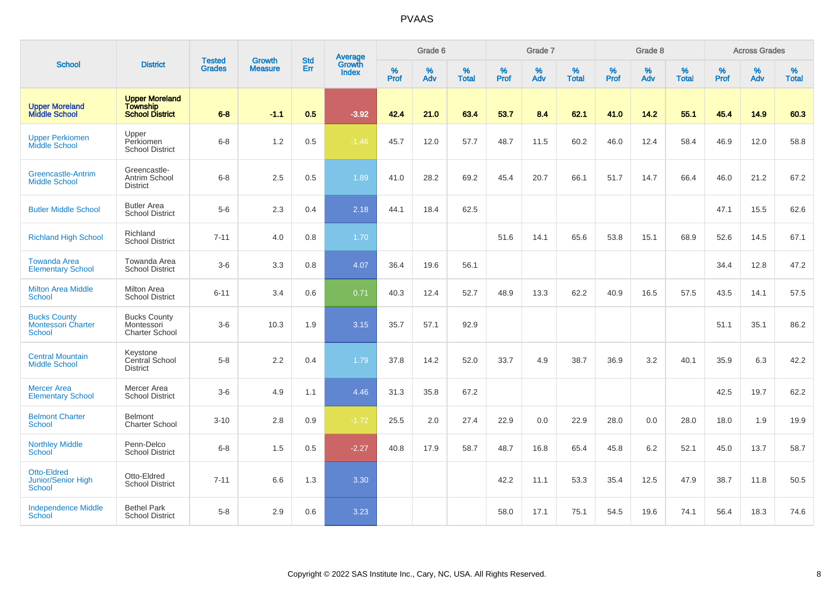|                                                            |                                                                    |                                | <b>Growth</b>  | <b>Std</b> |                                          |                  | Grade 6     |                   |           | Grade 7  |                   |           | Grade 8  |                   |           | <b>Across Grades</b> |                   |
|------------------------------------------------------------|--------------------------------------------------------------------|--------------------------------|----------------|------------|------------------------------------------|------------------|-------------|-------------------|-----------|----------|-------------------|-----------|----------|-------------------|-----------|----------------------|-------------------|
| <b>School</b>                                              | <b>District</b>                                                    | <b>Tested</b><br><b>Grades</b> | <b>Measure</b> | Err        | <b>Average</b><br>Growth<br><b>Index</b> | %<br><b>Prof</b> | $\%$<br>Adv | %<br><b>Total</b> | %<br>Prof | %<br>Adv | %<br><b>Total</b> | %<br>Prof | %<br>Adv | %<br><b>Total</b> | %<br>Prof | %<br>Adv             | %<br><b>Total</b> |
| <b>Upper Moreland<br/>Middle School</b>                    | <b>Upper Moreland</b><br><b>Township</b><br><b>School District</b> | $6 - 8$                        | $-1.1$         | 0.5        | $-3.92$                                  | 42.4             | 21.0        | 63.4              | 53.7      | 8.4      | 62.1              | 41.0      | 14.2     | 55.1              | 45.4      | 14.9                 | 60.3              |
| <b>Upper Perkiomen</b><br>Middle School                    | Upper<br>Perkiomen<br><b>School District</b>                       | $6 - 8$                        | 1.2            | 0.5        | $-1.46$                                  | 45.7             | 12.0        | 57.7              | 48.7      | 11.5     | 60.2              | 46.0      | 12.4     | 58.4              | 46.9      | 12.0                 | 58.8              |
| Greencastle-Antrim<br><b>Middle School</b>                 | Greencastle-<br>Antrim School<br><b>District</b>                   | $6 - 8$                        | 2.5            | 0.5        | 1.89                                     | 41.0             | 28.2        | 69.2              | 45.4      | 20.7     | 66.1              | 51.7      | 14.7     | 66.4              | 46.0      | 21.2                 | 67.2              |
| <b>Butler Middle School</b>                                | <b>Butler Area</b><br><b>School District</b>                       | $5-6$                          | 2.3            | 0.4        | 2.18                                     | 44.1             | 18.4        | 62.5              |           |          |                   |           |          |                   | 47.1      | 15.5                 | 62.6              |
| <b>Richland High School</b>                                | Richland<br><b>School District</b>                                 | $7 - 11$                       | 4.0            | 0.8        | 1.70                                     |                  |             |                   | 51.6      | 14.1     | 65.6              | 53.8      | 15.1     | 68.9              | 52.6      | 14.5                 | 67.1              |
| <b>Towanda Area</b><br><b>Elementary School</b>            | Towanda Area<br><b>School District</b>                             | $3-6$                          | 3.3            | 0.8        | 4.07                                     | 36.4             | 19.6        | 56.1              |           |          |                   |           |          |                   | 34.4      | 12.8                 | 47.2              |
| <b>Milton Area Middle</b><br><b>School</b>                 | Milton Area<br><b>School District</b>                              | $6 - 11$                       | 3.4            | 0.6        | 0.71                                     | 40.3             | 12.4        | 52.7              | 48.9      | 13.3     | 62.2              | 40.9      | 16.5     | 57.5              | 43.5      | 14.1                 | 57.5              |
| <b>Bucks County</b><br><b>Montessori Charter</b><br>School | <b>Bucks County</b><br>Montessori<br><b>Charter School</b>         | $3-6$                          | 10.3           | 1.9        | 3.15                                     | 35.7             | 57.1        | 92.9              |           |          |                   |           |          |                   | 51.1      | 35.1                 | 86.2              |
| <b>Central Mountain</b><br><b>Middle School</b>            | Keystone<br>Central School<br><b>District</b>                      | $5-8$                          | 2.2            | 0.4        | 1.79                                     | 37.8             | 14.2        | 52.0              | 33.7      | 4.9      | 38.7              | 36.9      | 3.2      | 40.1              | 35.9      | 6.3                  | 42.2              |
| <b>Mercer Area</b><br><b>Elementary School</b>             | Mercer Area<br><b>School District</b>                              | $3-6$                          | 4.9            | 1.1        | 4.46                                     | 31.3             | 35.8        | 67.2              |           |          |                   |           |          |                   | 42.5      | 19.7                 | 62.2              |
| <b>Belmont Charter</b><br><b>School</b>                    | <b>Belmont</b><br><b>Charter School</b>                            | $3 - 10$                       | 2.8            | 0.9        | $-1.72$                                  | 25.5             | 2.0         | 27.4              | 22.9      | 0.0      | 22.9              | 28.0      | 0.0      | 28.0              | 18.0      | 1.9                  | 19.9              |
| <b>Northley Middle</b><br><b>School</b>                    | Penn-Delco<br><b>School District</b>                               | $6 - 8$                        | 1.5            | 0.5        | $-2.27$                                  | 40.8             | 17.9        | 58.7              | 48.7      | 16.8     | 65.4              | 45.8      | 6.2      | 52.1              | 45.0      | 13.7                 | 58.7              |
| <b>Otto-Eldred</b><br>Junior/Senior High<br><b>School</b>  | Otto-Eldred<br><b>School District</b>                              | $7 - 11$                       | 6.6            | 1.3        | 3.30                                     |                  |             |                   | 42.2      | 11.1     | 53.3              | 35.4      | 12.5     | 47.9              | 38.7      | 11.8                 | 50.5              |
| <b>Independence Middle</b><br>School                       | <b>Bethel Park</b><br><b>School District</b>                       | $5-8$                          | 2.9            | 0.6        | 3.23                                     |                  |             |                   | 58.0      | 17.1     | 75.1              | 54.5      | 19.6     | 74.1              | 56.4      | 18.3                 | 74.6              |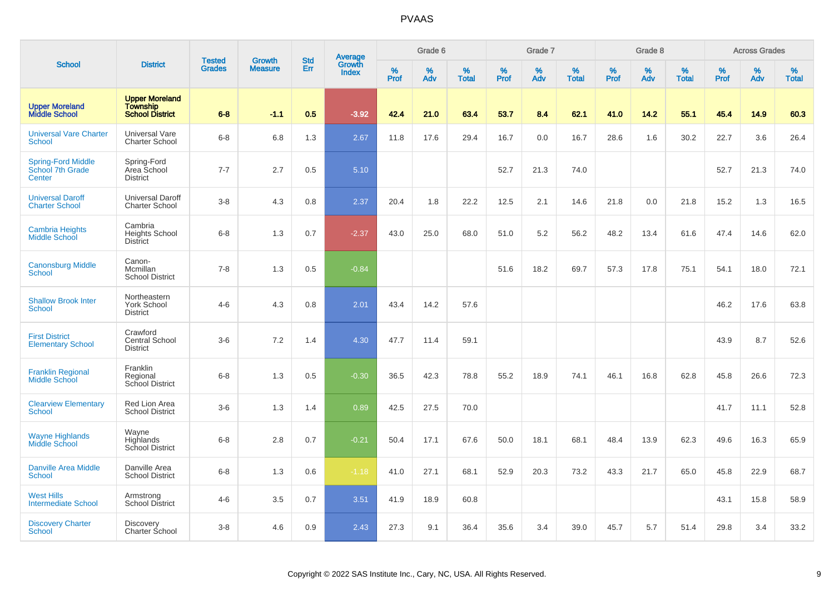|                                                         |                                                                    | <b>Tested</b> | <b>Growth</b>  | <b>Std</b> | <b>Average</b><br>Growth |           | Grade 6  |                   |           | Grade 7  |                   |           | Grade 8  |                   |           | <b>Across Grades</b> |                   |
|---------------------------------------------------------|--------------------------------------------------------------------|---------------|----------------|------------|--------------------------|-----------|----------|-------------------|-----------|----------|-------------------|-----------|----------|-------------------|-----------|----------------------|-------------------|
| <b>School</b>                                           | <b>District</b>                                                    | <b>Grades</b> | <b>Measure</b> | Err        | <b>Index</b>             | %<br>Prof | %<br>Adv | %<br><b>Total</b> | %<br>Prof | %<br>Adv | %<br><b>Total</b> | %<br>Prof | %<br>Adv | %<br><b>Total</b> | %<br>Prof | %<br>Adv             | %<br><b>Total</b> |
| <b>Upper Moreland</b><br><b>Middle School</b>           | <b>Upper Moreland</b><br><b>Township</b><br><b>School District</b> | $6 - 8$       | $-1.1$         | 0.5        | $-3.92$                  | 42.4      | 21.0     | 63.4              | 53.7      | 8.4      | 62.1              | 41.0      | 14.2     | 55.1              | 45.4      | 14.9                 | 60.3              |
| <b>Universal Vare Charter</b><br>School                 | Universal Vare<br><b>Charter School</b>                            | $6 - 8$       | 6.8            | 1.3        | 2.67                     | 11.8      | 17.6     | 29.4              | 16.7      | 0.0      | 16.7              | 28.6      | 1.6      | 30.2              | 22.7      | 3.6                  | 26.4              |
| <b>Spring-Ford Middle</b><br>School 7th Grade<br>Center | Spring-Ford<br>Area School<br><b>District</b>                      | $7 - 7$       | 2.7            | 0.5        | 5.10                     |           |          |                   | 52.7      | 21.3     | 74.0              |           |          |                   | 52.7      | 21.3                 | 74.0              |
| <b>Universal Daroff</b><br><b>Charter School</b>        | <b>Universal Daroff</b><br><b>Charter School</b>                   | $3 - 8$       | 4.3            | 0.8        | 2.37                     | 20.4      | 1.8      | 22.2              | 12.5      | 2.1      | 14.6              | 21.8      | 0.0      | 21.8              | 15.2      | 1.3                  | 16.5              |
| <b>Cambria Heights</b><br><b>Middle School</b>          | Cambria<br><b>Heights School</b><br><b>District</b>                | $6 - 8$       | 1.3            | 0.7        | $-2.37$                  | 43.0      | 25.0     | 68.0              | 51.0      | 5.2      | 56.2              | 48.2      | 13.4     | 61.6              | 47.4      | 14.6                 | 62.0              |
| <b>Canonsburg Middle</b><br>School                      | Canon-<br><b>Mcmillan</b><br><b>School District</b>                | $7 - 8$       | 1.3            | 0.5        | $-0.84$                  |           |          |                   | 51.6      | 18.2     | 69.7              | 57.3      | 17.8     | 75.1              | 54.1      | 18.0                 | 72.1              |
| <b>Shallow Brook Inter</b><br>School                    | Northeastern<br>York School<br><b>District</b>                     | $4 - 6$       | 4.3            | 0.8        | 2.01                     | 43.4      | 14.2     | 57.6              |           |          |                   |           |          |                   | 46.2      | 17.6                 | 63.8              |
| <b>First District</b><br><b>Elementary School</b>       | Crawford<br>Central School<br><b>District</b>                      | $3-6$         | 7.2            | 1.4        | 4.30                     | 47.7      | 11.4     | 59.1              |           |          |                   |           |          |                   | 43.9      | 8.7                  | 52.6              |
| <b>Franklin Regional</b><br><b>Middle School</b>        | Franklin<br>Regional<br>School District                            | $6 - 8$       | 1.3            | 0.5        | $-0.30$                  | 36.5      | 42.3     | 78.8              | 55.2      | 18.9     | 74.1              | 46.1      | 16.8     | 62.8              | 45.8      | 26.6                 | 72.3              |
| <b>Clearview Elementary</b><br><b>School</b>            | Red Lion Area<br><b>School District</b>                            | $3-6$         | 1.3            | 1.4        | 0.89                     | 42.5      | 27.5     | 70.0              |           |          |                   |           |          |                   | 41.7      | 11.1                 | 52.8              |
| <b>Wayne Highlands</b><br>Middle School                 | Wayne<br><b>Highlands</b><br>School District                       | $6 - 8$       | 2.8            | 0.7        | $-0.21$                  | 50.4      | 17.1     | 67.6              | 50.0      | 18.1     | 68.1              | 48.4      | 13.9     | 62.3              | 49.6      | 16.3                 | 65.9              |
| <b>Danville Area Middle</b><br><b>School</b>            | Danville Area<br><b>School District</b>                            | $6 - 8$       | 1.3            | 0.6        | $-1.18$                  | 41.0      | 27.1     | 68.1              | 52.9      | 20.3     | 73.2              | 43.3      | 21.7     | 65.0              | 45.8      | 22.9                 | 68.7              |
| <b>West Hills</b><br><b>Intermediate School</b>         | Armstrong<br>School District                                       | $4 - 6$       | 3.5            | 0.7        | 3.51                     | 41.9      | 18.9     | 60.8              |           |          |                   |           |          |                   | 43.1      | 15.8                 | 58.9              |
| <b>Discovery Charter</b><br>School                      | <b>Discovery</b><br>Charter School                                 | $3 - 8$       | 4.6            | 0.9        | 2.43                     | 27.3      | 9.1      | 36.4              | 35.6      | 3.4      | 39.0              | 45.7      | 5.7      | 51.4              | 29.8      | 3.4                  | 33.2              |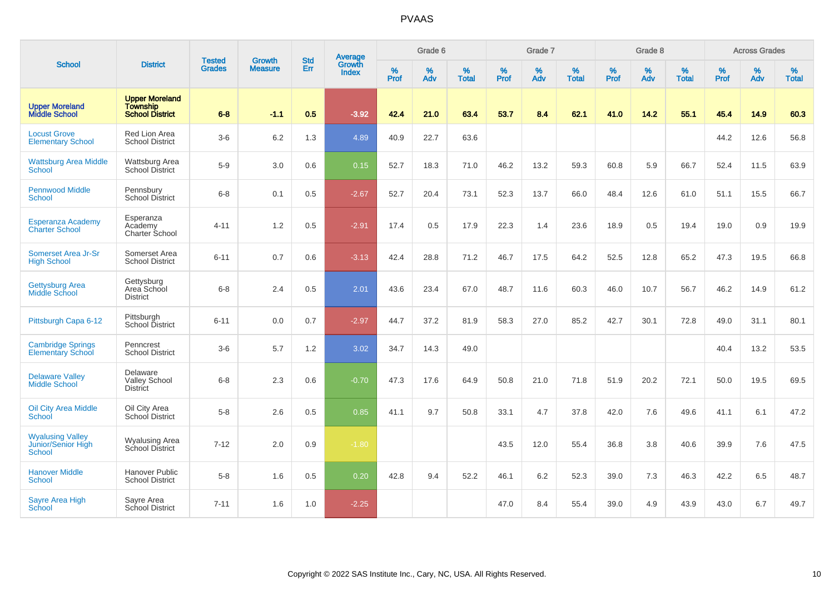|                                                                |                                                      |                                | <b>Growth</b>  | <b>Std</b> | <b>Average</b>         |           | Grade 6  |                   |           | Grade 7  |                   |                  | Grade 8  |                   |                  | <b>Across Grades</b> |                   |
|----------------------------------------------------------------|------------------------------------------------------|--------------------------------|----------------|------------|------------------------|-----------|----------|-------------------|-----------|----------|-------------------|------------------|----------|-------------------|------------------|----------------------|-------------------|
| <b>School</b>                                                  | <b>District</b>                                      | <b>Tested</b><br><b>Grades</b> | <b>Measure</b> | Err        | Growth<br><b>Index</b> | %<br>Prof | %<br>Adv | %<br><b>Total</b> | %<br>Prof | %<br>Adv | %<br><b>Total</b> | %<br><b>Prof</b> | %<br>Adv | %<br><b>Total</b> | %<br><b>Prof</b> | %<br>Adv             | %<br><b>Total</b> |
| <b>Upper Moreland</b><br><b>Middle School</b>                  | <b>Upper Moreland</b><br>Township<br>School District | $6 - 8$                        | $-1.1$         | 0.5        | $-3.92$                | 42.4      | 21.0     | 63.4              | 53.7      | 8.4      | 62.1              | 41.0             | 14.2     | 55.1              | 45.4             | 14.9                 | 60.3              |
| <b>Locust Grove</b><br><b>Elementary School</b>                | Red Lion Area<br><b>School District</b>              | $3-6$                          | 6.2            | 1.3        | 4.89                   | 40.9      | 22.7     | 63.6              |           |          |                   |                  |          |                   | 44.2             | 12.6                 | 56.8              |
| <b>Wattsburg Area Middle</b><br>School                         | Wattsburg Area<br>School District                    | $5-9$                          | 3.0            | 0.6        | 0.15                   | 52.7      | 18.3     | 71.0              | 46.2      | 13.2     | 59.3              | 60.8             | 5.9      | 66.7              | 52.4             | 11.5                 | 63.9              |
| <b>Pennwood Middle</b><br>School                               | Pennsbury<br><b>School District</b>                  | $6 - 8$                        | 0.1            | 0.5        | $-2.67$                | 52.7      | 20.4     | 73.1              | 52.3      | 13.7     | 66.0              | 48.4             | 12.6     | 61.0              | 51.1             | 15.5                 | 66.7              |
| Esperanza Academy<br><b>Charter School</b>                     | Esperanza<br>Academy<br>Charter School               | $4 - 11$                       | 1.2            | 0.5        | $-2.91$                | 17.4      | 0.5      | 17.9              | 22.3      | 1.4      | 23.6              | 18.9             | 0.5      | 19.4              | 19.0             | 0.9                  | 19.9              |
| Somerset Area Jr-Sr<br><b>High School</b>                      | Somerset Area<br><b>School District</b>              | $6 - 11$                       | 0.7            | 0.6        | $-3.13$                | 42.4      | 28.8     | 71.2              | 46.7      | 17.5     | 64.2              | 52.5             | 12.8     | 65.2              | 47.3             | 19.5                 | 66.8              |
| <b>Gettysburg Area</b><br>Middle School                        | Gettysburg<br>Area School<br><b>District</b>         | $6 - 8$                        | 2.4            | 0.5        | 2.01                   | 43.6      | 23.4     | 67.0              | 48.7      | 11.6     | 60.3              | 46.0             | 10.7     | 56.7              | 46.2             | 14.9                 | 61.2              |
| Pittsburgh Capa 6-12                                           | Pittsburgh<br>School District                        | $6 - 11$                       | 0.0            | 0.7        | $-2.97$                | 44.7      | 37.2     | 81.9              | 58.3      | 27.0     | 85.2              | 42.7             | 30.1     | 72.8              | 49.0             | 31.1                 | 80.1              |
| <b>Cambridge Springs</b><br><b>Elementary School</b>           | Penncrest<br><b>School District</b>                  | $3-6$                          | 5.7            | 1.2        | 3.02                   | 34.7      | 14.3     | 49.0              |           |          |                   |                  |          |                   | 40.4             | 13.2                 | 53.5              |
| <b>Delaware Valley</b><br><b>Middle School</b>                 | Delaware<br><b>Valley School</b><br><b>District</b>  | $6 - 8$                        | 2.3            | 0.6        | $-0.70$                | 47.3      | 17.6     | 64.9              | 50.8      | 21.0     | 71.8              | 51.9             | 20.2     | 72.1              | 50.0             | 19.5                 | 69.5              |
| <b>Oil City Area Middle</b><br>School                          | Oil City Area<br>School District                     | $5-8$                          | 2.6            | 0.5        | 0.85                   | 41.1      | 9.7      | 50.8              | 33.1      | 4.7      | 37.8              | 42.0             | 7.6      | 49.6              | 41.1             | 6.1                  | 47.2              |
| <b>Wyalusing Valley</b><br>Junior/Senior High<br><b>School</b> | <b>Wyalusing Area</b><br>School District             | $7 - 12$                       | 2.0            | 0.9        | $-1.80$                |           |          |                   | 43.5      | 12.0     | 55.4              | 36.8             | 3.8      | 40.6              | 39.9             | 7.6                  | 47.5              |
| <b>Hanover Middle</b><br>School                                | Hanover Public<br><b>School District</b>             | $5-8$                          | 1.6            | 0.5        | 0.20                   | 42.8      | 9.4      | 52.2              | 46.1      | 6.2      | 52.3              | 39.0             | 7.3      | 46.3              | 42.2             | 6.5                  | 48.7              |
| <b>Sayre Area High</b><br>School                               | Sayre Area<br><b>School District</b>                 | $7 - 11$                       | 1.6            | 1.0        | $-2.25$                |           |          |                   | 47.0      | 8.4      | 55.4              | 39.0             | 4.9      | 43.9              | 43.0             | 6.7                  | 49.7              |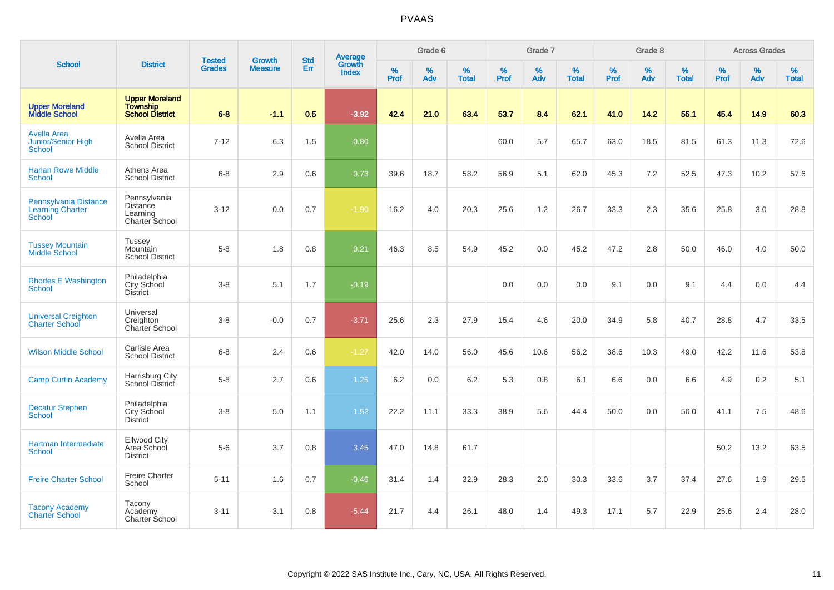|                                                                   |                                                                    |                                | <b>Growth</b>  | <b>Std</b> |                                   |              | Grade 6     |                   |              | Grade 7     |                   |              | Grade 8     |                   |              | <b>Across Grades</b> |                   |
|-------------------------------------------------------------------|--------------------------------------------------------------------|--------------------------------|----------------|------------|-----------------------------------|--------------|-------------|-------------------|--------------|-------------|-------------------|--------------|-------------|-------------------|--------------|----------------------|-------------------|
| <b>School</b>                                                     | <b>District</b>                                                    | <b>Tested</b><br><b>Grades</b> | <b>Measure</b> | Err        | Average<br>Growth<br><b>Index</b> | $\%$<br>Prof | $\%$<br>Adv | %<br><b>Total</b> | $\%$<br>Prof | $\%$<br>Adv | %<br><b>Total</b> | $\%$<br>Prof | $\%$<br>Adv | %<br><b>Total</b> | $\%$<br>Prof | $\%$<br>Adv          | %<br><b>Total</b> |
| <b>Upper Moreland</b><br><b>Middle School</b>                     | <b>Upper Moreland</b><br><b>Township</b><br><b>School District</b> | $6 - 8$                        | $-1.1$         | 0.5        | $-3.92$                           | 42.4         | 21.0        | 63.4              | 53.7         | 8.4         | 62.1              | 41.0         | 14.2        | 55.1              | 45.4         | 14.9                 | 60.3              |
| <b>Avella Area</b><br><b>Junior/Senior High</b><br><b>School</b>  | Avella Area<br><b>School District</b>                              | $7 - 12$                       | 6.3            | 1.5        | 0.80                              |              |             |                   | 60.0         | 5.7         | 65.7              | 63.0         | 18.5        | 81.5              | 61.3         | 11.3                 | 72.6              |
| <b>Harlan Rowe Middle</b><br><b>School</b>                        | Athens Area<br><b>School District</b>                              | $6 - 8$                        | 2.9            | 0.6        | 0.73                              | 39.6         | 18.7        | 58.2              | 56.9         | 5.1         | 62.0              | 45.3         | 7.2         | 52.5              | 47.3         | 10.2                 | 57.6              |
| Pennsylvania Distance<br><b>Learning Charter</b><br><b>School</b> | Pennsylvania<br>Distance<br>Learning<br><b>Charter School</b>      | $3 - 12$                       | 0.0            | 0.7        | $-1.90$                           | 16.2         | 4.0         | 20.3              | 25.6         | 1.2         | 26.7              | 33.3         | 2.3         | 35.6              | 25.8         | 3.0                  | 28.8              |
| <b>Tussey Mountain</b><br>Middle School                           | Tussey<br>Mountain<br><b>School District</b>                       | $5-8$                          | 1.8            | 0.8        | 0.21                              | 46.3         | 8.5         | 54.9              | 45.2         | 0.0         | 45.2              | 47.2         | 2.8         | 50.0              | 46.0         | 4.0                  | 50.0              |
| <b>Rhodes E Washington</b><br><b>School</b>                       | Philadelphia<br>City School<br><b>District</b>                     | $3 - 8$                        | 5.1            | 1.7        | $-0.19$                           |              |             |                   | 0.0          | 0.0         | 0.0               | 9.1          | 0.0         | 9.1               | 4.4          | 0.0                  | 4.4               |
| <b>Universal Creighton</b><br><b>Charter School</b>               | Universal<br>Creighton<br><b>Charter School</b>                    | $3 - 8$                        | $-0.0$         | 0.7        | $-3.71$                           | 25.6         | 2.3         | 27.9              | 15.4         | 4.6         | 20.0              | 34.9         | 5.8         | 40.7              | 28.8         | 4.7                  | 33.5              |
| <b>Wilson Middle School</b>                                       | Carlisle Area<br><b>School District</b>                            | $6 - 8$                        | 2.4            | 0.6        | $-1.27$                           | 42.0         | 14.0        | 56.0              | 45.6         | 10.6        | 56.2              | 38.6         | 10.3        | 49.0              | 42.2         | 11.6                 | 53.8              |
| <b>Camp Curtin Academy</b>                                        | Harrisburg City<br><b>School District</b>                          | $5-8$                          | 2.7            | 0.6        | 1.25                              | 6.2          | 0.0         | 6.2               | 5.3          | 0.8         | 6.1               | 6.6          | 0.0         | 6.6               | 4.9          | 0.2                  | 5.1               |
| <b>Decatur Stephen</b><br><b>School</b>                           | Philadelphia<br>City School<br><b>District</b>                     | $3 - 8$                        | 5.0            | 1.1        | 1.52                              | 22.2         | 11.1        | 33.3              | 38.9         | 5.6         | 44.4              | 50.0         | 0.0         | 50.0              | 41.1         | 7.5                  | 48.6              |
| Hartman Intermediate<br><b>School</b>                             | <b>Ellwood City</b><br>Area School<br><b>District</b>              | $5-6$                          | 3.7            | 0.8        | 3.45                              | 47.0         | 14.8        | 61.7              |              |             |                   |              |             |                   | 50.2         | 13.2                 | 63.5              |
| <b>Freire Charter School</b>                                      | <b>Freire Charter</b><br>School                                    | $5 - 11$                       | 1.6            | 0.7        | $-0.46$                           | 31.4         | 1.4         | 32.9              | 28.3         | 2.0         | 30.3              | 33.6         | 3.7         | 37.4              | 27.6         | 1.9                  | 29.5              |
| <b>Tacony Academy</b><br><b>Charter School</b>                    | Tacony<br>Academy<br><b>Charter School</b>                         | $3 - 11$                       | $-3.1$         | 0.8        | $-5.44$                           | 21.7         | 4.4         | 26.1              | 48.0         | 1.4         | 49.3              | 17.1         | 5.7         | 22.9              | 25.6         | 2.4                  | 28.0              |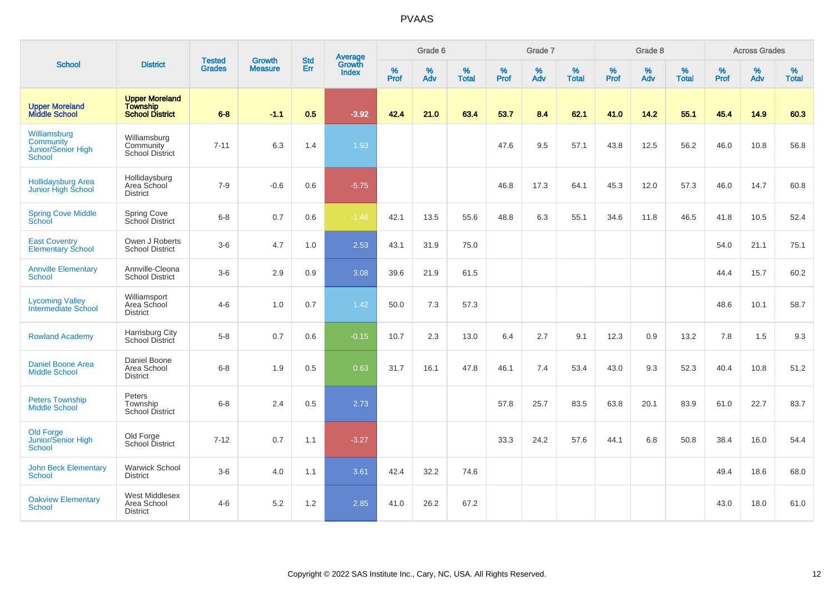|                                                           |                                                      |                                |                                 |                   |                                          |                  | Grade 6  |                   |           | Grade 7  |                   |           | Grade 8  |                   |           | <b>Across Grades</b> |                   |
|-----------------------------------------------------------|------------------------------------------------------|--------------------------------|---------------------------------|-------------------|------------------------------------------|------------------|----------|-------------------|-----------|----------|-------------------|-----------|----------|-------------------|-----------|----------------------|-------------------|
| <b>School</b>                                             | <b>District</b>                                      | <b>Tested</b><br><b>Grades</b> | <b>Growth</b><br><b>Measure</b> | <b>Std</b><br>Err | <b>Average</b><br>Growth<br><b>Index</b> | %<br><b>Prof</b> | %<br>Adv | %<br><b>Total</b> | %<br>Prof | %<br>Adv | %<br><b>Total</b> | %<br>Prof | %<br>Adv | %<br><b>Total</b> | %<br>Prof | %<br>Adv             | %<br><b>Total</b> |
| <b>Upper Moreland<br/>Middle School</b>                   | <b>Upper Moreland</b><br>Township<br>School District | $6 - 8$                        | $-1.1$                          | 0.5               | $-3.92$                                  | 42.4             | 21.0     | 63.4              | 53.7      | 8.4      | 62.1              | 41.0      | 14.2     | 55.1              | 45.4      | 14.9                 | 60.3              |
| Williamsburg<br>Community<br>Junior/Senior High<br>School | Williamsburg<br>Community<br><b>School District</b>  | $7 - 11$                       | 6.3                             | 1.4               | 1.93                                     |                  |          |                   | 47.6      | 9.5      | 57.1              | 43.8      | 12.5     | 56.2              | 46.0      | 10.8                 | 56.8              |
| <b>Hollidaysburg Area</b><br>Junior High School           | Hollidaysburg<br>Area School<br><b>District</b>      | $7 - 9$                        | $-0.6$                          | 0.6               | $-5.75$                                  |                  |          |                   | 46.8      | 17.3     | 64.1              | 45.3      | 12.0     | 57.3              | 46.0      | 14.7                 | 60.8              |
| <b>Spring Cove Middle</b><br>School                       | Spring Cove<br>School District                       | $6 - 8$                        | 0.7                             | 0.6               | $-1.46$                                  | 42.1             | 13.5     | 55.6              | 48.8      | 6.3      | 55.1              | 34.6      | 11.8     | 46.5              | 41.8      | 10.5                 | 52.4              |
| <b>East Coventry</b><br><b>Elementary School</b>          | Owen J Roberts<br><b>School District</b>             | $3-6$                          | 4.7                             | 1.0               | 2.53                                     | 43.1             | 31.9     | 75.0              |           |          |                   |           |          |                   | 54.0      | 21.1                 | 75.1              |
| <b>Annville Elementary</b><br><b>School</b>               | Annville-Cleona<br><b>School District</b>            | $3-6$                          | 2.9                             | 0.9               | 3.08                                     | 39.6             | 21.9     | 61.5              |           |          |                   |           |          |                   | 44.4      | 15.7                 | 60.2              |
| <b>Lycoming Valley</b><br>Intermediate School             | Williamsport<br>Area School<br><b>District</b>       | $4 - 6$                        | 1.0                             | 0.7               | 1.42                                     | 50.0             | 7.3      | 57.3              |           |          |                   |           |          |                   | 48.6      | 10.1                 | 58.7              |
| <b>Rowland Academy</b>                                    | Harrisburg City<br>School District                   | $5-8$                          | 0.7                             | 0.6               | $-0.15$                                  | 10.7             | 2.3      | 13.0              | 6.4       | 2.7      | 9.1               | 12.3      | 0.9      | 13.2              | 7.8       | 1.5                  | 9.3               |
| <b>Daniel Boone Area</b><br><b>Middle School</b>          | Daniel Boone<br>Area School<br><b>District</b>       | $6 - 8$                        | 1.9                             | $0.5\,$           | 0.63                                     | 31.7             | 16.1     | 47.8              | 46.1      | 7.4      | 53.4              | 43.0      | 9.3      | 52.3              | 40.4      | 10.8                 | 51.2              |
| <b>Peters Township</b><br><b>Middle School</b>            | Peters<br>Township<br><b>School District</b>         | $6 - 8$                        | 2.4                             | $0.5\,$           | 2.73                                     |                  |          |                   | 57.8      | 25.7     | 83.5              | 63.8      | 20.1     | 83.9              | 61.0      | 22.7                 | 83.7              |
| <b>Old Forge</b><br>Junior/Senior High<br><b>School</b>   | Old Forge<br>School District                         | $7 - 12$                       | 0.7                             | 1.1               | $-3.27$                                  |                  |          |                   | 33.3      | 24.2     | 57.6              | 44.1      | 6.8      | 50.8              | 38.4      | 16.0                 | 54.4              |
| <b>John Beck Elementary</b><br>School                     | <b>Warwick School</b><br><b>District</b>             | $3-6$                          | 4.0                             | 1.1               | 3.61                                     | 42.4             | 32.2     | 74.6              |           |          |                   |           |          |                   | 49.4      | 18.6                 | 68.0              |
| <b>Oakview Elementary</b><br>School                       | West Middlesex<br>Area School<br><b>District</b>     | $4 - 6$                        | 5.2                             | 1.2               | 2.85                                     | 41.0             | 26.2     | 67.2              |           |          |                   |           |          |                   | 43.0      | 18.0                 | 61.0              |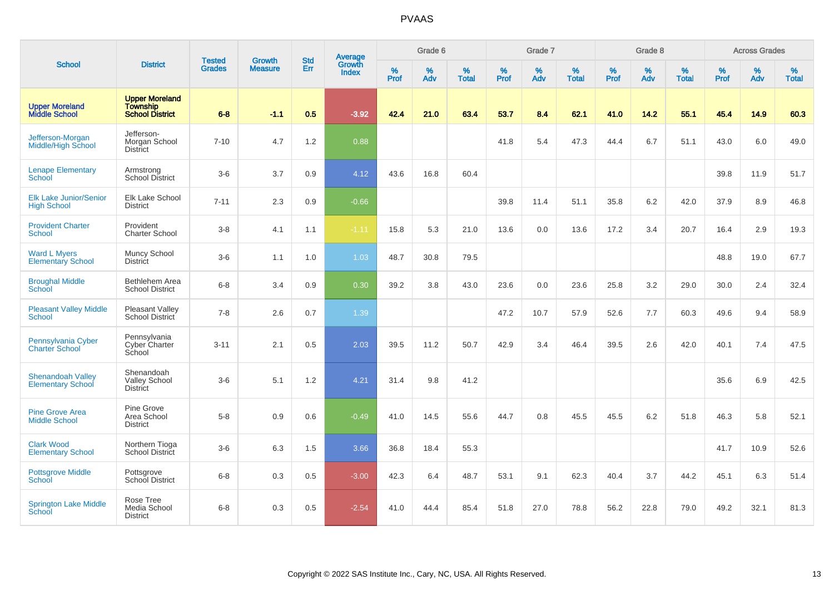|                                                      |                                                                    |                                |                                 | <b>Std</b> | <b>Average</b><br>Growth |           | Grade 6  |                   |           | Grade 7     |                   |           | Grade 8  |                   |           | <b>Across Grades</b> |                   |
|------------------------------------------------------|--------------------------------------------------------------------|--------------------------------|---------------------------------|------------|--------------------------|-----------|----------|-------------------|-----------|-------------|-------------------|-----------|----------|-------------------|-----------|----------------------|-------------------|
| <b>School</b>                                        | <b>District</b>                                                    | <b>Tested</b><br><b>Grades</b> | <b>Growth</b><br><b>Measure</b> | Err        | <b>Index</b>             | %<br>Prof | %<br>Adv | %<br><b>Total</b> | %<br>Prof | $\%$<br>Adv | %<br><b>Total</b> | %<br>Prof | %<br>Adv | %<br><b>Total</b> | %<br>Prof | $\%$<br>Adv          | %<br><b>Total</b> |
| <b>Upper Moreland<br/>Middle School</b>              | <b>Upper Moreland</b><br><b>Township</b><br><b>School District</b> | $6 - 8$                        | $-1.1$                          | 0.5        | $-3.92$                  | 42.4      | 21.0     | 63.4              | 53.7      | 8.4         | 62.1              | 41.0      | 14.2     | 55.1              | 45.4      | 14.9                 | 60.3              |
| Jefferson-Morgan<br><b>Middle/High School</b>        | Jefferson-<br>Morgan School<br><b>District</b>                     | $7 - 10$                       | 4.7                             | 1.2        | 0.88                     |           |          |                   | 41.8      | 5.4         | 47.3              | 44.4      | 6.7      | 51.1              | 43.0      | 6.0                  | 49.0              |
| <b>Lenape Elementary</b><br><b>School</b>            | Armstrong<br><b>School District</b>                                | $3-6$                          | 3.7                             | 0.9        | 4.12                     | 43.6      | 16.8     | 60.4              |           |             |                   |           |          |                   | 39.8      | 11.9                 | 51.7              |
| <b>Elk Lake Junior/Senior</b><br><b>High School</b>  | Elk Lake School<br><b>District</b>                                 | $7 - 11$                       | 2.3                             | 0.9        | $-0.66$                  |           |          |                   | 39.8      | 11.4        | 51.1              | 35.8      | 6.2      | 42.0              | 37.9      | 8.9                  | 46.8              |
| <b>Provident Charter</b><br><b>School</b>            | Provident<br><b>Charter School</b>                                 | $3 - 8$                        | 4.1                             | 1.1        | $-1.11$                  | 15.8      | 5.3      | 21.0              | 13.6      | 0.0         | 13.6              | 17.2      | 3.4      | 20.7              | 16.4      | 2.9                  | 19.3              |
| <b>Ward L Myers</b><br><b>Elementary School</b>      | Muncy School<br><b>District</b>                                    | $3-6$                          | 1.1                             | 1.0        | 1.03                     | 48.7      | 30.8     | 79.5              |           |             |                   |           |          |                   | 48.8      | 19.0                 | 67.7              |
| <b>Broughal Middle</b><br>School                     | <b>Bethlehem Area</b><br><b>School District</b>                    | $6 - 8$                        | 3.4                             | 0.9        | 0.30                     | 39.2      | 3.8      | 43.0              | 23.6      | 0.0         | 23.6              | 25.8      | $3.2\,$  | 29.0              | 30.0      | 2.4                  | 32.4              |
| <b>Pleasant Valley Middle</b><br><b>School</b>       | Pleasant Valley<br>School District                                 | $7 - 8$                        | 2.6                             | 0.7        | 1.39                     |           |          |                   | 47.2      | 10.7        | 57.9              | 52.6      | 7.7      | 60.3              | 49.6      | 9.4                  | 58.9              |
| Pennsylvania Cyber<br><b>Charter School</b>          | Pennsylvania<br>Cyber Charter<br>School                            | $3 - 11$                       | 2.1                             | 0.5        | 2.03                     | 39.5      | 11.2     | 50.7              | 42.9      | 3.4         | 46.4              | 39.5      | 2.6      | 42.0              | 40.1      | 7.4                  | 47.5              |
| <b>Shenandoah Valley</b><br><b>Elementary School</b> | Shenandoah<br><b>Valley School</b><br><b>District</b>              | $3-6$                          | 5.1                             | 1.2        | 4.21                     | 31.4      | 9.8      | 41.2              |           |             |                   |           |          |                   | 35.6      | 6.9                  | 42.5              |
| <b>Pine Grove Area</b><br><b>Middle School</b>       | Pine Grove<br>Area School<br><b>District</b>                       | $5-8$                          | 0.9                             | 0.6        | $-0.49$                  | 41.0      | 14.5     | 55.6              | 44.7      | 0.8         | 45.5              | 45.5      | 6.2      | 51.8              | 46.3      | 5.8                  | 52.1              |
| <b>Clark Wood</b><br><b>Elementary School</b>        | Northern Tioga<br>School District                                  | $3-6$                          | 6.3                             | 1.5        | 3.66                     | 36.8      | 18.4     | 55.3              |           |             |                   |           |          |                   | 41.7      | 10.9                 | 52.6              |
| <b>Pottsgrove Middle</b><br>School                   | Pottsgrove<br>School District                                      | $6 - 8$                        | 0.3                             | 0.5        | $-3.00$                  | 42.3      | 6.4      | 48.7              | 53.1      | 9.1         | 62.3              | 40.4      | 3.7      | 44.2              | 45.1      | 6.3                  | 51.4              |
| <b>Springton Lake Middle</b><br>School               | Rose Tree<br>Media School<br><b>District</b>                       | $6 - 8$                        | 0.3                             | 0.5        | $-2.54$                  | 41.0      | 44.4     | 85.4              | 51.8      | 27.0        | 78.8              | 56.2      | 22.8     | 79.0              | 49.2      | 32.1                 | 81.3              |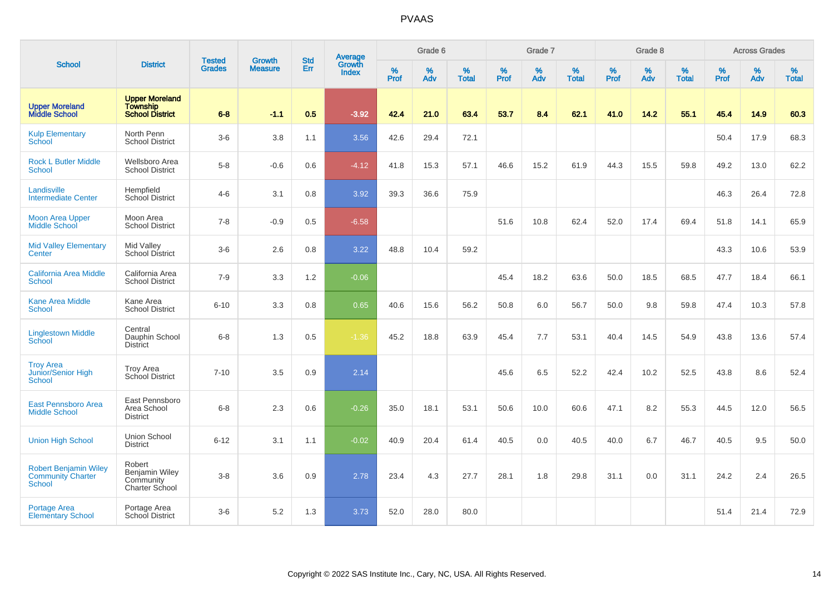|                                                                           |                                                                    |                                | <b>Growth</b>  | <b>Std</b> |                                          |                  | Grade 6  |                   |           | Grade 7  |                   |           | Grade 8  |                   |                     | <b>Across Grades</b> |                   |
|---------------------------------------------------------------------------|--------------------------------------------------------------------|--------------------------------|----------------|------------|------------------------------------------|------------------|----------|-------------------|-----------|----------|-------------------|-----------|----------|-------------------|---------------------|----------------------|-------------------|
| <b>School</b>                                                             | <b>District</b>                                                    | <b>Tested</b><br><b>Grades</b> | <b>Measure</b> | Err        | <b>Average</b><br>Growth<br><b>Index</b> | %<br><b>Prof</b> | %<br>Adv | %<br><b>Total</b> | %<br>Prof | %<br>Adv | %<br><b>Total</b> | %<br>Prof | %<br>Adv | %<br><b>Total</b> | $\%$<br><b>Prof</b> | $\%$<br>Adv          | %<br><b>Total</b> |
| <b>Upper Moreland</b><br><b>Middle School</b>                             | <b>Upper Moreland</b><br><b>Township</b><br><b>School District</b> | $6 - 8$                        | $-1.1$         | 0.5        | $-3.92$                                  | 42.4             | 21.0     | 63.4              | 53.7      | 8.4      | 62.1              | 41.0      | 14.2     | 55.1              | 45.4                | 14.9                 | 60.3              |
| <b>Kulp Elementary</b><br>School                                          | North Penn<br><b>School District</b>                               | $3-6$                          | 3.8            | 1.1        | 3.56                                     | 42.6             | 29.4     | 72.1              |           |          |                   |           |          |                   | 50.4                | 17.9                 | 68.3              |
| <b>Rock L Butler Middle</b><br>School                                     | <b>Wellsboro Area</b><br><b>School District</b>                    | $5-8$                          | $-0.6$         | 0.6        | $-4.12$                                  | 41.8             | 15.3     | 57.1              | 46.6      | 15.2     | 61.9              | 44.3      | 15.5     | 59.8              | 49.2                | 13.0                 | 62.2              |
| Landisville<br><b>Intermediate Center</b>                                 | Hempfield<br>School District                                       | $4 - 6$                        | 3.1            | 0.8        | 3.92                                     | 39.3             | 36.6     | 75.9              |           |          |                   |           |          |                   | 46.3                | 26.4                 | 72.8              |
| <b>Moon Area Upper</b><br>Middle School                                   | Moon Area<br><b>School District</b>                                | $7 - 8$                        | $-0.9$         | 0.5        | $-6.58$                                  |                  |          |                   | 51.6      | 10.8     | 62.4              | 52.0      | 17.4     | 69.4              | 51.8                | 14.1                 | 65.9              |
| <b>Mid Valley Elementary</b><br>Center                                    | Mid Valley<br><b>School District</b>                               | $3-6$                          | 2.6            | 0.8        | 3.22                                     | 48.8             | 10.4     | 59.2              |           |          |                   |           |          |                   | 43.3                | 10.6                 | 53.9              |
| <b>California Area Middle</b><br>School                                   | California Area<br><b>School District</b>                          | $7 - 9$                        | 3.3            | 1.2        | $-0.06$                                  |                  |          |                   | 45.4      | 18.2     | 63.6              | 50.0      | 18.5     | 68.5              | 47.7                | 18.4                 | 66.1              |
| <b>Kane Area Middle</b><br><b>School</b>                                  | Kane Area<br><b>School District</b>                                | $6 - 10$                       | 3.3            | 0.8        | 0.65                                     | 40.6             | 15.6     | 56.2              | 50.8      | 6.0      | 56.7              | 50.0      | 9.8      | 59.8              | 47.4                | 10.3                 | 57.8              |
| <b>Linglestown Middle</b><br>School                                       | Central<br>Dauphin School<br><b>District</b>                       | $6 - 8$                        | 1.3            | 0.5        | $-1.36$                                  | 45.2             | 18.8     | 63.9              | 45.4      | 7.7      | 53.1              | 40.4      | 14.5     | 54.9              | 43.8                | 13.6                 | 57.4              |
| <b>Troy Area</b><br>Junior/Senior High<br>School                          | <b>Troy Area</b><br>School District                                | $7 - 10$                       | 3.5            | 0.9        | 2.14                                     |                  |          |                   | 45.6      | 6.5      | 52.2              | 42.4      | 10.2     | 52.5              | 43.8                | 8.6                  | 52.4              |
| East Pennsboro Area<br><b>Middle School</b>                               | East Pennsboro<br>Area School<br><b>District</b>                   | $6 - 8$                        | 2.3            | 0.6        | $-0.26$                                  | 35.0             | 18.1     | 53.1              | 50.6      | 10.0     | 60.6              | 47.1      | 8.2      | 55.3              | 44.5                | 12.0                 | 56.5              |
| <b>Union High School</b>                                                  | Union School<br><b>District</b>                                    | $6 - 12$                       | 3.1            | 1.1        | $-0.02$                                  | 40.9             | 20.4     | 61.4              | 40.5      | 0.0      | 40.5              | 40.0      | 6.7      | 46.7              | 40.5                | 9.5                  | 50.0              |
| <b>Robert Benjamin Wiley</b><br><b>Community Charter</b><br><b>School</b> | Robert<br><b>Benjamin Wiley</b><br>Community<br>Charter School     | $3 - 8$                        | 3.6            | 0.9        | 2.78                                     | 23.4             | 4.3      | 27.7              | 28.1      | 1.8      | 29.8              | 31.1      | 0.0      | 31.1              | 24.2                | 2.4                  | 26.5              |
| <b>Portage Area</b><br><b>Elementary School</b>                           | Portage Area<br><b>School District</b>                             | $3 - 6$                        | 5.2            | 1.3        | 3.73                                     | 52.0             | 28.0     | 80.0              |           |          |                   |           |          |                   | 51.4                | 21.4                 | 72.9              |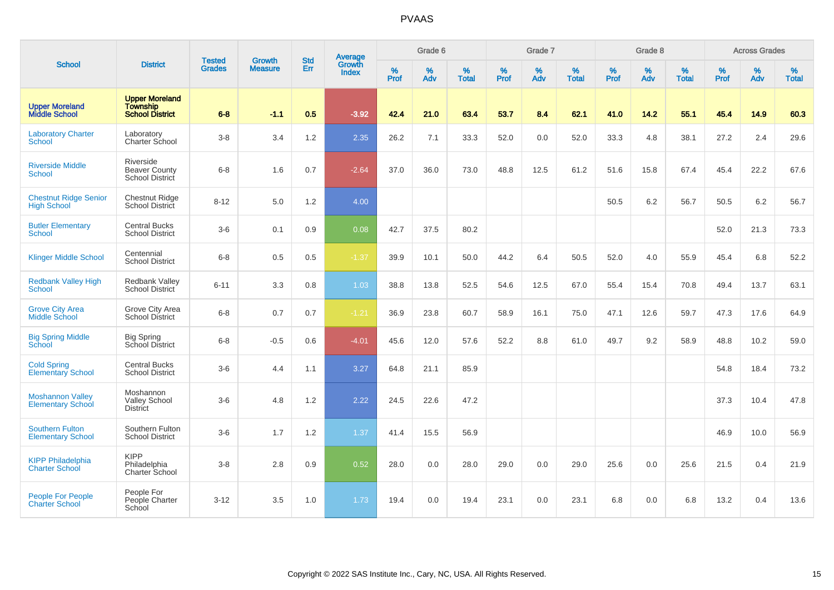|                                                     |                                                                    |                                | <b>Growth</b>  | <b>Std</b> | <b>Average</b><br>Growth |                  | Grade 6  |                   |                  | Grade 7  |                   |           | Grade 8  |                   |           | <b>Across Grades</b> |                   |
|-----------------------------------------------------|--------------------------------------------------------------------|--------------------------------|----------------|------------|--------------------------|------------------|----------|-------------------|------------------|----------|-------------------|-----------|----------|-------------------|-----------|----------------------|-------------------|
| <b>School</b>                                       | <b>District</b>                                                    | <b>Tested</b><br><b>Grades</b> | <b>Measure</b> | Err        | <b>Index</b>             | %<br><b>Prof</b> | %<br>Adv | %<br><b>Total</b> | %<br><b>Prof</b> | %<br>Adv | %<br><b>Total</b> | %<br>Prof | %<br>Adv | %<br><b>Total</b> | %<br>Prof | %<br>Adv             | %<br><b>Total</b> |
| <b>Upper Moreland</b><br><b>Middle School</b>       | <b>Upper Moreland</b><br><b>Township</b><br><b>School District</b> | $6 - 8$                        | $-1.1$         | 0.5        | $-3.92$                  | 42.4             | 21.0     | 63.4              | 53.7             | 8.4      | 62.1              | 41.0      | 14.2     | 55.1              | 45.4      | 14.9                 | 60.3              |
| <b>Laboratory Charter</b><br><b>School</b>          | Laboratory<br>Charter School                                       | $3 - 8$                        | 3.4            | 1.2        | 2.35                     | 26.2             | 7.1      | 33.3              | 52.0             | 0.0      | 52.0              | 33.3      | 4.8      | 38.1              | 27.2      | 2.4                  | 29.6              |
| <b>Riverside Middle</b><br><b>School</b>            | Riverside<br><b>Beaver County</b><br>School District               | $6 - 8$                        | 1.6            | 0.7        | $-2.64$                  | 37.0             | 36.0     | 73.0              | 48.8             | 12.5     | 61.2              | 51.6      | 15.8     | 67.4              | 45.4      | 22.2                 | 67.6              |
| <b>Chestnut Ridge Senior</b><br><b>High School</b>  | <b>Chestnut Ridge</b><br><b>School District</b>                    | $8 - 12$                       | 5.0            | 1.2        | 4.00                     |                  |          |                   |                  |          |                   | 50.5      | 6.2      | 56.7              | 50.5      | 6.2                  | 56.7              |
| <b>Butler Elementary</b><br>School                  | <b>Central Bucks</b><br><b>School District</b>                     | $3-6$                          | 0.1            | 0.9        | 0.08                     | 42.7             | 37.5     | 80.2              |                  |          |                   |           |          |                   | 52.0      | 21.3                 | 73.3              |
| <b>Klinger Middle School</b>                        | Centennial<br><b>School District</b>                               | $6 - 8$                        | 0.5            | 0.5        | $-1.37$                  | 39.9             | 10.1     | 50.0              | 44.2             | 6.4      | 50.5              | 52.0      | 4.0      | 55.9              | 45.4      | 6.8                  | 52.2              |
| <b>Redbank Valley High</b><br>School                | <b>Redbank Valley</b><br><b>School District</b>                    | $6 - 11$                       | 3.3            | 0.8        | 1.03                     | 38.8             | 13.8     | 52.5              | 54.6             | 12.5     | 67.0              | 55.4      | 15.4     | 70.8              | 49.4      | 13.7                 | 63.1              |
| <b>Grove City Area</b><br><b>Middle School</b>      | Grove City Area<br><b>School District</b>                          | $6 - 8$                        | 0.7            | 0.7        | $-1.21$                  | 36.9             | 23.8     | 60.7              | 58.9             | 16.1     | 75.0              | 47.1      | 12.6     | 59.7              | 47.3      | 17.6                 | 64.9              |
| <b>Big Spring Middle</b><br>School                  | <b>Big Spring</b><br>School District                               | $6 - 8$                        | $-0.5$         | 0.6        | $-4.01$                  | 45.6             | 12.0     | 57.6              | 52.2             | 8.8      | 61.0              | 49.7      | 9.2      | 58.9              | 48.8      | 10.2                 | 59.0              |
| <b>Cold Spring</b><br>Elementary School             | <b>Central Bucks</b><br><b>School District</b>                     | $3-6$                          | 4.4            | 1.1        | 3.27                     | 64.8             | 21.1     | 85.9              |                  |          |                   |           |          |                   | 54.8      | 18.4                 | 73.2              |
| <b>Moshannon Valley</b><br><b>Elementary School</b> | Moshannon<br><b>Valley School</b><br><b>District</b>               | $3-6$                          | 4.8            | 1.2        | 2.22                     | 24.5             | 22.6     | 47.2              |                  |          |                   |           |          |                   | 37.3      | 10.4                 | 47.8              |
| <b>Southern Fulton</b><br><b>Elementary School</b>  | Southern Fulton<br><b>School District</b>                          | $3-6$                          | 1.7            | 1.2        | 1.37                     | 41.4             | 15.5     | 56.9              |                  |          |                   |           |          |                   | 46.9      | 10.0                 | 56.9              |
| <b>KIPP Philadelphia</b><br><b>Charter School</b>   | <b>KIPP</b><br>Philadelphia<br>Charter School                      | $3 - 8$                        | 2.8            | 0.9        | 0.52                     | 28.0             | 0.0      | 28.0              | 29.0             | 0.0      | 29.0              | 25.6      | 0.0      | 25.6              | 21.5      | 0.4                  | 21.9              |
| <b>People For People</b><br><b>Charter School</b>   | People For<br>People Charter<br>School                             | $3 - 12$                       | 3.5            | 1.0        | 1.73                     | 19.4             | 0.0      | 19.4              | 23.1             | 0.0      | 23.1              | 6.8       | 0.0      | 6.8               | 13.2      | 0.4                  | 13.6              |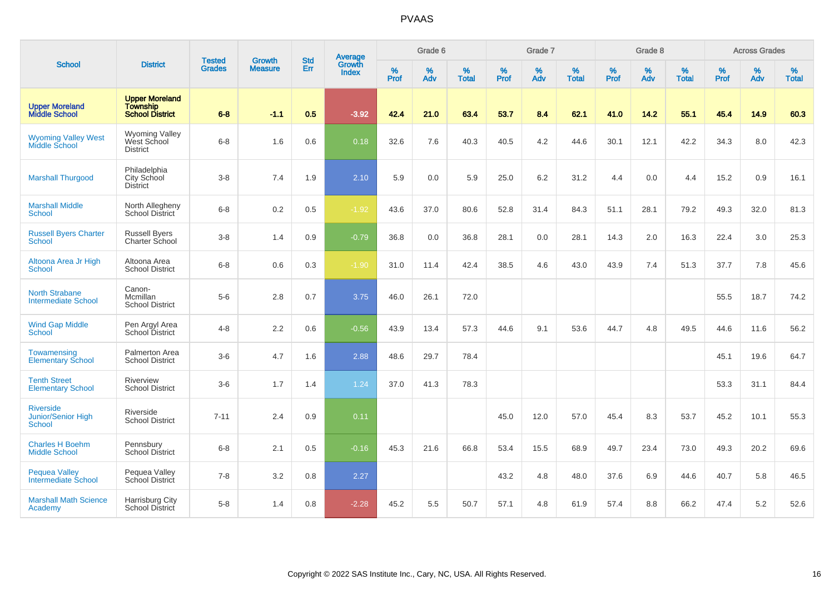|                                                         |                                                                    |                                | <b>Growth</b>  | <b>Std</b> | <b>Average</b><br>Growth |                  | Grade 6  |                   |                  | Grade 7  |                   |                  | Grade 8  |                   |                     | <b>Across Grades</b> |                   |
|---------------------------------------------------------|--------------------------------------------------------------------|--------------------------------|----------------|------------|--------------------------|------------------|----------|-------------------|------------------|----------|-------------------|------------------|----------|-------------------|---------------------|----------------------|-------------------|
| <b>School</b>                                           | <b>District</b>                                                    | <b>Tested</b><br><b>Grades</b> | <b>Measure</b> | Err        | <b>Index</b>             | %<br><b>Prof</b> | %<br>Adv | %<br><b>Total</b> | %<br><b>Prof</b> | %<br>Adv | %<br><b>Total</b> | %<br><b>Prof</b> | %<br>Adv | %<br><b>Total</b> | $\%$<br><b>Prof</b> | %<br>Adv             | %<br><b>Total</b> |
| <b>Upper Moreland</b><br><b>Middle School</b>           | <b>Upper Moreland</b><br><b>Township</b><br><b>School District</b> | $6 - 8$                        | $-1.1$         | 0.5        | $-3.92$                  | 42.4             | 21.0     | 63.4              | 53.7             | 8.4      | 62.1              | 41.0             | 14.2     | 55.1              | 45.4                | 14.9                 | 60.3              |
| <b>Wyoming Valley West</b><br>Middle School             | <b>Wyoming Valley</b><br>West School<br><b>District</b>            | $6 - 8$                        | 1.6            | 0.6        | 0.18                     | 32.6             | 7.6      | 40.3              | 40.5             | 4.2      | 44.6              | 30.1             | 12.1     | 42.2              | 34.3                | 8.0                  | 42.3              |
| <b>Marshall Thurgood</b>                                | Philadelphia<br>City School<br><b>District</b>                     | $3 - 8$                        | 7.4            | 1.9        | 2.10                     | 5.9              | 0.0      | 5.9               | 25.0             | $6.2\,$  | 31.2              | 4.4              | 0.0      | 4.4               | 15.2                | 0.9                  | 16.1              |
| <b>Marshall Middle</b><br>School                        | North Allegheny<br><b>School District</b>                          | $6-8$                          | 0.2            | 0.5        | $-1.92$                  | 43.6             | 37.0     | 80.6              | 52.8             | 31.4     | 84.3              | 51.1             | 28.1     | 79.2              | 49.3                | 32.0                 | 81.3              |
| <b>Russell Byers Charter</b><br><b>School</b>           | <b>Russell Byers</b><br>Charter School                             | $3 - 8$                        | 1.4            | 0.9        | $-0.79$                  | 36.8             | 0.0      | 36.8              | 28.1             | 0.0      | 28.1              | 14.3             | 2.0      | 16.3              | 22.4                | 3.0                  | 25.3              |
| Altoona Area Jr High<br>School                          | Altoona Area<br><b>School District</b>                             | $6-8$                          | 0.6            | 0.3        | $-1.90$                  | 31.0             | 11.4     | 42.4              | 38.5             | 4.6      | 43.0              | 43.9             | 7.4      | 51.3              | 37.7                | 7.8                  | 45.6              |
| <b>North Strabane</b><br><b>Intermediate School</b>     | Canon-<br>Mcmillan<br><b>School District</b>                       | $5-6$                          | 2.8            | 0.7        | 3.75                     | 46.0             | 26.1     | 72.0              |                  |          |                   |                  |          |                   | 55.5                | 18.7                 | 74.2              |
| <b>Wind Gap Middle</b><br><b>School</b>                 | Pen Argyl Area<br>School District                                  | $4 - 8$                        | 2.2            | 0.6        | $-0.56$                  | 43.9             | 13.4     | 57.3              | 44.6             | 9.1      | 53.6              | 44.7             | 4.8      | 49.5              | 44.6                | 11.6                 | 56.2              |
| Towamensing<br><b>Elementary School</b>                 | Palmerton Area<br><b>School District</b>                           | $3-6$                          | 4.7            | 1.6        | 2.88                     | 48.6             | 29.7     | 78.4              |                  |          |                   |                  |          |                   | 45.1                | 19.6                 | 64.7              |
| <b>Tenth Street</b><br><b>Elementary School</b>         | Riverview<br><b>School District</b>                                | $3-6$                          | 1.7            | 1.4        | 1.24                     | 37.0             | 41.3     | 78.3              |                  |          |                   |                  |          |                   | 53.3                | 31.1                 | 84.4              |
| <b>Riverside</b><br>Junior/Senior High<br><b>School</b> | Riverside<br><b>School District</b>                                | $7 - 11$                       | 2.4            | 0.9        | 0.11                     |                  |          |                   | 45.0             | 12.0     | 57.0              | 45.4             | 8.3      | 53.7              | 45.2                | 10.1                 | 55.3              |
| <b>Charles H Boehm</b><br><b>Middle School</b>          | Pennsbury<br><b>School District</b>                                | $6 - 8$                        | 2.1            | 0.5        | $-0.16$                  | 45.3             | 21.6     | 66.8              | 53.4             | 15.5     | 68.9              | 49.7             | 23.4     | 73.0              | 49.3                | 20.2                 | 69.6              |
| <b>Pequea Valley</b><br><b>Intermediate School</b>      | Pequea Valley<br>School District                                   | $7 - 8$                        | 3.2            | 0.8        | 2.27                     |                  |          |                   | 43.2             | 4.8      | 48.0              | 37.6             | 6.9      | 44.6              | 40.7                | 5.8                  | 46.5              |
| <b>Marshall Math Science</b><br>Academy                 | Harrisburg City<br>School District                                 | $5-8$                          | 1.4            | 0.8        | $-2.28$                  | 45.2             | 5.5      | 50.7              | 57.1             | 4.8      | 61.9              | 57.4             | 8.8      | 66.2              | 47.4                | 5.2                  | 52.6              |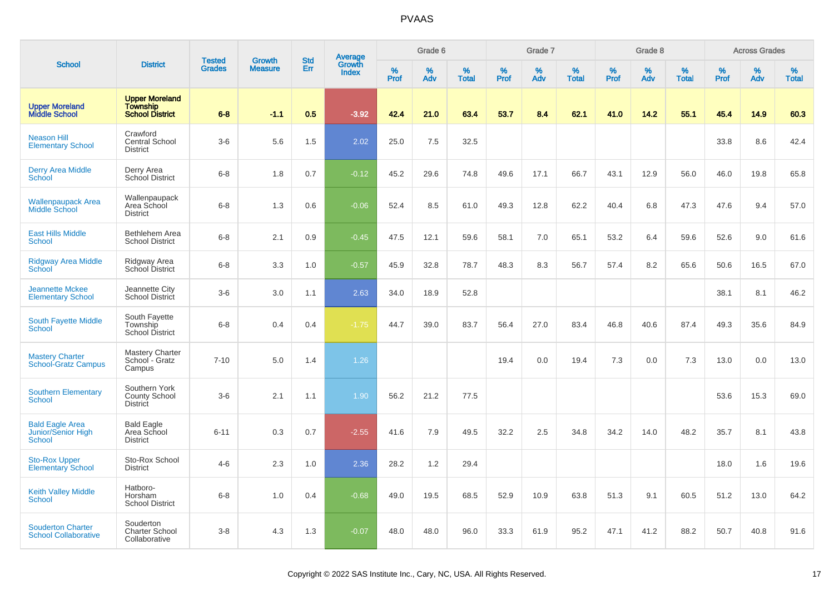|                                                                      |                                                                    | <b>Tested</b> | <b>Growth</b>  | <b>Std</b> |                                          |                  | Grade 6  |                   |                  | Grade 7  |                   |           | Grade 8  |                   |           | <b>Across Grades</b> |                   |
|----------------------------------------------------------------------|--------------------------------------------------------------------|---------------|----------------|------------|------------------------------------------|------------------|----------|-------------------|------------------|----------|-------------------|-----------|----------|-------------------|-----------|----------------------|-------------------|
| <b>School</b>                                                        | <b>District</b>                                                    | <b>Grades</b> | <b>Measure</b> | Err        | <b>Average</b><br>Growth<br><b>Index</b> | %<br><b>Prof</b> | %<br>Adv | %<br><b>Total</b> | %<br><b>Prof</b> | %<br>Adv | %<br><b>Total</b> | %<br>Prof | %<br>Adv | %<br><b>Total</b> | %<br>Prof | %<br>Adv             | %<br><b>Total</b> |
| <b>Upper Moreland</b><br><b>Middle School</b>                        | <b>Upper Moreland</b><br><b>Township</b><br><b>School District</b> | $6 - 8$       | $-1.1$         | 0.5        | $-3.92$                                  | 42.4             | 21.0     | 63.4              | 53.7             | 8.4      | 62.1              | 41.0      | 14.2     | 55.1              | 45.4      | 14.9                 | 60.3              |
| <b>Neason Hill</b><br><b>Elementary School</b>                       | Crawford<br><b>Central School</b><br><b>District</b>               | $3-6$         | 5.6            | 1.5        | 2.02                                     | 25.0             | 7.5      | 32.5              |                  |          |                   |           |          |                   | 33.8      | 8.6                  | 42.4              |
| <b>Derry Area Middle</b><br>School                                   | Derry Area<br>School District                                      | $6-8$         | 1.8            | 0.7        | $-0.12$                                  | 45.2             | 29.6     | 74.8              | 49.6             | 17.1     | 66.7              | 43.1      | 12.9     | 56.0              | 46.0      | 19.8                 | 65.8              |
| <b>Wallenpaupack Area</b><br>Middle School                           | Wallenpaupack<br>Area School<br><b>District</b>                    | $6-8$         | 1.3            | 0.6        | $-0.06$                                  | 52.4             | 8.5      | 61.0              | 49.3             | 12.8     | 62.2              | 40.4      | 6.8      | 47.3              | 47.6      | 9.4                  | 57.0              |
| <b>East Hills Middle</b><br><b>School</b>                            | <b>Bethlehem Area</b><br><b>School District</b>                    | $6 - 8$       | 2.1            | 0.9        | $-0.45$                                  | 47.5             | 12.1     | 59.6              | 58.1             | 7.0      | 65.1              | 53.2      | 6.4      | 59.6              | 52.6      | 9.0                  | 61.6              |
| Ridgway Area Middle<br>School                                        | Ridgway Area<br>School District                                    | $6 - 8$       | 3.3            | 1.0        | $-0.57$                                  | 45.9             | 32.8     | 78.7              | 48.3             | 8.3      | 56.7              | 57.4      | 8.2      | 65.6              | 50.6      | 16.5                 | 67.0              |
| <b>Jeannette Mckee</b><br><b>Elementary School</b>                   | Jeannette City<br><b>School District</b>                           | $3-6$         | 3.0            | 1.1        | 2.63                                     | 34.0             | 18.9     | 52.8              |                  |          |                   |           |          |                   | 38.1      | 8.1                  | 46.2              |
| <b>South Fayette Middle</b><br><b>School</b>                         | South Fayette<br>Township<br><b>School District</b>                | $6-8$         | 0.4            | 0.4        | $-1.75$                                  | 44.7             | 39.0     | 83.7              | 56.4             | 27.0     | 83.4              | 46.8      | 40.6     | 87.4              | 49.3      | 35.6                 | 84.9              |
| <b>Mastery Charter</b><br><b>School-Gratz Campus</b>                 | <b>Mastery Charter</b><br>School - Gratz<br>Campus                 | $7 - 10$      | 5.0            | 1.4        | 1.26                                     |                  |          |                   | 19.4             | 0.0      | 19.4              | 7.3       | 0.0      | 7.3               | 13.0      | 0.0                  | 13.0              |
| <b>Southern Elementary</b><br>School                                 | Southern York<br><b>County School</b><br><b>District</b>           | $3-6$         | 2.1            | 1.1        | 1.90                                     | 56.2             | 21.2     | 77.5              |                  |          |                   |           |          |                   | 53.6      | 15.3                 | 69.0              |
| <b>Bald Eagle Area</b><br><b>Junior/Senior High</b><br><b>School</b> | <b>Bald Eagle</b><br>Area School<br><b>District</b>                | $6 - 11$      | 0.3            | 0.7        | $-2.55$                                  | 41.6             | 7.9      | 49.5              | 32.2             | 2.5      | 34.8              | 34.2      | 14.0     | 48.2              | 35.7      | 8.1                  | 43.8              |
| <b>Sto-Rox Upper</b><br><b>Elementary School</b>                     | Sto-Rox School<br><b>District</b>                                  | $4 - 6$       | 2.3            | 1.0        | 2.36                                     | 28.2             | 1.2      | 29.4              |                  |          |                   |           |          |                   | 18.0      | 1.6                  | 19.6              |
| <b>Keith Valley Middle</b><br>School                                 | Hatboro-<br>Horsham<br><b>School District</b>                      | $6-8$         | 1.0            | 0.4        | $-0.68$                                  | 49.0             | 19.5     | 68.5              | 52.9             | 10.9     | 63.8              | 51.3      | 9.1      | 60.5              | 51.2      | 13.0                 | 64.2              |
| <b>Souderton Charter</b><br><b>School Collaborative</b>              | Souderton<br><b>Charter School</b><br>Collaborative                | $3-8$         | 4.3            | 1.3        | $-0.07$                                  | 48.0             | 48.0     | 96.0              | 33.3             | 61.9     | 95.2              | 47.1      | 41.2     | 88.2              | 50.7      | 40.8                 | 91.6              |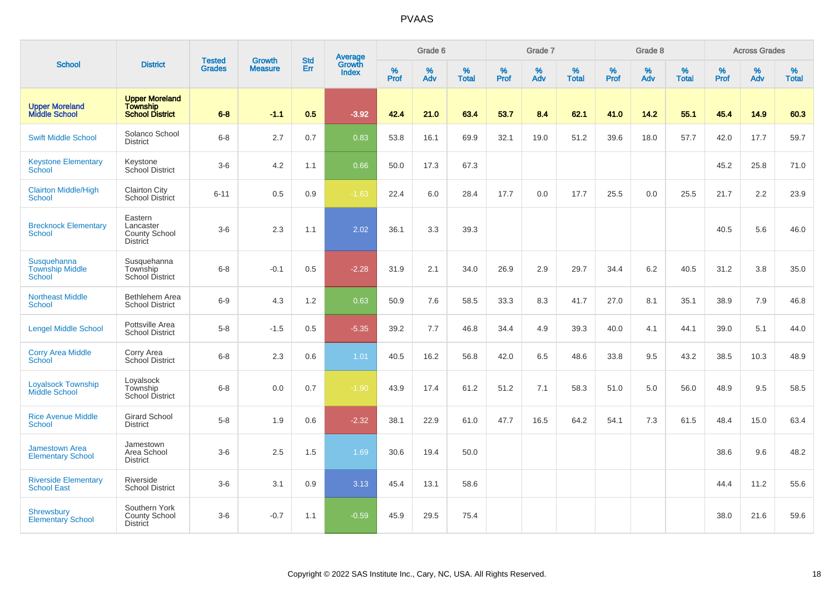|                                                   |                                                                    |                                | <b>Growth</b>  | <b>Std</b> |                                          |                  | Grade 6     |                   |           | Grade 7     |                      |              | Grade 8  |                   |              | <b>Across Grades</b> |                   |
|---------------------------------------------------|--------------------------------------------------------------------|--------------------------------|----------------|------------|------------------------------------------|------------------|-------------|-------------------|-----------|-------------|----------------------|--------------|----------|-------------------|--------------|----------------------|-------------------|
| <b>School</b>                                     | <b>District</b>                                                    | <b>Tested</b><br><b>Grades</b> | <b>Measure</b> | <b>Err</b> | <b>Average</b><br>Growth<br><b>Index</b> | %<br><b>Prof</b> | $\%$<br>Adv | %<br><b>Total</b> | %<br>Prof | $\%$<br>Adv | $\%$<br><b>Total</b> | $\%$<br>Prof | %<br>Adv | %<br><b>Total</b> | $\%$<br>Prof | $\%$<br>Adv          | %<br><b>Total</b> |
| <b>Upper Moreland</b><br><b>Middle School</b>     | <b>Upper Moreland</b><br><b>Township</b><br><b>School District</b> | $6 - 8$                        | $-1.1$         | 0.5        | $-3.92$                                  | 42.4             | 21.0        | 63.4              | 53.7      | 8.4         | 62.1                 | 41.0         | 14.2     | 55.1              | 45.4         | 14.9                 | 60.3              |
| <b>Swift Middle School</b>                        | Solanco School<br><b>District</b>                                  | $6 - 8$                        | 2.7            | 0.7        | 0.83                                     | 53.8             | 16.1        | 69.9              | 32.1      | 19.0        | 51.2                 | 39.6         | 18.0     | 57.7              | 42.0         | 17.7                 | 59.7              |
| <b>Keystone Elementary</b><br>School              | Keystone<br>School District                                        | $3-6$                          | 4.2            | 1.1        | 0.66                                     | 50.0             | 17.3        | 67.3              |           |             |                      |              |          |                   | 45.2         | 25.8                 | 71.0              |
| <b>Clairton Middle/High</b><br><b>School</b>      | <b>Clairton City</b><br><b>School District</b>                     | $6 - 11$                       | 0.5            | 0.9        | $-1.63$                                  | 22.4             | 6.0         | 28.4              | 17.7      | 0.0         | 17.7                 | 25.5         | 0.0      | 25.5              | 21.7         | 2.2                  | 23.9              |
| <b>Brecknock Elementary</b><br><b>School</b>      | Eastern<br>Lancaster<br>County School<br><b>District</b>           | $3-6$                          | 2.3            | 1.1        | 2.02                                     | 36.1             | 3.3         | 39.3              |           |             |                      |              |          |                   | 40.5         | 5.6                  | 46.0              |
| Susquehanna<br><b>Township Middle</b><br>School   | Susquehanna<br>Township<br><b>School District</b>                  | $6 - 8$                        | $-0.1$         | 0.5        | $-2.28$                                  | 31.9             | 2.1         | 34.0              | 26.9      | 2.9         | 29.7                 | 34.4         | 6.2      | 40.5              | 31.2         | 3.8                  | 35.0              |
| <b>Northeast Middle</b><br>School                 | Bethlehem Area<br><b>School District</b>                           | $6 - 9$                        | 4.3            | 1.2        | 0.63                                     | 50.9             | 7.6         | 58.5              | 33.3      | 8.3         | 41.7                 | 27.0         | 8.1      | 35.1              | 38.9         | 7.9                  | 46.8              |
| <b>Lengel Middle School</b>                       | Pottsville Area<br><b>School District</b>                          | $5 - 8$                        | $-1.5$         | 0.5        | $-5.35$                                  | 39.2             | 7.7         | 46.8              | 34.4      | 4.9         | 39.3                 | 40.0         | 4.1      | 44.1              | 39.0         | 5.1                  | 44.0              |
| <b>Corry Area Middle</b><br><b>School</b>         | Corry Area<br>School District                                      | $6 - 8$                        | 2.3            | 0.6        | 1.01                                     | 40.5             | 16.2        | 56.8              | 42.0      | 6.5         | 48.6                 | 33.8         | 9.5      | 43.2              | 38.5         | 10.3                 | 48.9              |
| <b>Loyalsock Township</b><br>Middle School        | Loyalsock<br>Township<br>School District                           | $6 - 8$                        | 0.0            | 0.7        | $-1.90$                                  | 43.9             | 17.4        | 61.2              | 51.2      | 7.1         | 58.3                 | 51.0         | 5.0      | 56.0              | 48.9         | 9.5                  | 58.5              |
| <b>Rice Avenue Middle</b><br><b>School</b>        | <b>Girard School</b><br><b>District</b>                            | $5-8$                          | 1.9            | 0.6        | $-2.32$                                  | 38.1             | 22.9        | 61.0              | 47.7      | 16.5        | 64.2                 | 54.1         | 7.3      | 61.5              | 48.4         | 15.0                 | 63.4              |
| <b>Jamestown Area</b><br><b>Elementary School</b> | Jamestown<br>Area School<br><b>District</b>                        | $3-6$                          | 2.5            | 1.5        | 1.69                                     | 30.6             | 19.4        | 50.0              |           |             |                      |              |          |                   | 38.6         | 9.6                  | 48.2              |
| <b>Riverside Elementary</b><br><b>School East</b> | Riverside<br><b>School District</b>                                | $3-6$                          | 3.1            | 0.9        | 3.13                                     | 45.4             | 13.1        | 58.6              |           |             |                      |              |          |                   | 44.4         | 11.2                 | 55.6              |
| <b>Shrewsbury</b><br><b>Elementary School</b>     | Southern York<br>County School<br><b>District</b>                  | $3-6$                          | $-0.7$         | 1.1        | $-0.59$                                  | 45.9             | 29.5        | 75.4              |           |             |                      |              |          |                   | 38.0         | 21.6                 | 59.6              |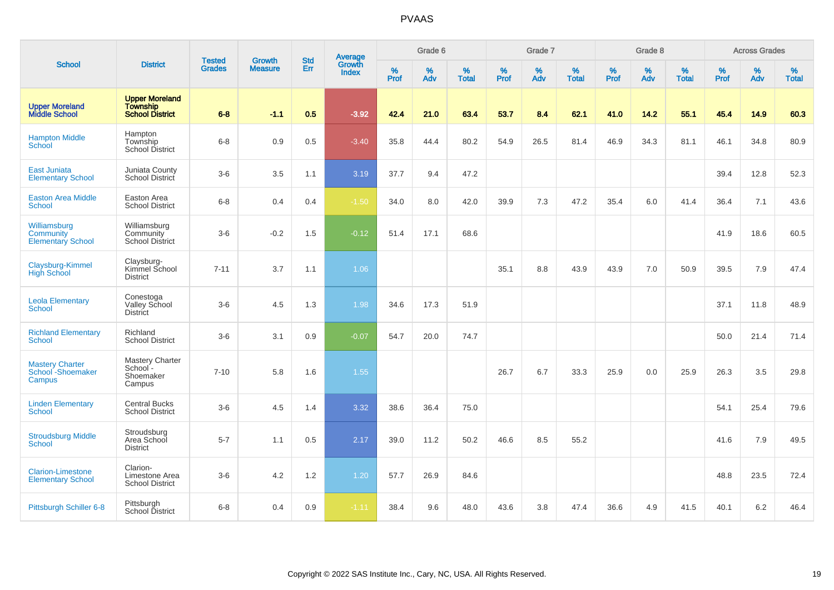|                                                        |                                                      |                                |                                 |                   |                                          |                  | Grade 6  |                   |           | Grade 7  |                   |           | Grade 8  |                   |           | <b>Across Grades</b> |                   |
|--------------------------------------------------------|------------------------------------------------------|--------------------------------|---------------------------------|-------------------|------------------------------------------|------------------|----------|-------------------|-----------|----------|-------------------|-----------|----------|-------------------|-----------|----------------------|-------------------|
| <b>School</b>                                          | <b>District</b>                                      | <b>Tested</b><br><b>Grades</b> | <b>Growth</b><br><b>Measure</b> | <b>Std</b><br>Err | <b>Average</b><br>Growth<br><b>Index</b> | %<br><b>Prof</b> | %<br>Adv | %<br><b>Total</b> | %<br>Prof | %<br>Adv | %<br><b>Total</b> | %<br>Prof | %<br>Adv | %<br><b>Total</b> | %<br>Prof | %<br>Adv             | %<br><b>Total</b> |
| <b>Upper Moreland<br/>Middle School</b>                | <b>Upper Moreland</b><br>Township<br>School District | $6 - 8$                        | $-1.1$                          | 0.5               | $-3.92$                                  | 42.4             | 21.0     | 63.4              | 53.7      | 8.4      | 62.1              | 41.0      | 14.2     | 55.1              | 45.4      | 14.9                 | 60.3              |
| <b>Hampton Middle</b><br><b>School</b>                 | Hampton<br>Township<br>School District               | $6 - 8$                        | 0.9                             | 0.5               | $-3.40$                                  | 35.8             | 44.4     | 80.2              | 54.9      | 26.5     | 81.4              | 46.9      | 34.3     | 81.1              | 46.1      | 34.8                 | 80.9              |
| East Juniata<br><b>Elementary School</b>               | Juniata County<br>School District                    | $3-6$                          | 3.5                             | 1.1               | 3.19                                     | 37.7             | 9.4      | 47.2              |           |          |                   |           |          |                   | 39.4      | 12.8                 | 52.3              |
| <b>Easton Area Middle</b><br><b>School</b>             | Easton Area<br><b>School District</b>                | $6 - 8$                        | 0.4                             | 0.4               | $-1.50$                                  | 34.0             | 8.0      | 42.0              | 39.9      | 7.3      | 47.2              | 35.4      | 6.0      | 41.4              | 36.4      | 7.1                  | 43.6              |
| Williamsburg<br>Community<br><b>Elementary School</b>  | Williamsburg<br>Community<br><b>School District</b>  | $3-6$                          | $-0.2$                          | 1.5               | $-0.12$                                  | 51.4             | 17.1     | 68.6              |           |          |                   |           |          |                   | 41.9      | 18.6                 | 60.5              |
| Claysburg-Kimmel<br><b>High School</b>                 | Claysburg-<br>Kimmel School<br><b>District</b>       | $7 - 11$                       | 3.7                             | 1.1               | 1.06                                     |                  |          |                   | 35.1      | 8.8      | 43.9              | 43.9      | 7.0      | 50.9              | 39.5      | 7.9                  | 47.4              |
| <b>Leola Elementary</b><br><b>School</b>               | Conestoga<br>Valley School<br><b>District</b>        | $3-6$                          | 4.5                             | 1.3               | 1.98                                     | 34.6             | 17.3     | 51.9              |           |          |                   |           |          |                   | 37.1      | 11.8                 | 48.9              |
| <b>Richland Elementary</b><br><b>School</b>            | Richland<br><b>School District</b>                   | $3-6$                          | 3.1                             | 0.9               | $-0.07$                                  | 54.7             | 20.0     | 74.7              |           |          |                   |           |          |                   | 50.0      | 21.4                 | 71.4              |
| <b>Mastery Charter</b><br>School - Shoemaker<br>Campus | Mastery Charter<br>School-<br>Shoemaker<br>Campus    | $7 - 10$                       | 5.8                             | 1.6               | 1.55                                     |                  |          |                   | 26.7      | 6.7      | 33.3              | 25.9      | 0.0      | 25.9              | 26.3      | 3.5                  | 29.8              |
| <b>Linden Elementary</b><br><b>School</b>              | <b>Central Bucks</b><br><b>School District</b>       | $3-6$                          | 4.5                             | 1.4               | 3.32                                     | 38.6             | 36.4     | 75.0              |           |          |                   |           |          |                   | 54.1      | 25.4                 | 79.6              |
| <b>Stroudsburg Middle</b><br>School                    | Stroudsburg<br>Area School<br><b>District</b>        | $5 - 7$                        | 1.1                             | 0.5               | 2.17                                     | 39.0             | 11.2     | 50.2              | 46.6      | 8.5      | 55.2              |           |          |                   | 41.6      | 7.9                  | 49.5              |
| <b>Clarion-Limestone</b><br><b>Elementary School</b>   | Clarion-<br>Limestone Area<br><b>School District</b> | $3-6$                          | 4.2                             | 1.2               | 1.20                                     | 57.7             | 26.9     | 84.6              |           |          |                   |           |          |                   | 48.8      | 23.5                 | 72.4              |
| Pittsburgh Schiller 6-8                                | Pittsburgh<br>School District                        | $6 - 8$                        | 0.4                             | 0.9               | $-1.11$                                  | 38.4             | 9.6      | 48.0              | 43.6      | 3.8      | 47.4              | 36.6      | 4.9      | 41.5              | 40.1      | 6.2                  | 46.4              |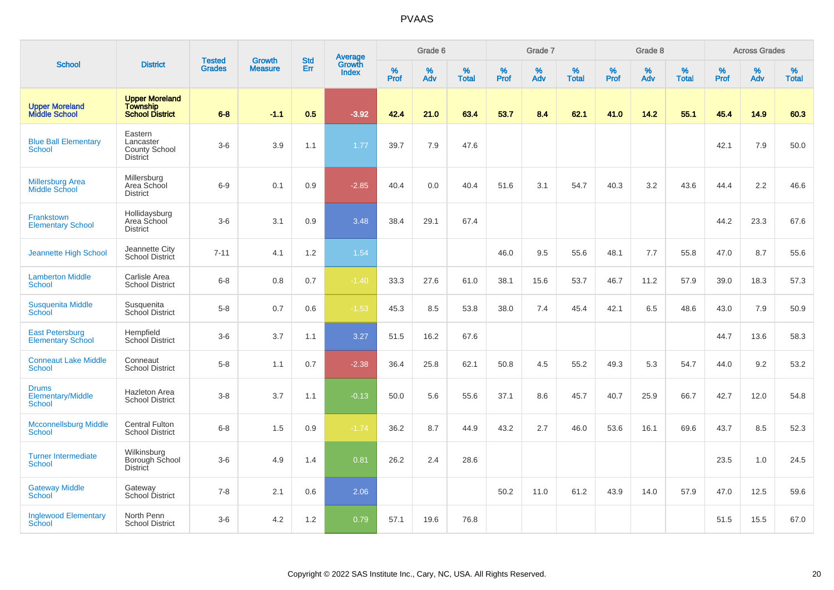|                                                    |                                                                    |                                |                          | <b>Std</b> |                                          |                  | Grade 6  |                   |           | Grade 7  |                   |           | Grade 8  |                   |           | <b>Across Grades</b> |                   |
|----------------------------------------------------|--------------------------------------------------------------------|--------------------------------|--------------------------|------------|------------------------------------------|------------------|----------|-------------------|-----------|----------|-------------------|-----------|----------|-------------------|-----------|----------------------|-------------------|
| <b>School</b>                                      | <b>District</b>                                                    | <b>Tested</b><br><b>Grades</b> | Growth<br><b>Measure</b> | Err        | <b>Average</b><br>Growth<br><b>Index</b> | %<br><b>Prof</b> | %<br>Adv | %<br><b>Total</b> | %<br>Prof | %<br>Adv | %<br><b>Total</b> | %<br>Prof | %<br>Adv | %<br><b>Total</b> | %<br>Prof | $\%$<br>Adv          | %<br><b>Total</b> |
| <b>Upper Moreland<br/>Middle School</b>            | <b>Upper Moreland</b><br><b>Township</b><br><b>School District</b> | $6 - 8$                        | $-1.1$                   | 0.5        | $-3.92$                                  | 42.4             | 21.0     | 63.4              | 53.7      | 8.4      | 62.1              | 41.0      | 14.2     | 55.1              | 45.4      | 14.9                 | 60.3              |
| <b>Blue Ball Elementary</b><br><b>School</b>       | Eastern<br>Lancaster<br><b>County School</b><br><b>District</b>    | $3-6$                          | 3.9                      | 1.1        | 1.77                                     | 39.7             | 7.9      | 47.6              |           |          |                   |           |          |                   | 42.1      | 7.9                  | 50.0              |
| <b>Millersburg Area</b><br>Middle School           | Millersburg<br>Area School<br><b>District</b>                      | $6 - 9$                        | 0.1                      | 0.9        | $-2.85$                                  | 40.4             | 0.0      | 40.4              | 51.6      | 3.1      | 54.7              | 40.3      | 3.2      | 43.6              | 44.4      | 2.2                  | 46.6              |
| Frankstown<br><b>Elementary School</b>             | Hollidaysburg<br>Area School<br><b>District</b>                    | $3-6$                          | 3.1                      | 0.9        | 3.48                                     | 38.4             | 29.1     | 67.4              |           |          |                   |           |          |                   | 44.2      | 23.3                 | 67.6              |
| Jeannette High School                              | Jeannette City<br>School District                                  | $7 - 11$                       | 4.1                      | 1.2        | 1.54                                     |                  |          |                   | 46.0      | 9.5      | 55.6              | 48.1      | 7.7      | 55.8              | 47.0      | 8.7                  | 55.6              |
| <b>Lamberton Middle</b><br><b>School</b>           | Carlisle Area<br><b>School District</b>                            | $6 - 8$                        | 0.8                      | $0.7\,$    | $-1.40$                                  | 33.3             | 27.6     | 61.0              | 38.1      | 15.6     | 53.7              | 46.7      | 11.2     | 57.9              | 39.0      | 18.3                 | 57.3              |
| <b>Susquenita Middle</b><br><b>School</b>          | Susquenita<br><b>School District</b>                               | $5-8$                          | 0.7                      | 0.6        | $-1.53$                                  | 45.3             | 8.5      | 53.8              | 38.0      | 7.4      | 45.4              | 42.1      | 6.5      | 48.6              | 43.0      | 7.9                  | 50.9              |
| <b>East Petersburg</b><br><b>Elementary School</b> | Hempfield<br>School District                                       | $3-6$                          | 3.7                      | 1.1        | 3.27                                     | 51.5             | 16.2     | 67.6              |           |          |                   |           |          |                   | 44.7      | 13.6                 | 58.3              |
| <b>Conneaut Lake Middle</b><br><b>School</b>       | Conneaut<br><b>School District</b>                                 | $5 - 8$                        | 1.1                      | 0.7        | $-2.38$                                  | 36.4             | 25.8     | 62.1              | 50.8      | 4.5      | 55.2              | 49.3      | 5.3      | 54.7              | 44.0      | 9.2                  | 53.2              |
| <b>Drums</b><br>Elementary/Middle<br><b>School</b> | Hazleton Area<br><b>School District</b>                            | $3-8$                          | 3.7                      | 1.1        | $-0.13$                                  | 50.0             | 5.6      | 55.6              | 37.1      | 8.6      | 45.7              | 40.7      | 25.9     | 66.7              | 42.7      | 12.0                 | 54.8              |
| <b>Mcconnellsburg Middle</b><br><b>School</b>      | <b>Central Fulton</b><br><b>School District</b>                    | $6 - 8$                        | 1.5                      | 0.9        | $-1.74$                                  | 36.2             | 8.7      | 44.9              | 43.2      | 2.7      | 46.0              | 53.6      | 16.1     | 69.6              | 43.7      | 8.5                  | 52.3              |
| <b>Turner Intermediate</b><br>School               | Wilkinsburg<br>Borough School<br><b>District</b>                   | $3-6$                          | 4.9                      | 1.4        | 0.81                                     | 26.2             | 2.4      | 28.6              |           |          |                   |           |          |                   | 23.5      | 1.0                  | 24.5              |
| <b>Gateway Middle</b><br><b>School</b>             | Gateway<br><b>School District</b>                                  | $7 - 8$                        | 2.1                      | 0.6        | 2.06                                     |                  |          |                   | 50.2      | 11.0     | 61.2              | 43.9      | 14.0     | 57.9              | 47.0      | 12.5                 | 59.6              |
| <b>Inglewood Elementary</b><br>School              | North Penn<br><b>School District</b>                               | $3-6$                          | 4.2                      | 1.2        | 0.79                                     | 57.1             | 19.6     | 76.8              |           |          |                   |           |          |                   | 51.5      | 15.5                 | 67.0              |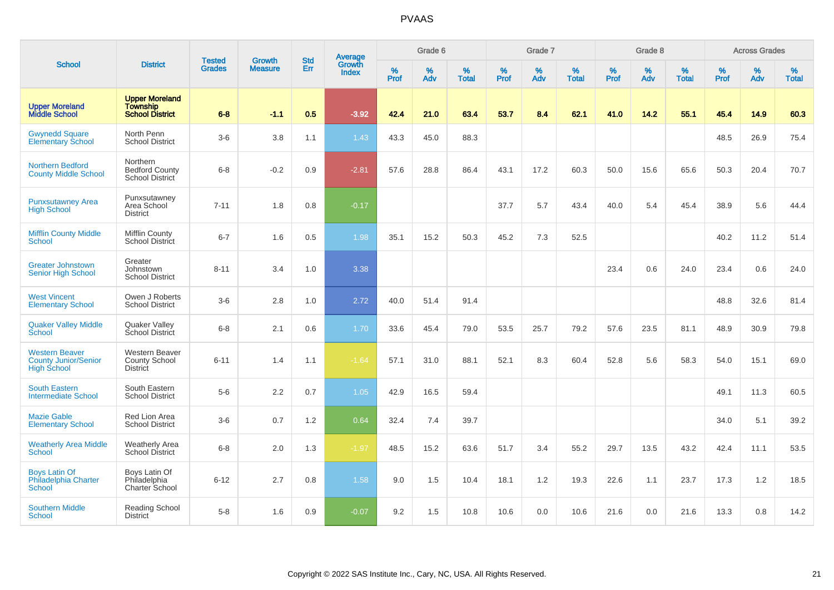|                                                                            |                                                                    |                                | <b>Growth</b>  | <b>Std</b> | <b>Average</b><br>Growth |                  | Grade 6  |                   |           | Grade 7  |                   |           | Grade 8  |                   |           | <b>Across Grades</b> |                   |
|----------------------------------------------------------------------------|--------------------------------------------------------------------|--------------------------------|----------------|------------|--------------------------|------------------|----------|-------------------|-----------|----------|-------------------|-----------|----------|-------------------|-----------|----------------------|-------------------|
| <b>School</b>                                                              | <b>District</b>                                                    | <b>Tested</b><br><b>Grades</b> | <b>Measure</b> | Err        | <b>Index</b>             | %<br><b>Prof</b> | %<br>Adv | %<br><b>Total</b> | %<br>Prof | %<br>Adv | %<br><b>Total</b> | %<br>Prof | %<br>Adv | %<br><b>Total</b> | %<br>Prof | $\%$<br>Adv          | %<br><b>Total</b> |
| <b>Upper Moreland</b><br><b>Middle School</b>                              | <b>Upper Moreland</b><br><b>Township</b><br><b>School District</b> | $6 - 8$                        | $-1.1$         | 0.5        | $-3.92$                  | 42.4             | 21.0     | 63.4              | 53.7      | 8.4      | 62.1              | 41.0      | 14.2     | 55.1              | 45.4      | 14.9                 | 60.3              |
| <b>Gwynedd Square</b><br><b>Elementary School</b>                          | North Penn<br><b>School District</b>                               | $3-6$                          | 3.8            | 1.1        | 1.43                     | 43.3             | 45.0     | 88.3              |           |          |                   |           |          |                   | 48.5      | 26.9                 | 75.4              |
| <b>Northern Bedford</b><br><b>County Middle School</b>                     | <b>Northern</b><br><b>Bedford County</b><br><b>School District</b> | $6 - 8$                        | $-0.2$         | 0.9        | $-2.81$                  | 57.6             | 28.8     | 86.4              | 43.1      | 17.2     | 60.3              | 50.0      | 15.6     | 65.6              | 50.3      | 20.4                 | 70.7              |
| <b>Punxsutawney Area</b><br><b>High School</b>                             | Punxsutawney<br>Area School<br><b>District</b>                     | $7 - 11$                       | 1.8            | 0.8        | $-0.17$                  |                  |          |                   | 37.7      | 5.7      | 43.4              | 40.0      | 5.4      | 45.4              | 38.9      | 5.6                  | 44.4              |
| <b>Mifflin County Middle</b><br>School                                     | Mifflin County<br><b>School District</b>                           | $6 - 7$                        | 1.6            | 0.5        | 1.98                     | 35.1             | 15.2     | 50.3              | 45.2      | 7.3      | 52.5              |           |          |                   | 40.2      | 11.2                 | 51.4              |
| <b>Greater Johnstown</b><br><b>Senior High School</b>                      | Greater<br>Johnstown<br><b>School District</b>                     | $8 - 11$                       | 3.4            | 1.0        | 3.38                     |                  |          |                   |           |          |                   | 23.4      | 0.6      | 24.0              | 23.4      | 0.6                  | 24.0              |
| <b>West Vincent</b><br><b>Elementary School</b>                            | Owen J Roberts<br><b>School District</b>                           | $3-6$                          | 2.8            | 1.0        | 2.72                     | 40.0             | 51.4     | 91.4              |           |          |                   |           |          |                   | 48.8      | 32.6                 | 81.4              |
| <b>Quaker Valley Middle</b><br>School                                      | <b>Quaker Valley</b><br>School District                            | $6 - 8$                        | 2.1            | 0.6        | 1.70                     | 33.6             | 45.4     | 79.0              | 53.5      | 25.7     | 79.2              | 57.6      | 23.5     | 81.1              | 48.9      | 30.9                 | 79.8              |
| <b>Western Beaver</b><br><b>County Junior/Senior</b><br><b>High School</b> | <b>Western Beaver</b><br><b>County School</b><br><b>District</b>   | $6 - 11$                       | 1.4            | 1.1        | $-1.64$                  | 57.1             | 31.0     | 88.1              | 52.1      | 8.3      | 60.4              | 52.8      | 5.6      | 58.3              | 54.0      | 15.1                 | 69.0              |
| <b>South Eastern</b><br><b>Intermediate School</b>                         | South Eastern<br><b>School District</b>                            | $5-6$                          | 2.2            | 0.7        | 1.05                     | 42.9             | 16.5     | 59.4              |           |          |                   |           |          |                   | 49.1      | 11.3                 | 60.5              |
| <b>Mazie Gable</b><br><b>Elementary School</b>                             | <b>Red Lion Area</b><br><b>School District</b>                     | $3-6$                          | 0.7            | 1.2        | 0.64                     | 32.4             | 7.4      | 39.7              |           |          |                   |           |          |                   | 34.0      | 5.1                  | 39.2              |
| <b>Weatherly Area Middle</b><br><b>School</b>                              | <b>Weatherly Area</b><br><b>School District</b>                    | $6 - 8$                        | 2.0            | 1.3        | $-1.97$                  | 48.5             | 15.2     | 63.6              | 51.7      | 3.4      | 55.2              | 29.7      | 13.5     | 43.2              | 42.4      | 11.1                 | 53.5              |
| <b>Boys Latin Of</b><br>Philadelphia Charter<br><b>School</b>              | Boys Latin Of<br>Philadelphia<br>Charter School                    | $6 - 12$                       | 2.7            | $0.8\,$    | 1.58                     | 9.0              | 1.5      | 10.4              | 18.1      | 1.2      | 19.3              | 22.6      | 1.1      | 23.7              | 17.3      | 1.2                  | 18.5              |
| <b>Southern Middle</b><br><b>School</b>                                    | Reading School<br><b>District</b>                                  | $5-8$                          | 1.6            | 0.9        | $-0.07$                  | 9.2              | 1.5      | 10.8              | 10.6      | 0.0      | 10.6              | 21.6      | 0.0      | 21.6              | 13.3      | 0.8                  | 14.2              |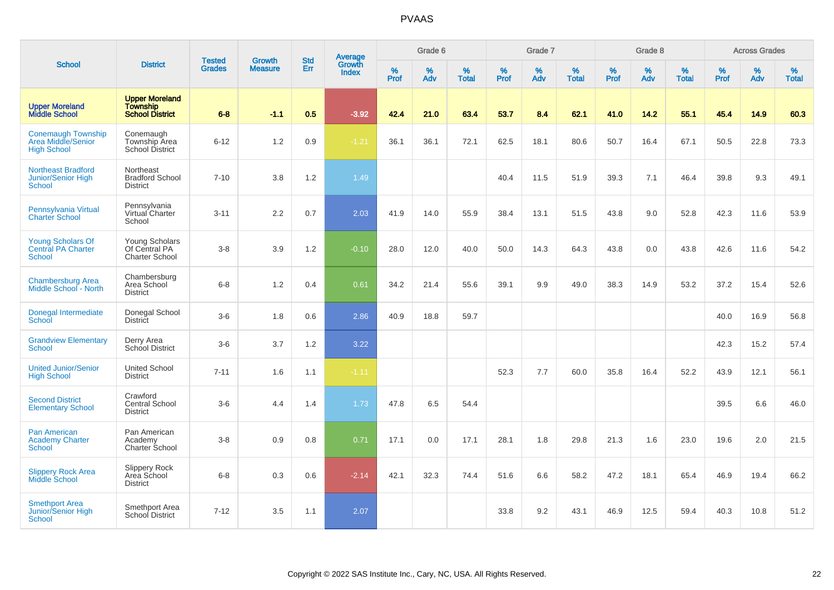|                                                                        |                                                                    | <b>Tested</b> | <b>Growth</b>  | <b>Std</b> |                                   |           | Grade 6  |                   |           | Grade 7  |                   |           | Grade 8  |                   |           | <b>Across Grades</b> |                   |
|------------------------------------------------------------------------|--------------------------------------------------------------------|---------------|----------------|------------|-----------------------------------|-----------|----------|-------------------|-----------|----------|-------------------|-----------|----------|-------------------|-----------|----------------------|-------------------|
| <b>School</b>                                                          | <b>District</b>                                                    | <b>Grades</b> | <b>Measure</b> | Err        | Average<br>Growth<br><b>Index</b> | %<br>Prof | %<br>Adv | %<br><b>Total</b> | %<br>Prof | %<br>Adv | %<br><b>Total</b> | %<br>Prof | %<br>Adv | %<br><b>Total</b> | %<br>Prof | %<br>Adv             | %<br><b>Total</b> |
| <b>Upper Moreland</b><br><b>Middle School</b>                          | <b>Upper Moreland</b><br><b>Township</b><br><b>School District</b> | $6 - 8$       | $-1.1$         | 0.5        | $-3.92$                           | 42.4      | 21.0     | 63.4              | 53.7      | 8.4      | 62.1              | 41.0      | 14.2     | 55.1              | 45.4      | 14.9                 | 60.3              |
| <b>Conemaugh Township</b><br>Area Middle/Senior<br><b>High School</b>  | Conemaugh<br>Township Area<br><b>School District</b>               | $6 - 12$      | 1.2            | 0.9        | $-1.21$                           | 36.1      | 36.1     | 72.1              | 62.5      | 18.1     | 80.6              | 50.7      | 16.4     | 67.1              | 50.5      | 22.8                 | 73.3              |
| <b>Northeast Bradford</b><br><b>Junior/Senior High</b><br>School       | Northeast<br><b>Bradford School</b><br><b>District</b>             | $7 - 10$      | 3.8            | 1.2        | 1.49                              |           |          |                   | 40.4      | 11.5     | 51.9              | 39.3      | 7.1      | 46.4              | 39.8      | 9.3                  | 49.1              |
| Pennsylvania Virtual<br><b>Charter School</b>                          | Pennsylvania<br>Virtual Charter<br>School                          | $3 - 11$      | 2.2            | 0.7        | 2.03                              | 41.9      | 14.0     | 55.9              | 38.4      | 13.1     | 51.5              | 43.8      | 9.0      | 52.8              | 42.3      | 11.6                 | 53.9              |
| <b>Young Scholars Of</b><br><b>Central PA Charter</b><br><b>School</b> | <b>Young Scholars</b><br>Of Central PA<br><b>Charter School</b>    | $3 - 8$       | 3.9            | 1.2        | $-0.10$                           | 28.0      | 12.0     | 40.0              | 50.0      | 14.3     | 64.3              | 43.8      | 0.0      | 43.8              | 42.6      | 11.6                 | 54.2              |
| <b>Chambersburg Area</b><br>Middle School - North                      | Chambersburg<br>Area School<br><b>District</b>                     | $6 - 8$       | 1.2            | 0.4        | 0.61                              | 34.2      | 21.4     | 55.6              | 39.1      | 9.9      | 49.0              | 38.3      | 14.9     | 53.2              | 37.2      | 15.4                 | 52.6              |
| Donegal Intermediate<br>School                                         | Donegal School<br><b>District</b>                                  | $3-6$         | 1.8            | 0.6        | 2.86                              | 40.9      | 18.8     | 59.7              |           |          |                   |           |          |                   | 40.0      | 16.9                 | 56.8              |
| <b>Grandview Elementary</b><br>School                                  | Derry Area<br>School District                                      | $3-6$         | 3.7            | 1.2        | 3.22                              |           |          |                   |           |          |                   |           |          |                   | 42.3      | 15.2                 | 57.4              |
| <b>United Junior/Senior</b><br><b>High School</b>                      | <b>United School</b><br><b>District</b>                            | $7 - 11$      | 1.6            | 1.1        | $-1.11$                           |           |          |                   | 52.3      | 7.7      | 60.0              | 35.8      | 16.4     | 52.2              | 43.9      | 12.1                 | 56.1              |
| <b>Second District</b><br><b>Elementary School</b>                     | Crawford<br>Central School<br><b>District</b>                      | $3-6$         | 4.4            | 1.4        | 1.73                              | 47.8      | 6.5      | 54.4              |           |          |                   |           |          |                   | 39.5      | 6.6                  | 46.0              |
| <b>Pan American</b><br><b>Academy Charter</b><br>School                | Pan American<br>Academy<br>Charter School                          | $3 - 8$       | 0.9            | 0.8        | 0.71                              | 17.1      | 0.0      | 17.1              | 28.1      | 1.8      | 29.8              | 21.3      | 1.6      | 23.0              | 19.6      | 2.0                  | 21.5              |
| <b>Slippery Rock Area</b><br><b>Middle School</b>                      | Slippery Rock<br>Area School<br><b>District</b>                    | $6 - 8$       | 0.3            | 0.6        | $-2.14$                           | 42.1      | 32.3     | 74.4              | 51.6      | 6.6      | 58.2              | 47.2      | 18.1     | 65.4              | 46.9      | 19.4                 | 66.2              |
| <b>Smethport Area</b><br><b>Junior/Senior High</b><br>School           | Smethport Area<br><b>School District</b>                           | $7 - 12$      | 3.5            | 1.1        | 2.07                              |           |          |                   | 33.8      | 9.2      | 43.1              | 46.9      | 12.5     | 59.4              | 40.3      | 10.8                 | 51.2              |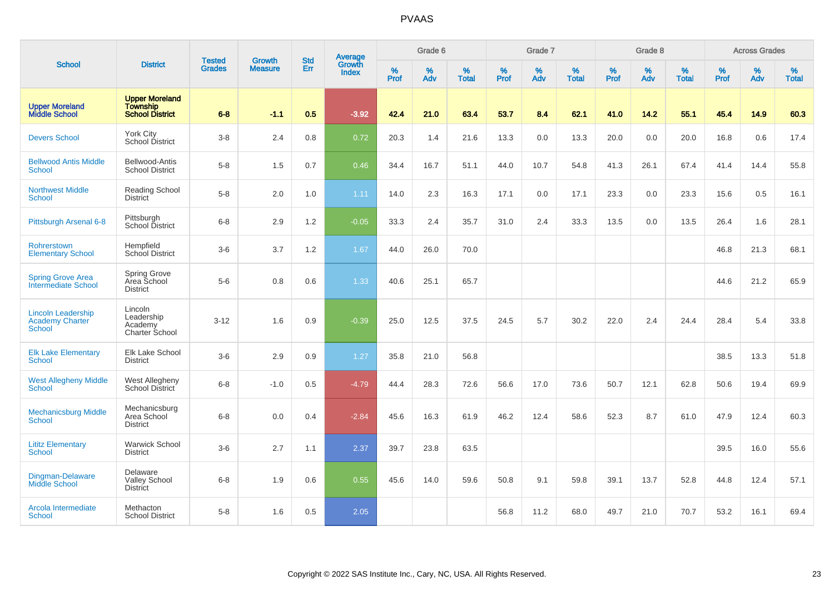|                                                                      |                                                                    | <b>Tested</b> | <b>Growth</b>  | <b>Std</b> |                                          |                  | Grade 6     |                   |           | Grade 7     |                   |           | Grade 8  |                   |              | <b>Across Grades</b> |                   |
|----------------------------------------------------------------------|--------------------------------------------------------------------|---------------|----------------|------------|------------------------------------------|------------------|-------------|-------------------|-----------|-------------|-------------------|-----------|----------|-------------------|--------------|----------------------|-------------------|
| <b>School</b>                                                        | <b>District</b>                                                    | <b>Grades</b> | <b>Measure</b> | <b>Err</b> | <b>Average</b><br>Growth<br><b>Index</b> | %<br><b>Prof</b> | $\%$<br>Adv | %<br><b>Total</b> | %<br>Prof | $\%$<br>Adv | %<br><b>Total</b> | %<br>Prof | %<br>Adv | %<br><b>Total</b> | $\%$<br>Prof | $\%$<br>Adv          | %<br><b>Total</b> |
| <b>Upper Moreland</b><br><b>Middle School</b>                        | <b>Upper Moreland</b><br><b>Township</b><br><b>School District</b> | $6 - 8$       | $-1.1$         | 0.5        | $-3.92$                                  | 42.4             | 21.0        | 63.4              | 53.7      | 8.4         | 62.1              | 41.0      | 14.2     | 55.1              | 45.4         | 14.9                 | 60.3              |
| <b>Devers School</b>                                                 | York City<br>School District                                       | $3-8$         | 2.4            | 0.8        | 0.72                                     | 20.3             | 1.4         | 21.6              | 13.3      | 0.0         | 13.3              | 20.0      | 0.0      | 20.0              | 16.8         | 0.6                  | 17.4              |
| <b>Bellwood Antis Middle</b><br><b>School</b>                        | Bellwood-Antis<br><b>School District</b>                           | $5-8$         | 1.5            | 0.7        | 0.46                                     | 34.4             | 16.7        | 51.1              | 44.0      | 10.7        | 54.8              | 41.3      | 26.1     | 67.4              | 41.4         | 14.4                 | 55.8              |
| <b>Northwest Middle</b><br>School                                    | Reading School<br>District                                         | $5-8$         | 2.0            | 1.0        | 1.11                                     | 14.0             | 2.3         | 16.3              | 17.1      | 0.0         | 17.1              | 23.3      | 0.0      | 23.3              | 15.6         | 0.5                  | 16.1              |
| Pittsburgh Arsenal 6-8                                               | Pittsburgh<br>School District                                      | $6 - 8$       | 2.9            | 1.2        | $-0.05$                                  | 33.3             | 2.4         | 35.7              | 31.0      | 2.4         | 33.3              | 13.5      | 0.0      | 13.5              | 26.4         | 1.6                  | 28.1              |
| Rohrerstown<br><b>Elementary School</b>                              | Hempfield<br>School District                                       | $3-6$         | 3.7            | 1.2        | 1.67                                     | 44.0             | 26.0        | 70.0              |           |             |                   |           |          |                   | 46.8         | 21.3                 | 68.1              |
| <b>Spring Grove Area</b><br>Intermediate School                      | <b>Spring Grove</b><br>Area School<br><b>District</b>              | $5-6$         | 0.8            | 0.6        | 1.33                                     | 40.6             | 25.1        | 65.7              |           |             |                   |           |          |                   | 44.6         | 21.2                 | 65.9              |
| <b>Lincoln Leadership</b><br><b>Academy Charter</b><br><b>School</b> | Lincoln<br>Leadership<br>Academy<br><b>Charter School</b>          | $3 - 12$      | 1.6            | 0.9        | $-0.39$                                  | 25.0             | 12.5        | 37.5              | 24.5      | 5.7         | 30.2              | 22.0      | 2.4      | 24.4              | 28.4         | 5.4                  | 33.8              |
| <b>Elk Lake Elementary</b><br>School                                 | Elk Lake School<br><b>District</b>                                 | $3-6$         | 2.9            | 0.9        | 1.27                                     | 35.8             | 21.0        | 56.8              |           |             |                   |           |          |                   | 38.5         | 13.3                 | 51.8              |
| <b>West Allegheny Middle</b><br>School                               | West Allegheny<br>School District                                  | $6 - 8$       | $-1.0$         | 0.5        | $-4.79$                                  | 44.4             | 28.3        | 72.6              | 56.6      | 17.0        | 73.6              | 50.7      | 12.1     | 62.8              | 50.6         | 19.4                 | 69.9              |
| <b>Mechanicsburg Middle</b><br>School                                | Mechanicsburg<br>Area School<br><b>District</b>                    | $6 - 8$       | 0.0            | 0.4        | $-2.84$                                  | 45.6             | 16.3        | 61.9              | 46.2      | 12.4        | 58.6              | 52.3      | 8.7      | 61.0              | 47.9         | 12.4                 | 60.3              |
| <b>Lititz Elementary</b><br><b>School</b>                            | Warwick School<br><b>District</b>                                  | $3-6$         | 2.7            | 1.1        | 2.37                                     | 39.7             | 23.8        | 63.5              |           |             |                   |           |          |                   | 39.5         | 16.0                 | 55.6              |
| Dingman-Delaware<br><b>Middle School</b>                             | Delaware<br><b>Valley School</b><br><b>District</b>                | $6 - 8$       | 1.9            | 0.6        | 0.55                                     | 45.6             | 14.0        | 59.6              | 50.8      | 9.1         | 59.8              | 39.1      | 13.7     | 52.8              | 44.8         | 12.4                 | 57.1              |
| Arcola Intermediate<br><b>School</b>                                 | Methacton<br><b>School District</b>                                | $5 - 8$       | 1.6            | 0.5        | 2.05                                     |                  |             |                   | 56.8      | 11.2        | 68.0              | 49.7      | 21.0     | 70.7              | 53.2         | 16.1                 | 69.4              |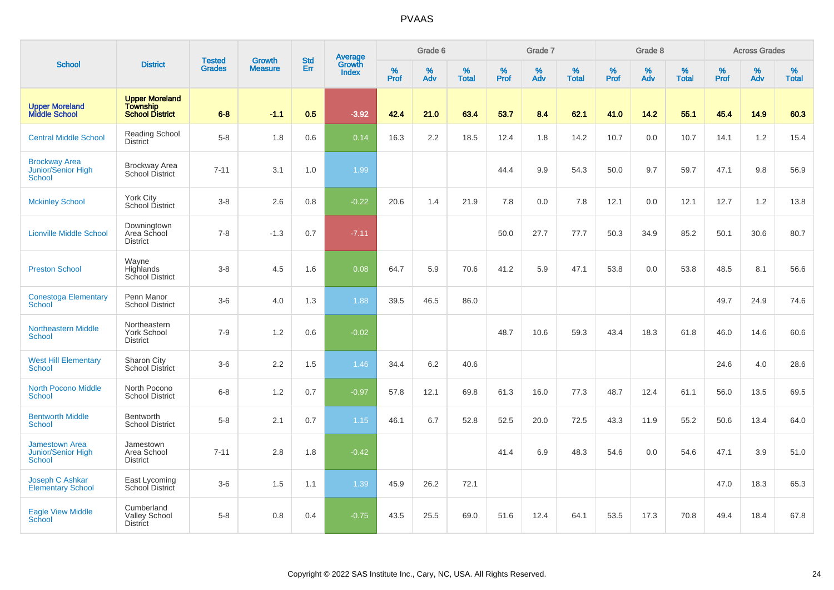|                                                       |                                                                    |                                | <b>Growth</b>  | <b>Std</b> |                                   |                  | Grade 6     |                   |           | Grade 7     |                      |              | Grade 8  |                   |              | <b>Across Grades</b> |                   |
|-------------------------------------------------------|--------------------------------------------------------------------|--------------------------------|----------------|------------|-----------------------------------|------------------|-------------|-------------------|-----------|-------------|----------------------|--------------|----------|-------------------|--------------|----------------------|-------------------|
| <b>School</b>                                         | <b>District</b>                                                    | <b>Tested</b><br><b>Grades</b> | <b>Measure</b> | <b>Err</b> | Average<br>Growth<br><b>Index</b> | %<br><b>Prof</b> | $\%$<br>Adv | %<br><b>Total</b> | %<br>Prof | $\%$<br>Adv | $\%$<br><b>Total</b> | $\%$<br>Prof | %<br>Adv | %<br><b>Total</b> | $\%$<br>Prof | $\%$<br>Adv          | %<br><b>Total</b> |
| <b>Upper Moreland</b><br><b>Middle School</b>         | <b>Upper Moreland</b><br><b>Township</b><br><b>School District</b> | $6 - 8$                        | $-1.1$         | 0.5        | $-3.92$                           | 42.4             | 21.0        | 63.4              | 53.7      | 8.4         | 62.1                 | 41.0         | 14.2     | 55.1              | 45.4         | 14.9                 | 60.3              |
| <b>Central Middle School</b>                          | <b>Reading School</b><br>District                                  | $5-8$                          | 1.8            | 0.6        | 0.14                              | 16.3             | $2.2\,$     | 18.5              | 12.4      | 1.8         | 14.2                 | 10.7         | 0.0      | 10.7              | 14.1         | $1.2\,$              | 15.4              |
| <b>Brockway Area</b><br>Junior/Senior High<br>School  | <b>Brockway Area</b><br>School District                            | $7 - 11$                       | 3.1            | 1.0        | 1.99                              |                  |             |                   | 44.4      | 9.9         | 54.3                 | 50.0         | 9.7      | 59.7              | 47.1         | 9.8                  | 56.9              |
| <b>Mckinley School</b>                                | <b>York City</b><br>School District                                | $3 - 8$                        | 2.6            | 0.8        | $-0.22$                           | 20.6             | 1.4         | 21.9              | 7.8       | 0.0         | 7.8                  | 12.1         | 0.0      | 12.1              | 12.7         | 1.2                  | 13.8              |
| <b>Lionville Middle School</b>                        | Downingtown<br>Area School<br><b>District</b>                      | $7 - 8$                        | $-1.3$         | 0.7        | $-7.11$                           |                  |             |                   | 50.0      | 27.7        | 77.7                 | 50.3         | 34.9     | 85.2              | 50.1         | 30.6                 | 80.7              |
| <b>Preston School</b>                                 | Wayne<br>Highlands<br>School District                              | $3 - 8$                        | 4.5            | 1.6        | 0.08                              | 64.7             | 5.9         | 70.6              | 41.2      | 5.9         | 47.1                 | 53.8         | 0.0      | 53.8              | 48.5         | 8.1                  | 56.6              |
| <b>Conestoga Elementary</b><br>School                 | Penn Manor<br><b>School District</b>                               | $3-6$                          | 4.0            | 1.3        | 1.88                              | 39.5             | 46.5        | 86.0              |           |             |                      |              |          |                   | 49.7         | 24.9                 | 74.6              |
| <b>Northeastern Middle</b><br>School                  | Northeastern<br><b>York School</b><br><b>District</b>              | $7 - 9$                        | 1.2            | 0.6        | $-0.02$                           |                  |             |                   | 48.7      | 10.6        | 59.3                 | 43.4         | 18.3     | 61.8              | 46.0         | 14.6                 | 60.6              |
| <b>West Hill Elementary</b><br>School                 | Sharon City<br><b>School District</b>                              | $3-6$                          | 2.2            | 1.5        | 1.46                              | 34.4             | 6.2         | 40.6              |           |             |                      |              |          |                   | 24.6         | 4.0                  | 28.6              |
| <b>North Pocono Middle</b><br><b>School</b>           | North Pocono<br><b>School District</b>                             | $6 - 8$                        | 1.2            | 0.7        | $-0.97$                           | 57.8             | 12.1        | 69.8              | 61.3      | 16.0        | 77.3                 | 48.7         | 12.4     | 61.1              | 56.0         | 13.5                 | 69.5              |
| <b>Bentworth Middle</b><br>School                     | <b>Bentworth</b><br><b>School District</b>                         | $5-8$                          | 2.1            | 0.7        | 1.15                              | 46.1             | 6.7         | 52.8              | 52.5      | 20.0        | 72.5                 | 43.3         | 11.9     | 55.2              | 50.6         | 13.4                 | 64.0              |
| <b>Jamestown Area</b><br>Junior/Senior High<br>School | Jamestown<br>Area School<br><b>District</b>                        | $7 - 11$                       | 2.8            | 1.8        | $-0.42$                           |                  |             |                   | 41.4      | 6.9         | 48.3                 | 54.6         | 0.0      | 54.6              | 47.1         | 3.9                  | 51.0              |
| Joseph C Ashkar<br><b>Elementary School</b>           | East Lycoming<br>School District                                   | $3 - 6$                        | 1.5            | 1.1        | 1.39                              | 45.9             | 26.2        | 72.1              |           |             |                      |              |          |                   | 47.0         | 18.3                 | 65.3              |
| <b>Eagle View Middle</b><br>School                    | Cumberland<br><b>Valley School</b><br><b>District</b>              | $5-8$                          | 0.8            | 0.4        | $-0.75$                           | 43.5             | 25.5        | 69.0              | 51.6      | 12.4        | 64.1                 | 53.5         | 17.3     | 70.8              | 49.4         | 18.4                 | 67.8              |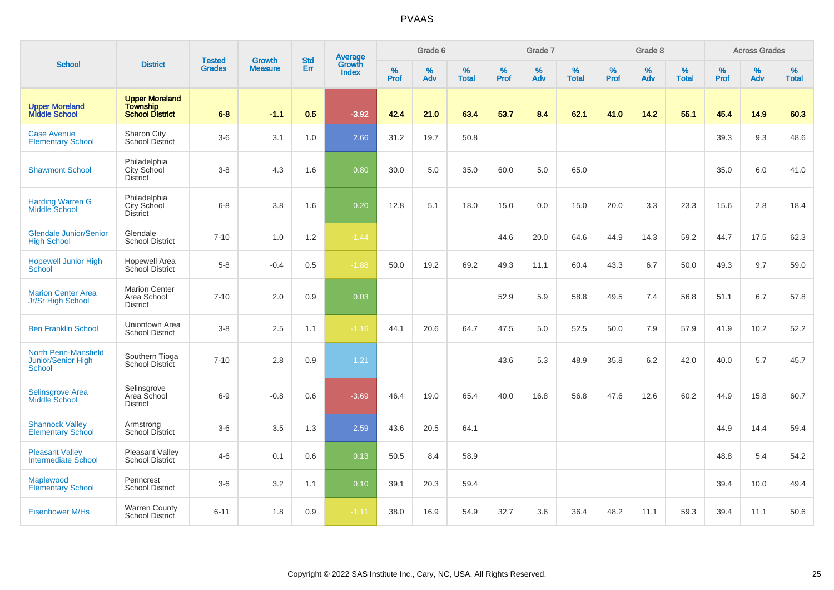|                                                             |                                                                    |                                | <b>Growth</b>  | <b>Std</b> | <b>Average</b><br>Growth |           | Grade 6  |                   |           | Grade 7  |                   |           | Grade 8  |                   |           | <b>Across Grades</b> |                   |
|-------------------------------------------------------------|--------------------------------------------------------------------|--------------------------------|----------------|------------|--------------------------|-----------|----------|-------------------|-----------|----------|-------------------|-----------|----------|-------------------|-----------|----------------------|-------------------|
| <b>School</b>                                               | <b>District</b>                                                    | <b>Tested</b><br><b>Grades</b> | <b>Measure</b> | <b>Err</b> | <b>Index</b>             | %<br>Prof | %<br>Adv | %<br><b>Total</b> | %<br>Prof | %<br>Adv | %<br><b>Total</b> | %<br>Prof | %<br>Adv | %<br><b>Total</b> | %<br>Prof | $\%$<br>Adv          | %<br><b>Total</b> |
| <b>Upper Moreland</b><br><b>Middle School</b>               | <b>Upper Moreland</b><br><b>Township</b><br><b>School District</b> | $6 - 8$                        | $-1.1$         | 0.5        | $-3.92$                  | 42.4      | 21.0     | 63.4              | 53.7      | 8.4      | 62.1              | 41.0      | 14.2     | 55.1              | 45.4      | 14.9                 | 60.3              |
| <b>Case Avenue</b><br><b>Elementary School</b>              | Sharon City<br><b>School District</b>                              | $3-6$                          | 3.1            | 1.0        | 2.66                     | 31.2      | 19.7     | 50.8              |           |          |                   |           |          |                   | 39.3      | 9.3                  | 48.6              |
| <b>Shawmont School</b>                                      | Philadelphia<br>City School<br><b>District</b>                     | $3 - 8$                        | 4.3            | 1.6        | 0.80                     | 30.0      | 5.0      | 35.0              | 60.0      | 5.0      | 65.0              |           |          |                   | 35.0      | 6.0                  | 41.0              |
| <b>Harding Warren G</b><br><b>Middle School</b>             | Philadelphia<br>City School<br><b>District</b>                     | $6 - 8$                        | 3.8            | 1.6        | 0.20                     | 12.8      | 5.1      | 18.0              | 15.0      | 0.0      | 15.0              | 20.0      | 3.3      | 23.3              | 15.6      | 2.8                  | 18.4              |
| <b>Glendale Junior/Senior</b><br><b>High School</b>         | Glendale<br><b>School District</b>                                 | $7 - 10$                       | 1.0            | 1.2        | $-1.44$                  |           |          |                   | 44.6      | 20.0     | 64.6              | 44.9      | 14.3     | 59.2              | 44.7      | 17.5                 | 62.3              |
| <b>Hopewell Junior High</b><br>School                       | <b>Hopewell Area</b><br><b>School District</b>                     | $5-8$                          | $-0.4$         | 0.5        | $-1.88$                  | 50.0      | 19.2     | 69.2              | 49.3      | 11.1     | 60.4              | 43.3      | 6.7      | 50.0              | 49.3      | 9.7                  | 59.0              |
| <b>Marion Center Area</b><br>Jr/Sr High School              | <b>Marion Center</b><br>Area School<br><b>District</b>             | $7 - 10$                       | 2.0            | 0.9        | 0.03                     |           |          |                   | 52.9      | 5.9      | 58.8              | 49.5      | 7.4      | 56.8              | 51.1      | 6.7                  | 57.8              |
| <b>Ben Franklin School</b>                                  | Uniontown Area<br><b>School District</b>                           | $3 - 8$                        | 2.5            | 1.1        | $-1.16$                  | 44.1      | 20.6     | 64.7              | 47.5      | 5.0      | 52.5              | 50.0      | 7.9      | 57.9              | 41.9      | 10.2                 | 52.2              |
| <b>North Penn-Mansfield</b><br>Junior/Senior High<br>School | Southern Tioga<br>School District                                  | $7 - 10$                       | 2.8            | 0.9        | 1.21                     |           |          |                   | 43.6      | 5.3      | 48.9              | 35.8      | 6.2      | 42.0              | 40.0      | 5.7                  | 45.7              |
| <b>Selinsgrove Area</b><br>Middle School                    | Selinsgrove<br>Area School<br><b>District</b>                      | $6-9$                          | $-0.8$         | 0.6        | $-3.69$                  | 46.4      | 19.0     | 65.4              | 40.0      | 16.8     | 56.8              | 47.6      | 12.6     | 60.2              | 44.9      | 15.8                 | 60.7              |
| <b>Shannock Valley</b><br><b>Elementary School</b>          | Armstrong<br><b>School District</b>                                | $3-6$                          | 3.5            | 1.3        | 2.59                     | 43.6      | 20.5     | 64.1              |           |          |                   |           |          |                   | 44.9      | 14.4                 | 59.4              |
| <b>Pleasant Valley</b><br><b>Intermediate School</b>        | Pleasant Valley<br>School District                                 | $4 - 6$                        | 0.1            | 0.6        | 0.13                     | 50.5      | 8.4      | 58.9              |           |          |                   |           |          |                   | 48.8      | 5.4                  | 54.2              |
| Maplewood<br><b>Elementary School</b>                       | Penncrest<br><b>School District</b>                                | $3-6$                          | 3.2            | 1.1        | 0.10                     | 39.1      | 20.3     | 59.4              |           |          |                   |           |          |                   | 39.4      | 10.0                 | 49.4              |
| <b>Eisenhower M/Hs</b>                                      | <b>Warren County</b><br><b>School District</b>                     | $6 - 11$                       | 1.8            | 0.9        | $-1.11$                  | 38.0      | 16.9     | 54.9              | 32.7      | 3.6      | 36.4              | 48.2      | 11.1     | 59.3              | 39.4      | 11.1                 | 50.6              |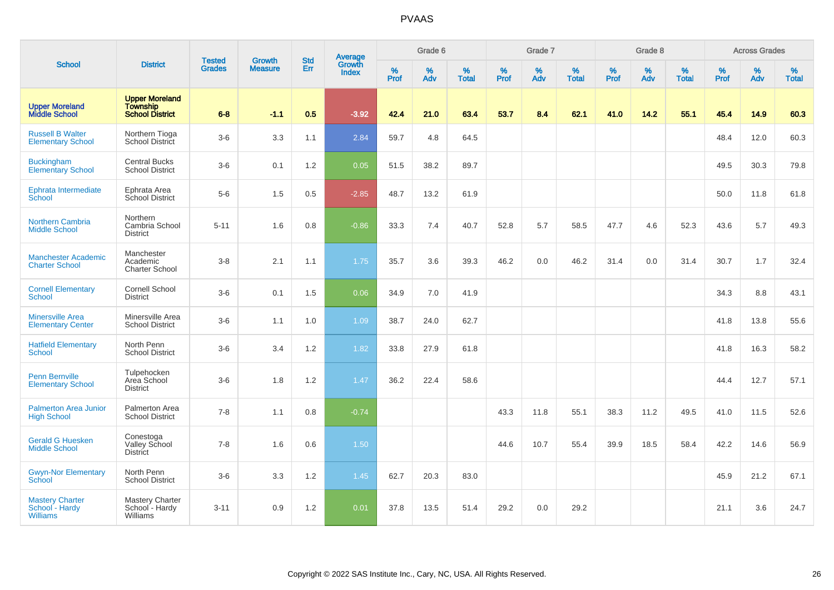|                                                             |                                                                    |                                |                          | <b>Std</b> |                                          |                  | Grade 6  |                   |           | Grade 7  |                   |           | Grade 8  |                   |           | <b>Across Grades</b> |                   |
|-------------------------------------------------------------|--------------------------------------------------------------------|--------------------------------|--------------------------|------------|------------------------------------------|------------------|----------|-------------------|-----------|----------|-------------------|-----------|----------|-------------------|-----------|----------------------|-------------------|
| <b>School</b>                                               | <b>District</b>                                                    | <b>Tested</b><br><b>Grades</b> | Growth<br><b>Measure</b> | Err        | <b>Average</b><br>Growth<br><b>Index</b> | %<br><b>Prof</b> | %<br>Adv | %<br><b>Total</b> | %<br>Prof | %<br>Adv | %<br><b>Total</b> | %<br>Prof | %<br>Adv | %<br><b>Total</b> | %<br>Prof | $\%$<br>Adv          | %<br><b>Total</b> |
| <b>Upper Moreland<br/>Middle School</b>                     | <b>Upper Moreland</b><br><b>Township</b><br><b>School District</b> | $6 - 8$                        | $-1.1$                   | 0.5        | $-3.92$                                  | 42.4             | 21.0     | 63.4              | 53.7      | 8.4      | 62.1              | 41.0      | 14.2     | 55.1              | 45.4      | 14.9                 | 60.3              |
| <b>Russell B Walter</b><br><b>Elementary School</b>         | Northern Tioga<br><b>School District</b>                           | $3-6$                          | 3.3                      | 1.1        | 2.84                                     | 59.7             | 4.8      | 64.5              |           |          |                   |           |          |                   | 48.4      | 12.0                 | 60.3              |
| <b>Buckingham</b><br><b>Elementary School</b>               | <b>Central Bucks</b><br><b>School District</b>                     | $3-6$                          | 0.1                      | 1.2        | 0.05                                     | 51.5             | 38.2     | 89.7              |           |          |                   |           |          |                   | 49.5      | 30.3                 | 79.8              |
| Ephrata Intermediate<br>School                              | Ephrata Area<br>School District                                    | $5-6$                          | 1.5                      | 0.5        | $-2.85$                                  | 48.7             | 13.2     | 61.9              |           |          |                   |           |          |                   | 50.0      | 11.8                 | 61.8              |
| Northern Cambria<br><b>Middle School</b>                    | Northern<br>Cambria School<br><b>District</b>                      | $5 - 11$                       | 1.6                      | 0.8        | $-0.86$                                  | 33.3             | 7.4      | 40.7              | 52.8      | 5.7      | 58.5              | 47.7      | 4.6      | 52.3              | 43.6      | 5.7                  | 49.3              |
| <b>Manchester Academic</b><br><b>Charter School</b>         | Manchester<br>Academic<br><b>Charter School</b>                    | $3-8$                          | 2.1                      | 1.1        | 1.75                                     | 35.7             | 3.6      | 39.3              | 46.2      | 0.0      | 46.2              | 31.4      | 0.0      | 31.4              | 30.7      | 1.7                  | 32.4              |
| <b>Cornell Elementary</b><br><b>School</b>                  | <b>Cornell School</b><br><b>District</b>                           | $3-6$                          | 0.1                      | 1.5        | 0.06                                     | 34.9             | 7.0      | 41.9              |           |          |                   |           |          |                   | 34.3      | 8.8                  | 43.1              |
| <b>Minersville Area</b><br><b>Elementary Center</b>         | Minersville Area<br><b>School District</b>                         | $3-6$                          | 1.1                      | $1.0\,$    | 1.09                                     | 38.7             | 24.0     | 62.7              |           |          |                   |           |          |                   | 41.8      | 13.8                 | 55.6              |
| <b>Hatfield Elementary</b><br>School                        | North Penn<br><b>School District</b>                               | $3-6$                          | 3.4                      | 1.2        | 1.82                                     | 33.8             | 27.9     | 61.8              |           |          |                   |           |          |                   | 41.8      | 16.3                 | 58.2              |
| <b>Penn Bernville</b><br><b>Elementary School</b>           | Tulpehocken<br>Area School<br><b>District</b>                      | $3-6$                          | 1.8                      | 1.2        | 1.47                                     | 36.2             | 22.4     | 58.6              |           |          |                   |           |          |                   | 44.4      | 12.7                 | 57.1              |
| <b>Palmerton Area Junior</b><br><b>High School</b>          | <b>Palmerton Area</b><br><b>School District</b>                    | $7 - 8$                        | 1.1                      | 0.8        | $-0.74$                                  |                  |          |                   | 43.3      | 11.8     | 55.1              | 38.3      | 11.2     | 49.5              | 41.0      | 11.5                 | 52.6              |
| <b>Gerald G Huesken</b><br><b>Middle School</b>             | Conestoga<br><b>Valley School</b><br>District                      | $7 - 8$                        | 1.6                      | 0.6        | 1.50                                     |                  |          |                   | 44.6      | 10.7     | 55.4              | 39.9      | 18.5     | 58.4              | 42.2      | 14.6                 | 56.9              |
| <b>Gwyn-Nor Elementary</b><br>School                        | North Penn<br><b>School District</b>                               | $3-6$                          | 3.3                      | 1.2        | 1.45                                     | 62.7             | 20.3     | 83.0              |           |          |                   |           |          |                   | 45.9      | 21.2                 | 67.1              |
| <b>Mastery Charter</b><br>School - Hardy<br><b>Williams</b> | <b>Mastery Charter</b><br>School - Hardy<br>Williams               | $3 - 11$                       | 0.9                      | 1.2        | 0.01                                     | 37.8             | 13.5     | 51.4              | 29.2      | 0.0      | 29.2              |           |          |                   | 21.1      | 3.6                  | 24.7              |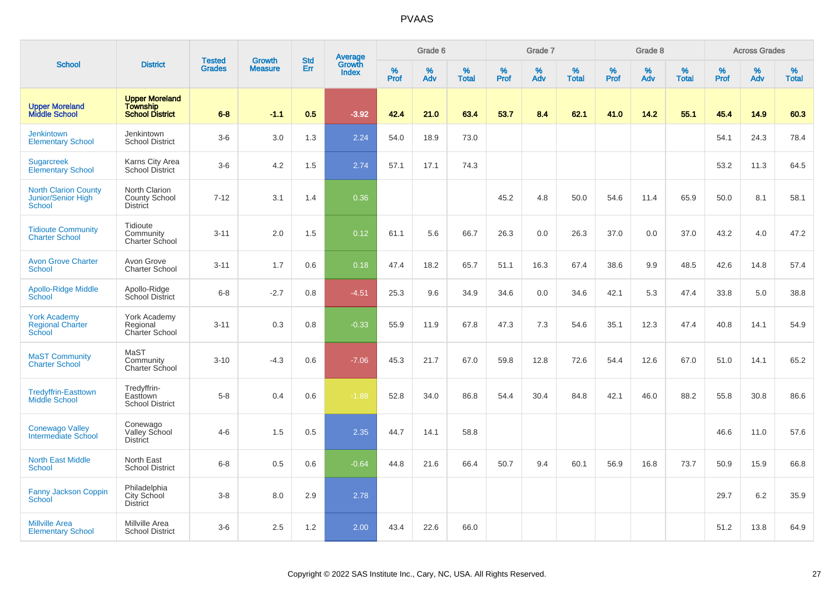|                                                                    |                                                                    | <b>Tested</b> | <b>Growth</b>  | <b>Std</b> | <b>Average</b><br>Growth |           | Grade 6  |                   |           | Grade 7  |                   |           | Grade 8  |                   |           | <b>Across Grades</b> |                   |
|--------------------------------------------------------------------|--------------------------------------------------------------------|---------------|----------------|------------|--------------------------|-----------|----------|-------------------|-----------|----------|-------------------|-----------|----------|-------------------|-----------|----------------------|-------------------|
| <b>School</b>                                                      | <b>District</b>                                                    | <b>Grades</b> | <b>Measure</b> | Err        | Index                    | %<br>Prof | %<br>Adv | %<br><b>Total</b> | %<br>Prof | %<br>Adv | %<br><b>Total</b> | %<br>Prof | %<br>Adv | %<br><b>Total</b> | %<br>Prof | %<br>Adv             | %<br><b>Total</b> |
| <b>Upper Moreland</b><br><b>Middle School</b>                      | <b>Upper Moreland</b><br><b>Township</b><br><b>School District</b> | $6 - 8$       | $-1.1$         | 0.5        | $-3.92$                  | 42.4      | 21.0     | 63.4              | 53.7      | 8.4      | 62.1              | 41.0      | 14.2     | 55.1              | 45.4      | 14.9                 | 60.3              |
| <b>Jenkintown</b><br><b>Elementary School</b>                      | Jenkintown<br><b>School District</b>                               | $3-6$         | 3.0            | 1.3        | 2.24                     | 54.0      | 18.9     | 73.0              |           |          |                   |           |          |                   | 54.1      | 24.3                 | 78.4              |
| <b>Sugarcreek</b><br><b>Elementary School</b>                      | Karns City Area<br><b>School District</b>                          | $3-6$         | 4.2            | 1.5        | 2.74                     | 57.1      | 17.1     | 74.3              |           |          |                   |           |          |                   | 53.2      | 11.3                 | 64.5              |
| <b>North Clarion County</b><br>Junior/Senior High<br><b>School</b> | North Clarion<br><b>County School</b><br><b>District</b>           | $7 - 12$      | 3.1            | 1.4        | 0.36                     |           |          |                   | 45.2      | 4.8      | 50.0              | 54.6      | 11.4     | 65.9              | 50.0      | 8.1                  | 58.1              |
| <b>Tidioute Community</b><br><b>Charter School</b>                 | Tidioute<br>Community<br>Charter School                            | $3 - 11$      | 2.0            | 1.5        | 0.12                     | 61.1      | 5.6      | 66.7              | 26.3      | 0.0      | 26.3              | 37.0      | 0.0      | 37.0              | 43.2      | 4.0                  | 47.2              |
| <b>Avon Grove Charter</b><br><b>School</b>                         | Avon Grove<br><b>Charter School</b>                                | $3 - 11$      | 1.7            | 0.6        | 0.18                     | 47.4      | 18.2     | 65.7              | 51.1      | 16.3     | 67.4              | 38.6      | 9.9      | 48.5              | 42.6      | 14.8                 | 57.4              |
| <b>Apollo-Ridge Middle</b><br>School                               | Apollo-Ridge<br>School District                                    | $6-8$         | $-2.7$         | 0.8        | $-4.51$                  | 25.3      | 9.6      | 34.9              | 34.6      | 0.0      | 34.6              | 42.1      | 5.3      | 47.4              | 33.8      | 5.0                  | 38.8              |
| <b>York Academy</b><br><b>Regional Charter</b><br>School           | York Academy<br>Regional<br>Charter School                         | $3 - 11$      | 0.3            | 0.8        | $-0.33$                  | 55.9      | 11.9     | 67.8              | 47.3      | 7.3      | 54.6              | 35.1      | 12.3     | 47.4              | 40.8      | 14.1                 | 54.9              |
| <b>MaST Community</b><br><b>Charter School</b>                     | MaST<br>Community<br>Charter School                                | $3 - 10$      | $-4.3$         | 0.6        | $-7.06$                  | 45.3      | 21.7     | 67.0              | 59.8      | 12.8     | 72.6              | 54.4      | 12.6     | 67.0              | 51.0      | 14.1                 | 65.2              |
| <b>Tredyffrin-Easttown</b><br>Middle School                        | Tredyffrin-<br>Easttown<br><b>School District</b>                  | $5-8$         | 0.4            | 0.6        | $-1.88$                  | 52.8      | 34.0     | 86.8              | 54.4      | 30.4     | 84.8              | 42.1      | 46.0     | 88.2              | 55.8      | 30.8                 | 86.6              |
| <b>Conewago Valley</b><br><b>Intermediate School</b>               | Conewago<br>Valley School<br><b>District</b>                       | $4 - 6$       | 1.5            | 0.5        | 2.35                     | 44.7      | 14.1     | 58.8              |           |          |                   |           |          |                   | 46.6      | 11.0                 | 57.6              |
| <b>North East Middle</b><br><b>School</b>                          | North East<br><b>School District</b>                               | $6-8$         | 0.5            | 0.6        | $-0.64$                  | 44.8      | 21.6     | 66.4              | 50.7      | 9.4      | 60.1              | 56.9      | 16.8     | 73.7              | 50.9      | 15.9                 | 66.8              |
| Fanny Jackson Coppin<br>School                                     | Philadelphia<br>City School<br><b>District</b>                     | $3-8$         | 8.0            | 2.9        | 2.78                     |           |          |                   |           |          |                   |           |          |                   | 29.7      | 6.2                  | 35.9              |
| <b>Millville Area</b><br><b>Elementary School</b>                  | Millville Area<br><b>School District</b>                           | $3-6$         | 2.5            | 1.2        | 2.00                     | 43.4      | 22.6     | 66.0              |           |          |                   |           |          |                   | 51.2      | 13.8                 | 64.9              |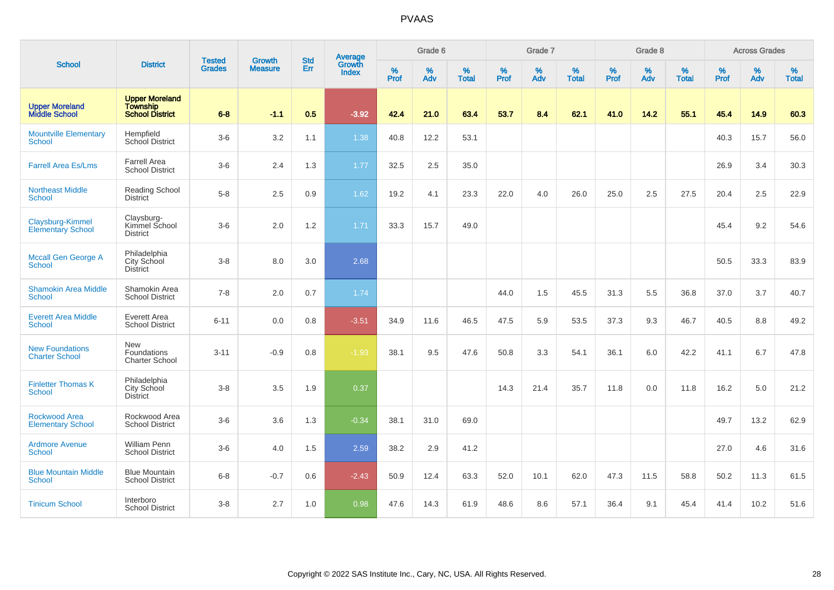|                                                 |                                                              |                                |                                 | <b>Std</b> |                                   |           | Grade 6     |                   |                  | Grade 7  |                   |                     | Grade 8     |                   |                     | <b>Across Grades</b> |                   |
|-------------------------------------------------|--------------------------------------------------------------|--------------------------------|---------------------------------|------------|-----------------------------------|-----------|-------------|-------------------|------------------|----------|-------------------|---------------------|-------------|-------------------|---------------------|----------------------|-------------------|
| <b>School</b>                                   | <b>District</b>                                              | <b>Tested</b><br><b>Grades</b> | <b>Growth</b><br><b>Measure</b> | Err        | Average<br>Growth<br><b>Index</b> | %<br>Prof | $\%$<br>Adv | %<br><b>Total</b> | %<br><b>Prof</b> | %<br>Adv | %<br><b>Total</b> | $\%$<br><b>Prof</b> | $\%$<br>Adv | %<br><b>Total</b> | $\%$<br><b>Prof</b> | $\%$<br>Adv          | %<br><b>Total</b> |
| <b>Upper Moreland<br/>Middle School</b>         | <b>Upper Moreland</b><br><b>Township<br/>School District</b> | $6-8$                          | $-1.1$                          | 0.5        | $-3.92$                           | 42.4      | 21.0        | 63.4              | 53.7             | 8.4      | 62.1              | 41.0                | 14.2        | 55.1              | 45.4                | 14.9                 | 60.3              |
| <b>Mountville Elementary</b><br>School          | Hempfield<br>School District                                 | $3-6$                          | 3.2                             | 1.1        | 1.38                              | 40.8      | 12.2        | 53.1              |                  |          |                   |                     |             |                   | 40.3                | 15.7                 | 56.0              |
| <b>Farrell Area Es/Lms</b>                      | <b>Farrell Area</b><br><b>School District</b>                | $3-6$                          | 2.4                             | 1.3        | 1.77                              | 32.5      | 2.5         | 35.0              |                  |          |                   |                     |             |                   | 26.9                | 3.4                  | 30.3              |
| <b>Northeast Middle</b><br>School               | Reading School<br><b>District</b>                            | $5-8$                          | 2.5                             | 0.9        | 1.62                              | 19.2      | 4.1         | 23.3              | 22.0             | 4.0      | 26.0              | 25.0                | 2.5         | 27.5              | 20.4                | 2.5                  | 22.9              |
| Claysburg-Kimmel<br><b>Elementary School</b>    | Claysburg-<br>Kimmel School<br><b>District</b>               | $3-6$                          | 2.0                             | 1.2        | 1.71                              | 33.3      | 15.7        | 49.0              |                  |          |                   |                     |             |                   | 45.4                | 9.2                  | 54.6              |
| Mccall Gen George A<br><b>School</b>            | Philadelphia<br>City School<br><b>District</b>               | $3 - 8$                        | 8.0                             | 3.0        | 2.68                              |           |             |                   |                  |          |                   |                     |             |                   | 50.5                | 33.3                 | 83.9              |
| <b>Shamokin Area Middle</b><br>School           | Shamokin Area<br><b>School District</b>                      | $7 - 8$                        | 2.0                             | 0.7        | 1.74                              |           |             |                   | 44.0             | 1.5      | 45.5              | 31.3                | 5.5         | 36.8              | 37.0                | 3.7                  | 40.7              |
| <b>Everett Area Middle</b><br><b>School</b>     | Everett Area<br><b>School District</b>                       | $6 - 11$                       | 0.0                             | 0.8        | $-3.51$                           | 34.9      | 11.6        | 46.5              | 47.5             | 5.9      | 53.5              | 37.3                | 9.3         | 46.7              | 40.5                | 8.8                  | 49.2              |
| <b>New Foundations</b><br><b>Charter School</b> | <b>New</b><br>Foundations<br><b>Charter School</b>           | $3 - 11$                       | $-0.9$                          | 0.8        | $-1.93$                           | 38.1      | 9.5         | 47.6              | 50.8             | 3.3      | 54.1              | 36.1                | 6.0         | 42.2              | 41.1                | 6.7                  | 47.8              |
| <b>Finletter Thomas K</b><br>School             | Philadelphia<br>City School<br><b>District</b>               | $3 - 8$                        | 3.5                             | 1.9        | 0.37                              |           |             |                   | 14.3             | 21.4     | 35.7              | 11.8                | 0.0         | 11.8              | 16.2                | 5.0                  | 21.2              |
| Rockwood Area<br><b>Elementary School</b>       | Rockwood Area<br><b>School District</b>                      | $3-6$                          | 3.6                             | 1.3        | $-0.34$                           | 38.1      | 31.0        | 69.0              |                  |          |                   |                     |             |                   | 49.7                | 13.2                 | 62.9              |
| <b>Ardmore Avenue</b><br>School                 | <b>William Penn</b><br><b>School District</b>                | $3-6$                          | 4.0                             | 1.5        | 2.59                              | 38.2      | 2.9         | 41.2              |                  |          |                   |                     |             |                   | 27.0                | 4.6                  | 31.6              |
| <b>Blue Mountain Middle</b><br><b>School</b>    | <b>Blue Mountain</b><br><b>School District</b>               | $6 - 8$                        | $-0.7$                          | 0.6        | $-2.43$                           | 50.9      | 12.4        | 63.3              | 52.0             | 10.1     | 62.0              | 47.3                | 11.5        | 58.8              | 50.2                | 11.3                 | 61.5              |
| <b>Tinicum School</b>                           | Interboro<br><b>School District</b>                          | $3 - 8$                        | 2.7                             | 1.0        | 0.98                              | 47.6      | 14.3        | 61.9              | 48.6             | 8.6      | 57.1              | 36.4                | 9.1         | 45.4              | 41.4                | 10.2                 | 51.6              |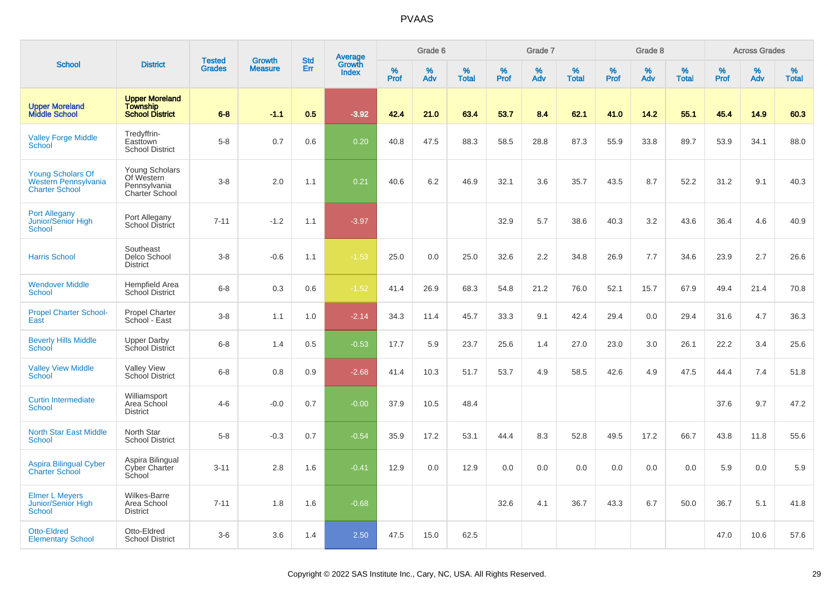|                                                                           |                                                                    |                                |                          | <b>Std</b> |                                          |                  | Grade 6  |                   |                  | Grade 7  |                   |           | Grade 8  |                   |           | <b>Across Grades</b> |                   |
|---------------------------------------------------------------------------|--------------------------------------------------------------------|--------------------------------|--------------------------|------------|------------------------------------------|------------------|----------|-------------------|------------------|----------|-------------------|-----------|----------|-------------------|-----------|----------------------|-------------------|
| <b>School</b>                                                             | <b>District</b>                                                    | <b>Tested</b><br><b>Grades</b> | Growth<br><b>Measure</b> | Err        | <b>Average</b><br>Growth<br><b>Index</b> | %<br><b>Prof</b> | %<br>Adv | %<br><b>Total</b> | %<br><b>Prof</b> | %<br>Adv | %<br><b>Total</b> | %<br>Prof | %<br>Adv | %<br><b>Total</b> | %<br>Prof | %<br>Adv             | %<br><b>Total</b> |
| <b>Upper Moreland</b><br><b>Middle School</b>                             | <b>Upper Moreland</b><br><b>Township</b><br><b>School District</b> | $6 - 8$                        | $-1.1$                   | 0.5        | $-3.92$                                  | 42.4             | 21.0     | 63.4              | 53.7             | 8.4      | 62.1              | 41.0      | 14.2     | 55.1              | 45.4      | 14.9                 | 60.3              |
| <b>Valley Forge Middle</b><br>School                                      | Tredyffrin-<br>Easttown<br><b>School District</b>                  | $5-8$                          | 0.7                      | 0.6        | 0.20                                     | 40.8             | 47.5     | 88.3              | 58.5             | 28.8     | 87.3              | 55.9      | 33.8     | 89.7              | 53.9      | 34.1                 | 88.0              |
| <b>Young Scholars Of</b><br>Western Pennsylvania<br><b>Charter School</b> | Young Scholars<br>Of Western<br>Pennsylvania<br>Charter School     | $3 - 8$                        | 2.0                      | 1.1        | 0.21                                     | 40.6             | 6.2      | 46.9              | 32.1             | 3.6      | 35.7              | 43.5      | 8.7      | 52.2              | 31.2      | 9.1                  | 40.3              |
| <b>Port Allegany</b><br><b>Junior/Senior High</b><br>School               | Port Allegany<br>School District                                   | $7 - 11$                       | $-1.2$                   | 1.1        | $-3.97$                                  |                  |          |                   | 32.9             | 5.7      | 38.6              | 40.3      | 3.2      | 43.6              | 36.4      | 4.6                  | 40.9              |
| <b>Harris School</b>                                                      | Southeast<br>Delco School<br><b>District</b>                       | $3 - 8$                        | $-0.6$                   | 1.1        | $-1.53$                                  | 25.0             | 0.0      | 25.0              | 32.6             | 2.2      | 34.8              | 26.9      | 7.7      | 34.6              | 23.9      | 2.7                  | 26.6              |
| <b>Wendover Middle</b><br>School                                          | <b>Hempfield Area</b><br><b>School District</b>                    | $6 - 8$                        | 0.3                      | 0.6        | $-1.52$                                  | 41.4             | 26.9     | 68.3              | 54.8             | 21.2     | 76.0              | 52.1      | 15.7     | 67.9              | 49.4      | 21.4                 | 70.8              |
| <b>Propel Charter School-</b><br>East                                     | <b>Propel Charter</b><br>School - East                             | $3-8$                          | 1.1                      | 1.0        | $-2.14$                                  | 34.3             | 11.4     | 45.7              | 33.3             | 9.1      | 42.4              | 29.4      | 0.0      | 29.4              | 31.6      | 4.7                  | 36.3              |
| <b>Beverly Hills Middle</b><br>School                                     | <b>Upper Darby</b><br>School District                              | $6 - 8$                        | 1.4                      | 0.5        | $-0.53$                                  | 17.7             | 5.9      | 23.7              | 25.6             | 1.4      | 27.0              | 23.0      | 3.0      | 26.1              | 22.2      | 3.4                  | 25.6              |
| <b>Valley View Middle</b><br>School                                       | Valley View<br>School District                                     | $6 - 8$                        | 0.8                      | 0.9        | $-2.68$                                  | 41.4             | 10.3     | 51.7              | 53.7             | 4.9      | 58.5              | 42.6      | 4.9      | 47.5              | 44.4      | 7.4                  | 51.8              |
| <b>Curtin Intermediate</b><br><b>School</b>                               | Williamsport<br>Area School<br><b>District</b>                     | $4 - 6$                        | $-0.0$                   | 0.7        | $-0.00$                                  | 37.9             | 10.5     | 48.4              |                  |          |                   |           |          |                   | 37.6      | 9.7                  | 47.2              |
| <b>North Star East Middle</b><br><b>School</b>                            | North Star<br><b>School District</b>                               | $5-8$                          | $-0.3$                   | 0.7        | $-0.54$                                  | 35.9             | 17.2     | 53.1              | 44.4             | 8.3      | 52.8              | 49.5      | 17.2     | 66.7              | 43.8      | 11.8                 | 55.6              |
| <b>Aspira Bilingual Cyber</b><br><b>Charter School</b>                    | Aspira Bilingual<br>Cyber Charter<br>School                        | $3 - 11$                       | 2.8                      | 1.6        | $-0.41$                                  | 12.9             | 0.0      | 12.9              | 0.0              | 0.0      | 0.0               | 0.0       | 0.0      | 0.0               | 5.9       | 0.0                  | 5.9               |
| <b>Elmer L Meyers</b><br>Junior/Senior High<br>School                     | Wilkes-Barre<br>Area School<br><b>District</b>                     | $7 - 11$                       | 1.8                      | 1.6        | $-0.68$                                  |                  |          |                   | 32.6             | 4.1      | 36.7              | 43.3      | 6.7      | 50.0              | 36.7      | 5.1                  | 41.8              |
| <b>Otto-Eldred</b><br><b>Elementary School</b>                            | Otto-Eldred<br><b>School District</b>                              | $3-6$                          | 3.6                      | 1.4        | 2.50                                     | 47.5             | 15.0     | 62.5              |                  |          |                   |           |          |                   | 47.0      | 10.6                 | 57.6              |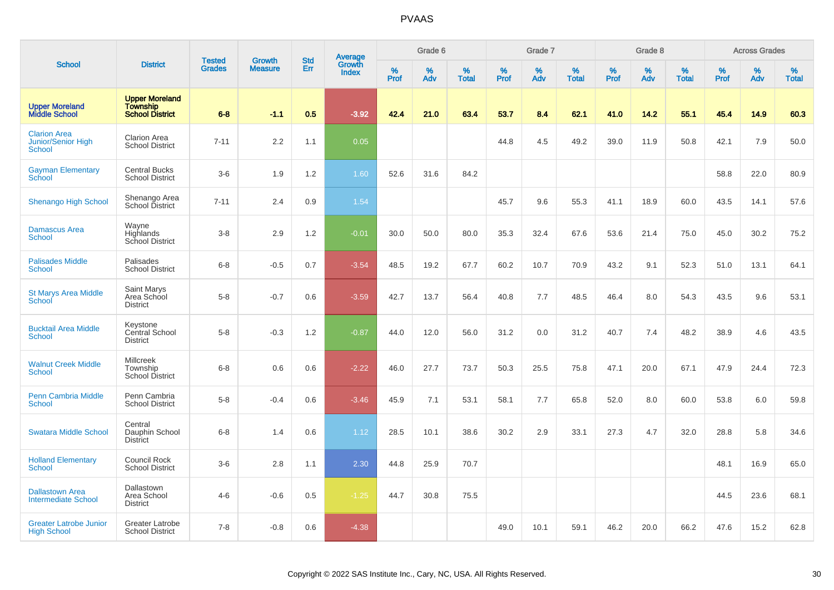|                                                            |                                                                    |                                |                          | <b>Std</b> |                                          |                  | Grade 6     |                   |           | Grade 7     |                   |           | Grade 8  |                   |              | <b>Across Grades</b> |                   |
|------------------------------------------------------------|--------------------------------------------------------------------|--------------------------------|--------------------------|------------|------------------------------------------|------------------|-------------|-------------------|-----------|-------------|-------------------|-----------|----------|-------------------|--------------|----------------------|-------------------|
| <b>School</b>                                              | <b>District</b>                                                    | <b>Tested</b><br><b>Grades</b> | Growth<br><b>Measure</b> | Err        | <b>Average</b><br>Growth<br><b>Index</b> | %<br><b>Prof</b> | $\%$<br>Adv | %<br><b>Total</b> | %<br>Prof | $\%$<br>Adv | %<br><b>Total</b> | %<br>Prof | %<br>Adv | %<br><b>Total</b> | $\%$<br>Prof | $\%$<br>Adv          | %<br><b>Total</b> |
| <b>Upper Moreland<br/>Middle School</b>                    | <b>Upper Moreland</b><br><b>Township</b><br><b>School District</b> | $6 - 8$                        | $-1.1$                   | 0.5        | $-3.92$                                  | 42.4             | 21.0        | 63.4              | 53.7      | 8.4         | 62.1              | 41.0      | 14.2     | 55.1              | 45.4         | 14.9                 | 60.3              |
| <b>Clarion Area</b><br><b>Junior/Senior High</b><br>School | Clarion Area<br><b>School District</b>                             | $7 - 11$                       | 2.2                      | 1.1        | 0.05                                     |                  |             |                   | 44.8      | 4.5         | 49.2              | 39.0      | 11.9     | 50.8              | 42.1         | 7.9                  | 50.0              |
| <b>Gayman Elementary</b><br>School                         | <b>Central Bucks</b><br><b>School District</b>                     | $3-6$                          | 1.9                      | 1.2        | 1.60                                     | 52.6             | 31.6        | 84.2              |           |             |                   |           |          |                   | 58.8         | 22.0                 | 80.9              |
| <b>Shenango High School</b>                                | Shenango Area<br>School District                                   | $7 - 11$                       | 2.4                      | 0.9        | 1.54                                     |                  |             |                   | 45.7      | 9.6         | 55.3              | 41.1      | 18.9     | 60.0              | 43.5         | 14.1                 | 57.6              |
| <b>Damascus Area</b><br><b>School</b>                      | Wavne<br>Highlands<br>School District                              | $3 - 8$                        | 2.9                      | 1.2        | $-0.01$                                  | 30.0             | 50.0        | 80.0              | 35.3      | 32.4        | 67.6              | 53.6      | 21.4     | 75.0              | 45.0         | 30.2                 | 75.2              |
| <b>Palisades Middle</b><br>School                          | Palisades<br><b>School District</b>                                | $6 - 8$                        | $-0.5$                   | 0.7        | $-3.54$                                  | 48.5             | 19.2        | 67.7              | 60.2      | 10.7        | 70.9              | 43.2      | 9.1      | 52.3              | 51.0         | 13.1                 | 64.1              |
| <b>St Marys Area Middle</b><br>School                      | Saint Marys<br>Area School<br><b>District</b>                      | $5-8$                          | $-0.7$                   | 0.6        | $-3.59$                                  | 42.7             | 13.7        | 56.4              | 40.8      | 7.7         | 48.5              | 46.4      | 8.0      | 54.3              | 43.5         | 9.6                  | 53.1              |
| <b>Bucktail Area Middle</b><br><b>School</b>               | Keystone<br>Central School<br><b>District</b>                      | $5-8$                          | $-0.3$                   | 1.2        | $-0.87$                                  | 44.0             | 12.0        | 56.0              | 31.2      | 0.0         | 31.2              | 40.7      | 7.4      | 48.2              | 38.9         | 4.6                  | 43.5              |
| <b>Walnut Creek Middle</b><br><b>School</b>                | <b>Millcreek</b><br>Township<br>School District                    | $6 - 8$                        | 0.6                      | 0.6        | $-2.22$                                  | 46.0             | 27.7        | 73.7              | 50.3      | 25.5        | 75.8              | 47.1      | 20.0     | 67.1              | 47.9         | 24.4                 | 72.3              |
| <b>Penn Cambria Middle</b><br><b>School</b>                | Penn Cambria<br><b>School District</b>                             | $5 - 8$                        | $-0.4$                   | 0.6        | $-3.46$                                  | 45.9             | 7.1         | 53.1              | 58.1      | 7.7         | 65.8              | 52.0      | 8.0      | 60.0              | 53.8         | 6.0                  | 59.8              |
| <b>Swatara Middle School</b>                               | Central<br>Dauphin School<br><b>District</b>                       | $6 - 8$                        | 1.4                      | 0.6        | 1.12                                     | 28.5             | 10.1        | 38.6              | 30.2      | 2.9         | 33.1              | 27.3      | 4.7      | 32.0              | 28.8         | 5.8                  | 34.6              |
| <b>Holland Elementary</b><br>School                        | Council Rock<br><b>School District</b>                             | $3-6$                          | 2.8                      | 1.1        | 2.30                                     | 44.8             | 25.9        | 70.7              |           |             |                   |           |          |                   | 48.1         | 16.9                 | 65.0              |
| <b>Dallastown Area</b><br><b>Intermediate School</b>       | Dallastown<br>Area School<br><b>District</b>                       | $4-6$                          | $-0.6$                   | 0.5        | $-1.25$                                  | 44.7             | 30.8        | 75.5              |           |             |                   |           |          |                   | 44.5         | 23.6                 | 68.1              |
| <b>Greater Latrobe Junior</b><br><b>High School</b>        | <b>Greater Latrobe</b><br><b>School District</b>                   | $7 - 8$                        | $-0.8$                   | 0.6        | $-4.38$                                  |                  |             |                   | 49.0      | 10.1        | 59.1              | 46.2      | 20.0     | 66.2              | 47.6         | 15.2                 | 62.8              |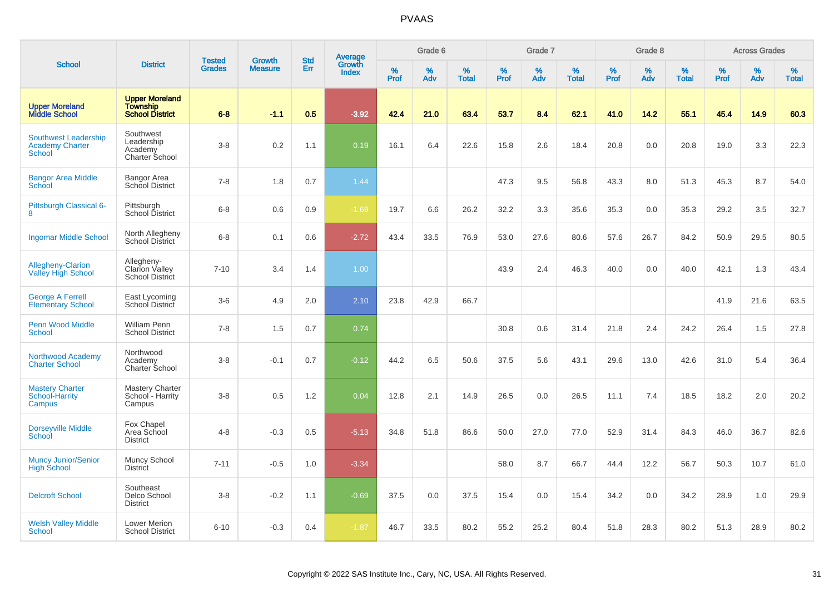|                                                                        |                                                                    | <b>Tested</b> | <b>Growth</b>  | <b>Std</b> | <b>Average</b><br>Growth |           | Grade 6  |                   |                  | Grade 7  |                   |           | Grade 8  |                   |           | <b>Across Grades</b> |                   |
|------------------------------------------------------------------------|--------------------------------------------------------------------|---------------|----------------|------------|--------------------------|-----------|----------|-------------------|------------------|----------|-------------------|-----------|----------|-------------------|-----------|----------------------|-------------------|
| <b>School</b>                                                          | <b>District</b>                                                    | <b>Grades</b> | <b>Measure</b> | Err        | <b>Index</b>             | %<br>Prof | %<br>Adv | %<br><b>Total</b> | %<br><b>Prof</b> | %<br>Adv | %<br><b>Total</b> | %<br>Prof | %<br>Adv | %<br><b>Total</b> | %<br>Prof | %<br>Adv             | %<br><b>Total</b> |
| <b>Upper Moreland</b><br><b>Middle School</b>                          | <b>Upper Moreland</b><br><b>Township</b><br><b>School District</b> | $6 - 8$       | $-1.1$         | 0.5        | $-3.92$                  | 42.4      | 21.0     | 63.4              | 53.7             | 8.4      | 62.1              | 41.0      | 14.2     | 55.1              | 45.4      | 14.9                 | 60.3              |
| <b>Southwest Leadership</b><br><b>Academy Charter</b><br><b>School</b> | Southwest<br>Leadership<br>Academy<br>Charter School               | $3 - 8$       | 0.2            | 1.1        | 0.19                     | 16.1      | 6.4      | 22.6              | 15.8             | 2.6      | 18.4              | 20.8      | 0.0      | 20.8              | 19.0      | 3.3                  | 22.3              |
| <b>Bangor Area Middle</b><br>School                                    | <b>Bangor Area</b><br>School District                              | $7 - 8$       | 1.8            | 0.7        | 1.44                     |           |          |                   | 47.3             | 9.5      | 56.8              | 43.3      | 8.0      | 51.3              | 45.3      | 8.7                  | 54.0              |
| Pittsburgh Classical 6-<br>8                                           | Pittsburgh<br>School District                                      | $6 - 8$       | 0.6            | 0.9        | $-1.69$                  | 19.7      | 6.6      | 26.2              | 32.2             | 3.3      | 35.6              | 35.3      | 0.0      | 35.3              | 29.2      | 3.5                  | 32.7              |
| <b>Ingomar Middle School</b>                                           | North Allegheny<br><b>School District</b>                          | $6 - 8$       | 0.1            | 0.6        | $-2.72$                  | 43.4      | 33.5     | 76.9              | 53.0             | 27.6     | 80.6              | 57.6      | 26.7     | 84.2              | 50.9      | 29.5                 | 80.5              |
| Allegheny-Clarion<br><b>Valley High School</b>                         | Allegheny-<br><b>Clarion Valley</b><br><b>School District</b>      | $7 - 10$      | 3.4            | 1.4        | 1.00                     |           |          |                   | 43.9             | 2.4      | 46.3              | 40.0      | 0.0      | 40.0              | 42.1      | 1.3                  | 43.4              |
| <b>George A Ferrell</b><br><b>Elementary School</b>                    | East Lycoming<br>School District                                   | $3-6$         | 4.9            | 2.0        | 2.10                     | 23.8      | 42.9     | 66.7              |                  |          |                   |           |          |                   | 41.9      | 21.6                 | 63.5              |
| <b>Penn Wood Middle</b><br>School                                      | William Penn<br><b>School District</b>                             | $7 - 8$       | 1.5            | 0.7        | 0.74                     |           |          |                   | 30.8             | 0.6      | 31.4              | 21.8      | 2.4      | 24.2              | 26.4      | 1.5                  | 27.8              |
| Northwood Academy<br><b>Charter School</b>                             | Northwood<br>Academy<br><b>Charter School</b>                      | $3 - 8$       | $-0.1$         | 0.7        | $-0.12$                  | 44.2      | 6.5      | 50.6              | 37.5             | 5.6      | 43.1              | 29.6      | 13.0     | 42.6              | 31.0      | 5.4                  | 36.4              |
| <b>Mastery Charter</b><br>School-Harrity<br><b>Campus</b>              | <b>Mastery Charter</b><br>School - Harrity<br>Campus               | $3-8$         | 0.5            | 1.2        | 0.04                     | 12.8      | 2.1      | 14.9              | 26.5             | 0.0      | 26.5              | 11.1      | 7.4      | 18.5              | 18.2      | 2.0                  | 20.2              |
| Dorseyville Middle<br>School                                           | Fox Chapel<br>Area School<br><b>District</b>                       | $4 - 8$       | $-0.3$         | 0.5        | $-5.13$                  | 34.8      | 51.8     | 86.6              | 50.0             | 27.0     | 77.0              | 52.9      | 31.4     | 84.3              | 46.0      | 36.7                 | 82.6              |
| Muncy Junior/Senior<br><b>High School</b>                              | Muncy School<br><b>District</b>                                    | $7 - 11$      | $-0.5$         | 1.0        | $-3.34$                  |           |          |                   | 58.0             | 8.7      | 66.7              | 44.4      | 12.2     | 56.7              | 50.3      | 10.7                 | 61.0              |
| <b>Delcroft School</b>                                                 | Southeast<br>Delco School<br><b>District</b>                       | $3 - 8$       | $-0.2$         | 1.1        | $-0.69$                  | 37.5      | 0.0      | 37.5              | 15.4             | 0.0      | 15.4              | 34.2      | 0.0      | 34.2              | 28.9      | 1.0                  | 29.9              |
| <b>Welsh Valley Middle</b><br>School                                   | Lower Merion<br><b>School District</b>                             | $6 - 10$      | $-0.3$         | 0.4        | $-1.87$                  | 46.7      | 33.5     | 80.2              | 55.2             | 25.2     | 80.4              | 51.8      | 28.3     | 80.2              | 51.3      | 28.9                 | 80.2              |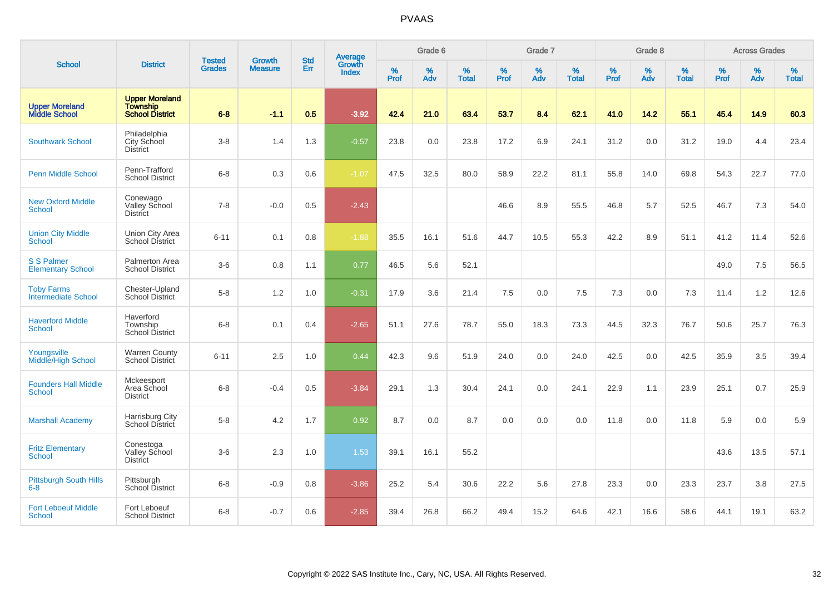|                                                 |                                                                    |                                |                                 | <b>Std</b> | <b>Average</b><br>Growth |           | Grade 6  |                   |           | Grade 7  |                   |           | Grade 8  |                   |           | <b>Across Grades</b> |                   |
|-------------------------------------------------|--------------------------------------------------------------------|--------------------------------|---------------------------------|------------|--------------------------|-----------|----------|-------------------|-----------|----------|-------------------|-----------|----------|-------------------|-----------|----------------------|-------------------|
| <b>School</b>                                   | <b>District</b>                                                    | <b>Tested</b><br><b>Grades</b> | <b>Growth</b><br><b>Measure</b> | Err        | <b>Index</b>             | %<br>Prof | %<br>Adv | %<br><b>Total</b> | %<br>Prof | %<br>Adv | %<br><b>Total</b> | %<br>Prof | %<br>Adv | %<br><b>Total</b> | %<br>Prof | %<br>Adv             | %<br><b>Total</b> |
| <b>Upper Moreland<br/>Middle School</b>         | <b>Upper Moreland</b><br><b>Township</b><br><b>School District</b> | $6 - 8$                        | $-1.1$                          | 0.5        | $-3.92$                  | 42.4      | 21.0     | 63.4              | 53.7      | 8.4      | 62.1              | 41.0      | 14.2     | 55.1              | 45.4      | 14.9                 | 60.3              |
| <b>Southwark School</b>                         | Philadelphia<br>City School<br><b>District</b>                     | $3 - 8$                        | 1.4                             | 1.3        | $-0.57$                  | 23.8      | 0.0      | 23.8              | 17.2      | 6.9      | 24.1              | 31.2      | 0.0      | 31.2              | 19.0      | 4.4                  | 23.4              |
| <b>Penn Middle School</b>                       | Penn-Trafford<br><b>School District</b>                            | $6 - 8$                        | 0.3                             | 0.6        | $-1.07$                  | 47.5      | 32.5     | 80.0              | 58.9      | 22.2     | 81.1              | 55.8      | 14.0     | 69.8              | 54.3      | 22.7                 | 77.0              |
| <b>New Oxford Middle</b><br><b>School</b>       | Conewago<br>Valley School<br><b>District</b>                       | $7 - 8$                        | $-0.0$                          | 0.5        | $-2.43$                  |           |          |                   | 46.6      | 8.9      | 55.5              | 46.8      | 5.7      | 52.5              | 46.7      | 7.3                  | 54.0              |
| <b>Union City Middle</b><br><b>School</b>       | Union City Area<br><b>School District</b>                          | $6 - 11$                       | 0.1                             | 0.8        | $-1.88$                  | 35.5      | 16.1     | 51.6              | 44.7      | 10.5     | 55.3              | 42.2      | 8.9      | 51.1              | 41.2      | 11.4                 | 52.6              |
| <b>S S Palmer</b><br><b>Elementary School</b>   | Palmerton Area<br><b>School District</b>                           | $3-6$                          | 0.8                             | 1.1        | 0.77                     | 46.5      | 5.6      | 52.1              |           |          |                   |           |          |                   | 49.0      | 7.5                  | 56.5              |
| <b>Toby Farms</b><br><b>Intermediate School</b> | Chester-Upland<br><b>School District</b>                           | $5-8$                          | 1.2                             | 1.0        | $-0.31$                  | 17.9      | 3.6      | 21.4              | 7.5       | 0.0      | 7.5               | 7.3       | 0.0      | 7.3               | 11.4      | 1.2                  | 12.6              |
| <b>Haverford Middle</b><br><b>School</b>        | Haverford<br>Township<br><b>School District</b>                    | $6 - 8$                        | 0.1                             | 0.4        | $-2.65$                  | 51.1      | 27.6     | 78.7              | 55.0      | 18.3     | 73.3              | 44.5      | 32.3     | 76.7              | 50.6      | 25.7                 | 76.3              |
| Youngsville<br>Middle/High School               | <b>Warren County</b><br>School District                            | $6 - 11$                       | 2.5                             | 1.0        | 0.44                     | 42.3      | 9.6      | 51.9              | 24.0      | 0.0      | 24.0              | 42.5      | 0.0      | 42.5              | 35.9      | 3.5                  | 39.4              |
| <b>Founders Hall Middle</b><br><b>School</b>    | Mckeesport<br>Area School<br><b>District</b>                       | $6 - 8$                        | $-0.4$                          | 0.5        | $-3.84$                  | 29.1      | 1.3      | 30.4              | 24.1      | 0.0      | 24.1              | 22.9      | 1.1      | 23.9              | 25.1      | 0.7                  | 25.9              |
| <b>Marshall Academy</b>                         | Harrisburg City<br>School District                                 | $5-8$                          | 4.2                             | 1.7        | 0.92                     | 8.7       | 0.0      | 8.7               | 0.0       | 0.0      | 0.0               | 11.8      | 0.0      | 11.8              | 5.9       | 0.0                  | 5.9               |
| <b>Fritz Elementary</b><br><b>School</b>        | Conestoga<br>Valley School<br><b>District</b>                      | $3-6$                          | 2.3                             | 1.0        | 1.53                     | 39.1      | 16.1     | 55.2              |           |          |                   |           |          |                   | 43.6      | 13.5                 | 57.1              |
| <b>Pittsburgh South Hills</b><br>$6 - 8$        | Pittsburgh<br>School District                                      | $6 - 8$                        | $-0.9$                          | 0.8        | $-3.86$                  | 25.2      | 5.4      | 30.6              | 22.2      | 5.6      | 27.8              | 23.3      | 0.0      | 23.3              | 23.7      | 3.8                  | 27.5              |
| <b>Fort Leboeuf Middle</b><br>School            | Fort Leboeuf<br><b>School District</b>                             | $6 - 8$                        | $-0.7$                          | 0.6        | $-2.85$                  | 39.4      | 26.8     | 66.2              | 49.4      | 15.2     | 64.6              | 42.1      | 16.6     | 58.6              | 44.1      | 19.1                 | 63.2              |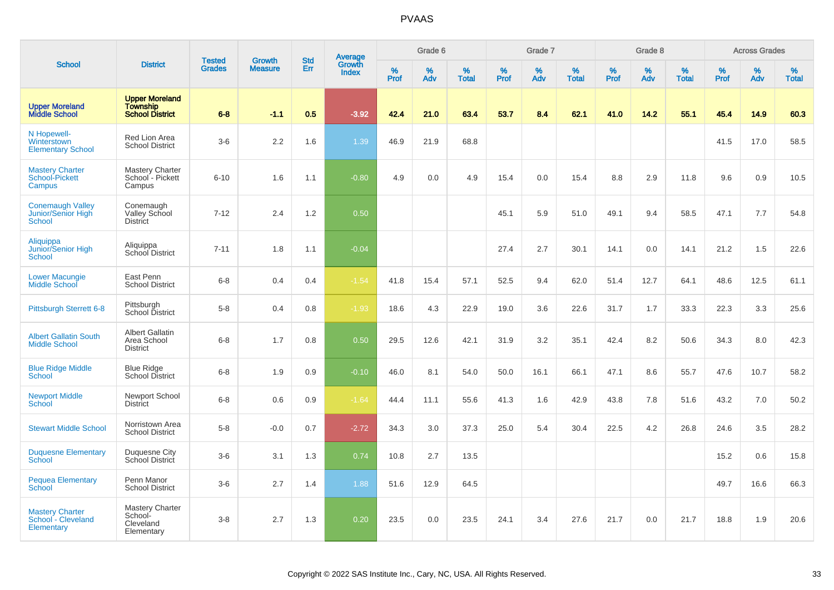|                                                                |                                                                    | <b>Tested</b> | <b>Growth</b>  | <b>Std</b> |                                          |                  | Grade 6     |                   |           | Grade 7     |                   |           | Grade 8  |                   |              | <b>Across Grades</b> |                   |
|----------------------------------------------------------------|--------------------------------------------------------------------|---------------|----------------|------------|------------------------------------------|------------------|-------------|-------------------|-----------|-------------|-------------------|-----------|----------|-------------------|--------------|----------------------|-------------------|
| <b>School</b>                                                  | <b>District</b>                                                    | <b>Grades</b> | <b>Measure</b> | Err        | <b>Average</b><br>Growth<br><b>Index</b> | %<br><b>Prof</b> | $\%$<br>Adv | %<br><b>Total</b> | %<br>Prof | $\%$<br>Adv | %<br><b>Total</b> | %<br>Prof | %<br>Adv | %<br><b>Total</b> | $\%$<br>Prof | %<br>Adv             | %<br><b>Total</b> |
| <b>Upper Moreland</b><br><b>Middle School</b>                  | <b>Upper Moreland</b><br><b>Township</b><br><b>School District</b> | $6 - 8$       | $-1.1$         | 0.5        | $-3.92$                                  | 42.4             | 21.0        | 63.4              | 53.7      | 8.4         | 62.1              | 41.0      | 14.2     | 55.1              | 45.4         | 14.9                 | 60.3              |
| N Hopewell-<br>Winterstown<br><b>Elementary School</b>         | Red Lion Area<br><b>School District</b>                            | $3-6$         | 2.2            | 1.6        | 1.39                                     | 46.9             | 21.9        | 68.8              |           |             |                   |           |          |                   | 41.5         | 17.0                 | 58.5              |
| <b>Mastery Charter</b><br>School-Pickett<br>Campus             | <b>Mastery Charter</b><br>School - Pickett<br>Campus               | $6 - 10$      | 1.6            | 1.1        | $-0.80$                                  | 4.9              | 0.0         | 4.9               | 15.4      | 0.0         | 15.4              | 8.8       | 2.9      | 11.8              | 9.6          | 0.9                  | 10.5              |
| <b>Conemaugh Valley</b><br>Junior/Senior High<br><b>School</b> | Conemaugh<br>Valley School<br><b>District</b>                      | $7 - 12$      | 2.4            | 1.2        | 0.50                                     |                  |             |                   | 45.1      | 5.9         | 51.0              | 49.1      | 9.4      | 58.5              | 47.1         | 7.7                  | 54.8              |
| Aliquippa<br>Junior/Senior High<br><b>School</b>               | Aliquippa<br>School District                                       | $7 - 11$      | 1.8            | 1.1        | $-0.04$                                  |                  |             |                   | 27.4      | 2.7         | 30.1              | 14.1      | 0.0      | 14.1              | 21.2         | 1.5                  | 22.6              |
| <b>Lower Macungie</b><br>Middle School                         | East Penn<br><b>School District</b>                                | $6-8$         | 0.4            | 0.4        | $-1.54$                                  | 41.8             | 15.4        | 57.1              | 52.5      | 9.4         | 62.0              | 51.4      | 12.7     | 64.1              | 48.6         | 12.5                 | 61.1              |
| Pittsburgh Sterrett 6-8                                        | Pittsburgh<br>School District                                      | $5-8$         | 0.4            | 0.8        | $-1.93$                                  | 18.6             | 4.3         | 22.9              | 19.0      | 3.6         | 22.6              | 31.7      | 1.7      | 33.3              | 22.3         | 3.3                  | 25.6              |
| <b>Albert Gallatin South</b><br><b>Middle School</b>           | <b>Albert Gallatin</b><br>Area School<br><b>District</b>           | $6-8$         | 1.7            | 0.8        | 0.50                                     | 29.5             | 12.6        | 42.1              | 31.9      | 3.2         | 35.1              | 42.4      | 8.2      | 50.6              | 34.3         | 8.0                  | 42.3              |
| <b>Blue Ridge Middle</b><br><b>School</b>                      | <b>Blue Ridge</b><br>School District                               | $6 - 8$       | 1.9            | 0.9        | $-0.10$                                  | 46.0             | 8.1         | 54.0              | 50.0      | 16.1        | 66.1              | 47.1      | 8.6      | 55.7              | 47.6         | 10.7                 | 58.2              |
| <b>Newport Middle</b><br>School                                | Newport School<br>District                                         | $6 - 8$       | 0.6            | 0.9        | $-1.64$                                  | 44.4             | 11.1        | 55.6              | 41.3      | 1.6         | 42.9              | 43.8      | 7.8      | 51.6              | 43.2         | 7.0                  | 50.2              |
| <b>Stewart Middle School</b>                                   | Norristown Area<br><b>School District</b>                          | $5-8$         | $-0.0$         | 0.7        | $-2.72$                                  | 34.3             | 3.0         | 37.3              | 25.0      | 5.4         | 30.4              | 22.5      | 4.2      | 26.8              | 24.6         | 3.5                  | 28.2              |
| <b>Duquesne Elementary</b><br>School                           | Duquesne City<br><b>School District</b>                            | $3-6$         | 3.1            | 1.3        | 0.74                                     | 10.8             | 2.7         | 13.5              |           |             |                   |           |          |                   | 15.2         | 0.6                  | 15.8              |
| <b>Pequea Elementary</b><br>School                             | Penn Manor<br><b>School District</b>                               | $3-6$         | 2.7            | 1.4        | 1.88                                     | 51.6             | 12.9        | 64.5              |           |             |                   |           |          |                   | 49.7         | 16.6                 | 66.3              |
| <b>Mastery Charter</b><br>School - Cleveland<br>Elementary     | Mastery Charter<br>School-<br>Cleveland<br>Elementary              | $3-8$         | 2.7            | 1.3        | 0.20                                     | 23.5             | 0.0         | 23.5              | 24.1      | 3.4         | 27.6              | 21.7      | 0.0      | 21.7              | 18.8         | 1.9                  | 20.6              |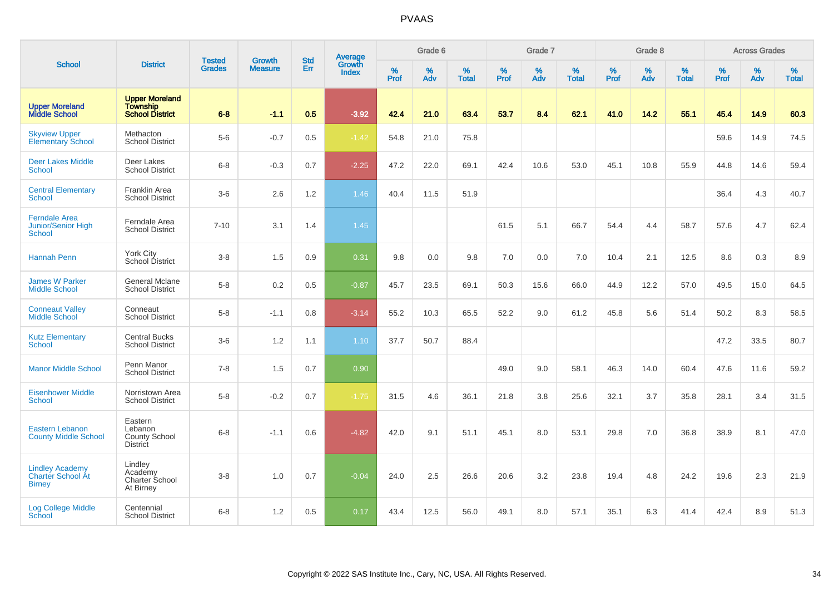|                                                                     |                                                                    |                                | <b>Growth</b>  | <b>Std</b> | <b>Average</b><br>Growth |                  | Grade 6  |                   |           | Grade 7  |                   |           | Grade 8  |                   |           | <b>Across Grades</b> |                   |
|---------------------------------------------------------------------|--------------------------------------------------------------------|--------------------------------|----------------|------------|--------------------------|------------------|----------|-------------------|-----------|----------|-------------------|-----------|----------|-------------------|-----------|----------------------|-------------------|
| <b>School</b>                                                       | <b>District</b>                                                    | <b>Tested</b><br><b>Grades</b> | <b>Measure</b> | Err        | <b>Index</b>             | %<br><b>Prof</b> | %<br>Adv | %<br><b>Total</b> | %<br>Prof | %<br>Adv | %<br><b>Total</b> | %<br>Prof | %<br>Adv | %<br><b>Total</b> | %<br>Prof | %<br>Adv             | %<br><b>Total</b> |
| <b>Upper Moreland<br/>Middle School</b>                             | <b>Upper Moreland</b><br><b>Township</b><br><b>School District</b> | $6 - 8$                        | $-1.1$         | 0.5        | $-3.92$                  | 42.4             | 21.0     | 63.4              | 53.7      | 8.4      | 62.1              | 41.0      | 14.2     | 55.1              | 45.4      | 14.9                 | 60.3              |
| <b>Skyview Upper</b><br><b>Elementary School</b>                    | Methacton<br><b>School District</b>                                | $5-6$                          | $-0.7$         | 0.5        | $-1.42$                  | 54.8             | 21.0     | 75.8              |           |          |                   |           |          |                   | 59.6      | 14.9                 | 74.5              |
| <b>Deer Lakes Middle</b><br><b>School</b>                           | Deer Lakes<br><b>School District</b>                               | $6-8$                          | $-0.3$         | 0.7        | $-2.25$                  | 47.2             | 22.0     | 69.1              | 42.4      | 10.6     | 53.0              | 45.1      | 10.8     | 55.9              | 44.8      | 14.6                 | 59.4              |
| <b>Central Elementary</b><br><b>School</b>                          | Franklin Area<br><b>School District</b>                            | $3-6$                          | 2.6            | 1.2        | 1.46                     | 40.4             | 11.5     | 51.9              |           |          |                   |           |          |                   | 36.4      | 4.3                  | 40.7              |
| <b>Ferndale Area</b><br>Junior/Senior High<br><b>School</b>         | Ferndale Area<br><b>School District</b>                            | $7 - 10$                       | 3.1            | 1.4        | 1.45                     |                  |          |                   | 61.5      | 5.1      | 66.7              | 54.4      | 4.4      | 58.7              | 57.6      | 4.7                  | 62.4              |
| <b>Hannah Penn</b>                                                  | York City<br>School District                                       | $3-8$                          | 1.5            | 0.9        | 0.31                     | 9.8              | 0.0      | 9.8               | 7.0       | 0.0      | 7.0               | 10.4      | 2.1      | 12.5              | 8.6       | 0.3                  | 8.9               |
| <b>James W Parker</b><br><b>Middle School</b>                       | General Mclane<br><b>School District</b>                           | $5-8$                          | 0.2            | 0.5        | $-0.87$                  | 45.7             | 23.5     | 69.1              | 50.3      | 15.6     | 66.0              | 44.9      | 12.2     | 57.0              | 49.5      | 15.0                 | 64.5              |
| <b>Conneaut Valley</b><br><b>Middle School</b>                      | Conneaut<br><b>School District</b>                                 | $5-8$                          | $-1.1$         | 0.8        | $-3.14$                  | 55.2             | 10.3     | 65.5              | 52.2      | 9.0      | 61.2              | 45.8      | 5.6      | 51.4              | 50.2      | 8.3                  | 58.5              |
| <b>Kutz Elementary</b><br>School                                    | <b>Central Bucks</b><br><b>School District</b>                     | $3-6$                          | 1.2            | 1.1        | 1.10                     | 37.7             | 50.7     | 88.4              |           |          |                   |           |          |                   | 47.2      | 33.5                 | 80.7              |
| <b>Manor Middle School</b>                                          | Penn Manor<br><b>School District</b>                               | $7 - 8$                        | 1.5            | 0.7        | 0.90                     |                  |          |                   | 49.0      | 9.0      | 58.1              | 46.3      | 14.0     | 60.4              | 47.6      | 11.6                 | 59.2              |
| <b>Eisenhower Middle</b><br><b>School</b>                           | Norristown Area<br><b>School District</b>                          | $5-8$                          | $-0.2$         | 0.7        | $-1.75$                  | 31.5             | 4.6      | 36.1              | 21.8      | 3.8      | 25.6              | 32.1      | 3.7      | 35.8              | 28.1      | 3.4                  | 31.5              |
| <b>Eastern Lebanon</b><br><b>County Middle School</b>               | Eastern<br>Lebanon<br><b>County School</b><br><b>District</b>      | $6 - 8$                        | $-1.1$         | 0.6        | $-4.82$                  | 42.0             | 9.1      | 51.1              | 45.1      | 8.0      | 53.1              | 29.8      | 7.0      | 36.8              | 38.9      | 8.1                  | 47.0              |
| <b>Lindley Academy</b><br><b>Charter School At</b><br><b>Birney</b> | Lindley<br>Academy<br>Charter School<br>At Birney                  | $3 - 8$                        | 1.0            | 0.7        | $-0.04$                  | 24.0             | 2.5      | 26.6              | 20.6      | 3.2      | 23.8              | 19.4      | 4.8      | 24.2              | 19.6      | 2.3                  | 21.9              |
| Log College Middle<br>School                                        | Centennial<br><b>School District</b>                               | $6 - 8$                        | 1.2            | 0.5        | 0.17                     | 43.4             | 12.5     | 56.0              | 49.1      | 8.0      | 57.1              | 35.1      | 6.3      | 41.4              | 42.4      | 8.9                  | 51.3              |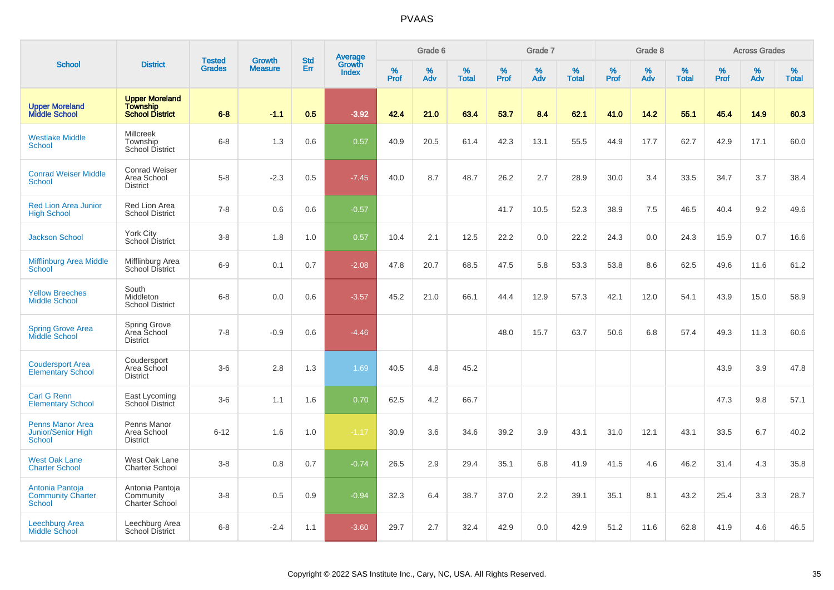|                                                         |                                                                    | <b>Tested</b> | <b>Growth</b>  | <b>Std</b> |                                          |                  | Grade 6  |                   |           | Grade 7  |                   |           | Grade 8  |                   |           | <b>Across Grades</b> |                   |
|---------------------------------------------------------|--------------------------------------------------------------------|---------------|----------------|------------|------------------------------------------|------------------|----------|-------------------|-----------|----------|-------------------|-----------|----------|-------------------|-----------|----------------------|-------------------|
| <b>School</b>                                           | <b>District</b>                                                    | <b>Grades</b> | <b>Measure</b> | <b>Err</b> | <b>Average</b><br>Growth<br><b>Index</b> | %<br><b>Prof</b> | %<br>Adv | %<br><b>Total</b> | %<br>Prof | %<br>Adv | %<br><b>Total</b> | %<br>Prof | %<br>Adv | %<br><b>Total</b> | %<br>Prof | %<br>Adv             | %<br><b>Total</b> |
| <b>Upper Moreland</b><br><b>Middle School</b>           | <b>Upper Moreland</b><br><b>Township</b><br><b>School District</b> | $6 - 8$       | $-1.1$         | 0.5        | $-3.92$                                  | 42.4             | 21.0     | 63.4              | 53.7      | 8.4      | 62.1              | 41.0      | 14.2     | 55.1              | 45.4      | 14.9                 | 60.3              |
| <b>Westlake Middle</b><br>School                        | <b>Millcreek</b><br>Township<br>School District                    | $6 - 8$       | 1.3            | 0.6        | 0.57                                     | 40.9             | 20.5     | 61.4              | 42.3      | 13.1     | 55.5              | 44.9      | 17.7     | 62.7              | 42.9      | 17.1                 | 60.0              |
| <b>Conrad Weiser Middle</b><br><b>School</b>            | <b>Conrad Weiser</b><br>Area School<br><b>District</b>             | $5-8$         | $-2.3$         | 0.5        | $-7.45$                                  | 40.0             | 8.7      | 48.7              | 26.2      | 2.7      | 28.9              | 30.0      | 3.4      | 33.5              | 34.7      | 3.7                  | 38.4              |
| <b>Red Lion Area Junior</b><br><b>High School</b>       | Red Lion Area<br><b>School District</b>                            | $7 - 8$       | 0.6            | 0.6        | $-0.57$                                  |                  |          |                   | 41.7      | 10.5     | 52.3              | 38.9      | 7.5      | 46.5              | 40.4      | 9.2                  | 49.6              |
| <b>Jackson School</b>                                   | York City<br>School District                                       | $3 - 8$       | 1.8            | 1.0        | 0.57                                     | 10.4             | 2.1      | 12.5              | 22.2      | 0.0      | 22.2              | 24.3      | 0.0      | 24.3              | 15.9      | 0.7                  | 16.6              |
| <b>Mifflinburg Area Middle</b><br>School                | Mifflinburg Area<br><b>School District</b>                         | $6-9$         | 0.1            | 0.7        | $-2.08$                                  | 47.8             | 20.7     | 68.5              | 47.5      | 5.8      | 53.3              | 53.8      | 8.6      | 62.5              | 49.6      | 11.6                 | 61.2              |
| <b>Yellow Breeches</b><br><b>Middle School</b>          | South<br>Middleton<br><b>School District</b>                       | $6 - 8$       | 0.0            | 0.6        | $-3.57$                                  | 45.2             | 21.0     | 66.1              | 44.4      | 12.9     | 57.3              | 42.1      | 12.0     | 54.1              | 43.9      | 15.0                 | 58.9              |
| <b>Spring Grove Area</b><br>Middle School               | Spring Grove<br>Area School<br><b>District</b>                     | $7 - 8$       | $-0.9$         | 0.6        | $-4.46$                                  |                  |          |                   | 48.0      | 15.7     | 63.7              | 50.6      | 6.8      | 57.4              | 49.3      | 11.3                 | 60.6              |
| <b>Coudersport Area</b><br><b>Elementary School</b>     | Coudersport<br>Area School<br><b>District</b>                      | $3-6$         | 2.8            | 1.3        | 1.69                                     | 40.5             | 4.8      | 45.2              |           |          |                   |           |          |                   | 43.9      | 3.9                  | 47.8              |
| <b>Carl G Renn</b><br><b>Elementary School</b>          | East Lycoming<br>School District                                   | $3-6$         | 1.1            | 1.6        | 0.70                                     | 62.5             | 4.2      | 66.7              |           |          |                   |           |          |                   | 47.3      | 9.8                  | 57.1              |
| <b>Penns Manor Area</b><br>Junior/Senior High<br>School | Penns Manor<br>Area School<br><b>District</b>                      | $6 - 12$      | 1.6            | 1.0        | $-1.17$                                  | 30.9             | 3.6      | 34.6              | 39.2      | 3.9      | 43.1              | 31.0      | 12.1     | 43.1              | 33.5      | 6.7                  | 40.2              |
| <b>West Oak Lane</b><br><b>Charter School</b>           | West Oak Lane<br><b>Charter School</b>                             | $3 - 8$       | 0.8            | 0.7        | $-0.74$                                  | 26.5             | 2.9      | 29.4              | 35.1      | 6.8      | 41.9              | 41.5      | 4.6      | 46.2              | 31.4      | 4.3                  | 35.8              |
| Antonia Pantoja<br><b>Community Charter</b><br>School   | Antonia Pantoja<br>Community<br>Charter School                     | $3-8$         | 0.5            | 0.9        | $-0.94$                                  | 32.3             | 6.4      | 38.7              | 37.0      | 2.2      | 39.1              | 35.1      | 8.1      | 43.2              | 25.4      | 3.3                  | 28.7              |
| Leechburg Area<br><b>Middle School</b>                  | Leechburg Area<br><b>School District</b>                           | $6 - 8$       | $-2.4$         | 1.1        | $-3.60$                                  | 29.7             | 2.7      | 32.4              | 42.9      | 0.0      | 42.9              | 51.2      | 11.6     | 62.8              | 41.9      | 4.6                  | 46.5              |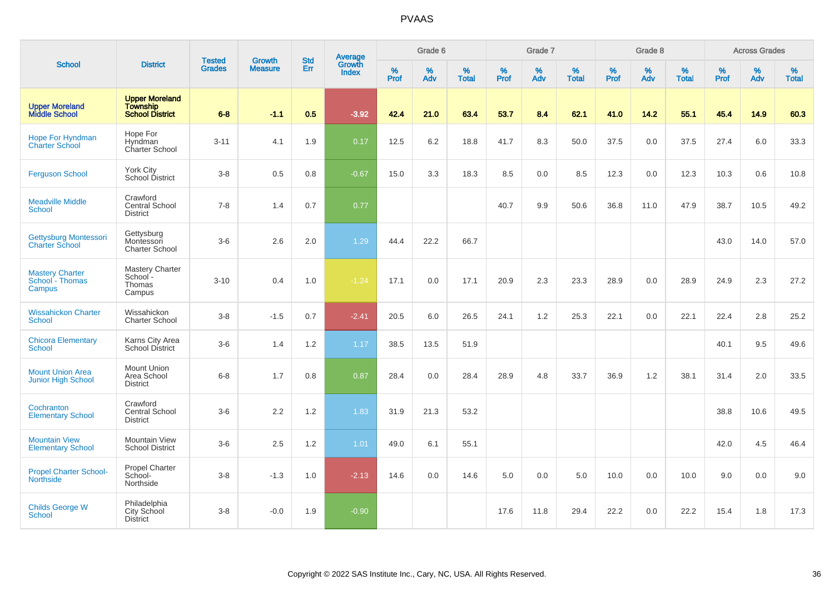| <b>School</b>                                         | <b>District</b>                                                    | <b>Tested</b><br><b>Grades</b> | <b>Growth</b><br><b>Measure</b> | <b>Std</b><br>Err | <b>Average</b><br>Growth<br><b>Index</b> | Grade 6   |          |                   | Grade 7   |          |                   | Grade 8   |          |                   | <b>Across Grades</b> |          |                   |
|-------------------------------------------------------|--------------------------------------------------------------------|--------------------------------|---------------------------------|-------------------|------------------------------------------|-----------|----------|-------------------|-----------|----------|-------------------|-----------|----------|-------------------|----------------------|----------|-------------------|
|                                                       |                                                                    |                                |                                 |                   |                                          | %<br>Prof | %<br>Adv | %<br><b>Total</b> | %<br>Prof | %<br>Adv | %<br><b>Total</b> | %<br>Prof | %<br>Adv | %<br><b>Total</b> | %<br>Prof            | %<br>Adv | %<br><b>Total</b> |
| <b>Upper Moreland</b><br><b>Middle School</b>         | <b>Upper Moreland</b><br><b>Township</b><br><b>School District</b> | $6 - 8$                        | $-1.1$                          | 0.5               | $-3.92$                                  | 42.4      | 21.0     | 63.4              | 53.7      | 8.4      | 62.1              | 41.0      | 14.2     | 55.1              | 45.4                 | 14.9     | 60.3              |
| <b>Hope For Hyndman</b><br><b>Charter School</b>      | Hope For<br>Hyndman<br>Charter School                              | $3 - 11$                       | 4.1                             | 1.9               | 0.17                                     | 12.5      | 6.2      | 18.8              | 41.7      | 8.3      | 50.0              | 37.5      | 0.0      | 37.5              | 27.4                 | 6.0      | 33.3              |
| <b>Ferguson School</b>                                | York City<br>School District                                       | $3 - 8$                        | 0.5                             | 0.8               | $-0.67$                                  | 15.0      | 3.3      | 18.3              | 8.5       | 0.0      | 8.5               | 12.3      | 0.0      | 12.3              | 10.3                 | 0.6      | 10.8              |
| <b>Meadville Middle</b><br><b>School</b>              | Crawford<br>Central School<br><b>District</b>                      | $7 - 8$                        | 1.4                             | 0.7               | 0.77                                     |           |          |                   | 40.7      | 9.9      | 50.6              | 36.8      | 11.0     | 47.9              | 38.7                 | 10.5     | 49.2              |
| <b>Gettysburg Montessori</b><br><b>Charter School</b> | Gettysburg<br>Montessori<br><b>Charter School</b>                  | $3-6$                          | 2.6                             | 2.0               | 1.29                                     | 44.4      | 22.2     | 66.7              |           |          |                   |           |          |                   | 43.0                 | 14.0     | 57.0              |
| <b>Mastery Charter</b><br>School - Thomas<br>Campus   | <b>Mastery Charter</b><br>School -<br>Thomas<br>Campus             | $3 - 10$                       | 0.4                             | 1.0               | $-1.24$                                  | 17.1      | 0.0      | 17.1              | 20.9      | 2.3      | 23.3              | 28.9      | 0.0      | 28.9              | 24.9                 | 2.3      | 27.2              |
| <b>Wissahickon Charter</b><br><b>School</b>           | Wissahickon<br><b>Charter School</b>                               | $3-8$                          | $-1.5$                          | 0.7               | $-2.41$                                  | 20.5      | 6.0      | 26.5              | 24.1      | 1.2      | 25.3              | 22.1      | 0.0      | 22.1              | 22.4                 | 2.8      | 25.2              |
| <b>Chicora Elementary</b><br>School                   | Karns City Area<br><b>School District</b>                          | $3-6$                          | 1.4                             | 1.2               | 1.17                                     | 38.5      | 13.5     | 51.9              |           |          |                   |           |          |                   | 40.1                 | 9.5      | 49.6              |
| <b>Mount Union Area</b><br><b>Junior High School</b>  | <b>Mount Union</b><br>Area School<br><b>District</b>               | $6 - 8$                        | 1.7                             | 0.8               | 0.87                                     | 28.4      | 0.0      | 28.4              | 28.9      | 4.8      | 33.7              | 36.9      | 1.2      | 38.1              | 31.4                 | 2.0      | 33.5              |
| Cochranton<br><b>Elementary School</b>                | Crawford<br><b>Central School</b><br><b>District</b>               | $3-6$                          | 2.2                             | 1.2               | 1.83                                     | 31.9      | 21.3     | 53.2              |           |          |                   |           |          |                   | 38.8                 | 10.6     | 49.5              |
| <b>Mountain View</b><br><b>Elementary School</b>      | Mountain View<br><b>School District</b>                            | $3-6$                          | 2.5                             | 1.2               | 1.01                                     | 49.0      | 6.1      | 55.1              |           |          |                   |           |          |                   | 42.0                 | 4.5      | 46.4              |
| <b>Propel Charter School-</b><br><b>Northside</b>     | <b>Propel Charter</b><br>School-<br>Northside                      | $3 - 8$                        | $-1.3$                          | 1.0               | $-2.13$                                  | 14.6      | 0.0      | 14.6              | 5.0       | 0.0      | 5.0               | 10.0      | 0.0      | 10.0              | 9.0                  | 0.0      | 9.0               |
| <b>Childs George W</b><br>School                      | Philadelphia<br>City School<br><b>District</b>                     | $3 - 8$                        | $-0.0$                          | 1.9               | $-0.90$                                  |           |          |                   | 17.6      | 11.8     | 29.4              | 22.2      | 0.0      | 22.2              | 15.4                 | 1.8      | 17.3              |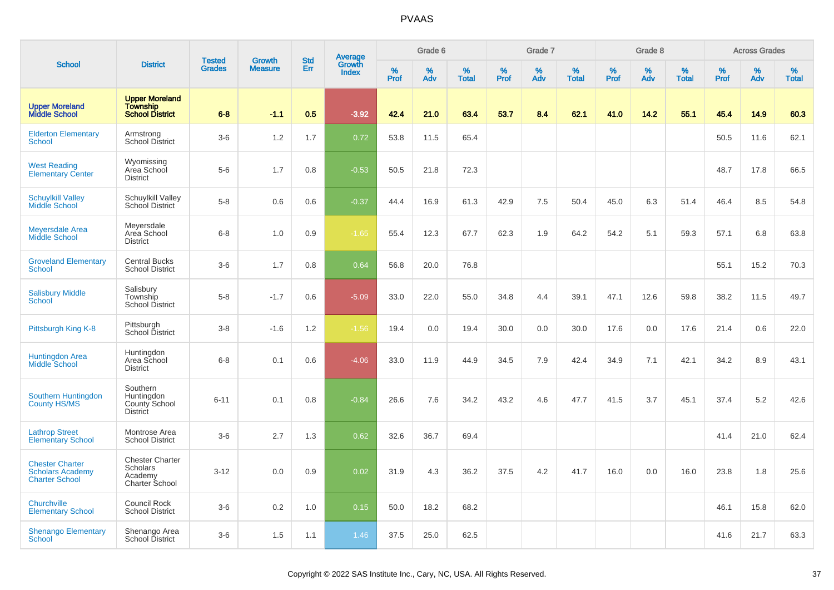|                                                                            |                                                                        | <b>Tested</b> | <b>Growth</b>  | <b>Std</b> |                                   |           | Grade 6  |                   |           | Grade 7  |                   |           | Grade 8  |                   |           | <b>Across Grades</b> |                   |
|----------------------------------------------------------------------------|------------------------------------------------------------------------|---------------|----------------|------------|-----------------------------------|-----------|----------|-------------------|-----------|----------|-------------------|-----------|----------|-------------------|-----------|----------------------|-------------------|
| <b>School</b>                                                              | <b>District</b>                                                        | <b>Grades</b> | <b>Measure</b> | Err        | <b>Average</b><br>Growth<br>Index | %<br>Prof | %<br>Adv | %<br><b>Total</b> | %<br>Prof | %<br>Adv | %<br><b>Total</b> | %<br>Prof | %<br>Adv | %<br><b>Total</b> | %<br>Prof | %<br>Adv             | %<br><b>Total</b> |
| <b>Upper Moreland</b><br><b>Middle School</b>                              | <b>Upper Moreland</b><br><b>Township</b><br><b>School District</b>     | $6 - 8$       | $-1.1$         | 0.5        | $-3.92$                           | 42.4      | 21.0     | 63.4              | 53.7      | 8.4      | 62.1              | 41.0      | 14.2     | 55.1              | 45.4      | 14.9                 | 60.3              |
| <b>Elderton Elementary</b><br><b>School</b>                                | Armstrong<br><b>School District</b>                                    | $3-6$         | 1.2            | 1.7        | 0.72                              | 53.8      | 11.5     | 65.4              |           |          |                   |           |          |                   | 50.5      | 11.6                 | 62.1              |
| <b>West Reading</b><br><b>Elementary Center</b>                            | Wyomissing<br>Area School<br><b>District</b>                           | $5-6$         | 1.7            | 0.8        | $-0.53$                           | 50.5      | 21.8     | 72.3              |           |          |                   |           |          |                   | 48.7      | 17.8                 | 66.5              |
| <b>Schuylkill Valley</b><br>Middle School                                  | Schuylkill Valley<br>School District                                   | $5-8$         | 0.6            | 0.6        | $-0.37$                           | 44.4      | 16.9     | 61.3              | 42.9      | 7.5      | 50.4              | 45.0      | 6.3      | 51.4              | 46.4      | 8.5                  | 54.8              |
| <b>Meyersdale Area</b><br>Middle School                                    | Meyersdale<br>Area School<br><b>District</b>                           | $6-8$         | 1.0            | 0.9        | $-1.65$                           | 55.4      | 12.3     | 67.7              | 62.3      | 1.9      | 64.2              | 54.2      | 5.1      | 59.3              | 57.1      | 6.8                  | 63.8              |
| <b>Groveland Elementary</b><br><b>School</b>                               | <b>Central Bucks</b><br><b>School District</b>                         | $3-6$         | 1.7            | 0.8        | 0.64                              | 56.8      | 20.0     | 76.8              |           |          |                   |           |          |                   | 55.1      | 15.2                 | 70.3              |
| <b>Salisbury Middle</b><br><b>School</b>                                   | Salisbury<br>Township<br>School District                               | $5-8$         | $-1.7$         | 0.6        | $-5.09$                           | 33.0      | 22.0     | 55.0              | 34.8      | 4.4      | 39.1              | 47.1      | 12.6     | 59.8              | 38.2      | 11.5                 | 49.7              |
| Pittsburgh King K-8                                                        | Pittsburgh<br>School District                                          | $3-8$         | $-1.6$         | 1.2        | $-1.56$                           | 19.4      | 0.0      | 19.4              | 30.0      | 0.0      | 30.0              | 17.6      | 0.0      | 17.6              | 21.4      | 0.6                  | 22.0              |
| <b>Huntingdon Area</b><br>Middle School                                    | Huntingdon<br>Area School<br><b>District</b>                           | $6 - 8$       | 0.1            | 0.6        | $-4.06$                           | 33.0      | 11.9     | 44.9              | 34.5      | 7.9      | 42.4              | 34.9      | 7.1      | 42.1              | 34.2      | 8.9                  | 43.1              |
| Southern Huntingdon<br><b>County HS/MS</b>                                 | Southern<br>Huntingdon<br>County School<br><b>District</b>             | $6 - 11$      | 0.1            | 0.8        | $-0.84$                           | 26.6      | 7.6      | 34.2              | 43.2      | 4.6      | 47.7              | 41.5      | 3.7      | 45.1              | 37.4      | 5.2                  | 42.6              |
| <b>Lathrop Street</b><br><b>Elementary School</b>                          | Montrose Area<br><b>School District</b>                                | $3-6$         | 2.7            | 1.3        | 0.62                              | 32.6      | 36.7     | 69.4              |           |          |                   |           |          |                   | 41.4      | 21.0                 | 62.4              |
| <b>Chester Charter</b><br><b>Scholars Academy</b><br><b>Charter School</b> | <b>Chester Charter</b><br><b>Scholars</b><br>Academy<br>Charter School | $3 - 12$      | 0.0            | 0.9        | 0.02                              | 31.9      | 4.3      | 36.2              | 37.5      | 4.2      | 41.7              | 16.0      | 0.0      | 16.0              | 23.8      | 1.8                  | 25.6              |
| Churchville<br><b>Elementary School</b>                                    | Council Rock<br><b>School District</b>                                 | $3-6$         | 0.2            | 1.0        | 0.15                              | 50.0      | 18.2     | 68.2              |           |          |                   |           |          |                   | 46.1      | 15.8                 | 62.0              |
| <b>Shenango Elementary</b><br><b>School</b>                                | Shenango Area<br>School District                                       | $3-6$         | 1.5            | 1.1        | 1.46                              | 37.5      | 25.0     | 62.5              |           |          |                   |           |          |                   | 41.6      | 21.7                 | 63.3              |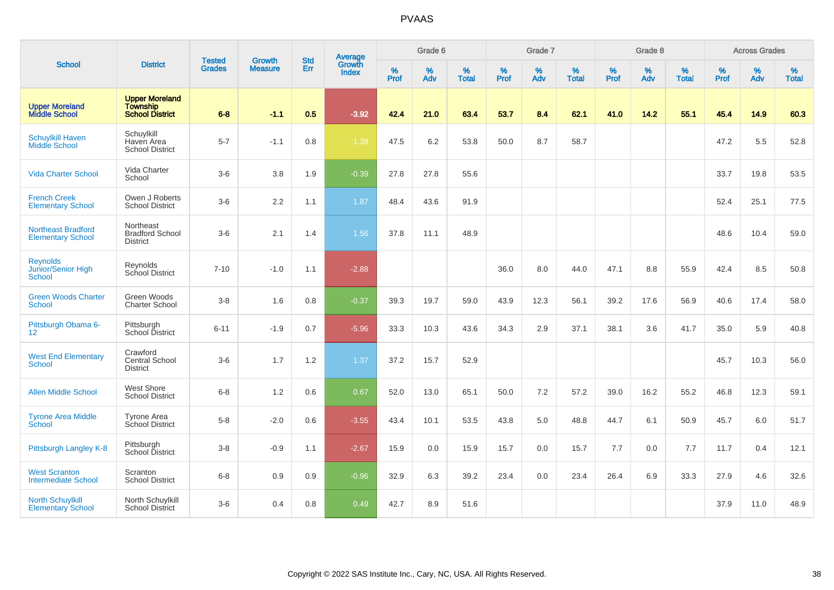|                                                        |                                                                    |                                | <b>Growth</b>  | <b>Std</b> | <b>Average</b><br>Growth |                  | Grade 6  |                   |                  | Grade 7  |                   |           | Grade 8  |                   |                  | <b>Across Grades</b> |                   |
|--------------------------------------------------------|--------------------------------------------------------------------|--------------------------------|----------------|------------|--------------------------|------------------|----------|-------------------|------------------|----------|-------------------|-----------|----------|-------------------|------------------|----------------------|-------------------|
| <b>School</b>                                          | <b>District</b>                                                    | <b>Tested</b><br><b>Grades</b> | <b>Measure</b> | Err        | <b>Index</b>             | %<br><b>Prof</b> | %<br>Adv | %<br><b>Total</b> | %<br><b>Prof</b> | %<br>Adv | %<br><b>Total</b> | %<br>Prof | %<br>Adv | %<br><b>Total</b> | %<br><b>Prof</b> | %<br>Adv             | %<br><b>Total</b> |
| <b>Upper Moreland<br/>Middle School</b>                | <b>Upper Moreland</b><br><b>Township</b><br><b>School District</b> | $6 - 8$                        | $-1.1$         | 0.5        | $-3.92$                  | 42.4             | 21.0     | 63.4              | 53.7             | 8.4      | 62.1              | 41.0      | 14.2     | 55.1              | 45.4             | 14.9                 | 60.3              |
| <b>Schuylkill Haven</b><br>Middle School               | Schuylkill<br>Haven Area<br><b>School District</b>                 | $5 - 7$                        | $-1.1$         | 0.8        | $-1.38$                  | 47.5             | 6.2      | 53.8              | 50.0             | 8.7      | 58.7              |           |          |                   | 47.2             | 5.5                  | 52.8              |
| <b>Vida Charter School</b>                             | Vida Charter<br>School                                             | $3-6$                          | 3.8            | 1.9        | $-0.39$                  | 27.8             | 27.8     | 55.6              |                  |          |                   |           |          |                   | 33.7             | 19.8                 | 53.5              |
| <b>French Creek</b><br><b>Elementary School</b>        | Owen J Roberts<br><b>School District</b>                           | $3-6$                          | 2.2            | 1.1        | 1.87                     | 48.4             | 43.6     | 91.9              |                  |          |                   |           |          |                   | 52.4             | 25.1                 | 77.5              |
| <b>Northeast Bradford</b><br><b>Elementary School</b>  | Northeast<br><b>Bradford School</b><br><b>District</b>             | $3-6$                          | 2.1            | 1.4        | 1.56                     | 37.8             | 11.1     | 48.9              |                  |          |                   |           |          |                   | 48.6             | 10.4                 | 59.0              |
| <b>Reynolds</b><br>Junior/Senior High<br><b>School</b> | Revnolds<br>School District                                        | $7 - 10$                       | $-1.0$         | 1.1        | $-2.88$                  |                  |          |                   | 36.0             | 8.0      | 44.0              | 47.1      | 8.8      | 55.9              | 42.4             | 8.5                  | 50.8              |
| <b>Green Woods Charter</b><br><b>School</b>            | Green Woods<br><b>Charter School</b>                               | $3 - 8$                        | 1.6            | 0.8        | $-0.37$                  | 39.3             | 19.7     | 59.0              | 43.9             | 12.3     | 56.1              | 39.2      | 17.6     | 56.9              | 40.6             | 17.4                 | 58.0              |
| Pittsburgh Obama 6-<br>12                              | Pittsburgh<br>School District                                      | $6 - 11$                       | $-1.9$         | 0.7        | $-5.96$                  | 33.3             | 10.3     | 43.6              | 34.3             | 2.9      | 37.1              | 38.1      | 3.6      | 41.7              | 35.0             | 5.9                  | 40.8              |
| <b>West End Elementary</b><br>School                   | Crawford<br>Central School<br><b>District</b>                      | $3-6$                          | 1.7            | 1.2        | 1.37                     | 37.2             | 15.7     | 52.9              |                  |          |                   |           |          |                   | 45.7             | 10.3                 | 56.0              |
| <b>Allen Middle School</b>                             | West Shore<br><b>School District</b>                               | $6 - 8$                        | 1.2            | 0.6        | 0.67                     | 52.0             | 13.0     | 65.1              | 50.0             | 7.2      | 57.2              | 39.0      | 16.2     | 55.2              | 46.8             | 12.3                 | 59.1              |
| <b>Tyrone Area Middle</b><br>School                    | <b>Tyrone Area</b><br>School District                              | $5-8$                          | $-2.0$         | 0.6        | $-3.55$                  | 43.4             | 10.1     | 53.5              | 43.8             | 5.0      | 48.8              | 44.7      | 6.1      | 50.9              | 45.7             | 6.0                  | 51.7              |
| Pittsburgh Langley K-8                                 | Pittsburgh<br>School District                                      | $3 - 8$                        | $-0.9$         | 1.1        | $-2.67$                  | 15.9             | 0.0      | 15.9              | 15.7             | 0.0      | 15.7              | 7.7       | 0.0      | 7.7               | 11.7             | 0.4                  | 12.1              |
| <b>West Scranton</b><br><b>Intermediate School</b>     | Scranton<br><b>School District</b>                                 | $6 - 8$                        | 0.9            | 0.9        | $-0.96$                  | 32.9             | 6.3      | 39.2              | 23.4             | 0.0      | 23.4              | 26.4      | 6.9      | 33.3              | 27.9             | 4.6                  | 32.6              |
| <b>North Schuylkill</b><br><b>Elementary School</b>    | North Schuylkill<br><b>School District</b>                         | $3-6$                          | 0.4            | 0.8        | 0.49                     | 42.7             | 8.9      | 51.6              |                  |          |                   |           |          |                   | 37.9             | 11.0                 | 48.9              |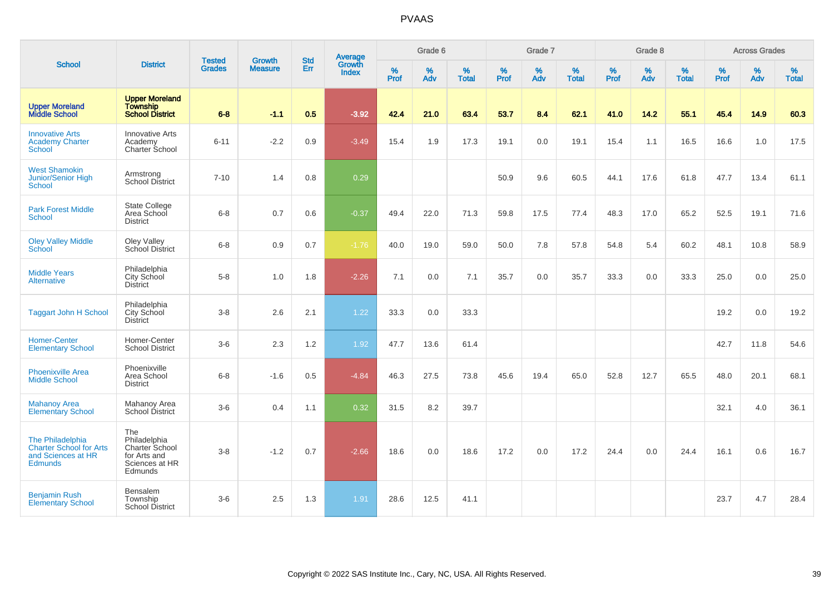| <b>School</b>                                                                              |                                                                                    |                                |                                 | <b>Std</b> |                                          |                  | Grade 6  |                   |           | Grade 7  |                   |                  | Grade 8  |                   |           | <b>Across Grades</b> |                   |
|--------------------------------------------------------------------------------------------|------------------------------------------------------------------------------------|--------------------------------|---------------------------------|------------|------------------------------------------|------------------|----------|-------------------|-----------|----------|-------------------|------------------|----------|-------------------|-----------|----------------------|-------------------|
|                                                                                            | <b>District</b>                                                                    | <b>Tested</b><br><b>Grades</b> | <b>Growth</b><br><b>Measure</b> | Err        | <b>Average</b><br>Growth<br><b>Index</b> | %<br><b>Prof</b> | %<br>Adv | %<br><b>Total</b> | %<br>Prof | %<br>Adv | %<br><b>Total</b> | %<br><b>Prof</b> | %<br>Adv | %<br><b>Total</b> | %<br>Prof | %<br>Adv             | %<br><b>Total</b> |
| <b>Upper Moreland<br/>Middle School</b>                                                    | <b>Upper Moreland</b><br>Township<br>School District                               | $6 - 8$                        | $-1.1$                          | 0.5        | $-3.92$                                  | 42.4             | 21.0     | 63.4              | 53.7      | 8.4      | 62.1              | 41.0             | 14.2     | 55.1              | 45.4      | 14.9                 | 60.3              |
| <b>Innovative Arts</b><br><b>Academy Charter</b><br><b>School</b>                          | <b>Innovative Arts</b><br>Academy<br>Charter School                                | $6 - 11$                       | $-2.2$                          | 0.9        | $-3.49$                                  | 15.4             | 1.9      | 17.3              | 19.1      | 0.0      | 19.1              | 15.4             | 1.1      | 16.5              | 16.6      | 1.0                  | 17.5              |
| <b>West Shamokin</b><br><b>Junior/Senior High</b><br><b>School</b>                         | Armstrong<br><b>School District</b>                                                | $7 - 10$                       | 1.4                             | 0.8        | 0.29                                     |                  |          |                   | 50.9      | 9.6      | 60.5              | 44.1             | 17.6     | 61.8              | 47.7      | 13.4                 | 61.1              |
| <b>Park Forest Middle</b><br>School                                                        | <b>State College</b><br>Area School<br><b>District</b>                             | $6 - 8$                        | 0.7                             | 0.6        | $-0.37$                                  | 49.4             | 22.0     | 71.3              | 59.8      | 17.5     | 77.4              | 48.3             | 17.0     | 65.2              | 52.5      | 19.1                 | 71.6              |
| <b>Oley Valley Middle</b><br>School                                                        | Oley Valley<br>School District                                                     | $6 - 8$                        | 0.9                             | 0.7        | $-1.76$                                  | 40.0             | 19.0     | 59.0              | 50.0      | 7.8      | 57.8              | 54.8             | 5.4      | 60.2              | 48.1      | 10.8                 | 58.9              |
| <b>Middle Years</b><br><b>Alternative</b>                                                  | Philadelphia<br>City School<br><b>District</b>                                     | $5-8$                          | 1.0                             | 1.8        | $-2.26$                                  | 7.1              | 0.0      | 7.1               | 35.7      | 0.0      | 35.7              | 33.3             | 0.0      | 33.3              | 25.0      | 0.0                  | 25.0              |
| <b>Taggart John H School</b>                                                               | Philadelphia<br>City School<br><b>District</b>                                     | $3 - 8$                        | 2.6                             | 2.1        | 1.22                                     | 33.3             | 0.0      | 33.3              |           |          |                   |                  |          |                   | 19.2      | 0.0                  | 19.2              |
| <b>Homer-Center</b><br><b>Elementary School</b>                                            | Homer-Center<br><b>School District</b>                                             | $3-6$                          | 2.3                             | 1.2        | 1.92                                     | 47.7             | 13.6     | 61.4              |           |          |                   |                  |          |                   | 42.7      | 11.8                 | 54.6              |
| <b>Phoenixville Area</b><br><b>Middle School</b>                                           | Phoenixville<br>Area School<br><b>District</b>                                     | $6 - 8$                        | $-1.6$                          | 0.5        | $-4.84$                                  | 46.3             | 27.5     | 73.8              | 45.6      | 19.4     | 65.0              | 52.8             | 12.7     | 65.5              | 48.0      | 20.1                 | 68.1              |
| <b>Mahanoy Area</b><br><b>Elementary School</b>                                            | Mahanoy Area<br>School District                                                    | $3-6$                          | 0.4                             | 1.1        | 0.32                                     | 31.5             | 8.2      | 39.7              |           |          |                   |                  |          |                   | 32.1      | 4.0                  | 36.1              |
| The Philadelphia<br><b>Charter School for Arts</b><br>and Sciences at HR<br><b>Edmunds</b> | The<br>Philadelphia<br>Charter School<br>for Arts and<br>Sciences at HR<br>Edmunds | $3 - 8$                        | $-1.2$                          | 0.7        | $-2.66$                                  | 18.6             | 0.0      | 18.6              | 17.2      | 0.0      | 17.2              | 24.4             | 0.0      | 24.4              | 16.1      | 0.6                  | 16.7              |
| <b>Benjamin Rush</b><br><b>Elementary School</b>                                           | Bensalem<br>Township<br><b>School District</b>                                     | $3-6$                          | 2.5                             | 1.3        | 1.91                                     | 28.6             | 12.5     | 41.1              |           |          |                   |                  |          |                   | 23.7      | 4.7                  | 28.4              |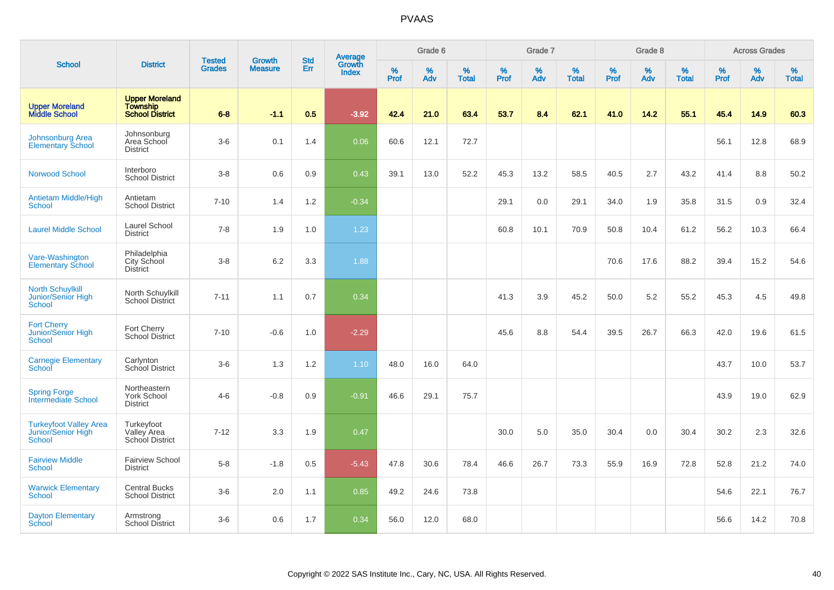|                                                               |                                                                    |                                |                                 | <b>Std</b> |                                          |                  | Grade 6  |                   |           | Grade 7  |                   |           | Grade 8     |                   |           | <b>Across Grades</b> |                   |
|---------------------------------------------------------------|--------------------------------------------------------------------|--------------------------------|---------------------------------|------------|------------------------------------------|------------------|----------|-------------------|-----------|----------|-------------------|-----------|-------------|-------------------|-----------|----------------------|-------------------|
| <b>School</b>                                                 | <b>District</b>                                                    | <b>Tested</b><br><b>Grades</b> | <b>Growth</b><br><b>Measure</b> | Err        | <b>Average</b><br>Growth<br><b>Index</b> | %<br><b>Prof</b> | %<br>Adv | %<br><b>Total</b> | %<br>Prof | %<br>Adv | %<br><b>Total</b> | %<br>Prof | $\%$<br>Adv | %<br><b>Total</b> | %<br>Prof | %<br>Adv             | %<br><b>Total</b> |
| <b>Upper Moreland</b><br><b>Middle School</b>                 | <b>Upper Moreland</b><br><b>Township</b><br><b>School District</b> | $6 - 8$                        | $-1.1$                          | 0.5        | $-3.92$                                  | 42.4             | 21.0     | 63.4              | 53.7      | 8.4      | 62.1              | 41.0      | 14.2        | 55.1              | 45.4      | 14.9                 | 60.3              |
| Johnsonburg Area<br><b>Elementary School</b>                  | Johnsonburg<br>Area School<br><b>District</b>                      | $3-6$                          | 0.1                             | 1.4        | 0.06                                     | 60.6             | 12.1     | 72.7              |           |          |                   |           |             |                   | 56.1      | 12.8                 | 68.9              |
| <b>Norwood School</b>                                         | Interboro<br><b>School District</b>                                | $3 - 8$                        | 0.6                             | 0.9        | 0.43                                     | 39.1             | 13.0     | 52.2              | 45.3      | 13.2     | 58.5              | 40.5      | 2.7         | 43.2              | 41.4      | 8.8                  | 50.2              |
| Antietam Middle/High<br><b>School</b>                         | Antietam<br><b>School District</b>                                 | $7 - 10$                       | 1.4                             | 1.2        | $-0.34$                                  |                  |          |                   | 29.1      | 0.0      | 29.1              | 34.0      | 1.9         | 35.8              | 31.5      | 0.9                  | 32.4              |
| <b>Laurel Middle School</b>                                   | Laurel School<br><b>District</b>                                   | $7 - 8$                        | 1.9                             | 1.0        | 1.23                                     |                  |          |                   | 60.8      | 10.1     | 70.9              | 50.8      | 10.4        | 61.2              | 56.2      | 10.3                 | 66.4              |
| Vare-Washington<br><b>Elementary School</b>                   | Philadelphia<br>City School<br><b>District</b>                     | $3 - 8$                        | 6.2                             | 3.3        | 1.88                                     |                  |          |                   |           |          |                   | 70.6      | 17.6        | 88.2              | 39.4      | 15.2                 | 54.6              |
| <b>North Schuylkill</b><br>Junior/Senior High<br>School       | North Schuylkill<br><b>School District</b>                         | $7 - 11$                       | 1.1                             | 0.7        | 0.34                                     |                  |          |                   | 41.3      | 3.9      | 45.2              | 50.0      | 5.2         | 55.2              | 45.3      | 4.5                  | 49.8              |
| <b>Fort Cherry</b><br>Junior/Senior High<br><b>School</b>     | Fort Cherry<br><b>School District</b>                              | $7 - 10$                       | $-0.6$                          | 1.0        | $-2.29$                                  |                  |          |                   | 45.6      | 8.8      | 54.4              | 39.5      | 26.7        | 66.3              | 42.0      | 19.6                 | 61.5              |
| <b>Carnegie Elementary</b><br>School                          | Carlynton<br>School District                                       | $3-6$                          | 1.3                             | 1.2        | 1.10                                     | 48.0             | 16.0     | 64.0              |           |          |                   |           |             |                   | 43.7      | 10.0                 | 53.7              |
| <b>Spring Forge</b><br><b>Intermediate School</b>             | Northeastern<br><b>York School</b><br><b>District</b>              | $4 - 6$                        | $-0.8$                          | 0.9        | $-0.91$                                  | 46.6             | 29.1     | 75.7              |           |          |                   |           |             |                   | 43.9      | 19.0                 | 62.9              |
| <b>Turkeyfoot Valley Area</b><br>Junior/Senior High<br>School | Turkeyfoot<br>Valley Area<br>School District                       | $7 - 12$                       | 3.3                             | 1.9        | 0.47                                     |                  |          |                   | 30.0      | 5.0      | 35.0              | 30.4      | 0.0         | 30.4              | 30.2      | 2.3                  | 32.6              |
| <b>Fairview Middle</b><br>School                              | <b>Fairview School</b><br><b>District</b>                          | $5-8$                          | $-1.8$                          | 0.5        | $-5.43$                                  | 47.8             | 30.6     | 78.4              | 46.6      | 26.7     | 73.3              | 55.9      | 16.9        | 72.8              | 52.8      | 21.2                 | 74.0              |
| <b>Warwick Elementary</b><br><b>School</b>                    | <b>Central Bucks</b><br><b>School District</b>                     | $3-6$                          | 2.0                             | 1.1        | 0.85                                     | 49.2             | 24.6     | 73.8              |           |          |                   |           |             |                   | 54.6      | 22.1                 | 76.7              |
| <b>Dayton Elementary</b><br>School                            | Armstrong<br>School District                                       | $3-6$                          | 0.6                             | 1.7        | 0.34                                     | 56.0             | 12.0     | 68.0              |           |          |                   |           |             |                   | 56.6      | 14.2                 | 70.8              |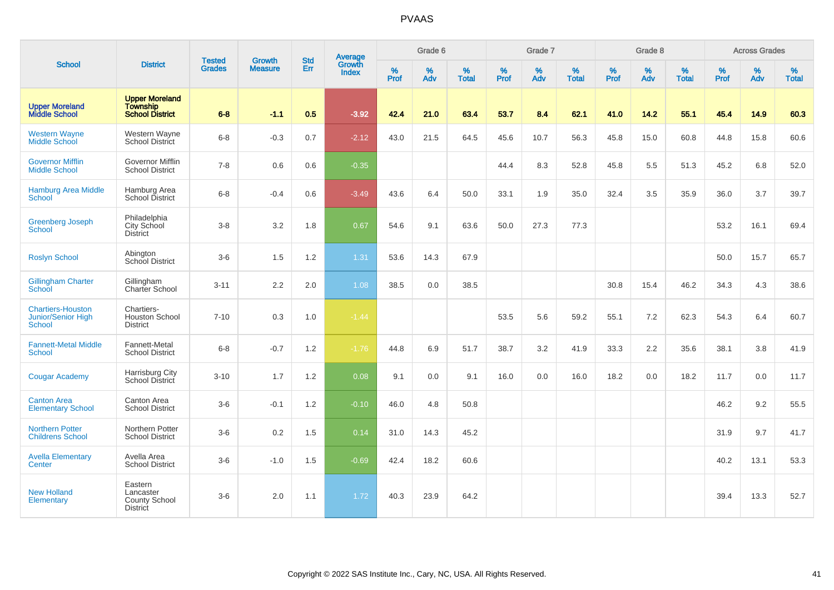|                                                                        |                                                                 |                                | <b>Growth</b>  | <b>Std</b> |                                          |                  | Grade 6     |                   |           | Grade 7  |                   |                     | Grade 8     |                   |           | <b>Across Grades</b> |                   |
|------------------------------------------------------------------------|-----------------------------------------------------------------|--------------------------------|----------------|------------|------------------------------------------|------------------|-------------|-------------------|-----------|----------|-------------------|---------------------|-------------|-------------------|-----------|----------------------|-------------------|
| <b>School</b>                                                          | <b>District</b>                                                 | <b>Tested</b><br><b>Grades</b> | <b>Measure</b> | Err        | <b>Average</b><br>Growth<br><b>Index</b> | %<br><b>Prof</b> | $\%$<br>Adv | %<br><b>Total</b> | %<br>Prof | %<br>Adv | %<br><b>Total</b> | $\%$<br><b>Prof</b> | $\%$<br>Adv | %<br><b>Total</b> | %<br>Prof | %<br>Adv             | %<br><b>Total</b> |
| <b>Upper Moreland</b><br><b>Middle School</b>                          | <b>Upper Moreland</b><br>Township<br>School District            | $6 - 8$                        | $-1.1$         | 0.5        | $-3.92$                                  | 42.4             | 21.0        | 63.4              | 53.7      | 8.4      | 62.1              | 41.0                | 14.2        | 55.1              | 45.4      | 14.9                 | 60.3              |
| <b>Western Wayne</b><br><b>Middle School</b>                           | Western Wayne<br><b>School District</b>                         | $6 - 8$                        | $-0.3$         | 0.7        | $-2.12$                                  | 43.0             | 21.5        | 64.5              | 45.6      | 10.7     | 56.3              | 45.8                | 15.0        | 60.8              | 44.8      | 15.8                 | 60.6              |
| <b>Governor Mifflin</b><br><b>Middle School</b>                        | Governor Mifflin<br><b>School District</b>                      | $7 - 8$                        | 0.6            | 0.6        | $-0.35$                                  |                  |             |                   | 44.4      | 8.3      | 52.8              | 45.8                | 5.5         | 51.3              | 45.2      | 6.8                  | 52.0              |
| <b>Hamburg Area Middle</b><br><b>School</b>                            | Hamburg Area<br>School District                                 | $6 - 8$                        | $-0.4$         | 0.6        | $-3.49$                                  | 43.6             | 6.4         | 50.0              | 33.1      | 1.9      | 35.0              | 32.4                | 3.5         | 35.9              | 36.0      | 3.7                  | 39.7              |
| <b>Greenberg Joseph</b><br><b>School</b>                               | Philadelphia<br>City School<br><b>District</b>                  | $3 - 8$                        | 3.2            | 1.8        | 0.67                                     | 54.6             | 9.1         | 63.6              | 50.0      | 27.3     | 77.3              |                     |             |                   | 53.2      | 16.1                 | 69.4              |
| <b>Roslyn School</b>                                                   | Abington<br>School District                                     | $3-6$                          | 1.5            | 1.2        | 1.31                                     | 53.6             | 14.3        | 67.9              |           |          |                   |                     |             |                   | 50.0      | 15.7                 | 65.7              |
| <b>Gillingham Charter</b><br>School                                    | Gillingham<br><b>Charter School</b>                             | $3 - 11$                       | 2.2            | 2.0        | 1.08                                     | 38.5             | 0.0         | 38.5              |           |          |                   | 30.8                | 15.4        | 46.2              | 34.3      | 4.3                  | 38.6              |
| <b>Chartiers-Houston</b><br><b>Junior/Senior High</b><br><b>School</b> | Chartiers-<br><b>Houston School</b><br><b>District</b>          | $7 - 10$                       | 0.3            | 1.0        | $-1.44$                                  |                  |             |                   | 53.5      | 5.6      | 59.2              | 55.1                | 7.2         | 62.3              | 54.3      | 6.4                  | 60.7              |
| <b>Fannett-Metal Middle</b><br><b>School</b>                           | Fannett-Metal<br><b>School District</b>                         | $6 - 8$                        | $-0.7$         | 1.2        | $-1.76$                                  | 44.8             | 6.9         | 51.7              | 38.7      | 3.2      | 41.9              | 33.3                | 2.2         | 35.6              | 38.1      | 3.8                  | 41.9              |
| <b>Cougar Academy</b>                                                  | Harrisburg City<br>School District                              | $3 - 10$                       | 1.7            | 1.2        | 0.08                                     | 9.1              | 0.0         | 9.1               | 16.0      | 0.0      | 16.0              | 18.2                | 0.0         | 18.2              | 11.7      | 0.0                  | 11.7              |
| <b>Canton Area</b><br><b>Elementary School</b>                         | Canton Area<br><b>School District</b>                           | $3-6$                          | $-0.1$         | 1.2        | $-0.10$                                  | 46.0             | 4.8         | 50.8              |           |          |                   |                     |             |                   | 46.2      | 9.2                  | 55.5              |
| <b>Northern Potter</b><br><b>Childrens School</b>                      | Northern Potter<br><b>School District</b>                       | $3-6$                          | 0.2            | 1.5        | 0.14                                     | 31.0             | 14.3        | 45.2              |           |          |                   |                     |             |                   | 31.9      | 9.7                  | 41.7              |
| <b>Avella Elementary</b><br>Center                                     | Avella Area<br><b>School District</b>                           | $3-6$                          | $-1.0$         | 1.5        | $-0.69$                                  | 42.4             | 18.2        | 60.6              |           |          |                   |                     |             |                   | 40.2      | 13.1                 | 53.3              |
| <b>New Holland</b><br>Elementary                                       | Eastern<br>Lancaster<br><b>County School</b><br><b>District</b> | $3-6$                          | 2.0            | 1.1        | 1.72                                     | 40.3             | 23.9        | 64.2              |           |          |                   |                     |             |                   | 39.4      | 13.3                 | 52.7              |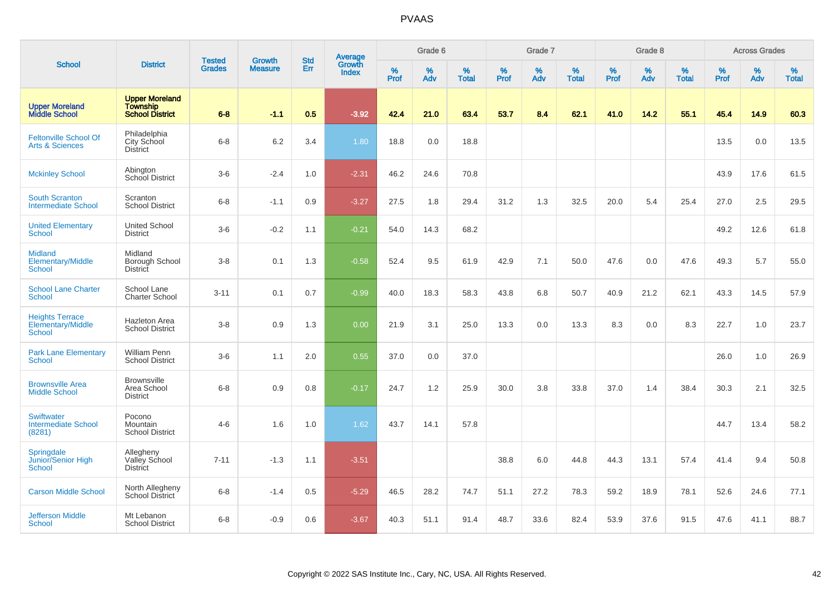|                                                            |                                                                    |                                |                                 | <b>Std</b> |                                   |           | Grade 6     |                   |           | Grade 7     |                      |           | Grade 8  |                   |              | <b>Across Grades</b> |                   |
|------------------------------------------------------------|--------------------------------------------------------------------|--------------------------------|---------------------------------|------------|-----------------------------------|-----------|-------------|-------------------|-----------|-------------|----------------------|-----------|----------|-------------------|--------------|----------------------|-------------------|
| <b>School</b>                                              | <b>District</b>                                                    | <b>Tested</b><br><b>Grades</b> | <b>Growth</b><br><b>Measure</b> | Err        | Average<br>Growth<br><b>Index</b> | %<br>Prof | $\%$<br>Adv | %<br><b>Total</b> | %<br>Prof | $\%$<br>Adv | $\%$<br><b>Total</b> | %<br>Prof | %<br>Adv | %<br><b>Total</b> | $\%$<br>Prof | $\%$<br>Adv          | %<br><b>Total</b> |
| <b>Upper Moreland<br/>Middle School</b>                    | <b>Upper Moreland</b><br><b>Township</b><br><b>School District</b> | $6 - 8$                        | $-1.1$                          | 0.5        | $-3.92$                           | 42.4      | 21.0        | 63.4              | 53.7      | 8.4         | 62.1                 | 41.0      | 14.2     | 55.1              | 45.4         | 14.9                 | 60.3              |
| <b>Feltonville School Of</b><br><b>Arts &amp; Sciences</b> | Philadelphia<br>City School<br><b>District</b>                     | $6 - 8$                        | 6.2                             | 3.4        | 1.80                              | 18.8      | 0.0         | 18.8              |           |             |                      |           |          |                   | 13.5         | 0.0                  | 13.5              |
| <b>Mckinley School</b>                                     | Abington<br>School District                                        | $3 - 6$                        | $-2.4$                          | 1.0        | $-2.31$                           | 46.2      | 24.6        | 70.8              |           |             |                      |           |          |                   | 43.9         | 17.6                 | 61.5              |
| <b>South Scranton</b><br><b>Intermediate School</b>        | Scranton<br><b>School District</b>                                 | $6 - 8$                        | $-1.1$                          | 0.9        | $-3.27$                           | 27.5      | 1.8         | 29.4              | 31.2      | 1.3         | 32.5                 | 20.0      | 5.4      | 25.4              | 27.0         | 2.5                  | 29.5              |
| <b>United Elementary</b><br><b>School</b>                  | <b>United School</b><br><b>District</b>                            | $3-6$                          | $-0.2$                          | 1.1        | $-0.21$                           | 54.0      | 14.3        | 68.2              |           |             |                      |           |          |                   | 49.2         | 12.6                 | 61.8              |
| <b>Midland</b><br>Elementary/Middle<br><b>School</b>       | Midland<br>Borough School<br><b>District</b>                       | $3 - 8$                        | 0.1                             | 1.3        | $-0.58$                           | 52.4      | 9.5         | 61.9              | 42.9      | 7.1         | 50.0                 | 47.6      | 0.0      | 47.6              | 49.3         | 5.7                  | 55.0              |
| <b>School Lane Charter</b><br><b>School</b>                | School Lane<br><b>Charter School</b>                               | $3 - 11$                       | 0.1                             | 0.7        | $-0.99$                           | 40.0      | 18.3        | 58.3              | 43.8      | 6.8         | 50.7                 | 40.9      | 21.2     | 62.1              | 43.3         | 14.5                 | 57.9              |
| <b>Heights Terrace</b><br>Elementary/Middle<br>School      | Hazleton Area<br><b>School District</b>                            | $3 - 8$                        | 0.9                             | 1.3        | 0.00                              | 21.9      | 3.1         | 25.0              | 13.3      | 0.0         | 13.3                 | 8.3       | 0.0      | 8.3               | 22.7         | 1.0                  | 23.7              |
| <b>Park Lane Elementary</b><br><b>School</b>               | William Penn<br><b>School District</b>                             | $3-6$                          | 1.1                             | 2.0        | 0.55                              | 37.0      | 0.0         | 37.0              |           |             |                      |           |          |                   | 26.0         | 1.0                  | 26.9              |
| <b>Brownsville Area</b><br><b>Middle School</b>            | <b>Brownsville</b><br>Area School<br><b>District</b>               | $6 - 8$                        | 0.9                             | 0.8        | $-0.17$                           | 24.7      | 1.2         | 25.9              | 30.0      | 3.8         | 33.8                 | 37.0      | 1.4      | 38.4              | 30.3         | 2.1                  | 32.5              |
| <b>Swiftwater</b><br><b>Intermediate School</b><br>(8281)  | Pocono<br>Mountain<br><b>School District</b>                       | $4 - 6$                        | 1.6                             | 1.0        | 1.62                              | 43.7      | 14.1        | 57.8              |           |             |                      |           |          |                   | 44.7         | 13.4                 | 58.2              |
| Springdale<br>Junior/Senior High<br>School                 | Allegheny<br>Valley School<br><b>District</b>                      | $7 - 11$                       | $-1.3$                          | 1.1        | $-3.51$                           |           |             |                   | 38.8      | 6.0         | 44.8                 | 44.3      | 13.1     | 57.4              | 41.4         | 9.4                  | 50.8              |
| <b>Carson Middle School</b>                                | North Allegheny<br><b>School District</b>                          | $6 - 8$                        | $-1.4$                          | 0.5        | $-5.29$                           | 46.5      | 28.2        | 74.7              | 51.1      | 27.2        | 78.3                 | 59.2      | 18.9     | 78.1              | 52.6         | 24.6                 | 77.1              |
| <b>Jefferson Middle</b><br>School                          | Mt Lebanon<br><b>School District</b>                               | $6 - 8$                        | $-0.9$                          | 0.6        | $-3.67$                           | 40.3      | 51.1        | 91.4              | 48.7      | 33.6        | 82.4                 | 53.9      | 37.6     | 91.5              | 47.6         | 41.1                 | 88.7              |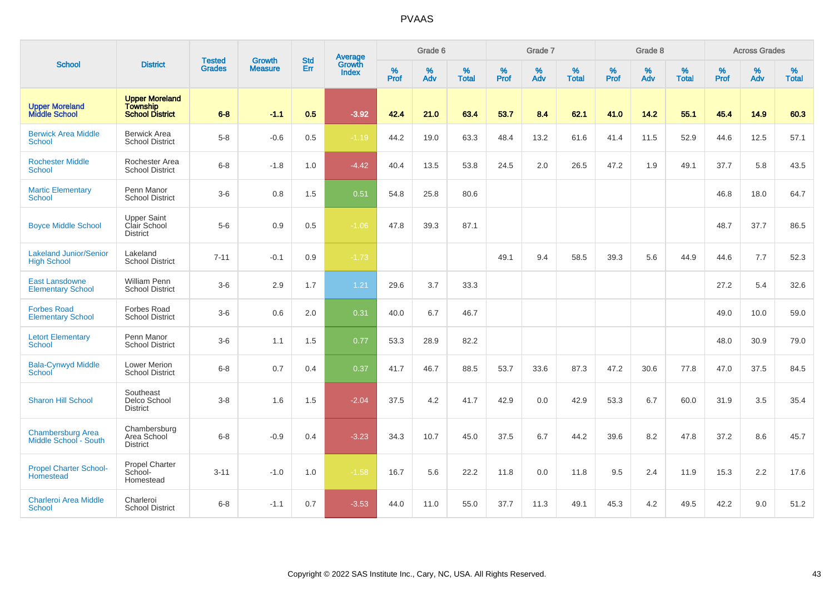|                                                     |                                                       |                                | <b>Growth</b>  | <b>Std</b> |                                          |                  | Grade 6  |                   |                  | Grade 7  |                   |                  | Grade 8  |                   |                  | <b>Across Grades</b> |                   |
|-----------------------------------------------------|-------------------------------------------------------|--------------------------------|----------------|------------|------------------------------------------|------------------|----------|-------------------|------------------|----------|-------------------|------------------|----------|-------------------|------------------|----------------------|-------------------|
| <b>School</b>                                       | <b>District</b>                                       | <b>Tested</b><br><b>Grades</b> | <b>Measure</b> | Err        | <b>Average</b><br>Growth<br><b>Index</b> | %<br><b>Prof</b> | %<br>Adv | %<br><b>Total</b> | %<br><b>Prof</b> | %<br>Adv | %<br><b>Total</b> | %<br><b>Prof</b> | %<br>Adv | %<br><b>Total</b> | %<br><b>Prof</b> | %<br>Adv             | %<br><b>Total</b> |
| <b>Upper Moreland</b><br><b>Middle School</b>       | <b>Upper Moreland</b><br>Township<br>School District  | $6 - 8$                        | $-1.1$         | 0.5        | $-3.92$                                  | 42.4             | 21.0     | 63.4              | 53.7             | 8.4      | 62.1              | 41.0             | 14.2     | 55.1              | 45.4             | 14.9                 | 60.3              |
| <b>Berwick Area Middle</b><br><b>School</b>         | <b>Berwick Area</b><br><b>School District</b>         | $5-8$                          | $-0.6$         | 0.5        | $-1.19$                                  | 44.2             | 19.0     | 63.3              | 48.4             | 13.2     | 61.6              | 41.4             | 11.5     | 52.9              | 44.6             | 12.5                 | 57.1              |
| <b>Rochester Middle</b><br>School                   | Rochester Area<br><b>School District</b>              | $6 - 8$                        | $-1.8$         | 1.0        | $-4.42$                                  | 40.4             | 13.5     | 53.8              | 24.5             | 2.0      | 26.5              | 47.2             | 1.9      | 49.1              | 37.7             | 5.8                  | 43.5              |
| <b>Martic Elementary</b><br>School                  | Penn Manor<br><b>School District</b>                  | $3-6$                          | 0.8            | 1.5        | 0.51                                     | 54.8             | 25.8     | 80.6              |                  |          |                   |                  |          |                   | 46.8             | 18.0                 | 64.7              |
| <b>Boyce Middle School</b>                          | <b>Upper Saint</b><br>Clair School<br><b>District</b> | $5-6$                          | 0.9            | 0.5        | $-1.06$                                  | 47.8             | 39.3     | 87.1              |                  |          |                   |                  |          |                   | 48.7             | 37.7                 | 86.5              |
| <b>Lakeland Junior/Senior</b><br><b>High School</b> | Lakeland<br><b>School District</b>                    | $7 - 11$                       | $-0.1$         | 0.9        | $-1.73$                                  |                  |          |                   | 49.1             | 9.4      | 58.5              | 39.3             | 5.6      | 44.9              | 44.6             | 7.7                  | 52.3              |
| <b>East Lansdowne</b><br><b>Elementary School</b>   | <b>William Penn</b><br><b>School District</b>         | $3-6$                          | 2.9            | 1.7        | 1.21                                     | 29.6             | 3.7      | 33.3              |                  |          |                   |                  |          |                   | 27.2             | 5.4                  | 32.6              |
| <b>Forbes Road</b><br><b>Elementary School</b>      | <b>Forbes Road</b><br>School District                 | $3-6$                          | 0.6            | 2.0        | 0.31                                     | 40.0             | 6.7      | 46.7              |                  |          |                   |                  |          |                   | 49.0             | 10.0                 | 59.0              |
| <b>Letort Elementary</b><br><b>School</b>           | Penn Manor<br><b>School District</b>                  | $3-6$                          | 1.1            | 1.5        | 0.77                                     | 53.3             | 28.9     | 82.2              |                  |          |                   |                  |          |                   | 48.0             | 30.9                 | 79.0              |
| <b>Bala-Cynwyd Middle</b><br>School                 | <b>Lower Merion</b><br><b>School District</b>         | $6 - 8$                        | 0.7            | 0.4        | 0.37                                     | 41.7             | 46.7     | 88.5              | 53.7             | 33.6     | 87.3              | 47.2             | 30.6     | 77.8              | 47.0             | 37.5                 | 84.5              |
| <b>Sharon Hill School</b>                           | Southeast<br>Delco School<br><b>District</b>          | $3 - 8$                        | 1.6            | 1.5        | $-2.04$                                  | 37.5             | 4.2      | 41.7              | 42.9             | 0.0      | 42.9              | 53.3             | 6.7      | 60.0              | 31.9             | 3.5                  | 35.4              |
| <b>Chambersburg Area</b><br>Middle School - South   | Chambersburg<br>Area School<br><b>District</b>        | $6 - 8$                        | $-0.9$         | 0.4        | $-3.23$                                  | 34.3             | 10.7     | 45.0              | 37.5             | 6.7      | 44.2              | 39.6             | 8.2      | 47.8              | 37.2             | 8.6                  | 45.7              |
| <b>Propel Charter School-</b><br>Homestead          | Propel Charter<br>School-<br>Homestead                | $3 - 11$                       | $-1.0$         | 1.0        | $-1.58$                                  | 16.7             | 5.6      | 22.2              | 11.8             | 0.0      | 11.8              | 9.5              | 2.4      | 11.9              | 15.3             | 2.2                  | 17.6              |
| <b>Charleroi Area Middle</b><br>School              | Charleroi<br><b>School District</b>                   | $6 - 8$                        | $-1.1$         | 0.7        | $-3.53$                                  | 44.0             | 11.0     | 55.0              | 37.7             | 11.3     | 49.1              | 45.3             | 4.2      | 49.5              | 42.2             | 9.0                  | 51.2              |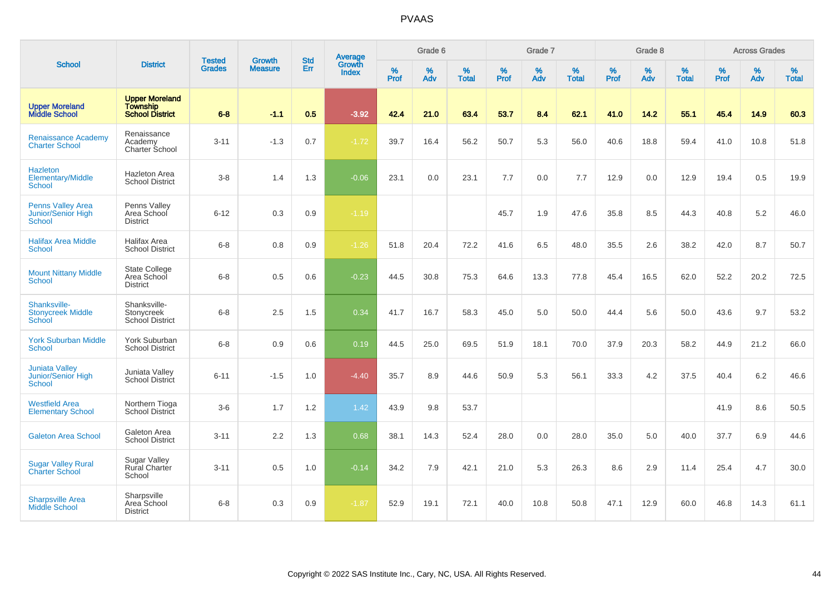|                                                                        |                                                                    |                                |                                 |                   |                                          |           | Grade 6  |                   |           | Grade 7  |                   |           | Grade 8  |                   |           | <b>Across Grades</b> |                   |
|------------------------------------------------------------------------|--------------------------------------------------------------------|--------------------------------|---------------------------------|-------------------|------------------------------------------|-----------|----------|-------------------|-----------|----------|-------------------|-----------|----------|-------------------|-----------|----------------------|-------------------|
| <b>School</b>                                                          | <b>District</b>                                                    | <b>Tested</b><br><b>Grades</b> | <b>Growth</b><br><b>Measure</b> | <b>Std</b><br>Err | <b>Average</b><br>Growth<br><b>Index</b> | %<br>Prof | %<br>Adv | %<br><b>Total</b> | %<br>Prof | %<br>Adv | %<br><b>Total</b> | %<br>Prof | %<br>Adv | %<br><b>Total</b> | %<br>Prof | %<br>Adv             | %<br><b>Total</b> |
| <b>Upper Moreland<br/>Middle School</b>                                | <b>Upper Moreland</b><br><b>Township</b><br><b>School District</b> | $6 - 8$                        | $-1.1$                          | 0.5               | $-3.92$                                  | 42.4      | 21.0     | 63.4              | 53.7      | 8.4      | 62.1              | 41.0      | 14.2     | 55.1              | 45.4      | 14.9                 | 60.3              |
| <b>Renaissance Academy</b><br><b>Charter School</b>                    | Renaissance<br>Academy<br>Charter School                           | $3 - 11$                       | $-1.3$                          | 0.7               | $-1.72$                                  | 39.7      | 16.4     | 56.2              | 50.7      | 5.3      | 56.0              | 40.6      | 18.8     | 59.4              | 41.0      | 10.8                 | 51.8              |
| <b>Hazleton</b><br>Elementary/Middle<br><b>School</b>                  | Hazleton Area<br><b>School District</b>                            | $3 - 8$                        | 1.4                             | 1.3               | $-0.06$                                  | 23.1      | 0.0      | 23.1              | 7.7       | 0.0      | 7.7               | 12.9      | 0.0      | 12.9              | 19.4      | 0.5                  | 19.9              |
| <b>Penns Valley Area</b><br><b>Junior/Senior High</b><br><b>School</b> | Penns Valley<br>Area School<br><b>District</b>                     | $6 - 12$                       | 0.3                             | 0.9               | $-1.19$                                  |           |          |                   | 45.7      | 1.9      | 47.6              | 35.8      | 8.5      | 44.3              | 40.8      | 5.2                  | 46.0              |
| <b>Halifax Area Middle</b><br><b>School</b>                            | Halifax Area<br><b>School District</b>                             | $6 - 8$                        | 0.8                             | 0.9               | $-1.26$                                  | 51.8      | 20.4     | 72.2              | 41.6      | 6.5      | 48.0              | 35.5      | 2.6      | 38.2              | 42.0      | 8.7                  | 50.7              |
| <b>Mount Nittany Middle</b><br><b>School</b>                           | <b>State College</b><br>Area School<br><b>District</b>             | $6 - 8$                        | 0.5                             | 0.6               | $-0.23$                                  | 44.5      | 30.8     | 75.3              | 64.6      | 13.3     | 77.8              | 45.4      | 16.5     | 62.0              | 52.2      | 20.2                 | 72.5              |
| Shanksville-<br><b>Stonycreek Middle</b><br>School                     | Shanksville-<br>Stonycreek<br>School District                      | $6 - 8$                        | 2.5                             | 1.5               | 0.34                                     | 41.7      | 16.7     | 58.3              | 45.0      | 5.0      | 50.0              | 44.4      | 5.6      | 50.0              | 43.6      | 9.7                  | 53.2              |
| <b>York Suburban Middle</b><br><b>School</b>                           | York Suburban<br><b>School District</b>                            | $6 - 8$                        | 0.9                             | 0.6               | 0.19                                     | 44.5      | 25.0     | 69.5              | 51.9      | 18.1     | 70.0              | 37.9      | 20.3     | 58.2              | 44.9      | 21.2                 | 66.0              |
| <b>Juniata Valley</b><br><b>Junior/Senior High</b><br>School           | Juniata Valley<br><b>School District</b>                           | $6 - 11$                       | $-1.5$                          | 1.0               | $-4.40$                                  | 35.7      | 8.9      | 44.6              | 50.9      | 5.3      | 56.1              | 33.3      | 4.2      | 37.5              | 40.4      | 6.2                  | 46.6              |
| <b>Westfield Area</b><br><b>Elementary School</b>                      | Northern Tioga<br><b>School District</b>                           | $3-6$                          | 1.7                             | 1.2               | 1.42                                     | 43.9      | 9.8      | 53.7              |           |          |                   |           |          |                   | 41.9      | 8.6                  | 50.5              |
| <b>Galeton Area School</b>                                             | Galeton Area<br><b>School District</b>                             | $3 - 11$                       | 2.2                             | 1.3               | 0.68                                     | 38.1      | 14.3     | 52.4              | 28.0      | 0.0      | 28.0              | 35.0      | 5.0      | 40.0              | 37.7      | 6.9                  | 44.6              |
| <b>Sugar Valley Rural</b><br><b>Charter School</b>                     | <b>Sugar Valley</b><br><b>Rural Charter</b><br>School              | $3 - 11$                       | 0.5                             | 1.0               | $-0.14$                                  | 34.2      | 7.9      | 42.1              | 21.0      | 5.3      | 26.3              | 8.6       | 2.9      | 11.4              | 25.4      | 4.7                  | 30.0              |
| <b>Sharpsville Area</b><br><b>Middle School</b>                        | Sharpsville<br>Area School<br><b>District</b>                      | $6 - 8$                        | 0.3                             | 0.9               | $-1.87$                                  | 52.9      | 19.1     | 72.1              | 40.0      | 10.8     | 50.8              | 47.1      | 12.9     | 60.0              | 46.8      | 14.3                 | 61.1              |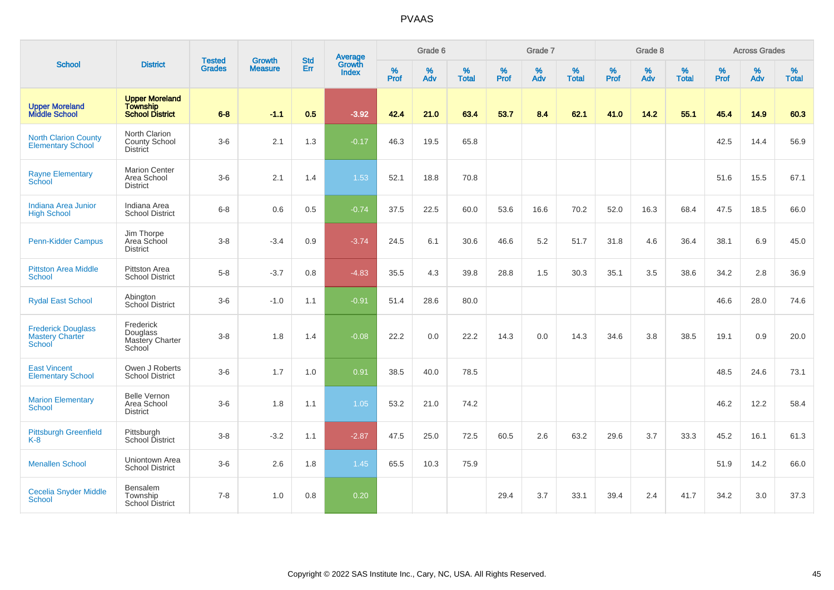|                                                               |                                                             | <b>Tested</b> | <b>Growth</b>  | <b>Std</b> | <b>Average</b><br>Growth |                  | Grade 6  |                   |                  | Grade 7         |                   |                  | Grade 8  |                   |                  | <b>Across Grades</b> |                   |
|---------------------------------------------------------------|-------------------------------------------------------------|---------------|----------------|------------|--------------------------|------------------|----------|-------------------|------------------|-----------------|-------------------|------------------|----------|-------------------|------------------|----------------------|-------------------|
| <b>School</b>                                                 | <b>District</b>                                             | <b>Grades</b> | <b>Measure</b> | Err        | <b>Index</b>             | %<br><b>Prof</b> | %<br>Adv | %<br><b>Total</b> | %<br><b>Prof</b> | %<br><b>Adv</b> | %<br><b>Total</b> | %<br><b>Prof</b> | %<br>Adv | %<br><b>Total</b> | %<br><b>Prof</b> | %<br>Adv             | %<br><b>Total</b> |
| <b>Upper Moreland<br/>Middle School</b>                       | <b>Upper Moreland</b><br>Township<br><b>School District</b> | $6 - 8$       | $-1.1$         | 0.5        | $-3.92$                  | 42.4             | 21.0     | 63.4              | 53.7             | 8.4             | 62.1              | 41.0             | 14.2     | 55.1              | 45.4             | 14.9                 | 60.3              |
| <b>North Clarion County</b><br><b>Elementary School</b>       | North Clarion<br>County School<br><b>District</b>           | $3-6$         | 2.1            | 1.3        | $-0.17$                  | 46.3             | 19.5     | 65.8              |                  |                 |                   |                  |          |                   | 42.5             | 14.4                 | 56.9              |
| <b>Rayne Elementary</b><br>School                             | <b>Marion Center</b><br>Area School<br><b>District</b>      | $3-6$         | 2.1            | 1.4        | 1.53                     | 52.1             | 18.8     | 70.8              |                  |                 |                   |                  |          |                   | 51.6             | 15.5                 | 67.1              |
| Indiana Area Junior<br><b>High School</b>                     | Indiana Area<br><b>School District</b>                      | $6 - 8$       | 0.6            | 0.5        | $-0.74$                  | 37.5             | 22.5     | 60.0              | 53.6             | 16.6            | 70.2              | 52.0             | 16.3     | 68.4              | 47.5             | 18.5                 | 66.0              |
| <b>Penn-Kidder Campus</b>                                     | Jim Thorpe<br>Area School<br><b>District</b>                | $3 - 8$       | $-3.4$         | 0.9        | $-3.74$                  | 24.5             | 6.1      | 30.6              | 46.6             | 5.2             | 51.7              | 31.8             | 4.6      | 36.4              | 38.1             | 6.9                  | 45.0              |
| <b>Pittston Area Middle</b><br>School                         | <b>Pittston Area</b><br><b>School District</b>              | $5-8$         | $-3.7$         | 0.8        | $-4.83$                  | 35.5             | 4.3      | 39.8              | 28.8             | 1.5             | 30.3              | 35.1             | 3.5      | 38.6              | 34.2             | 2.8                  | 36.9              |
| <b>Rydal East School</b>                                      | Abington<br>School District                                 | $3-6$         | $-1.0$         | 1.1        | $-0.91$                  | 51.4             | 28.6     | 80.0              |                  |                 |                   |                  |          |                   | 46.6             | 28.0                 | 74.6              |
| <b>Frederick Douglass</b><br><b>Mastery Charter</b><br>School | Frederick<br>Douglass<br>Mastery Charter<br>School          | $3 - 8$       | 1.8            | 1.4        | $-0.08$                  | 22.2             | 0.0      | 22.2              | 14.3             | 0.0             | 14.3              | 34.6             | 3.8      | 38.5              | 19.1             | 0.9                  | 20.0              |
| <b>East Vincent</b><br><b>Elementary School</b>               | Owen J Roberts<br><b>School District</b>                    | $3-6$         | 1.7            | 1.0        | 0.91                     | 38.5             | 40.0     | 78.5              |                  |                 |                   |                  |          |                   | 48.5             | 24.6                 | 73.1              |
| <b>Marion Elementary</b><br><b>School</b>                     | <b>Belle Vernon</b><br>Area School<br><b>District</b>       | $3-6$         | 1.8            | 1.1        | 1.05                     | 53.2             | 21.0     | 74.2              |                  |                 |                   |                  |          |                   | 46.2             | 12.2                 | 58.4              |
| <b>Pittsburgh Greenfield</b><br>$K-8$                         | Pittsburgh<br>School District                               | $3 - 8$       | $-3.2$         | 1.1        | $-2.87$                  | 47.5             | 25.0     | 72.5              | 60.5             | 2.6             | 63.2              | 29.6             | 3.7      | 33.3              | 45.2             | 16.1                 | 61.3              |
| <b>Menallen School</b>                                        | Uniontown Area<br><b>School District</b>                    | $3-6$         | 2.6            | 1.8        | 1.45                     | 65.5             | 10.3     | 75.9              |                  |                 |                   |                  |          |                   | 51.9             | 14.2                 | 66.0              |
| <b>Cecelia Snyder Middle</b><br>School                        | Bensalem<br>Township<br>School District                     | $7 - 8$       | 1.0            | 0.8        | 0.20                     |                  |          |                   | 29.4             | 3.7             | 33.1              | 39.4             | 2.4      | 41.7              | 34.2             | 3.0                  | 37.3              |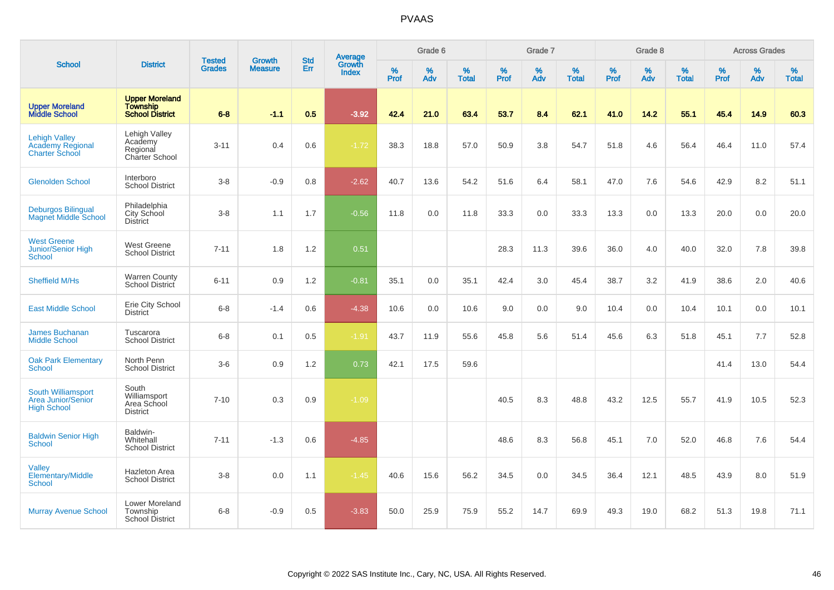|                                                                          |                                                                    |                                |                                 | <b>Std</b> |                                          |           | Grade 6  |                   |           | Grade 7  |                   |           | Grade 8  |                   |           | <b>Across Grades</b> |                   |
|--------------------------------------------------------------------------|--------------------------------------------------------------------|--------------------------------|---------------------------------|------------|------------------------------------------|-----------|----------|-------------------|-----------|----------|-------------------|-----------|----------|-------------------|-----------|----------------------|-------------------|
| <b>School</b>                                                            | <b>District</b>                                                    | <b>Tested</b><br><b>Grades</b> | <b>Growth</b><br><b>Measure</b> | Err        | <b>Average</b><br>Growth<br><b>Index</b> | %<br>Prof | %<br>Adv | %<br><b>Total</b> | %<br>Prof | %<br>Adv | %<br><b>Total</b> | %<br>Prof | %<br>Adv | %<br><b>Total</b> | %<br>Prof | %<br>Adv             | %<br><b>Total</b> |
| <b>Upper Moreland<br/>Middle School</b>                                  | <b>Upper Moreland</b><br><b>Township</b><br><b>School District</b> | $6 - 8$                        | $-1.1$                          | 0.5        | $-3.92$                                  | 42.4      | 21.0     | 63.4              | 53.7      | 8.4      | 62.1              | 41.0      | 14.2     | 55.1              | 45.4      | 14.9                 | 60.3              |
| <b>Lehigh Valley</b><br><b>Academy Regional</b><br><b>Charter School</b> | Lehigh Valley<br>Academy<br>Regional<br>Charter School             | $3 - 11$                       | 0.4                             | 0.6        | $-1.72$                                  | 38.3      | 18.8     | 57.0              | 50.9      | 3.8      | 54.7              | 51.8      | 4.6      | 56.4              | 46.4      | 11.0                 | 57.4              |
| <b>Glenolden School</b>                                                  | Interboro<br><b>School District</b>                                | $3 - 8$                        | $-0.9$                          | 0.8        | $-2.62$                                  | 40.7      | 13.6     | 54.2              | 51.6      | 6.4      | 58.1              | 47.0      | 7.6      | 54.6              | 42.9      | 8.2                  | 51.1              |
| <b>Deburgos Bilingual</b><br><b>Magnet Middle School</b>                 | Philadelphia<br>City School<br><b>District</b>                     | $3 - 8$                        | 1.1                             | 1.7        | $-0.56$                                  | 11.8      | 0.0      | 11.8              | 33.3      | 0.0      | 33.3              | 13.3      | 0.0      | 13.3              | 20.0      | 0.0                  | 20.0              |
| <b>West Greene</b><br>Junior/Senior High<br>School                       | <b>West Greene</b><br><b>School District</b>                       | $7 - 11$                       | 1.8                             | 1.2        | 0.51                                     |           |          |                   | 28.3      | 11.3     | 39.6              | 36.0      | 4.0      | 40.0              | 32.0      | 7.8                  | 39.8              |
| <b>Sheffield M/Hs</b>                                                    | <b>Warren County</b><br>School District                            | $6 - 11$                       | 0.9                             | 1.2        | $-0.81$                                  | 35.1      | 0.0      | 35.1              | 42.4      | 3.0      | 45.4              | 38.7      | 3.2      | 41.9              | 38.6      | 2.0                  | 40.6              |
| <b>East Middle School</b>                                                | Erie City School<br><b>District</b>                                | $6 - 8$                        | $-1.4$                          | 0.6        | $-4.38$                                  | 10.6      | 0.0      | 10.6              | 9.0       | 0.0      | 9.0               | 10.4      | 0.0      | 10.4              | 10.1      | 0.0                  | 10.1              |
| <b>James Buchanan</b><br><b>Middle School</b>                            | Tuscarora<br><b>School District</b>                                | $6 - 8$                        | 0.1                             | 0.5        | $-1.91$                                  | 43.7      | 11.9     | 55.6              | 45.8      | 5.6      | 51.4              | 45.6      | 6.3      | 51.8              | 45.1      | 7.7                  | 52.8              |
| <b>Oak Park Elementary</b><br>School                                     | North Penn<br><b>School District</b>                               | $3-6$                          | 0.9                             | 1.2        | 0.73                                     | 42.1      | 17.5     | 59.6              |           |          |                   |           |          |                   | 41.4      | 13.0                 | 54.4              |
| South Williamsport<br><b>Area Junior/Senior</b><br><b>High School</b>    | South<br>Williamsport<br>Area School<br><b>District</b>            | $7 - 10$                       | 0.3                             | 0.9        | $-1.09$                                  |           |          |                   | 40.5      | 8.3      | 48.8              | 43.2      | 12.5     | 55.7              | 41.9      | 10.5                 | 52.3              |
| <b>Baldwin Senior High</b><br>School                                     | Baldwin-<br>Whitehall<br><b>School District</b>                    | $7 - 11$                       | $-1.3$                          | 0.6        | $-4.85$                                  |           |          |                   | 48.6      | 8.3      | 56.8              | 45.1      | 7.0      | 52.0              | 46.8      | 7.6                  | 54.4              |
| <b>Valley</b><br>Elementary/Middle<br>School                             | Hazleton Area<br><b>School District</b>                            | $3 - 8$                        | 0.0                             | 1.1        | $-1.45$                                  | 40.6      | 15.6     | 56.2              | 34.5      | 0.0      | 34.5              | 36.4      | 12.1     | 48.5              | 43.9      | 8.0                  | 51.9              |
| <b>Murray Avenue School</b>                                              | Lower Moreland<br>Township<br><b>School District</b>               | $6 - 8$                        | $-0.9$                          | 0.5        | $-3.83$                                  | 50.0      | 25.9     | 75.9              | 55.2      | 14.7     | 69.9              | 49.3      | 19.0     | 68.2              | 51.3      | 19.8                 | 71.1              |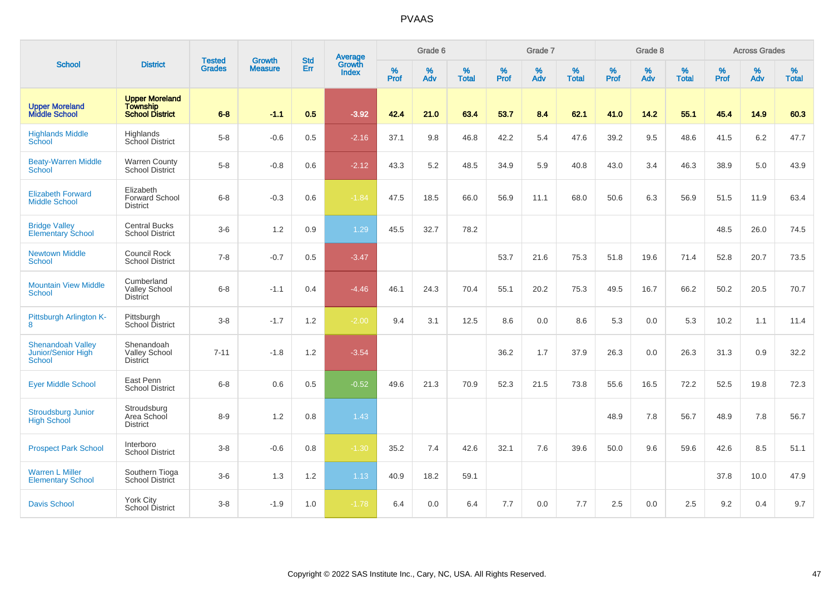|                                                          |                                                       |                                | <b>Growth</b>  | <b>Std</b> | <b>Average</b><br>Growth |                  | Grade 6  |                   |           | Grade 7  |                   |                  | Grade 8     |                   |           | <b>Across Grades</b> |                   |
|----------------------------------------------------------|-------------------------------------------------------|--------------------------------|----------------|------------|--------------------------|------------------|----------|-------------------|-----------|----------|-------------------|------------------|-------------|-------------------|-----------|----------------------|-------------------|
| <b>School</b>                                            | <b>District</b>                                       | <b>Tested</b><br><b>Grades</b> | <b>Measure</b> | Err        | <b>Index</b>             | %<br><b>Prof</b> | %<br>Adv | %<br><b>Total</b> | %<br>Prof | %<br>Adv | %<br><b>Total</b> | %<br><b>Prof</b> | $\%$<br>Adv | %<br><b>Total</b> | %<br>Prof | %<br>Adv             | %<br><b>Total</b> |
| <b>Upper Moreland<br/>Middle School</b>                  | <b>Upper Moreland</b><br>Township<br>School District  | $6 - 8$                        | $-1.1$         | 0.5        | $-3.92$                  | 42.4             | 21.0     | 63.4              | 53.7      | 8.4      | 62.1              | 41.0             | 14.2        | 55.1              | 45.4      | 14.9                 | 60.3              |
| <b>Highlands Middle</b><br>School                        | Highlands<br>School District                          | $5-8$                          | $-0.6$         | $0.5\,$    | $-2.16$                  | 37.1             | 9.8      | 46.8              | 42.2      | 5.4      | 47.6              | 39.2             | 9.5         | 48.6              | 41.5      | 6.2                  | 47.7              |
| <b>Beaty-Warren Middle</b><br>School                     | <b>Warren County</b><br>School District               | $5-8$                          | $-0.8$         | 0.6        | $-2.12$                  | 43.3             | 5.2      | 48.5              | 34.9      | 5.9      | 40.8              | 43.0             | 3.4         | 46.3              | 38.9      | 5.0                  | 43.9              |
| <b>Elizabeth Forward</b><br><b>Middle School</b>         | Elizabeth<br>Forward School<br><b>District</b>        | $6 - 8$                        | $-0.3$         | 0.6        | $-1.84$                  | 47.5             | 18.5     | 66.0              | 56.9      | 11.1     | 68.0              | 50.6             | 6.3         | 56.9              | 51.5      | 11.9                 | 63.4              |
| <b>Bridge Valley</b><br><b>Elementary School</b>         | <b>Central Bucks</b><br><b>School District</b>        | $3-6$                          | 1.2            | 0.9        | 1.29                     | 45.5             | 32.7     | 78.2              |           |          |                   |                  |             |                   | 48.5      | 26.0                 | 74.5              |
| <b>Newtown Middle</b><br><b>School</b>                   | Council Rock<br><b>School District</b>                | $7 - 8$                        | $-0.7$         | 0.5        | $-3.47$                  |                  |          |                   | 53.7      | 21.6     | 75.3              | 51.8             | 19.6        | 71.4              | 52.8      | 20.7                 | 73.5              |
| <b>Mountain View Middle</b><br><b>School</b>             | Cumberland<br><b>Valley School</b><br><b>District</b> | $6 - 8$                        | $-1.1$         | 0.4        | $-4.46$                  | 46.1             | 24.3     | 70.4              | 55.1      | 20.2     | 75.3              | 49.5             | 16.7        | 66.2              | 50.2      | 20.5                 | 70.7              |
| Pittsburgh Arlington K-<br>8                             | Pittsburgh<br>School District                         | $3 - 8$                        | $-1.7$         | 1.2        | $-2.00$                  | 9.4              | 3.1      | 12.5              | 8.6       | 0.0      | 8.6               | 5.3              | 0.0         | 5.3               | 10.2      | 1.1                  | 11.4              |
| <b>Shenandoah Valley</b><br>Junior/Senior High<br>School | Shenandoah<br><b>Valley School</b><br><b>District</b> | $7 - 11$                       | $-1.8$         | 1.2        | $-3.54$                  |                  |          |                   | 36.2      | 1.7      | 37.9              | 26.3             | 0.0         | 26.3              | 31.3      | 0.9                  | 32.2              |
| <b>Eyer Middle School</b>                                | East Penn<br><b>School District</b>                   | $6 - 8$                        | 0.6            | 0.5        | $-0.52$                  | 49.6             | 21.3     | 70.9              | 52.3      | 21.5     | 73.8              | 55.6             | 16.5        | 72.2              | 52.5      | 19.8                 | 72.3              |
| <b>Stroudsburg Junior</b><br><b>High School</b>          | Stroudsburg<br>Area School<br><b>District</b>         | $8 - 9$                        | 1.2            | 0.8        | 1.43                     |                  |          |                   |           |          |                   | 48.9             | 7.8         | 56.7              | 48.9      | 7.8                  | 56.7              |
| <b>Prospect Park School</b>                              | Interboro<br><b>School District</b>                   | $3 - 8$                        | $-0.6$         | 0.8        | $-1.30$                  | 35.2             | 7.4      | 42.6              | 32.1      | 7.6      | 39.6              | 50.0             | 9.6         | 59.6              | 42.6      | 8.5                  | 51.1              |
| <b>Warren L Miller</b><br><b>Elementary School</b>       | Southern Tioga<br>School District                     | $3-6$                          | 1.3            | 1.2        | 1.13                     | 40.9             | 18.2     | 59.1              |           |          |                   |                  |             |                   | 37.8      | 10.0                 | 47.9              |
| <b>Davis School</b>                                      | York City<br><b>School District</b>                   | $3 - 8$                        | $-1.9$         | 1.0        | $-1.78$                  | 6.4              | 0.0      | 6.4               | 7.7       | 0.0      | 7.7               | 2.5              | 0.0         | 2.5               | 9.2       | 0.4                  | 9.7               |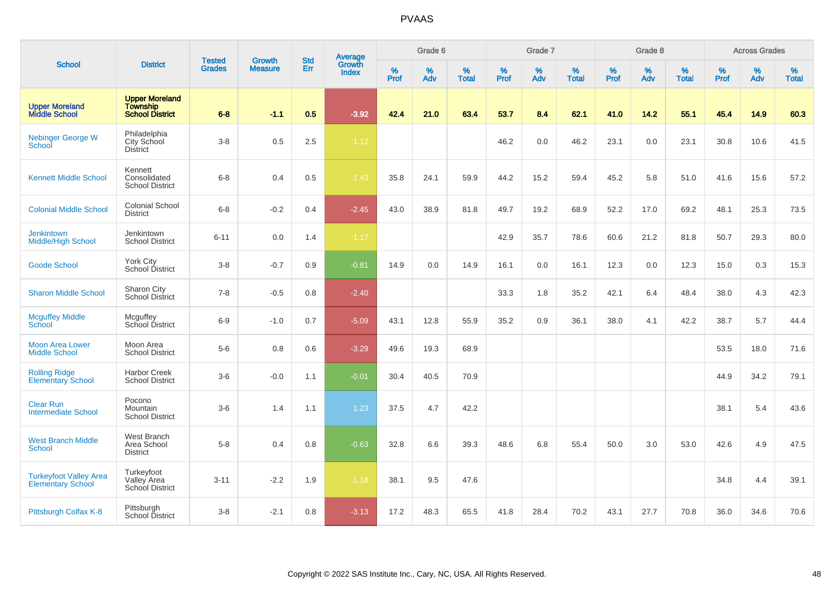|                                                           |                                                                    |                                | <b>Growth</b>  | <b>Std</b> |                                          |                     | Grade 6  |                   |                  | Grade 7  |                   |                  | Grade 8  |                   |              | <b>Across Grades</b> |                   |
|-----------------------------------------------------------|--------------------------------------------------------------------|--------------------------------|----------------|------------|------------------------------------------|---------------------|----------|-------------------|------------------|----------|-------------------|------------------|----------|-------------------|--------------|----------------------|-------------------|
| <b>School</b>                                             | <b>District</b>                                                    | <b>Tested</b><br><b>Grades</b> | <b>Measure</b> | <b>Err</b> | <b>Average</b><br>Growth<br><b>Index</b> | $\%$<br><b>Prof</b> | %<br>Adv | %<br><b>Total</b> | %<br><b>Prof</b> | %<br>Adv | %<br><b>Total</b> | %<br><b>Prof</b> | %<br>Adv | %<br><b>Total</b> | $\%$<br>Prof | %<br>Adv             | %<br><b>Total</b> |
| <b>Upper Moreland<br/>Middle School</b>                   | <b>Upper Moreland</b><br><b>Township</b><br><b>School District</b> | $6 - 8$                        | $-1.1$         | 0.5        | $-3.92$                                  | 42.4                | 21.0     | 63.4              | 53.7             | 8.4      | 62.1              | 41.0             | 14.2     | 55.1              | 45.4         | 14.9                 | 60.3              |
| <b>Nebinger George W</b><br>School                        | Philadelphia<br>City School<br><b>District</b>                     | $3-8$                          | 0.5            | 2.5        | $-1.12$                                  |                     |          |                   | 46.2             | 0.0      | 46.2              | 23.1             | 0.0      | 23.1              | 30.8         | 10.6                 | 41.5              |
| <b>Kennett Middle School</b>                              | Kennett<br>Consolidated<br><b>School District</b>                  | $6 - 8$                        | 0.4            | 0.5        | $-1.43$                                  | 35.8                | 24.1     | 59.9              | 44.2             | 15.2     | 59.4              | 45.2             | 5.8      | 51.0              | 41.6         | 15.6                 | 57.2              |
| <b>Colonial Middle School</b>                             | Colonial School<br><b>District</b>                                 | $6 - 8$                        | $-0.2$         | 0.4        | $-2.45$                                  | 43.0                | 38.9     | 81.8              | 49.7             | 19.2     | 68.9              | 52.2             | 17.0     | 69.2              | 48.1         | 25.3                 | 73.5              |
| <b>Jenkintown</b><br><b>Middle/High School</b>            | Jenkintown<br><b>School District</b>                               | $6 - 11$                       | 0.0            | 1.4        | $-1.17$                                  |                     |          |                   | 42.9             | 35.7     | 78.6              | 60.6             | 21.2     | 81.8              | 50.7         | 29.3                 | 80.0              |
| <b>Goode School</b>                                       | <b>York City</b><br>School District                                | $3-8$                          | $-0.7$         | 0.9        | $-0.81$                                  | 14.9                | 0.0      | 14.9              | 16.1             | 0.0      | 16.1              | 12.3             | 0.0      | 12.3              | 15.0         | 0.3                  | 15.3              |
| <b>Sharon Middle School</b>                               | Sharon City<br>School District                                     | $7 - 8$                        | $-0.5$         | 0.8        | $-2.40$                                  |                     |          |                   | 33.3             | 1.8      | 35.2              | 42.1             | 6.4      | 48.4              | 38.0         | 4.3                  | 42.3              |
| <b>Mcguffey Middle</b><br>School                          | Mcguffey<br>School District                                        | $6 - 9$                        | $-1.0$         | 0.7        | $-5.09$                                  | 43.1                | 12.8     | 55.9              | 35.2             | 0.9      | 36.1              | 38.0             | 4.1      | 42.2              | 38.7         | 5.7                  | 44.4              |
| <b>Moon Area Lower</b><br><b>Middle School</b>            | Moon Area<br><b>School District</b>                                | $5-6$                          | 0.8            | 0.6        | $-3.29$                                  | 49.6                | 19.3     | 68.9              |                  |          |                   |                  |          |                   | 53.5         | 18.0                 | 71.6              |
| <b>Rolling Ridge</b><br><b>Elementary School</b>          | <b>Harbor Creek</b><br><b>School District</b>                      | $3-6$                          | $-0.0$         | 1.1        | $-0.01$                                  | 30.4                | 40.5     | 70.9              |                  |          |                   |                  |          |                   | 44.9         | 34.2                 | 79.1              |
| <b>Clear Run</b><br><b>Intermediate School</b>            | Pocono<br>Mountain<br><b>School District</b>                       | $3-6$                          | 1.4            | 1.1        | 1.23                                     | 37.5                | 4.7      | 42.2              |                  |          |                   |                  |          |                   | 38.1         | 5.4                  | 43.6              |
| <b>West Branch Middle</b><br>School                       | West Branch<br>Area School<br><b>District</b>                      | $5-8$                          | 0.4            | 0.8        | $-0.63$                                  | 32.8                | 6.6      | 39.3              | 48.6             | 6.8      | 55.4              | 50.0             | 3.0      | 53.0              | 42.6         | 4.9                  | 47.5              |
| <b>Turkeyfoot Valley Area</b><br><b>Elementary School</b> | Turkeyfoot<br>Valley Area<br>School District                       | $3 - 11$                       | $-2.2$         | 1.9        | $-1.18$                                  | 38.1                | 9.5      | 47.6              |                  |          |                   |                  |          |                   | 34.8         | 4.4                  | 39.1              |
| Pittsburgh Colfax K-8                                     | Pittsburgh<br>School District                                      | $3-8$                          | $-2.1$         | 0.8        | $-3.13$                                  | 17.2                | 48.3     | 65.5              | 41.8             | 28.4     | 70.2              | 43.1             | 27.7     | 70.8              | 36.0         | 34.6                 | 70.6              |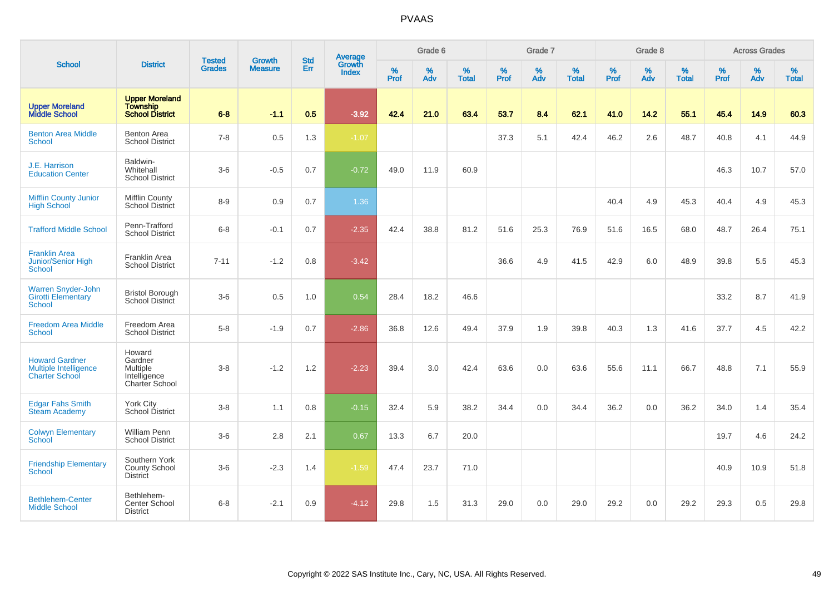|                                                                                |                                                                        |                                |                                 |                   |                                          |                  | Grade 6  |                   |           | Grade 7  |                   |           | Grade 8  |                   |           | <b>Across Grades</b> |                   |
|--------------------------------------------------------------------------------|------------------------------------------------------------------------|--------------------------------|---------------------------------|-------------------|------------------------------------------|------------------|----------|-------------------|-----------|----------|-------------------|-----------|----------|-------------------|-----------|----------------------|-------------------|
| <b>School</b>                                                                  | <b>District</b>                                                        | <b>Tested</b><br><b>Grades</b> | <b>Growth</b><br><b>Measure</b> | <b>Std</b><br>Err | <b>Average</b><br>Growth<br><b>Index</b> | %<br><b>Prof</b> | %<br>Adv | %<br><b>Total</b> | %<br>Prof | %<br>Adv | %<br><b>Total</b> | %<br>Prof | %<br>Adv | %<br><b>Total</b> | %<br>Prof | %<br>Adv             | %<br><b>Total</b> |
| <b>Upper Moreland<br/>Middle School</b>                                        | <b>Upper Moreland</b><br><b>Township</b><br><b>School District</b>     | $6 - 8$                        | $-1.1$                          | 0.5               | $-3.92$                                  | 42.4             | 21.0     | 63.4              | 53.7      | 8.4      | 62.1              | 41.0      | 14.2     | 55.1              | 45.4      | 14.9                 | 60.3              |
| <b>Benton Area Middle</b><br>School                                            | Benton Area<br><b>School District</b>                                  | $7 - 8$                        | 0.5                             | 1.3               | $-1.07$                                  |                  |          |                   | 37.3      | 5.1      | 42.4              | 46.2      | 2.6      | 48.7              | 40.8      | 4.1                  | 44.9              |
| J.E. Harrison<br><b>Education Center</b>                                       | Baldwin-<br>Whitehall<br><b>School District</b>                        | $3-6$                          | $-0.5$                          | 0.7               | $-0.72$                                  | 49.0             | 11.9     | 60.9              |           |          |                   |           |          |                   | 46.3      | 10.7                 | 57.0              |
| <b>Mifflin County Junior</b><br><b>High School</b>                             | Mifflin County<br><b>School District</b>                               | $8 - 9$                        | 0.9                             | 0.7               | 1.36                                     |                  |          |                   |           |          |                   | 40.4      | 4.9      | 45.3              | 40.4      | 4.9                  | 45.3              |
| <b>Trafford Middle School</b>                                                  | Penn-Trafford<br><b>School District</b>                                | $6 - 8$                        | $-0.1$                          | 0.7               | $-2.35$                                  | 42.4             | 38.8     | 81.2              | 51.6      | 25.3     | 76.9              | 51.6      | 16.5     | 68.0              | 48.7      | 26.4                 | 75.1              |
| <b>Franklin Area</b><br>Junior/Senior High<br>School                           | <b>Franklin Area</b><br><b>School District</b>                         | $7 - 11$                       | $-1.2$                          | 0.8               | $-3.42$                                  |                  |          |                   | 36.6      | 4.9      | 41.5              | 42.9      | 6.0      | 48.9              | 39.8      | 5.5                  | 45.3              |
| <b>Warren Snyder-John</b><br><b>Girotti Elementary</b><br>School               | <b>Bristol Borough</b><br>School District                              | $3-6$                          | 0.5                             | 1.0               | 0.54                                     | 28.4             | 18.2     | 46.6              |           |          |                   |           |          |                   | 33.2      | 8.7                  | 41.9              |
| <b>Freedom Area Middle</b><br><b>School</b>                                    | Freedom Area<br><b>School District</b>                                 | $5-8$                          | $-1.9$                          | 0.7               | $-2.86$                                  | 36.8             | 12.6     | 49.4              | 37.9      | 1.9      | 39.8              | 40.3      | 1.3      | 41.6              | 37.7      | 4.5                  | 42.2              |
| <b>Howard Gardner</b><br><b>Multiple Intelligence</b><br><b>Charter School</b> | Howard<br>Gardner<br><b>Multiple</b><br>Intelligence<br>Charter School | $3 - 8$                        | $-1.2$                          | 1.2               | $-2.23$                                  | 39.4             | 3.0      | 42.4              | 63.6      | 0.0      | 63.6              | 55.6      | 11.1     | 66.7              | 48.8      | 7.1                  | 55.9              |
| <b>Edgar Fahs Smith</b><br><b>Steam Academy</b>                                | York City<br>School District                                           | $3 - 8$                        | 1.1                             | 0.8               | $-0.15$                                  | 32.4             | 5.9      | 38.2              | 34.4      | 0.0      | 34.4              | 36.2      | 0.0      | 36.2              | 34.0      | 1.4                  | 35.4              |
| <b>Colwyn Elementary</b><br><b>School</b>                                      | <b>William Penn</b><br><b>School District</b>                          | $3-6$                          | 2.8                             | 2.1               | 0.67                                     | 13.3             | 6.7      | 20.0              |           |          |                   |           |          |                   | 19.7      | 4.6                  | 24.2              |
| <b>Friendship Elementary</b><br><b>School</b>                                  | Southern York<br><b>County School</b><br><b>District</b>               | $3 - 6$                        | $-2.3$                          | 1.4               | $-1.59$                                  | 47.4             | 23.7     | 71.0              |           |          |                   |           |          |                   | 40.9      | 10.9                 | 51.8              |
| <b>Bethlehem-Center</b><br><b>Middle School</b>                                | Bethlehem-<br>Center School<br><b>District</b>                         | $6 - 8$                        | $-2.1$                          | 0.9               | $-4.12$                                  | 29.8             | 1.5      | 31.3              | 29.0      | 0.0      | 29.0              | 29.2      | 0.0      | 29.2              | 29.3      | 0.5                  | 29.8              |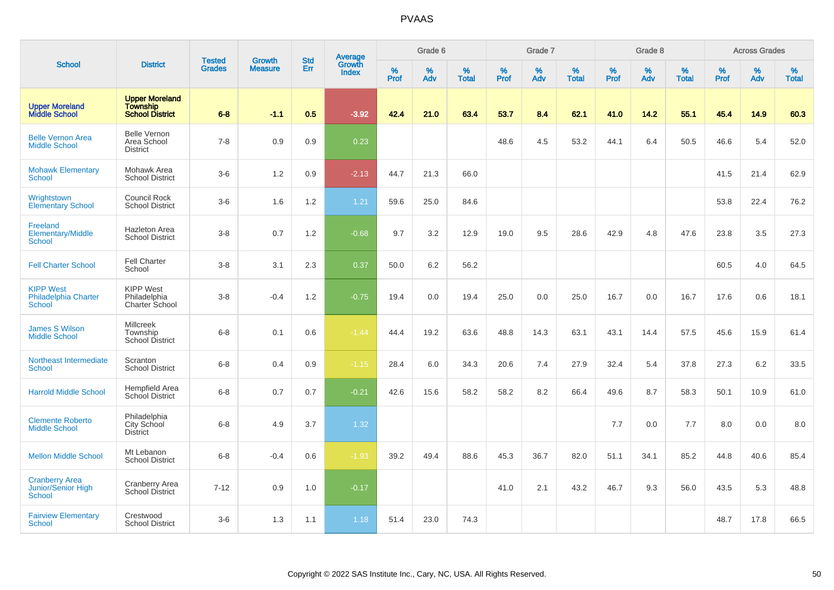|                                                           |                                                                    |                                |                                 | <b>Std</b> |                                          |           | Grade 6  |                   |           | Grade 7  |                   |                  | Grade 8     |                   |           | <b>Across Grades</b> |                   |
|-----------------------------------------------------------|--------------------------------------------------------------------|--------------------------------|---------------------------------|------------|------------------------------------------|-----------|----------|-------------------|-----------|----------|-------------------|------------------|-------------|-------------------|-----------|----------------------|-------------------|
| <b>School</b>                                             | <b>District</b>                                                    | <b>Tested</b><br><b>Grades</b> | <b>Growth</b><br><b>Measure</b> | Err        | <b>Average</b><br>Growth<br><b>Index</b> | %<br>Prof | %<br>Adv | %<br><b>Total</b> | %<br>Prof | %<br>Adv | %<br><b>Total</b> | %<br><b>Prof</b> | $\%$<br>Adv | %<br><b>Total</b> | %<br>Prof | %<br>Adv             | %<br><b>Total</b> |
| <b>Upper Moreland</b><br><b>Middle School</b>             | <b>Upper Moreland</b><br><b>Township</b><br><b>School District</b> | $6 - 8$                        | $-1.1$                          | 0.5        | $-3.92$                                  | 42.4      | 21.0     | 63.4              | 53.7      | 8.4      | 62.1              | 41.0             | 14.2        | 55.1              | 45.4      | 14.9                 | 60.3              |
| <b>Belle Vernon Area</b><br><b>Middle School</b>          | <b>Belle Vernon</b><br>Area School<br><b>District</b>              | $7 - 8$                        | 0.9                             | 0.9        | 0.23                                     |           |          |                   | 48.6      | 4.5      | 53.2              | 44.1             | 6.4         | 50.5              | 46.6      | 5.4                  | 52.0              |
| <b>Mohawk Elementary</b><br><b>School</b>                 | Mohawk Area<br><b>School District</b>                              | $3-6$                          | 1.2                             | 0.9        | $-2.13$                                  | 44.7      | 21.3     | 66.0              |           |          |                   |                  |             |                   | 41.5      | 21.4                 | 62.9              |
| Wrightstown<br><b>Elementary School</b>                   | Council Rock<br><b>School District</b>                             | $3-6$                          | 1.6                             | 1.2        | 1.21                                     | 59.6      | 25.0     | 84.6              |           |          |                   |                  |             |                   | 53.8      | 22.4                 | 76.2              |
| Freeland<br>Elementary/Middle<br><b>School</b>            | <b>Hazleton Area</b><br><b>School District</b>                     | $3 - 8$                        | 0.7                             | 1.2        | $-0.68$                                  | 9.7       | 3.2      | 12.9              | 19.0      | 9.5      | 28.6              | 42.9             | 4.8         | 47.6              | 23.8      | 3.5                  | 27.3              |
| <b>Fell Charter School</b>                                | <b>Fell Charter</b><br>School                                      | $3 - 8$                        | 3.1                             | 2.3        | 0.37                                     | 50.0      | 6.2      | 56.2              |           |          |                   |                  |             |                   | 60.5      | 4.0                  | 64.5              |
| <b>KIPP West</b><br><b>Philadelphia Charter</b><br>School | <b>KIPP West</b><br>Philadelphia<br>Charter School                 | $3 - 8$                        | $-0.4$                          | 1.2        | $-0.75$                                  | 19.4      | $0.0\,$  | 19.4              | 25.0      | 0.0      | 25.0              | 16.7             | 0.0         | 16.7              | 17.6      | 0.6                  | 18.1              |
| James S Wilson<br><b>Middle School</b>                    | <b>Millcreek</b><br>Township<br>School District                    | $6 - 8$                        | 0.1                             | 0.6        | $-1.44$                                  | 44.4      | 19.2     | 63.6              | 48.8      | 14.3     | 63.1              | 43.1             | 14.4        | 57.5              | 45.6      | 15.9                 | 61.4              |
| Northeast Intermediate<br><b>School</b>                   | Scranton<br><b>School District</b>                                 | $6 - 8$                        | 0.4                             | 0.9        | $-1.15$                                  | 28.4      | 6.0      | 34.3              | 20.6      | 7.4      | 27.9              | 32.4             | 5.4         | 37.8              | 27.3      | 6.2                  | 33.5              |
| <b>Harrold Middle School</b>                              | <b>Hempfield Area</b><br>School District                           | $6 - 8$                        | 0.7                             | 0.7        | $-0.21$                                  | 42.6      | 15.6     | 58.2              | 58.2      | 8.2      | 66.4              | 49.6             | 8.7         | 58.3              | 50.1      | 10.9                 | 61.0              |
| <b>Clemente Roberto</b><br><b>Middle School</b>           | Philadelphia<br>City School<br><b>District</b>                     | $6 - 8$                        | 4.9                             | 3.7        | 1.32                                     |           |          |                   |           |          |                   | 7.7              | 0.0         | 7.7               | 8.0       | 0.0                  | 8.0               |
| <b>Mellon Middle School</b>                               | Mt Lebanon<br><b>School District</b>                               | $6 - 8$                        | $-0.4$                          | 0.6        | $-1.93$                                  | 39.2      | 49.4     | 88.6              | 45.3      | 36.7     | 82.0              | 51.1             | 34.1        | 85.2              | 44.8      | 40.6                 | 85.4              |
| <b>Cranberry Area</b><br>Junior/Senior High<br>School     | <b>Cranberry Area</b><br><b>School District</b>                    | $7 - 12$                       | 0.9                             | 1.0        | $-0.17$                                  |           |          |                   | 41.0      | 2.1      | 43.2              | 46.7             | 9.3         | 56.0              | 43.5      | 5.3                  | 48.8              |
| <b>Fairview Elementary</b><br>School                      | Crestwood<br><b>School District</b>                                | $3-6$                          | 1.3                             | 1.1        | 1.18                                     | 51.4      | 23.0     | 74.3              |           |          |                   |                  |             |                   | 48.7      | 17.8                 | 66.5              |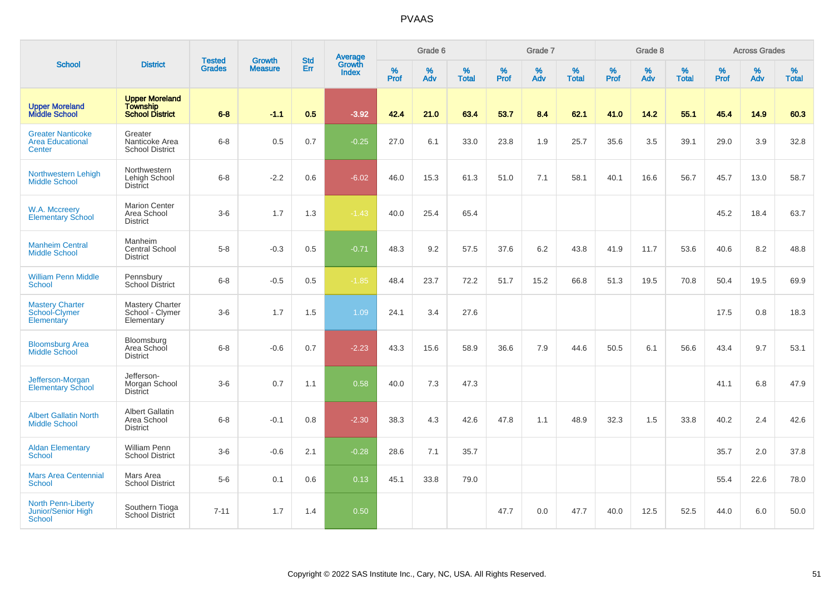|                                                                  |                                                                    |                                | <b>Growth</b>  | <b>Std</b> |                                          |           | Grade 6     |                   |           | Grade 7     |                      |                     | Grade 8  |                   |              | <b>Across Grades</b> |                   |
|------------------------------------------------------------------|--------------------------------------------------------------------|--------------------------------|----------------|------------|------------------------------------------|-----------|-------------|-------------------|-----------|-------------|----------------------|---------------------|----------|-------------------|--------------|----------------------|-------------------|
| <b>School</b>                                                    | <b>District</b>                                                    | <b>Tested</b><br><b>Grades</b> | <b>Measure</b> | Err        | <b>Average</b><br>Growth<br><b>Index</b> | %<br>Prof | $\%$<br>Adv | %<br><b>Total</b> | %<br>Prof | $\%$<br>Adv | $\%$<br><b>Total</b> | $\%$<br><b>Prof</b> | %<br>Adv | %<br><b>Total</b> | $\%$<br>Prof | $\%$<br>Adv          | %<br><b>Total</b> |
| <b>Upper Moreland</b><br><b>Middle School</b>                    | <b>Upper Moreland</b><br><b>Township</b><br><b>School District</b> | $6 - 8$                        | $-1.1$         | 0.5        | $-3.92$                                  | 42.4      | 21.0        | 63.4              | 53.7      | 8.4         | 62.1                 | 41.0                | 14.2     | 55.1              | 45.4         | 14.9                 | 60.3              |
| <b>Greater Nanticoke</b><br><b>Area Educational</b><br>Center    | Greater<br>Nanticoke Area<br><b>School District</b>                | $6 - 8$                        | 0.5            | 0.7        | $-0.25$                                  | 27.0      | 6.1         | 33.0              | 23.8      | 1.9         | 25.7                 | 35.6                | 3.5      | 39.1              | 29.0         | 3.9                  | 32.8              |
| Northwestern Lehigh<br><b>Middle School</b>                      | Northwestern<br>Lehigh School<br>District                          | $6 - 8$                        | $-2.2$         | 0.6        | $-6.02$                                  | 46.0      | 15.3        | 61.3              | 51.0      | 7.1         | 58.1                 | 40.1                | 16.6     | 56.7              | 45.7         | 13.0                 | 58.7              |
| W.A. Mccreery<br><b>Elementary School</b>                        | <b>Marion Center</b><br>Area School<br><b>District</b>             | $3-6$                          | 1.7            | 1.3        | $-1.43$                                  | 40.0      | 25.4        | 65.4              |           |             |                      |                     |          |                   | 45.2         | 18.4                 | 63.7              |
| <b>Manheim Central</b><br><b>Middle School</b>                   | Manheim<br><b>Central School</b><br><b>District</b>                | $5-8$                          | $-0.3$         | 0.5        | $-0.71$                                  | 48.3      | 9.2         | 57.5              | 37.6      | 6.2         | 43.8                 | 41.9                | 11.7     | 53.6              | 40.6         | 8.2                  | 48.8              |
| <b>William Penn Middle</b><br><b>School</b>                      | Pennsbury<br><b>School District</b>                                | $6 - 8$                        | $-0.5$         | 0.5        | $-1.85$                                  | 48.4      | 23.7        | 72.2              | 51.7      | 15.2        | 66.8                 | 51.3                | 19.5     | 70.8              | 50.4         | 19.5                 | 69.9              |
| <b>Mastery Charter</b><br>School-Clymer<br>Elementary            | <b>Mastery Charter</b><br>School - Clymer<br>Elementary            | $3-6$                          | 1.7            | 1.5        | 1.09                                     | 24.1      | 3.4         | 27.6              |           |             |                      |                     |          |                   | 17.5         | 0.8                  | 18.3              |
| <b>Bloomsburg Area</b><br><b>Middle School</b>                   | Bloomsburg<br>Area School<br><b>District</b>                       | $6 - 8$                        | $-0.6$         | 0.7        | $-2.23$                                  | 43.3      | 15.6        | 58.9              | 36.6      | 7.9         | 44.6                 | 50.5                | 6.1      | 56.6              | 43.4         | 9.7                  | 53.1              |
| Jefferson-Morgan<br><b>Elementary School</b>                     | Jefferson-<br>Morgan School<br><b>District</b>                     | $3-6$                          | 0.7            | 1.1        | 0.58                                     | 40.0      | 7.3         | 47.3              |           |             |                      |                     |          |                   | 41.1         | 6.8                  | 47.9              |
| <b>Albert Gallatin North</b><br><b>Middle School</b>             | <b>Albert Gallatin</b><br>Area School<br><b>District</b>           | $6 - 8$                        | $-0.1$         | 0.8        | $-2.30$                                  | 38.3      | 4.3         | 42.6              | 47.8      | 1.1         | 48.9                 | 32.3                | 1.5      | 33.8              | 40.2         | 2.4                  | 42.6              |
| <b>Aldan Elementary</b><br><b>School</b>                         | <b>William Penn</b><br><b>School District</b>                      | $3-6$                          | $-0.6$         | 2.1        | $-0.28$                                  | 28.6      | 7.1         | 35.7              |           |             |                      |                     |          |                   | 35.7         | 2.0                  | 37.8              |
| <b>Mars Area Centennial</b><br><b>School</b>                     | Mars Area<br><b>School District</b>                                | $5-6$                          | 0.1            | 0.6        | 0.13                                     | 45.1      | 33.8        | 79.0              |           |             |                      |                     |          |                   | 55.4         | 22.6                 | 78.0              |
| <b>North Penn-Liberty</b><br>Junior/Senior High<br><b>School</b> | Southern Tioga<br><b>School District</b>                           | $7 - 11$                       | 1.7            | 1.4        | 0.50                                     |           |             |                   | 47.7      | 0.0         | 47.7                 | 40.0                | 12.5     | 52.5              | 44.0         | 6.0                  | 50.0              |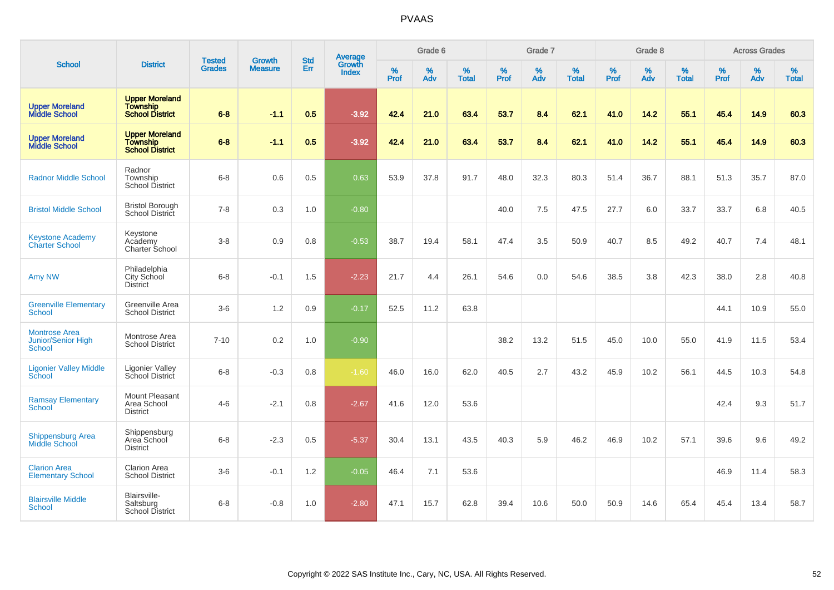|                                                             |                                                                    |                                |                                 | <b>Std</b> |                                          |                  | Grade 6  |                   |           | Grade 7  |                   |           | Grade 8  |                   |           | <b>Across Grades</b> |                   |
|-------------------------------------------------------------|--------------------------------------------------------------------|--------------------------------|---------------------------------|------------|------------------------------------------|------------------|----------|-------------------|-----------|----------|-------------------|-----------|----------|-------------------|-----------|----------------------|-------------------|
| <b>School</b>                                               | <b>District</b>                                                    | <b>Tested</b><br><b>Grades</b> | <b>Growth</b><br><b>Measure</b> | Err        | <b>Average</b><br>Growth<br><b>Index</b> | %<br><b>Prof</b> | %<br>Adv | %<br><b>Total</b> | %<br>Prof | %<br>Adv | %<br><b>Total</b> | %<br>Prof | %<br>Adv | %<br><b>Total</b> | %<br>Prof | %<br>Adv             | %<br><b>Total</b> |
| <b>Upper Moreland<br/>Middle School</b>                     | <b>Upper Moreland</b><br><b>Township</b><br><b>School District</b> | $6 - 8$                        | $-1.1$                          | 0.5        | $-3.92$                                  | 42.4             | 21.0     | 63.4              | 53.7      | 8.4      | 62.1              | 41.0      | 14.2     | 55.1              | 45.4      | 14.9                 | 60.3              |
| <b>Upper Moreland</b><br><b>Middle School</b>               | <b>Upper Moreland</b><br><b>Township</b><br><b>School District</b> | $6 - 8$                        | $-1.1$                          | 0.5        | $-3.92$                                  | 42.4             | 21.0     | 63.4              | 53.7      | 8.4      | 62.1              | 41.0      | 14.2     | 55.1              | 45.4      | 14.9                 | 60.3              |
| <b>Radnor Middle School</b>                                 | Radnor<br>Township<br>School District                              | $6 - 8$                        | 0.6                             | 0.5        | 0.63                                     | 53.9             | 37.8     | 91.7              | 48.0      | 32.3     | 80.3              | 51.4      | 36.7     | 88.1              | 51.3      | 35.7                 | 87.0              |
| <b>Bristol Middle School</b>                                | <b>Bristol Borough</b><br>School District                          | $7 - 8$                        | 0.3                             | 1.0        | $-0.80$                                  |                  |          |                   | 40.0      | 7.5      | 47.5              | 27.7      | 6.0      | 33.7              | 33.7      | 6.8                  | 40.5              |
| <b>Keystone Academy</b><br><b>Charter School</b>            | Keystone<br>Academy<br>Charter School                              | $3-8$                          | 0.9                             | 0.8        | $-0.53$                                  | 38.7             | 19.4     | 58.1              | 47.4      | 3.5      | 50.9              | 40.7      | 8.5      | 49.2              | 40.7      | 7.4                  | 48.1              |
| Amy NW                                                      | Philadelphia<br>City School<br><b>District</b>                     | $6 - 8$                        | $-0.1$                          | 1.5        | $-2.23$                                  | 21.7             | 4.4      | 26.1              | 54.6      | 0.0      | 54.6              | 38.5      | 3.8      | 42.3              | 38.0      | 2.8                  | 40.8              |
| <b>Greenville Elementary</b><br>School                      | Greenville Area<br><b>School District</b>                          | $3-6$                          | 1.2                             | 0.9        | $-0.17$                                  | 52.5             | 11.2     | 63.8              |           |          |                   |           |          |                   | 44.1      | 10.9                 | 55.0              |
| <b>Montrose Area</b><br><b>Junior/Senior High</b><br>School | Montrose Area<br><b>School District</b>                            | $7 - 10$                       | 0.2                             | 1.0        | $-0.90$                                  |                  |          |                   | 38.2      | 13.2     | 51.5              | 45.0      | 10.0     | 55.0              | 41.9      | 11.5                 | 53.4              |
| <b>Ligonier Valley Middle</b><br>School                     | <b>Ligonier Valley</b><br>School District                          | $6 - 8$                        | $-0.3$                          | 0.8        | $-1.60$                                  | 46.0             | 16.0     | 62.0              | 40.5      | 2.7      | 43.2              | 45.9      | 10.2     | 56.1              | 44.5      | 10.3                 | 54.8              |
| <b>Ramsay Elementary</b><br><b>School</b>                   | Mount Pleasant<br>Area School<br><b>District</b>                   | $4 - 6$                        | $-2.1$                          | 0.8        | $-2.67$                                  | 41.6             | 12.0     | 53.6              |           |          |                   |           |          |                   | 42.4      | 9.3                  | 51.7              |
| <b>Shippensburg Area</b><br>Middle School                   | Shippensburg<br>Area School<br><b>District</b>                     | $6 - 8$                        | $-2.3$                          | 0.5        | $-5.37$                                  | 30.4             | 13.1     | 43.5              | 40.3      | 5.9      | 46.2              | 46.9      | 10.2     | 57.1              | 39.6      | 9.6                  | 49.2              |
| <b>Clarion Area</b><br><b>Elementary School</b>             | <b>Clarion Area</b><br><b>School District</b>                      | $3-6$                          | $-0.1$                          | 1.2        | $-0.05$                                  | 46.4             | 7.1      | 53.6              |           |          |                   |           |          |                   | 46.9      | 11.4                 | 58.3              |
| <b>Blairsville Middle</b><br><b>School</b>                  | Blairsville-<br>Saltsburg<br><b>School District</b>                | $6 - 8$                        | $-0.8$                          | 1.0        | $-2.80$                                  | 47.1             | 15.7     | 62.8              | 39.4      | 10.6     | 50.0              | 50.9      | 14.6     | 65.4              | 45.4      | 13.4                 | 58.7              |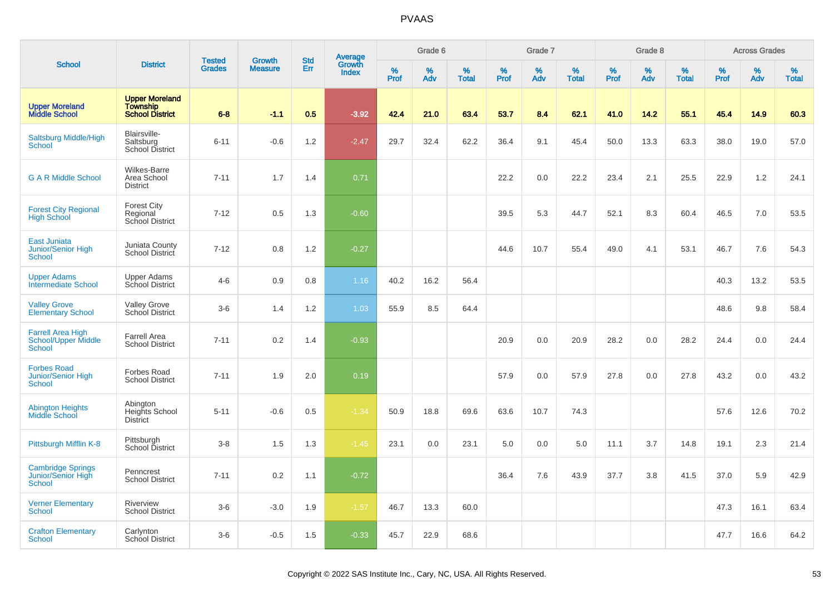|                                                                  |                                                                    |                                |                                 | <b>Std</b> |                                          |                  | Grade 6     |                      |              | Grade 7     |                      |              | Grade 8     |                      |              | <b>Across Grades</b> |                      |
|------------------------------------------------------------------|--------------------------------------------------------------------|--------------------------------|---------------------------------|------------|------------------------------------------|------------------|-------------|----------------------|--------------|-------------|----------------------|--------------|-------------|----------------------|--------------|----------------------|----------------------|
| <b>School</b>                                                    | <b>District</b>                                                    | <b>Tested</b><br><b>Grades</b> | <b>Growth</b><br><b>Measure</b> | Err        | <b>Average</b><br>Growth<br><b>Index</b> | %<br><b>Prof</b> | $\%$<br>Adv | $\%$<br><b>Total</b> | $\%$<br>Prof | $\%$<br>Adv | $\%$<br><b>Total</b> | $\%$<br>Prof | $\%$<br>Adv | $\%$<br><b>Total</b> | $\%$<br>Prof | $\%$<br>Adv          | $\%$<br><b>Total</b> |
| <b>Upper Moreland</b><br><b>Middle School</b>                    | <b>Upper Moreland</b><br><b>Township</b><br><b>School District</b> | $6 - 8$                        | $-1.1$                          | 0.5        | $-3.92$                                  | 42.4             | 21.0        | 63.4                 | 53.7         | 8.4         | 62.1                 | 41.0         | 14.2        | 55.1                 | 45.4         | 14.9                 | 60.3                 |
| <b>Saltsburg Middle/High</b><br><b>School</b>                    | Blairsville-<br>Saltsburg<br>School District                       | $6 - 11$                       | $-0.6$                          | 1.2        | $-2.47$                                  | 29.7             | 32.4        | 62.2                 | 36.4         | 9.1         | 45.4                 | 50.0         | 13.3        | 63.3                 | 38.0         | 19.0                 | 57.0                 |
| <b>G A R Middle School</b>                                       | <b>Wilkes-Barre</b><br>Area School<br><b>District</b>              | $7 - 11$                       | 1.7                             | 1.4        | 0.71                                     |                  |             |                      | 22.2         | 0.0         | 22.2                 | 23.4         | 2.1         | 25.5                 | 22.9         | 1.2                  | 24.1                 |
| <b>Forest City Regional</b><br><b>High School</b>                | <b>Forest City</b><br>Regional<br>School District                  | $7 - 12$                       | 0.5                             | 1.3        | $-0.60$                                  |                  |             |                      | 39.5         | 5.3         | 44.7                 | 52.1         | 8.3         | 60.4                 | 46.5         | 7.0                  | 53.5                 |
| <b>East Juniata</b><br>Junior/Senior High<br>School              | Juniata County<br>School District                                  | $7 - 12$                       | 0.8                             | 1.2        | $-0.27$                                  |                  |             |                      | 44.6         | 10.7        | 55.4                 | 49.0         | 4.1         | 53.1                 | 46.7         | 7.6                  | 54.3                 |
| <b>Upper Adams</b><br>Intermediate School                        | <b>Upper Adams</b><br>School District                              | $4 - 6$                        | 0.9                             | 0.8        | 1.16                                     | 40.2             | 16.2        | 56.4                 |              |             |                      |              |             |                      | 40.3         | 13.2                 | 53.5                 |
| <b>Valley Grove</b><br><b>Elementary School</b>                  | <b>Valley Grove</b><br>School District                             | $3-6$                          | 1.4                             | 1.2        | 1.03                                     | 55.9             | 8.5         | 64.4                 |              |             |                      |              |             |                      | 48.6         | 9.8                  | 58.4                 |
| <b>Farrell Area High</b><br>School/Upper Middle<br><b>School</b> | Farrell Area<br><b>School District</b>                             | $7 - 11$                       | 0.2                             | 1.4        | $-0.93$                                  |                  |             |                      | 20.9         | 0.0         | 20.9                 | 28.2         | 0.0         | 28.2                 | 24.4         | 0.0                  | 24.4                 |
| <b>Forbes Road</b><br><b>Junior/Senior High</b><br>School        | <b>Forbes Road</b><br><b>School District</b>                       | $7 - 11$                       | 1.9                             | 2.0        | 0.19                                     |                  |             |                      | 57.9         | 0.0         | 57.9                 | 27.8         | 0.0         | 27.8                 | 43.2         | 0.0                  | 43.2                 |
| <b>Abington Heights</b><br>Middle School                         | Abington<br>Heights School<br><b>District</b>                      | $5 - 11$                       | $-0.6$                          | 0.5        | $-1.34$                                  | 50.9             | 18.8        | 69.6                 | 63.6         | 10.7        | 74.3                 |              |             |                      | 57.6         | 12.6                 | 70.2                 |
| Pittsburgh Mifflin K-8                                           | Pittsburgh<br>School District                                      | $3 - 8$                        | 1.5                             | 1.3        | $-1.45$                                  | 23.1             | 0.0         | 23.1                 | 5.0          | 0.0         | 5.0                  | 11.1         | 3.7         | 14.8                 | 19.1         | 2.3                  | 21.4                 |
| <b>Cambridge Springs</b><br>Junior/Senior High<br><b>School</b>  | Penncrest<br><b>School District</b>                                | $7 - 11$                       | 0.2                             | 1.1        | $-0.72$                                  |                  |             |                      | 36.4         | 7.6         | 43.9                 | 37.7         | 3.8         | 41.5                 | 37.0         | 5.9                  | 42.9                 |
| <b>Verner Elementary</b><br><b>School</b>                        | Riverview<br><b>School District</b>                                | $3-6$                          | $-3.0$                          | 1.9        | $-1.57$                                  | 46.7             | 13.3        | 60.0                 |              |             |                      |              |             |                      | 47.3         | 16.1                 | 63.4                 |
| <b>Crafton Elementary</b><br><b>School</b>                       | Carlynton<br>School District                                       | $3-6$                          | $-0.5$                          | 1.5        | $-0.33$                                  | 45.7             | 22.9        | 68.6                 |              |             |                      |              |             |                      | 47.7         | 16.6                 | 64.2                 |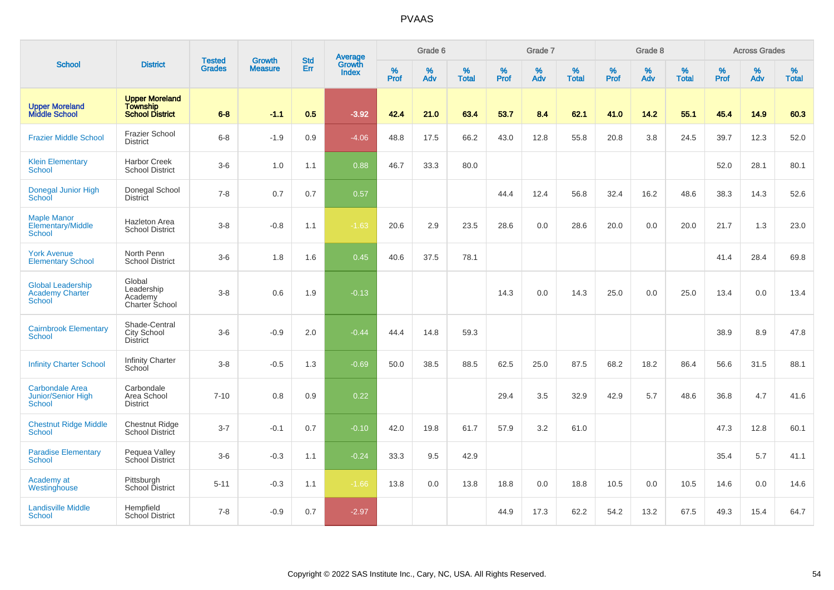|                                                                      |                                                                    |                                | <b>Growth</b>  | <b>Std</b> |                                          |           | Grade 6  |                   |           | Grade 7  |                   |           | Grade 8     |                   |           | <b>Across Grades</b> |                   |
|----------------------------------------------------------------------|--------------------------------------------------------------------|--------------------------------|----------------|------------|------------------------------------------|-----------|----------|-------------------|-----------|----------|-------------------|-----------|-------------|-------------------|-----------|----------------------|-------------------|
| <b>School</b>                                                        | <b>District</b>                                                    | <b>Tested</b><br><b>Grades</b> | <b>Measure</b> | <b>Err</b> | <b>Average</b><br>Growth<br><b>Index</b> | %<br>Prof | %<br>Adv | %<br><b>Total</b> | %<br>Prof | %<br>Adv | %<br><b>Total</b> | %<br>Prof | $\%$<br>Adv | %<br><b>Total</b> | %<br>Prof | %<br>Adv             | %<br><b>Total</b> |
| <b>Upper Moreland</b><br><b>Middle School</b>                        | <b>Upper Moreland</b><br><b>Township</b><br><b>School District</b> | $6 - 8$                        | $-1.1$         | 0.5        | $-3.92$                                  | 42.4      | 21.0     | 63.4              | 53.7      | 8.4      | 62.1              | 41.0      | 14.2        | 55.1              | 45.4      | 14.9                 | 60.3              |
| <b>Frazier Middle School</b>                                         | <b>Frazier School</b><br><b>District</b>                           | $6-8$                          | $-1.9$         | 0.9        | $-4.06$                                  | 48.8      | 17.5     | 66.2              | 43.0      | 12.8     | 55.8              | 20.8      | 3.8         | 24.5              | 39.7      | 12.3                 | 52.0              |
| <b>Klein Elementary</b><br><b>School</b>                             | <b>Harbor Creek</b><br><b>School District</b>                      | $3-6$                          | 1.0            | 1.1        | 0.88                                     | 46.7      | 33.3     | 80.0              |           |          |                   |           |             |                   | 52.0      | 28.1                 | 80.1              |
| Donegal Junior High<br>School                                        | Donegal School<br><b>District</b>                                  | $7 - 8$                        | 0.7            | 0.7        | 0.57                                     |           |          |                   | 44.4      | 12.4     | 56.8              | 32.4      | 16.2        | 48.6              | 38.3      | 14.3                 | 52.6              |
| <b>Maple Manor</b><br>Elementary/Middle<br><b>School</b>             | <b>Hazleton Area</b><br><b>School District</b>                     | $3 - 8$                        | $-0.8$         | 1.1        | $-1.63$                                  | 20.6      | 2.9      | 23.5              | 28.6      | 0.0      | 28.6              | 20.0      | 0.0         | 20.0              | 21.7      | 1.3                  | 23.0              |
| <b>York Avenue</b><br><b>Elementary School</b>                       | North Penn<br><b>School District</b>                               | $3-6$                          | 1.8            | 1.6        | 0.45                                     | 40.6      | 37.5     | 78.1              |           |          |                   |           |             |                   | 41.4      | 28.4                 | 69.8              |
| <b>Global Leadership</b><br><b>Academy Charter</b><br>School         | Global<br>Leadership<br>Academy<br>Charter School                  | $3 - 8$                        | 0.6            | 1.9        | $-0.13$                                  |           |          |                   | 14.3      | 0.0      | 14.3              | 25.0      | 0.0         | 25.0              | 13.4      | 0.0                  | 13.4              |
| <b>Cairnbrook Elementary</b><br><b>School</b>                        | Shade-Central<br>City School<br><b>District</b>                    | $3-6$                          | $-0.9$         | 2.0        | $-0.44$                                  | 44.4      | 14.8     | 59.3              |           |          |                   |           |             |                   | 38.9      | 8.9                  | 47.8              |
| <b>Infinity Charter School</b>                                       | <b>Infinity Charter</b><br>School                                  | $3-8$                          | $-0.5$         | 1.3        | $-0.69$                                  | 50.0      | 38.5     | 88.5              | 62.5      | 25.0     | 87.5              | 68.2      | 18.2        | 86.4              | 56.6      | 31.5                 | 88.1              |
| <b>Carbondale Area</b><br><b>Junior/Senior High</b><br><b>School</b> | Carbondale<br>Area School<br><b>District</b>                       | $7 - 10$                       | 0.8            | 0.9        | 0.22                                     |           |          |                   | 29.4      | 3.5      | 32.9              | 42.9      | 5.7         | 48.6              | 36.8      | 4.7                  | 41.6              |
| <b>Chestnut Ridge Middle</b><br><b>School</b>                        | <b>Chestnut Ridge</b><br>School District                           | $3 - 7$                        | $-0.1$         | 0.7        | $-0.10$                                  | 42.0      | 19.8     | 61.7              | 57.9      | 3.2      | 61.0              |           |             |                   | 47.3      | 12.8                 | 60.1              |
| <b>Paradise Elementary</b><br>School                                 | Pequea Valley<br>School District                                   | $3-6$                          | $-0.3$         | 1.1        | $-0.24$                                  | 33.3      | 9.5      | 42.9              |           |          |                   |           |             |                   | 35.4      | 5.7                  | 41.1              |
| Academy at<br>Westinghouse                                           | Pittsburgh<br>School District                                      | $5 - 11$                       | $-0.3$         | 1.1        | $-1.66$                                  | 13.8      | 0.0      | 13.8              | 18.8      | 0.0      | 18.8              | 10.5      | 0.0         | 10.5              | 14.6      | 0.0                  | 14.6              |
| <b>Landisville Middle</b><br>School                                  | Hempfield<br><b>School District</b>                                | $7 - 8$                        | $-0.9$         | 0.7        | $-2.97$                                  |           |          |                   | 44.9      | 17.3     | 62.2              | 54.2      | 13.2        | 67.5              | 49.3      | 15.4                 | 64.7              |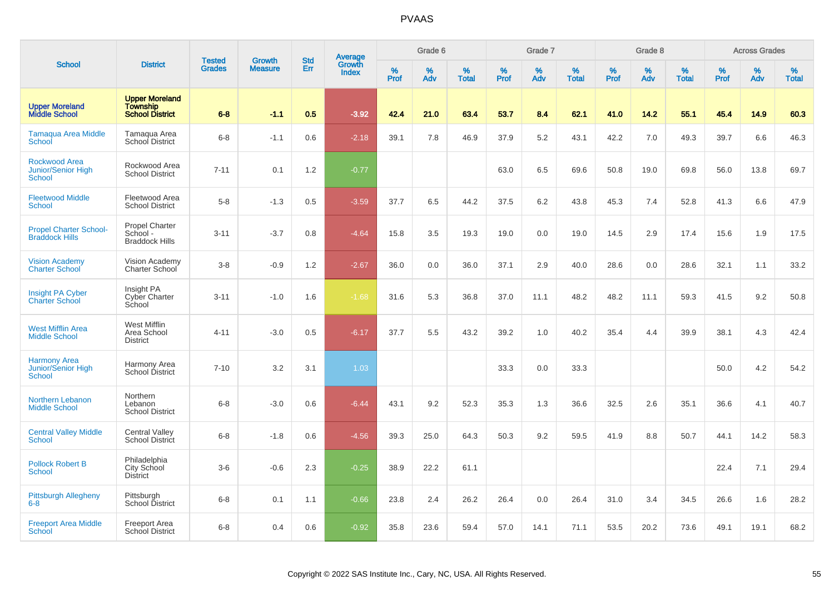|                                                             |                                                                    | <b>Tested</b> | <b>Growth</b>  | <b>Std</b> |                                          |           | Grade 6     |                   |           | Grade 7  |                   |                  | Grade 8  |                   |           | <b>Across Grades</b> |                   |
|-------------------------------------------------------------|--------------------------------------------------------------------|---------------|----------------|------------|------------------------------------------|-----------|-------------|-------------------|-----------|----------|-------------------|------------------|----------|-------------------|-----------|----------------------|-------------------|
| <b>School</b>                                               | <b>District</b>                                                    | <b>Grades</b> | <b>Measure</b> | Err        | <b>Average</b><br>Growth<br><b>Index</b> | %<br>Prof | $\%$<br>Adv | %<br><b>Total</b> | %<br>Prof | %<br>Adv | %<br><b>Total</b> | %<br><b>Prof</b> | %<br>Adv | %<br><b>Total</b> | %<br>Prof | %<br>Adv             | %<br><b>Total</b> |
| <b>Upper Moreland</b><br><b>Middle School</b>               | <b>Upper Moreland</b><br><b>Township</b><br><b>School District</b> | $6 - 8$       | $-1.1$         | 0.5        | $-3.92$                                  | 42.4      | 21.0        | 63.4              | 53.7      | 8.4      | 62.1              | 41.0             | 14.2     | 55.1              | 45.4      | 14.9                 | 60.3              |
| <b>Tamaqua Area Middle</b><br>School                        | Tamaqua Area<br>School District                                    | $6 - 8$       | $-1.1$         | 0.6        | $-2.18$                                  | 39.1      | 7.8         | 46.9              | 37.9      | 5.2      | 43.1              | 42.2             | 7.0      | 49.3              | 39.7      | 6.6                  | 46.3              |
| Rockwood Area<br><b>Junior/Senior High</b><br><b>School</b> | Rockwood Area<br><b>School District</b>                            | $7 - 11$      | 0.1            | 1.2        | $-0.77$                                  |           |             |                   | 63.0      | 6.5      | 69.6              | 50.8             | 19.0     | 69.8              | 56.0      | 13.8                 | 69.7              |
| <b>Fleetwood Middle</b><br><b>School</b>                    | Fleetwood Area<br><b>School District</b>                           | $5-8$         | $-1.3$         | 0.5        | $-3.59$                                  | 37.7      | 6.5         | 44.2              | 37.5      | 6.2      | 43.8              | 45.3             | 7.4      | 52.8              | 41.3      | 6.6                  | 47.9              |
| <b>Propel Charter School-</b><br><b>Braddock Hills</b>      | Propel Charter<br>School -<br><b>Braddock Hills</b>                | $3 - 11$      | $-3.7$         | 0.8        | $-4.64$                                  | 15.8      | 3.5         | 19.3              | 19.0      | 0.0      | 19.0              | 14.5             | 2.9      | 17.4              | 15.6      | 1.9                  | 17.5              |
| <b>Vision Academy</b><br><b>Charter School</b>              | Vision Academy<br>Charter School                                   | $3 - 8$       | $-0.9$         | 1.2        | $-2.67$                                  | 36.0      | 0.0         | 36.0              | 37.1      | 2.9      | 40.0              | 28.6             | 0.0      | 28.6              | 32.1      | 1.1                  | 33.2              |
| <b>Insight PA Cyber</b><br><b>Charter School</b>            | Insight PA<br><b>Cyber Charter</b><br>School                       | $3 - 11$      | $-1.0$         | 1.6        | $-1.68$                                  | 31.6      | 5.3         | 36.8              | 37.0      | 11.1     | 48.2              | 48.2             | 11.1     | 59.3              | 41.5      | 9.2                  | 50.8              |
| <b>West Mifflin Area</b><br><b>Middle School</b>            | West Mifflin<br>Area School<br><b>District</b>                     | $4 - 11$      | $-3.0$         | 0.5        | $-6.17$                                  | 37.7      | 5.5         | 43.2              | 39.2      | 1.0      | 40.2              | 35.4             | 4.4      | 39.9              | 38.1      | 4.3                  | 42.4              |
| <b>Harmony Area</b><br>Junior/Senior High<br>School         | Harmony Area<br>School District                                    | $7 - 10$      | 3.2            | 3.1        | 1.03                                     |           |             |                   | 33.3      | 0.0      | 33.3              |                  |          |                   | 50.0      | 4.2                  | 54.2              |
| Northern Lebanon<br><b>Middle School</b>                    | <b>Northern</b><br>Lebanon<br><b>School District</b>               | $6 - 8$       | $-3.0$         | 0.6        | $-6.44$                                  | 43.1      | 9.2         | 52.3              | 35.3      | 1.3      | 36.6              | 32.5             | 2.6      | 35.1              | 36.6      | 4.1                  | 40.7              |
| <b>Central Valley Middle</b><br>School                      | <b>Central Valley</b><br><b>School District</b>                    | $6 - 8$       | $-1.8$         | 0.6        | $-4.56$                                  | 39.3      | 25.0        | 64.3              | 50.3      | 9.2      | 59.5              | 41.9             | 8.8      | 50.7              | 44.1      | 14.2                 | 58.3              |
| <b>Pollock Robert B</b><br><b>School</b>                    | Philadelphia<br>City School<br><b>District</b>                     | $3-6$         | $-0.6$         | 2.3        | $-0.25$                                  | 38.9      | 22.2        | 61.1              |           |          |                   |                  |          |                   | 22.4      | 7.1                  | 29.4              |
| <b>Pittsburgh Allegheny</b><br>$6 - 8$                      | Pittsburgh<br>School District                                      | $6 - 8$       | 0.1            | 1.1        | $-0.66$                                  | 23.8      | 2.4         | 26.2              | 26.4      | 0.0      | 26.4              | 31.0             | 3.4      | 34.5              | 26.6      | 1.6                  | 28.2              |
| <b>Freeport Area Middle</b><br>School                       | <b>Freeport Area</b><br><b>School District</b>                     | $6 - 8$       | 0.4            | 0.6        | $-0.92$                                  | 35.8      | 23.6        | 59.4              | 57.0      | 14.1     | 71.1              | 53.5             | 20.2     | 73.6              | 49.1      | 19.1                 | 68.2              |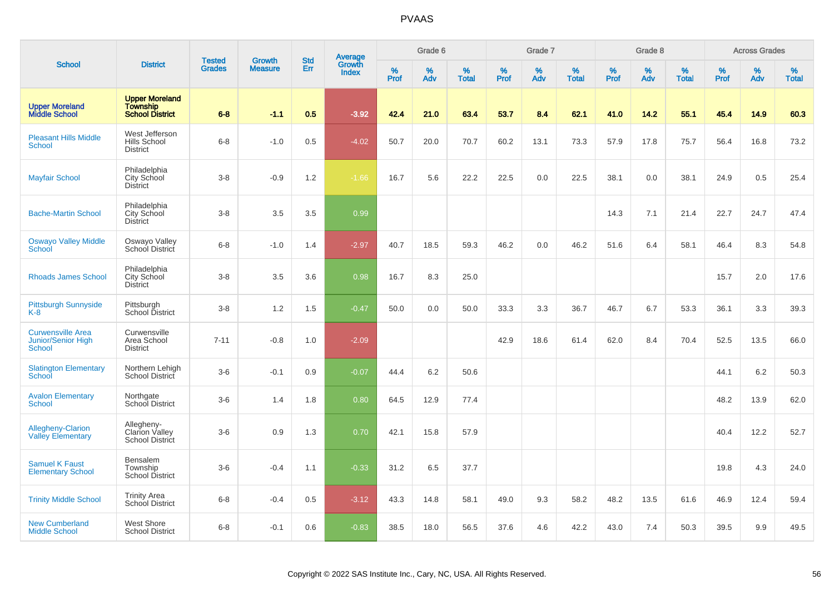|                                                                        |                                                                    |                                |                                 | <b>Std</b> |                                          |              | Grade 6     |                   |           | Grade 7     |                   |           | Grade 8     |                   |              | <b>Across Grades</b> |                   |
|------------------------------------------------------------------------|--------------------------------------------------------------------|--------------------------------|---------------------------------|------------|------------------------------------------|--------------|-------------|-------------------|-----------|-------------|-------------------|-----------|-------------|-------------------|--------------|----------------------|-------------------|
| <b>School</b>                                                          | <b>District</b>                                                    | <b>Tested</b><br><b>Grades</b> | <b>Growth</b><br><b>Measure</b> | Err        | <b>Average</b><br>Growth<br><b>Index</b> | $\%$<br>Prof | $\%$<br>Adv | %<br><b>Total</b> | %<br>Prof | $\%$<br>Adv | %<br><b>Total</b> | %<br>Prof | $\%$<br>Adv | %<br><b>Total</b> | $\%$<br>Prof | $\%$<br>Adv          | %<br><b>Total</b> |
| <b>Upper Moreland<br/>Middle School</b>                                | <b>Upper Moreland</b><br><b>Township</b><br><b>School District</b> | $6 - 8$                        | $-1.1$                          | 0.5        | $-3.92$                                  | 42.4         | 21.0        | 63.4              | 53.7      | 8.4         | 62.1              | 41.0      | 14.2        | 55.1              | 45.4         | 14.9                 | 60.3              |
| <b>Pleasant Hills Middle</b><br><b>School</b>                          | West Jefferson<br>Hills School<br><b>District</b>                  | $6 - 8$                        | $-1.0$                          | 0.5        | $-4.02$                                  | 50.7         | 20.0        | 70.7              | 60.2      | 13.1        | 73.3              | 57.9      | 17.8        | 75.7              | 56.4         | 16.8                 | 73.2              |
| <b>Mayfair School</b>                                                  | Philadelphia<br>City School<br>District                            | $3-8$                          | $-0.9$                          | 1.2        | $-1.66$                                  | 16.7         | 5.6         | 22.2              | 22.5      | 0.0         | 22.5              | 38.1      | 0.0         | 38.1              | 24.9         | 0.5                  | 25.4              |
| <b>Bache-Martin School</b>                                             | Philadelphia<br>City School<br><b>District</b>                     | $3-8$                          | 3.5                             | 3.5        | 0.99                                     |              |             |                   |           |             |                   | 14.3      | 7.1         | 21.4              | 22.7         | 24.7                 | 47.4              |
| <b>Oswayo Valley Middle</b><br>School                                  | Oswayo Valley<br>School District                                   | $6 - 8$                        | $-1.0$                          | 1.4        | $-2.97$                                  | 40.7         | 18.5        | 59.3              | 46.2      | 0.0         | 46.2              | 51.6      | 6.4         | 58.1              | 46.4         | 8.3                  | 54.8              |
| <b>Rhoads James School</b>                                             | Philadelphia<br>City School<br><b>District</b>                     | $3-8$                          | 3.5                             | 3.6        | 0.98                                     | 16.7         | 8.3         | 25.0              |           |             |                   |           |             |                   | 15.7         | 2.0                  | 17.6              |
| <b>Pittsburgh Sunnyside</b><br>K-8                                     | Pittsburgh<br>School District                                      | $3 - 8$                        | 1.2                             | 1.5        | $-0.47$                                  | 50.0         | 0.0         | 50.0              | 33.3      | 3.3         | 36.7              | 46.7      | 6.7         | 53.3              | 36.1         | 3.3                  | 39.3              |
| <b>Curwensville Area</b><br><b>Junior/Senior High</b><br><b>School</b> | Curwensville<br>Area School<br><b>District</b>                     | $7 - 11$                       | $-0.8$                          | 1.0        | $-2.09$                                  |              |             |                   | 42.9      | 18.6        | 61.4              | 62.0      | 8.4         | 70.4              | 52.5         | 13.5                 | 66.0              |
| <b>Slatington Elementary</b><br>School                                 | Northern Lehigh<br>School District                                 | $3-6$                          | $-0.1$                          | 0.9        | $-0.07$                                  | 44.4         | 6.2         | 50.6              |           |             |                   |           |             |                   | 44.1         | 6.2                  | 50.3              |
| <b>Avalon Elementary</b><br><b>School</b>                              | Northgate<br>School District                                       | $3-6$                          | 1.4                             | 1.8        | 0.80                                     | 64.5         | 12.9        | 77.4              |           |             |                   |           |             |                   | 48.2         | 13.9                 | 62.0              |
| Allegheny-Clarion<br><b>Valley Elementary</b>                          | Allegheny-<br>Clarion Valley<br>School District                    | $3-6$                          | 0.9                             | 1.3        | 0.70                                     | 42.1         | 15.8        | 57.9              |           |             |                   |           |             |                   | 40.4         | 12.2                 | 52.7              |
| <b>Samuel K Faust</b><br><b>Elementary School</b>                      | Bensalem<br>Township<br><b>School District</b>                     | $3-6$                          | $-0.4$                          | 1.1        | $-0.33$                                  | 31.2         | 6.5         | 37.7              |           |             |                   |           |             |                   | 19.8         | 4.3                  | 24.0              |
| <b>Trinity Middle School</b>                                           | <b>Trinity Area</b><br>School District                             | $6 - 8$                        | $-0.4$                          | 0.5        | $-3.12$                                  | 43.3         | 14.8        | 58.1              | 49.0      | 9.3         | 58.2              | 48.2      | 13.5        | 61.6              | 46.9         | 12.4                 | 59.4              |
| <b>New Cumberland</b><br><b>Middle School</b>                          | West Shore<br><b>School District</b>                               | $6 - 8$                        | $-0.1$                          | 0.6        | $-0.83$                                  | 38.5         | 18.0        | 56.5              | 37.6      | 4.6         | 42.2              | 43.0      | 7.4         | 50.3              | 39.5         | 9.9                  | 49.5              |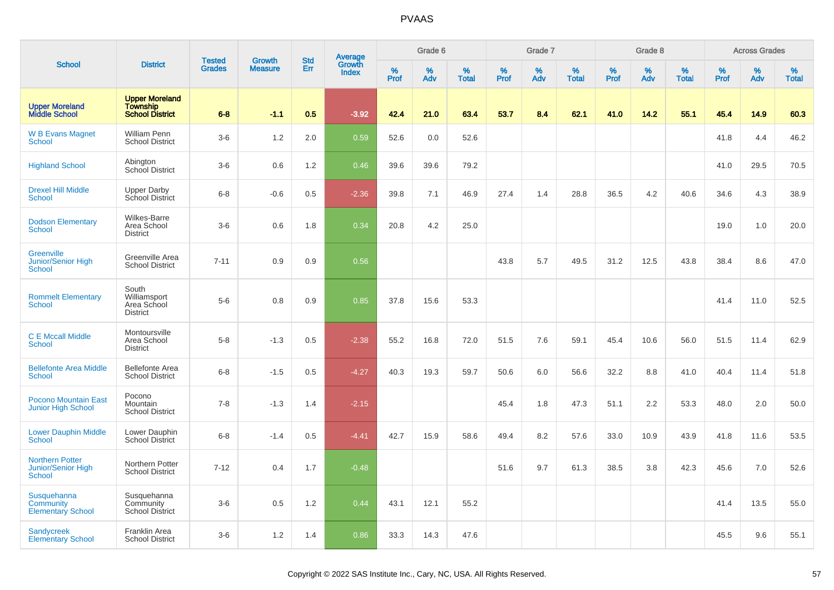|                                                          |                                                                    | <b>Tested</b> | <b>Growth</b>  | <b>Std</b> |                                          |           | Grade 6  |                   |           | Grade 7  |                   |           | Grade 8  |                   |           | <b>Across Grades</b> |                   |
|----------------------------------------------------------|--------------------------------------------------------------------|---------------|----------------|------------|------------------------------------------|-----------|----------|-------------------|-----------|----------|-------------------|-----------|----------|-------------------|-----------|----------------------|-------------------|
| <b>School</b>                                            | <b>District</b>                                                    | <b>Grades</b> | <b>Measure</b> | Err        | <b>Average</b><br>Growth<br><b>Index</b> | %<br>Prof | %<br>Adv | %<br><b>Total</b> | %<br>Prof | %<br>Adv | %<br><b>Total</b> | %<br>Prof | %<br>Adv | %<br><b>Total</b> | %<br>Prof | %<br>Adv             | %<br><b>Total</b> |
| <b>Upper Moreland<br/>Middle School</b>                  | <b>Upper Moreland</b><br><b>Township</b><br><b>School District</b> | $6 - 8$       | $-1.1$         | 0.5        | $-3.92$                                  | 42.4      | 21.0     | 63.4              | 53.7      | 8.4      | 62.1              | 41.0      | 14.2     | 55.1              | 45.4      | 14.9                 | 60.3              |
| <b>W B Evans Magnet</b><br><b>School</b>                 | <b>William Penn</b><br><b>School District</b>                      | $3-6$         | 1.2            | 2.0        | 0.59                                     | 52.6      | 0.0      | 52.6              |           |          |                   |           |          |                   | 41.8      | 4.4                  | 46.2              |
| <b>Highland School</b>                                   | Abington<br>School District                                        | $3-6$         | 0.6            | 1.2        | 0.46                                     | 39.6      | 39.6     | 79.2              |           |          |                   |           |          |                   | 41.0      | 29.5                 | 70.5              |
| <b>Drexel Hill Middle</b><br>School                      | <b>Upper Darby</b><br>School District                              | $6 - 8$       | $-0.6$         | 0.5        | $-2.36$                                  | 39.8      | 7.1      | 46.9              | 27.4      | 1.4      | 28.8              | 36.5      | 4.2      | 40.6              | 34.6      | 4.3                  | 38.9              |
| <b>Dodson Elementary</b><br><b>School</b>                | Wilkes-Barre<br>Area School<br><b>District</b>                     | $3-6$         | 0.6            | 1.8        | 0.34                                     | 20.8      | 4.2      | 25.0              |           |          |                   |           |          |                   | 19.0      | 1.0                  | 20.0              |
| Greenville<br>Junior/Senior High<br>School               | Greenville Area<br><b>School District</b>                          | $7 - 11$      | 0.9            | 0.9        | 0.56                                     |           |          |                   | 43.8      | 5.7      | 49.5              | 31.2      | 12.5     | 43.8              | 38.4      | 8.6                  | 47.0              |
| <b>Rommelt Elementary</b><br><b>School</b>               | South<br>Williamsport<br>Area School<br><b>District</b>            | $5-6$         | 0.8            | 0.9        | 0.85                                     | 37.8      | 15.6     | 53.3              |           |          |                   |           |          |                   | 41.4      | 11.0                 | 52.5              |
| <b>C E Mccall Middle</b><br><b>School</b>                | Montoursville<br>Area School<br><b>District</b>                    | $5-8$         | $-1.3$         | 0.5        | $-2.38$                                  | 55.2      | 16.8     | 72.0              | 51.5      | 7.6      | 59.1              | 45.4      | 10.6     | 56.0              | 51.5      | 11.4                 | 62.9              |
| <b>Bellefonte Area Middle</b><br><b>School</b>           | <b>Bellefonte Area</b><br><b>School District</b>                   | $6 - 8$       | $-1.5$         | 0.5        | $-4.27$                                  | 40.3      | 19.3     | 59.7              | 50.6      | 6.0      | 56.6              | 32.2      | 8.8      | 41.0              | 40.4      | 11.4                 | 51.8              |
| <b>Pocono Mountain East</b><br><b>Junior High School</b> | Pocono<br>Mountain<br><b>School District</b>                       | $7 - 8$       | $-1.3$         | 1.4        | $-2.15$                                  |           |          |                   | 45.4      | 1.8      | 47.3              | 51.1      | 2.2      | 53.3              | 48.0      | 2.0                  | 50.0              |
| <b>Lower Dauphin Middle</b><br>School                    | Lower Dauphin<br><b>School District</b>                            | $6 - 8$       | $-1.4$         | 0.5        | $-4.41$                                  | 42.7      | 15.9     | 58.6              | 49.4      | 8.2      | 57.6              | 33.0      | 10.9     | 43.9              | 41.8      | 11.6                 | 53.5              |
| <b>Northern Potter</b><br>Junior/Senior High<br>School   | Northern Potter<br><b>School District</b>                          | $7 - 12$      | 0.4            | 1.7        | $-0.48$                                  |           |          |                   | 51.6      | 9.7      | 61.3              | 38.5      | 3.8      | 42.3              | 45.6      | 7.0                  | 52.6              |
| Susquehanna<br>Community<br><b>Elementary School</b>     | Susquehanna<br>Community<br><b>School District</b>                 | $3-6$         | 0.5            | 1.2        | 0.44                                     | 43.1      | 12.1     | 55.2              |           |          |                   |           |          |                   | 41.4      | 13.5                 | 55.0              |
| <b>Sandycreek</b><br><b>Elementary School</b>            | <b>Franklin Area</b><br><b>School District</b>                     | $3-6$         | 1.2            | 1.4        | 0.86                                     | 33.3      | 14.3     | 47.6              |           |          |                   |           |          |                   | 45.5      | 9.6                  | 55.1              |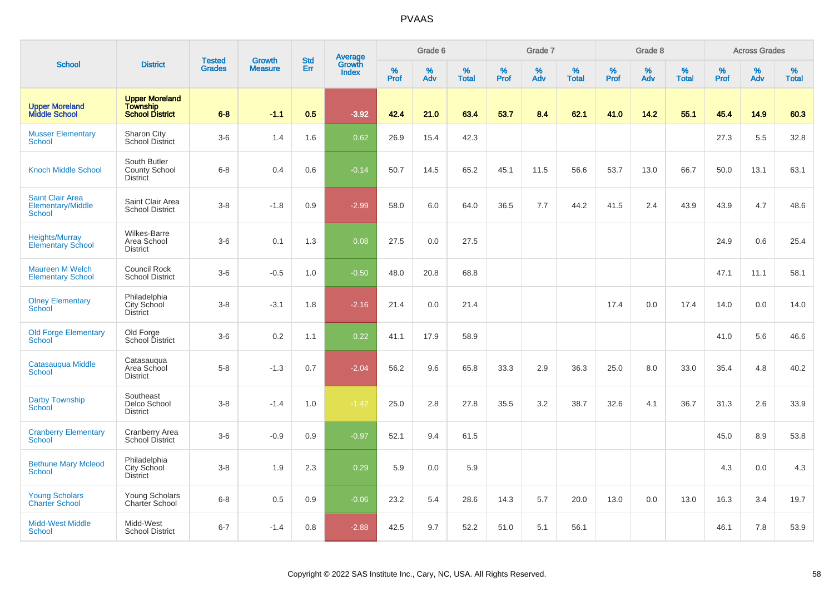|                                                               |                                                                    | <b>Tested</b> | <b>Growth</b>  | <b>Std</b> |                                          |                  | Grade 6     |                   |           | Grade 7  |                   |              | Grade 8  |                   |              | <b>Across Grades</b> |                   |
|---------------------------------------------------------------|--------------------------------------------------------------------|---------------|----------------|------------|------------------------------------------|------------------|-------------|-------------------|-----------|----------|-------------------|--------------|----------|-------------------|--------------|----------------------|-------------------|
| <b>School</b>                                                 | <b>District</b>                                                    | <b>Grades</b> | <b>Measure</b> | <b>Err</b> | <b>Average</b><br>Growth<br><b>Index</b> | %<br><b>Prof</b> | $\%$<br>Adv | %<br><b>Total</b> | %<br>Prof | %<br>Adv | %<br><b>Total</b> | $\%$<br>Prof | %<br>Adv | %<br><b>Total</b> | $\%$<br>Prof | %<br>Adv             | %<br><b>Total</b> |
| <b>Upper Moreland</b><br><b>Middle School</b>                 | <b>Upper Moreland</b><br><b>Township</b><br><b>School District</b> | $6 - 8$       | $-1.1$         | 0.5        | $-3.92$                                  | 42.4             | 21.0        | 63.4              | 53.7      | 8.4      | 62.1              | 41.0         | 14.2     | 55.1              | 45.4         | 14.9                 | 60.3              |
| <b>Musser Elementary</b><br><b>School</b>                     | Sharon City<br><b>School District</b>                              | $3-6$         | 1.4            | 1.6        | 0.62                                     | 26.9             | 15.4        | 42.3              |           |          |                   |              |          |                   | 27.3         | 5.5                  | 32.8              |
| <b>Knoch Middle School</b>                                    | South Butler<br><b>County School</b><br><b>District</b>            | $6 - 8$       | 0.4            | 0.6        | $-0.14$                                  | 50.7             | 14.5        | 65.2              | 45.1      | 11.5     | 56.6              | 53.7         | 13.0     | 66.7              | 50.0         | 13.1                 | 63.1              |
| <b>Saint Clair Area</b><br>Elementary/Middle<br><b>School</b> | Saint Clair Area<br><b>School District</b>                         | $3 - 8$       | $-1.8$         | 0.9        | $-2.99$                                  | 58.0             | 6.0         | 64.0              | 36.5      | 7.7      | 44.2              | 41.5         | 2.4      | 43.9              | 43.9         | 4.7                  | 48.6              |
| Heights/Murray<br><b>Elementary School</b>                    | Wilkes-Barre<br>Area School<br><b>District</b>                     | $3-6$         | 0.1            | 1.3        | 0.08                                     | 27.5             | 0.0         | 27.5              |           |          |                   |              |          |                   | 24.9         | 0.6                  | 25.4              |
| <b>Maureen M Welch</b><br><b>Elementary School</b>            | Council Rock<br><b>School District</b>                             | $3-6$         | $-0.5$         | 1.0        | $-0.50$                                  | 48.0             | 20.8        | 68.8              |           |          |                   |              |          |                   | 47.1         | 11.1                 | 58.1              |
| <b>Olney Elementary</b><br><b>School</b>                      | Philadelphia<br>City School<br><b>District</b>                     | $3-8$         | $-3.1$         | 1.8        | $-2.16$                                  | 21.4             | 0.0         | 21.4              |           |          |                   | 17.4         | 0.0      | 17.4              | 14.0         | 0.0                  | 14.0              |
| <b>Old Forge Elementary</b><br><b>School</b>                  | Old Forge<br>School District                                       | $3-6$         | 0.2            | 1.1        | 0.22                                     | 41.1             | 17.9        | 58.9              |           |          |                   |              |          |                   | 41.0         | 5.6                  | 46.6              |
| Catasauqua Middle<br>School                                   | Catasaugua<br>Area School<br><b>District</b>                       | $5-8$         | $-1.3$         | 0.7        | $-2.04$                                  | 56.2             | 9.6         | 65.8              | 33.3      | 2.9      | 36.3              | 25.0         | 8.0      | 33.0              | 35.4         | 4.8                  | 40.2              |
| <b>Darby Township</b><br>School                               | Southeast<br>Delco School<br><b>District</b>                       | $3 - 8$       | $-1.4$         | 1.0        | $-1.42$                                  | 25.0             | 2.8         | 27.8              | 35.5      | 3.2      | 38.7              | 32.6         | 4.1      | 36.7              | 31.3         | 2.6                  | 33.9              |
| <b>Cranberry Elementary</b><br>School                         | <b>Cranberry Area</b><br>School District                           | $3-6$         | $-0.9$         | 0.9        | $-0.97$                                  | 52.1             | 9.4         | 61.5              |           |          |                   |              |          |                   | 45.0         | 8.9                  | 53.8              |
| <b>Bethune Mary Mcleod</b><br>School                          | Philadelphia<br>City School<br><b>District</b>                     | $3-8$         | 1.9            | 2.3        | 0.29                                     | 5.9              | 0.0         | 5.9               |           |          |                   |              |          |                   | 4.3          | 0.0                  | 4.3               |
| <b>Young Scholars</b><br><b>Charter School</b>                | <b>Young Scholars</b><br>Charter School                            | $6 - 8$       | 0.5            | 0.9        | $-0.06$                                  | 23.2             | 5.4         | 28.6              | 14.3      | 5.7      | 20.0              | 13.0         | 0.0      | 13.0              | 16.3         | 3.4                  | 19.7              |
| <b>Midd-West Middle</b><br>School                             | Midd-West<br><b>School District</b>                                | $6 - 7$       | $-1.4$         | 0.8        | $-2.88$                                  | 42.5             | 9.7         | 52.2              | 51.0      | 5.1      | 56.1              |              |          |                   | 46.1         | 7.8                  | 53.9              |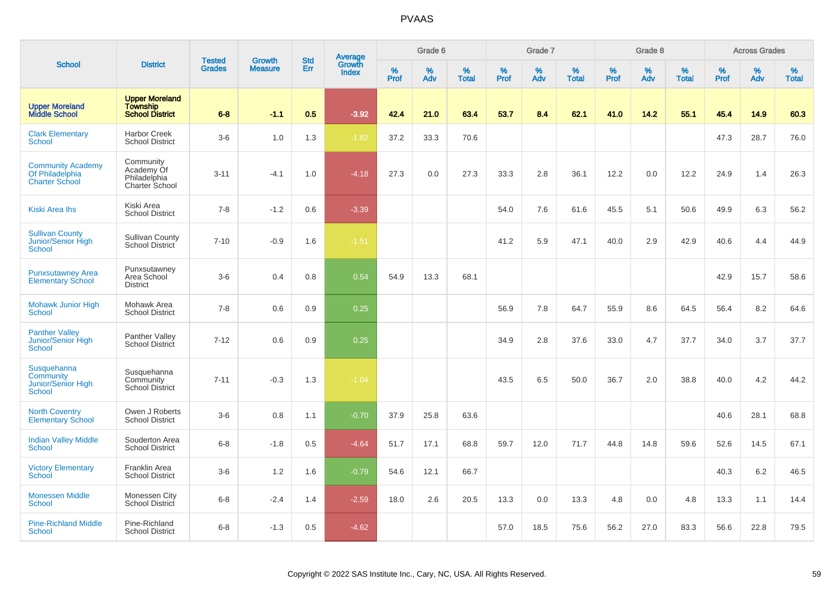|                                                                      |                                                                    | <b>Tested</b> | <b>Growth</b>  | <b>Std</b> |                                          |                  | Grade 6     |                   |           | Grade 7  |                   |           | Grade 8  |                   |              | <b>Across Grades</b> |                   |
|----------------------------------------------------------------------|--------------------------------------------------------------------|---------------|----------------|------------|------------------------------------------|------------------|-------------|-------------------|-----------|----------|-------------------|-----------|----------|-------------------|--------------|----------------------|-------------------|
| <b>School</b>                                                        | <b>District</b>                                                    | <b>Grades</b> | <b>Measure</b> | Err        | <b>Average</b><br>Growth<br><b>Index</b> | %<br><b>Prof</b> | $\%$<br>Adv | %<br><b>Total</b> | %<br>Prof | %<br>Adv | %<br><b>Total</b> | %<br>Prof | %<br>Adv | %<br><b>Total</b> | $\%$<br>Prof | $\%$<br>Adv          | %<br><b>Total</b> |
| <b>Upper Moreland</b><br><b>Middle School</b>                        | <b>Upper Moreland</b><br><b>Township</b><br><b>School District</b> | $6 - 8$       | $-1.1$         | 0.5        | $-3.92$                                  | 42.4             | 21.0        | 63.4              | 53.7      | 8.4      | 62.1              | 41.0      | 14.2     | 55.1              | 45.4         | 14.9                 | 60.3              |
| <b>Clark Elementary</b><br>School                                    | <b>Harbor Creek</b><br><b>School District</b>                      | $3-6$         | 1.0            | 1.3        | $-1.82$                                  | 37.2             | 33.3        | 70.6              |           |          |                   |           |          |                   | 47.3         | 28.7                 | 76.0              |
| <b>Community Academy</b><br>Of Philadelphia<br><b>Charter School</b> | Community<br>Academy Of<br>Philadelphia<br>Charter School          | $3 - 11$      | $-4.1$         | 1.0        | $-4.18$                                  | 27.3             | 0.0         | 27.3              | 33.3      | 2.8      | 36.1              | 12.2      | 0.0      | 12.2              | 24.9         | 1.4                  | 26.3              |
| Kiski Area Ihs                                                       | Kiski Area<br><b>School District</b>                               | $7 - 8$       | $-1.2$         | 0.6        | $-3.39$                                  |                  |             |                   | 54.0      | 7.6      | 61.6              | 45.5      | 5.1      | 50.6              | 49.9         | 6.3                  | 56.2              |
| <b>Sullivan County</b><br>Junior/Senior High<br>School               | <b>Sullivan County</b><br>School District                          | $7 - 10$      | $-0.9$         | 1.6        | $-1.51$                                  |                  |             |                   | 41.2      | 5.9      | 47.1              | 40.0      | 2.9      | 42.9              | 40.6         | 4.4                  | 44.9              |
| <b>Punxsutawney Area</b><br><b>Elementary School</b>                 | Punxsutawney<br>Area School<br><b>District</b>                     | $3-6$         | 0.4            | 0.8        | 0.54                                     | 54.9             | 13.3        | 68.1              |           |          |                   |           |          |                   | 42.9         | 15.7                 | 58.6              |
| Mohawk Junior High<br><b>School</b>                                  | Mohawk Area<br><b>School District</b>                              | $7 - 8$       | 0.6            | 0.9        | 0.25                                     |                  |             |                   | 56.9      | 7.8      | 64.7              | 55.9      | 8.6      | 64.5              | 56.4         | 8.2                  | 64.6              |
| <b>Panther Valley</b><br>Junior/Senior High<br><b>School</b>         | <b>Panther Valley</b><br>School District                           | $7 - 12$      | 0.6            | 0.9        | 0.25                                     |                  |             |                   | 34.9      | 2.8      | 37.6              | 33.0      | 4.7      | 37.7              | 34.0         | 3.7                  | 37.7              |
| Susquehanna<br>Community<br>Junior/Senior High<br><b>School</b>      | Susquehanna<br>Community<br><b>School District</b>                 | $7 - 11$      | $-0.3$         | 1.3        | $-1.04$                                  |                  |             |                   | 43.5      | 6.5      | 50.0              | 36.7      | 2.0      | 38.8              | 40.0         | 4.2                  | 44.2              |
| <b>North Coventry</b><br><b>Elementary School</b>                    | Owen J Roberts<br><b>School District</b>                           | $3-6$         | 0.8            | 1.1        | $-0.70$                                  | 37.9             | 25.8        | 63.6              |           |          |                   |           |          |                   | 40.6         | 28.1                 | 68.8              |
| <b>Indian Valley Middle</b><br>School                                | Souderton Area<br><b>School District</b>                           | $6 - 8$       | $-1.8$         | 0.5        | $-4.64$                                  | 51.7             | 17.1        | 68.8              | 59.7      | 12.0     | 71.7              | 44.8      | 14.8     | 59.6              | 52.6         | 14.5                 | 67.1              |
| <b>Victory Elementary</b><br>School                                  | Franklin Area<br><b>School District</b>                            | $3-6$         | 1.2            | 1.6        | $-0.79$                                  | 54.6             | 12.1        | 66.7              |           |          |                   |           |          |                   | 40.3         | 6.2                  | 46.5              |
| <b>Monessen Middle</b><br><b>School</b>                              | Monessen City<br>School District                                   | $6-8$         | $-2.4$         | 1.4        | $-2.59$                                  | 18.0             | 2.6         | 20.5              | 13.3      | 0.0      | 13.3              | 4.8       | 0.0      | 4.8               | 13.3         | 1.1                  | 14.4              |
| <b>Pine-Richland Middle</b><br><b>School</b>                         | Pine-Richland<br><b>School District</b>                            | $6-8$         | $-1.3$         | 0.5        | $-4.62$                                  |                  |             |                   | 57.0      | 18.5     | 75.6              | 56.2      | 27.0     | 83.3              | 56.6         | 22.8                 | 79.5              |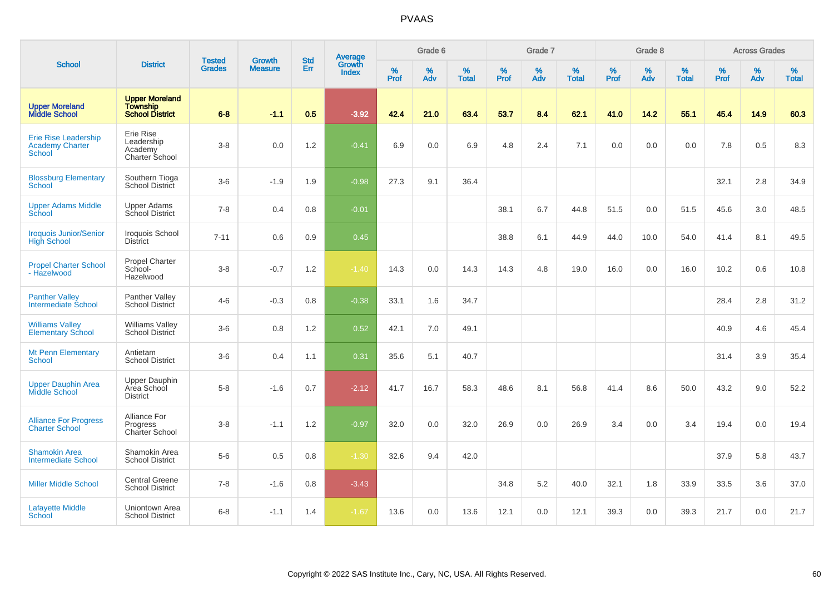|                                                                        |                                                                    |                                | <b>Growth</b>  | <b>Std</b> |                                          |           | Grade 6  |                   |           | Grade 7  |                   |           | Grade 8  |                   |           | <b>Across Grades</b> |                   |
|------------------------------------------------------------------------|--------------------------------------------------------------------|--------------------------------|----------------|------------|------------------------------------------|-----------|----------|-------------------|-----------|----------|-------------------|-----------|----------|-------------------|-----------|----------------------|-------------------|
| <b>School</b>                                                          | <b>District</b>                                                    | <b>Tested</b><br><b>Grades</b> | <b>Measure</b> | <b>Err</b> | <b>Average</b><br>Growth<br><b>Index</b> | %<br>Prof | %<br>Adv | %<br><b>Total</b> | %<br>Prof | %<br>Adv | %<br><b>Total</b> | %<br>Prof | %<br>Adv | %<br><b>Total</b> | %<br>Prof | $\%$<br>Adv          | %<br><b>Total</b> |
| <b>Upper Moreland<br/>Middle School</b>                                | <b>Upper Moreland</b><br><b>Township</b><br><b>School District</b> | $6 - 8$                        | $-1.1$         | 0.5        | $-3.92$                                  | 42.4      | 21.0     | 63.4              | 53.7      | 8.4      | 62.1              | 41.0      | 14.2     | 55.1              | 45.4      | 14.9                 | 60.3              |
| <b>Erie Rise Leadership</b><br><b>Academy Charter</b><br><b>School</b> | Erie Rise<br>Leadership<br>Academy<br>Charter School               | $3 - 8$                        | 0.0            | 1.2        | $-0.41$                                  | 6.9       | 0.0      | 6.9               | 4.8       | 2.4      | 7.1               | 0.0       | 0.0      | 0.0               | 7.8       | 0.5                  | 8.3               |
| <b>Blossburg Elementary</b><br>School                                  | Southern Tioga<br>School District                                  | $3-6$                          | $-1.9$         | 1.9        | $-0.98$                                  | 27.3      | 9.1      | 36.4              |           |          |                   |           |          |                   | 32.1      | 2.8                  | 34.9              |
| <b>Upper Adams Middle</b><br>School                                    | Upper Adams<br>School District                                     | $7 - 8$                        | 0.4            | 0.8        | $-0.01$                                  |           |          |                   | 38.1      | 6.7      | 44.8              | 51.5      | 0.0      | 51.5              | 45.6      | $3.0\,$              | 48.5              |
| <b>Iroquois Junior/Senior</b><br><b>High School</b>                    | Iroquois School<br><b>District</b>                                 | $7 - 11$                       | 0.6            | 0.9        | 0.45                                     |           |          |                   | 38.8      | 6.1      | 44.9              | 44.0      | 10.0     | 54.0              | 41.4      | 8.1                  | 49.5              |
| <b>Propel Charter School</b><br>- Hazelwood                            | Propel Charter<br>School-<br>Hazelwood                             | $3 - 8$                        | $-0.7$         | 1.2        | $-1.40$                                  | 14.3      | 0.0      | 14.3              | 14.3      | 4.8      | 19.0              | 16.0      | 0.0      | 16.0              | 10.2      | 0.6                  | 10.8              |
| <b>Panther Valley</b><br>Intermediate School                           | Panther Valley<br>School District                                  | $4 - 6$                        | $-0.3$         | 0.8        | $-0.38$                                  | 33.1      | 1.6      | 34.7              |           |          |                   |           |          |                   | 28.4      | 2.8                  | 31.2              |
| <b>Williams Valley</b><br><b>Elementary School</b>                     | <b>Williams Valley</b><br>School District                          | $3-6$                          | 0.8            | 1.2        | 0.52                                     | 42.1      | 7.0      | 49.1              |           |          |                   |           |          |                   | 40.9      | 4.6                  | 45.4              |
| <b>Mt Penn Elementary</b><br><b>School</b>                             | Antietam<br><b>School District</b>                                 | $3-6$                          | 0.4            | 1.1        | 0.31                                     | 35.6      | 5.1      | 40.7              |           |          |                   |           |          |                   | 31.4      | 3.9                  | 35.4              |
| <b>Upper Dauphin Area</b><br>Middle School                             | <b>Upper Dauphin</b><br>Area School<br><b>District</b>             | $5-8$                          | $-1.6$         | 0.7        | $-2.12$                                  | 41.7      | 16.7     | 58.3              | 48.6      | 8.1      | 56.8              | 41.4      | 8.6      | 50.0              | 43.2      | 9.0                  | 52.2              |
| <b>Alliance For Progress</b><br><b>Charter School</b>                  | Alliance For<br>Progress<br>Charter School                         | $3 - 8$                        | $-1.1$         | 1.2        | $-0.97$                                  | 32.0      | 0.0      | 32.0              | 26.9      | 0.0      | 26.9              | 3.4       | 0.0      | 3.4               | 19.4      | 0.0                  | 19.4              |
| <b>Shamokin Area</b><br><b>Intermediate School</b>                     | Shamokin Area<br><b>School District</b>                            | $5-6$                          | 0.5            | 0.8        | $-1.30$                                  | 32.6      | 9.4      | 42.0              |           |          |                   |           |          |                   | 37.9      | 5.8                  | 43.7              |
| <b>Miller Middle School</b>                                            | <b>Central Greene</b><br><b>School District</b>                    | $7 - 8$                        | $-1.6$         | 0.8        | $-3.43$                                  |           |          |                   | 34.8      | 5.2      | 40.0              | 32.1      | 1.8      | 33.9              | 33.5      | 3.6                  | 37.0              |
| Lafayette Middle<br>School                                             | Uniontown Area<br><b>School District</b>                           | $6 - 8$                        | $-1.1$         | 1.4        | $-1.67$                                  | 13.6      | 0.0      | 13.6              | 12.1      | 0.0      | 12.1              | 39.3      | 0.0      | 39.3              | 21.7      | 0.0                  | 21.7              |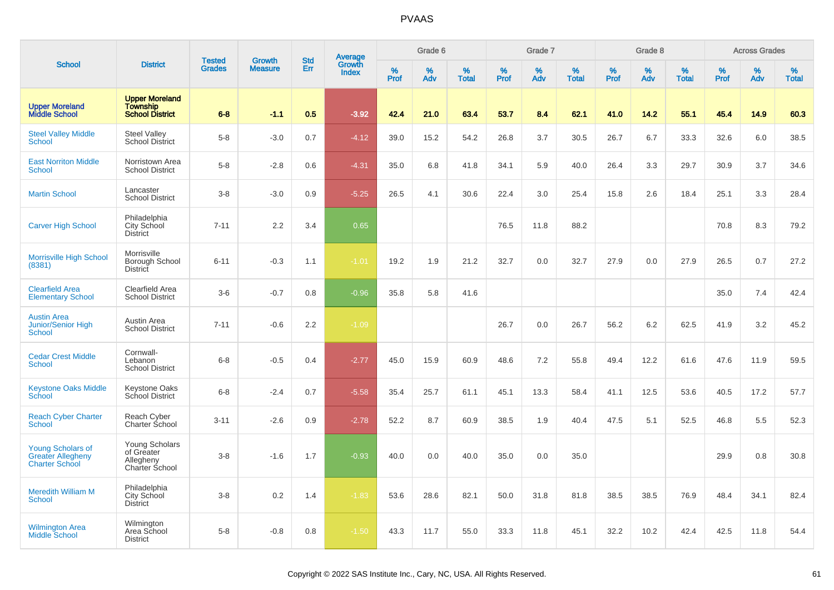|                                                                               |                                                                    | <b>Tested</b> | <b>Growth</b>  | <b>Std</b> |                                          |                  | Grade 6  |                   |                  | Grade 7  |                   |           | Grade 8  |                   |           | <b>Across Grades</b> |                   |
|-------------------------------------------------------------------------------|--------------------------------------------------------------------|---------------|----------------|------------|------------------------------------------|------------------|----------|-------------------|------------------|----------|-------------------|-----------|----------|-------------------|-----------|----------------------|-------------------|
| <b>School</b>                                                                 | <b>District</b>                                                    | <b>Grades</b> | <b>Measure</b> | Err        | <b>Average</b><br>Growth<br><b>Index</b> | %<br><b>Prof</b> | %<br>Adv | %<br><b>Total</b> | %<br><b>Prof</b> | %<br>Adv | %<br><b>Total</b> | %<br>Prof | %<br>Adv | %<br><b>Total</b> | %<br>Prof | %<br>Adv             | %<br><b>Total</b> |
| <b>Upper Moreland</b><br><b>Middle School</b>                                 | <b>Upper Moreland</b><br><b>Township</b><br><b>School District</b> | $6 - 8$       | $-1.1$         | 0.5        | $-3.92$                                  | 42.4             | 21.0     | 63.4              | 53.7             | 8.4      | 62.1              | 41.0      | 14.2     | 55.1              | 45.4      | 14.9                 | 60.3              |
| <b>Steel Valley Middle</b><br><b>School</b>                                   | <b>Steel Valley</b><br><b>School District</b>                      | $5-8$         | $-3.0$         | 0.7        | $-4.12$                                  | 39.0             | 15.2     | 54.2              | 26.8             | 3.7      | 30.5              | 26.7      | 6.7      | 33.3              | 32.6      | 6.0                  | 38.5              |
| <b>East Norriton Middle</b><br><b>School</b>                                  | Norristown Area<br><b>School District</b>                          | $5-8$         | $-2.8$         | 0.6        | $-4.31$                                  | 35.0             | 6.8      | 41.8              | 34.1             | 5.9      | 40.0              | 26.4      | 3.3      | 29.7              | 30.9      | 3.7                  | 34.6              |
| <b>Martin School</b>                                                          | Lancaster<br><b>School District</b>                                | $3-8$         | $-3.0$         | 0.9        | $-5.25$                                  | 26.5             | 4.1      | 30.6              | 22.4             | 3.0      | 25.4              | 15.8      | 2.6      | 18.4              | 25.1      | 3.3                  | 28.4              |
| <b>Carver High School</b>                                                     | Philadelphia<br>City School<br><b>District</b>                     | $7 - 11$      | 2.2            | 3.4        | 0.65                                     |                  |          |                   | 76.5             | 11.8     | 88.2              |           |          |                   | 70.8      | 8.3                  | 79.2              |
| <b>Morrisville High School</b><br>(8381)                                      | Morrisville<br>Borough School<br>District                          | $6 - 11$      | $-0.3$         | 1.1        | $-1.01$                                  | 19.2             | 1.9      | 21.2              | 32.7             | 0.0      | 32.7              | 27.9      | 0.0      | 27.9              | 26.5      | 0.7                  | 27.2              |
| <b>Clearfield Area</b><br><b>Elementary School</b>                            | Clearfield Area<br><b>School District</b>                          | $3-6$         | $-0.7$         | 0.8        | $-0.96$                                  | 35.8             | 5.8      | 41.6              |                  |          |                   |           |          |                   | 35.0      | 7.4                  | 42.4              |
| <b>Austin Area</b><br>Junior/Senior High<br>School                            | Austin Area<br><b>School District</b>                              | $7 - 11$      | $-0.6$         | 2.2        | $-1.09$                                  |                  |          |                   | 26.7             | 0.0      | 26.7              | 56.2      | 6.2      | 62.5              | 41.9      | 3.2                  | 45.2              |
| <b>Cedar Crest Middle</b><br><b>School</b>                                    | Cornwall-<br>Lebanon<br><b>School District</b>                     | $6 - 8$       | $-0.5$         | 0.4        | $-2.77$                                  | 45.0             | 15.9     | 60.9              | 48.6             | 7.2      | 55.8              | 49.4      | 12.2     | 61.6              | 47.6      | 11.9                 | 59.5              |
| <b>Keystone Oaks Middle</b><br>School                                         | <b>Keystone Oaks</b><br>School District                            | $6-8$         | $-2.4$         | 0.7        | $-5.58$                                  | 35.4             | 25.7     | 61.1              | 45.1             | 13.3     | 58.4              | 41.1      | 12.5     | 53.6              | 40.5      | 17.2                 | 57.7              |
| <b>Reach Cyber Charter</b><br><b>School</b>                                   | Reach Cyber<br>Charter School                                      | $3 - 11$      | $-2.6$         | 0.9        | $-2.78$                                  | 52.2             | 8.7      | 60.9              | 38.5             | 1.9      | 40.4              | 47.5      | 5.1      | 52.5              | 46.8      | 5.5                  | 52.3              |
| <b>Young Scholars of</b><br><b>Greater Allegheny</b><br><b>Charter School</b> | Young Scholars<br>of Greater<br>Allegheny<br>Charter School        | $3-8$         | $-1.6$         | 1.7        | $-0.93$                                  | 40.0             | 0.0      | 40.0              | 35.0             | 0.0      | 35.0              |           |          |                   | 29.9      | 0.8                  | 30.8              |
| <b>Meredith William M</b><br><b>School</b>                                    | Philadelphia<br>City School<br><b>District</b>                     | $3-8$         | 0.2            | 1.4        | $-1.83$                                  | 53.6             | 28.6     | 82.1              | 50.0             | 31.8     | 81.8              | 38.5      | 38.5     | 76.9              | 48.4      | 34.1                 | 82.4              |
| <b>Wilmington Area</b><br><b>Middle School</b>                                | Wilmington<br>Area School<br><b>District</b>                       | $5-8$         | $-0.8$         | 0.8        | $-1.50$                                  | 43.3             | 11.7     | 55.0              | 33.3             | 11.8     | 45.1              | 32.2      | 10.2     | 42.4              | 42.5      | 11.8                 | 54.4              |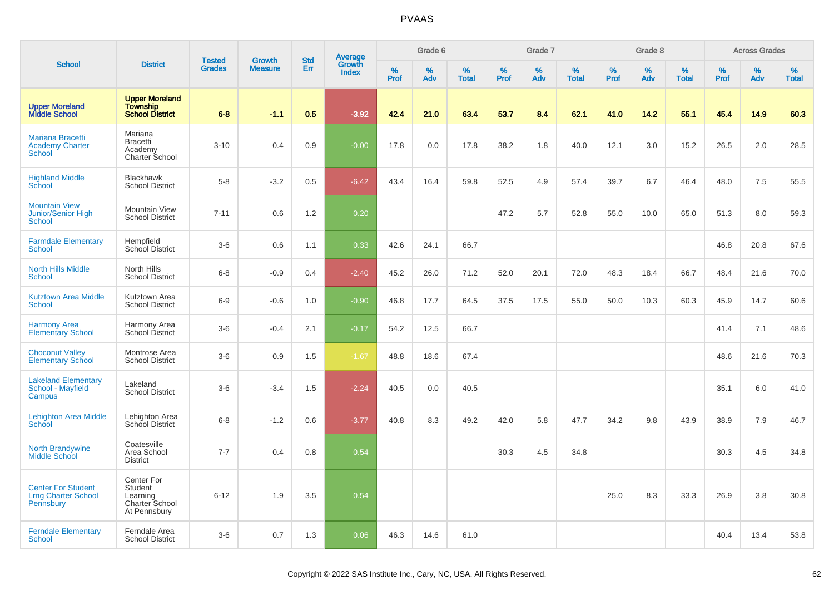|                                                                      |                                                                            | <b>Tested</b> | <b>Growth</b>  | <b>Std</b> |                                          |           | Grade 6  |                   |           | Grade 7  |                   |           | Grade 8  |                   |           | <b>Across Grades</b> |                   |
|----------------------------------------------------------------------|----------------------------------------------------------------------------|---------------|----------------|------------|------------------------------------------|-----------|----------|-------------------|-----------|----------|-------------------|-----------|----------|-------------------|-----------|----------------------|-------------------|
| <b>School</b>                                                        | <b>District</b>                                                            | <b>Grades</b> | <b>Measure</b> | Err        | <b>Average</b><br>Growth<br><b>Index</b> | %<br>Prof | %<br>Adv | %<br><b>Total</b> | %<br>Prof | %<br>Adv | %<br><b>Total</b> | %<br>Prof | %<br>Adv | %<br><b>Total</b> | %<br>Prof | %<br>Adv             | %<br><b>Total</b> |
| <b>Upper Moreland</b><br><b>Middle School</b>                        | <b>Upper Moreland</b><br><b>Township</b><br><b>School District</b>         | $6 - 8$       | $-1.1$         | 0.5        | $-3.92$                                  | 42.4      | 21.0     | 63.4              | 53.7      | 8.4      | 62.1              | 41.0      | 14.2     | 55.1              | 45.4      | 14.9                 | 60.3              |
| Mariana Bracetti<br><b>Academy Charter</b><br>School                 | Mariana<br><b>Bracetti</b><br>Academy<br>Charter School                    | $3 - 10$      | 0.4            | 0.9        | $-0.00$                                  | 17.8      | 0.0      | 17.8              | 38.2      | 1.8      | 40.0              | 12.1      | 3.0      | 15.2              | 26.5      | 2.0                  | 28.5              |
| <b>Highland Middle</b><br>School                                     | <b>Blackhawk</b><br><b>School District</b>                                 | $5-8$         | $-3.2$         | 0.5        | $-6.42$                                  | 43.4      | 16.4     | 59.8              | 52.5      | 4.9      | 57.4              | 39.7      | 6.7      | 46.4              | 48.0      | 7.5                  | 55.5              |
| <b>Mountain View</b><br>Junior/Senior High<br>School                 | <b>Mountain View</b><br><b>School District</b>                             | $7 - 11$      | 0.6            | 1.2        | 0.20                                     |           |          |                   | 47.2      | 5.7      | 52.8              | 55.0      | 10.0     | 65.0              | 51.3      | 8.0                  | 59.3              |
| <b>Farmdale Elementary</b><br><b>School</b>                          | Hempfield<br><b>School District</b>                                        | $3-6$         | 0.6            | 1.1        | 0.33                                     | 42.6      | 24.1     | 66.7              |           |          |                   |           |          |                   | 46.8      | 20.8                 | 67.6              |
| North Hills Middle<br><b>School</b>                                  | North Hills<br><b>School District</b>                                      | $6 - 8$       | $-0.9$         | 0.4        | $-2.40$                                  | 45.2      | 26.0     | 71.2              | 52.0      | 20.1     | 72.0              | 48.3      | 18.4     | 66.7              | 48.4      | 21.6                 | 70.0              |
| <b>Kutztown Area Middle</b><br>School                                | Kutztown Area<br><b>School District</b>                                    | $6-9$         | $-0.6$         | 1.0        | $-0.90$                                  | 46.8      | 17.7     | 64.5              | 37.5      | 17.5     | 55.0              | 50.0      | 10.3     | 60.3              | 45.9      | 14.7                 | 60.6              |
| <b>Harmony Area</b><br><b>Elementary School</b>                      | Harmony Area<br>School District                                            | $3-6$         | $-0.4$         | 2.1        | $-0.17$                                  | 54.2      | 12.5     | 66.7              |           |          |                   |           |          |                   | 41.4      | 7.1                  | 48.6              |
| <b>Choconut Valley</b><br><b>Elementary School</b>                   | Montrose Area<br><b>School District</b>                                    | $3-6$         | 0.9            | 1.5        | $-1.67$                                  | 48.8      | 18.6     | 67.4              |           |          |                   |           |          |                   | 48.6      | 21.6                 | 70.3              |
| <b>Lakeland Elementary</b><br>School - Mayfield<br>Campus            | Lakeland<br><b>School District</b>                                         | $3-6$         | $-3.4$         | 1.5        | $-2.24$                                  | 40.5      | 0.0      | 40.5              |           |          |                   |           |          |                   | 35.1      | 6.0                  | 41.0              |
| <b>Lehighton Area Middle</b><br>School                               | Lehighton Area<br>School District                                          | $6 - 8$       | $-1.2$         | 0.6        | $-3.77$                                  | 40.8      | 8.3      | 49.2              | 42.0      | 5.8      | 47.7              | 34.2      | 9.8      | 43.9              | 38.9      | 7.9                  | 46.7              |
| <b>North Brandywine</b><br><b>Middle School</b>                      | Coatesville<br>Area School<br><b>District</b>                              | $7 - 7$       | 0.4            | 0.8        | 0.54                                     |           |          |                   | 30.3      | 4.5      | 34.8              |           |          |                   | 30.3      | 4.5                  | 34.8              |
| <b>Center For Student</b><br><b>Lrng Charter School</b><br>Pennsbury | Center For<br><b>Student</b><br>Learning<br>Charter School<br>At Pennsbury | $6 - 12$      | 1.9            | 3.5        | 0.54                                     |           |          |                   |           |          |                   | 25.0      | 8.3      | 33.3              | 26.9      | 3.8                  | 30.8              |
| <b>Ferndale Elementary</b><br>School                                 | Ferndale Area<br><b>School District</b>                                    | $3-6$         | 0.7            | 1.3        | 0.06                                     | 46.3      | 14.6     | 61.0              |           |          |                   |           |          |                   | 40.4      | 13.4                 | 53.8              |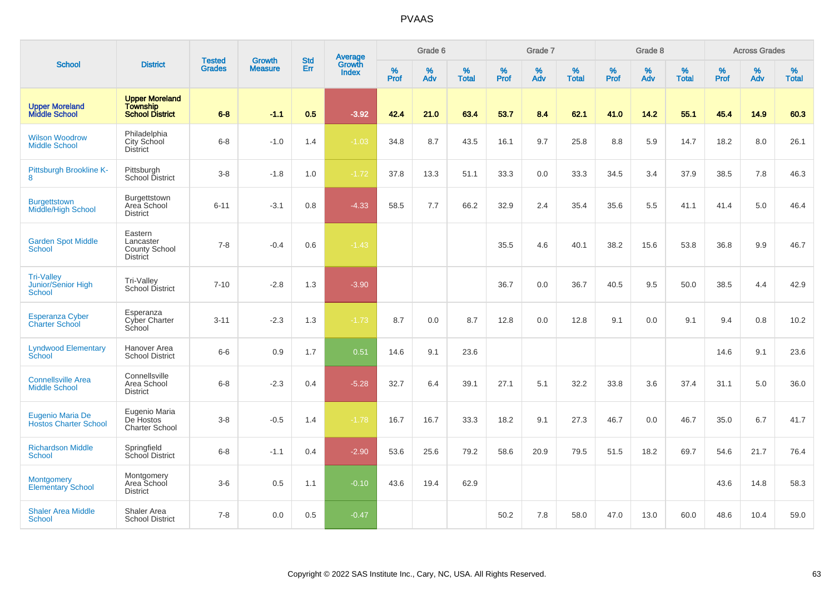|                                                          |                                                                    | <b>Tested</b> | <b>Growth</b>  | <b>Std</b> |                                          |           | Grade 6  |                   |           | Grade 7  |                   |           | Grade 8  |                   |                  | <b>Across Grades</b> |                   |
|----------------------------------------------------------|--------------------------------------------------------------------|---------------|----------------|------------|------------------------------------------|-----------|----------|-------------------|-----------|----------|-------------------|-----------|----------|-------------------|------------------|----------------------|-------------------|
| <b>School</b>                                            | <b>District</b>                                                    | <b>Grades</b> | <b>Measure</b> | Err        | <b>Average</b><br>Growth<br><b>Index</b> | %<br>Prof | %<br>Adv | %<br><b>Total</b> | %<br>Prof | %<br>Adv | %<br><b>Total</b> | %<br>Prof | %<br>Adv | %<br><b>Total</b> | %<br><b>Prof</b> | %<br>Adv             | %<br><b>Total</b> |
| <b>Upper Moreland<br/>Middle School</b>                  | <b>Upper Moreland</b><br><b>Township</b><br><b>School District</b> | $6 - 8$       | $-1.1$         | 0.5        | $-3.92$                                  | 42.4      | 21.0     | 63.4              | 53.7      | 8.4      | 62.1              | 41.0      | 14.2     | 55.1              | 45.4             | 14.9                 | 60.3              |
| <b>Wilson Woodrow</b><br><b>Middle School</b>            | Philadelphia<br>City School<br><b>District</b>                     | $6 - 8$       | $-1.0$         | 1.4        | $-1.03$                                  | 34.8      | 8.7      | 43.5              | 16.1      | 9.7      | 25.8              | 8.8       | 5.9      | 14.7              | 18.2             | 8.0                  | 26.1              |
| Pittsburgh Brookline K-<br>8                             | Pittsburgh<br>School District                                      | $3 - 8$       | $-1.8$         | 1.0        | $-1.72$                                  | 37.8      | 13.3     | 51.1              | 33.3      | 0.0      | 33.3              | 34.5      | 3.4      | 37.9              | 38.5             | 7.8                  | 46.3              |
| <b>Burgettstown</b><br>Middle/High School                | Burgettstown<br>Area School<br><b>District</b>                     | $6 - 11$      | $-3.1$         | 0.8        | $-4.33$                                  | 58.5      | 7.7      | 66.2              | 32.9      | 2.4      | 35.4              | 35.6      | 5.5      | 41.1              | 41.4             | 5.0                  | 46.4              |
| <b>Garden Spot Middle</b><br><b>School</b>               | Eastern<br>Lancaster<br>County School<br><b>District</b>           | $7 - 8$       | $-0.4$         | 0.6        | $-1.43$                                  |           |          |                   | 35.5      | 4.6      | 40.1              | 38.2      | 15.6     | 53.8              | 36.8             | 9.9                  | 46.7              |
| <b>Tri-Valley</b><br>Junior/Senior High<br><b>School</b> | Tri-Valley<br><b>School District</b>                               | $7 - 10$      | $-2.8$         | 1.3        | $-3.90$                                  |           |          |                   | 36.7      | 0.0      | 36.7              | 40.5      | 9.5      | 50.0              | 38.5             | 4.4                  | 42.9              |
| <b>Esperanza Cyber</b><br><b>Charter School</b>          | Esperanza<br><b>Cyber Charter</b><br>School                        | $3 - 11$      | $-2.3$         | 1.3        | $-1.73$                                  | 8.7       | 0.0      | 8.7               | 12.8      | 0.0      | 12.8              | 9.1       | 0.0      | 9.1               | 9.4              | 0.8                  | 10.2              |
| <b>Lyndwood Elementary</b><br>School                     | Hanover Area<br><b>School District</b>                             | $6-6$         | 0.9            | 1.7        | 0.51                                     | 14.6      | 9.1      | 23.6              |           |          |                   |           |          |                   | 14.6             | 9.1                  | 23.6              |
| <b>Connellsville Area</b><br><b>Middle School</b>        | Connellsville<br>Area School<br><b>District</b>                    | $6 - 8$       | $-2.3$         | 0.4        | $-5.28$                                  | 32.7      | 6.4      | 39.1              | 27.1      | 5.1      | 32.2              | 33.8      | 3.6      | 37.4              | 31.1             | 5.0                  | 36.0              |
| Eugenio Maria De<br><b>Hostos Charter School</b>         | Eugenio Maria<br>De Hostos<br><b>Charter School</b>                | $3-8$         | $-0.5$         | 1.4        | $-1.78$                                  | 16.7      | 16.7     | 33.3              | 18.2      | 9.1      | 27.3              | 46.7      | 0.0      | 46.7              | 35.0             | 6.7                  | 41.7              |
| <b>Richardson Middle</b><br><b>School</b>                | Springfield<br>School District                                     | $6 - 8$       | $-1.1$         | 0.4        | $-2.90$                                  | 53.6      | 25.6     | 79.2              | 58.6      | 20.9     | 79.5              | 51.5      | 18.2     | 69.7              | 54.6             | 21.7                 | 76.4              |
| <b>Montgomery</b><br><b>Elementary School</b>            | Montgomery<br>Area School<br><b>District</b>                       | $3-6$         | 0.5            | 1.1        | $-0.10$                                  | 43.6      | 19.4     | 62.9              |           |          |                   |           |          |                   | 43.6             | 14.8                 | 58.3              |
| <b>Shaler Area Middle</b><br>School                      | Shaler Area<br><b>School District</b>                              | $7 - 8$       | 0.0            | 0.5        | $-0.47$                                  |           |          |                   | 50.2      | 7.8      | 58.0              | 47.0      | 13.0     | 60.0              | 48.6             | 10.4                 | 59.0              |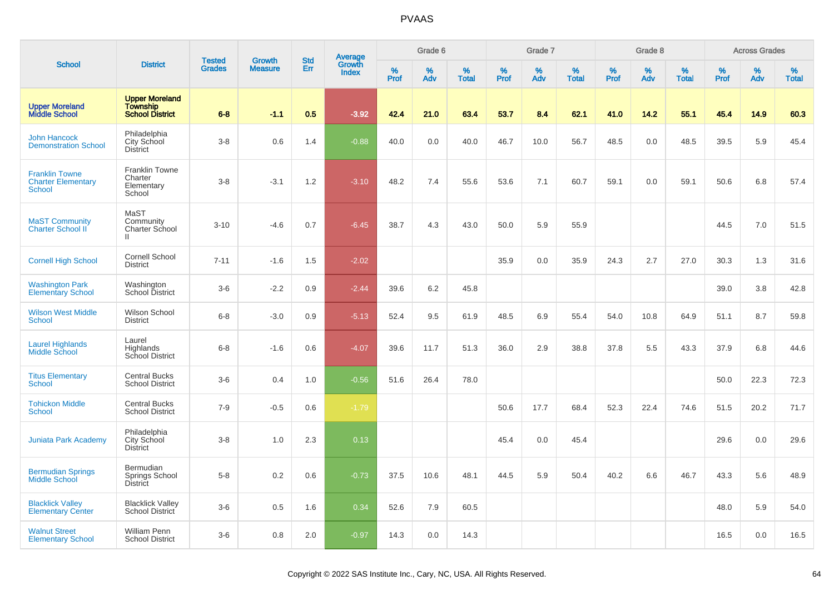|                                                                     |                                                                    |                                | <b>Growth</b>  | <b>Std</b> |                                          |                     | Grade 6     |                   |                     | Grade 7     |                      |              | Grade 8  |                      |                     | <b>Across Grades</b> |                      |
|---------------------------------------------------------------------|--------------------------------------------------------------------|--------------------------------|----------------|------------|------------------------------------------|---------------------|-------------|-------------------|---------------------|-------------|----------------------|--------------|----------|----------------------|---------------------|----------------------|----------------------|
| <b>School</b>                                                       | <b>District</b>                                                    | <b>Tested</b><br><b>Grades</b> | <b>Measure</b> | Err        | <b>Average</b><br>Growth<br><b>Index</b> | $\%$<br><b>Prof</b> | $\%$<br>Adv | %<br><b>Total</b> | $\%$<br><b>Prof</b> | $\%$<br>Adv | $\%$<br><b>Total</b> | $\%$<br>Prof | %<br>Adv | $\%$<br><b>Total</b> | $\%$<br><b>Prof</b> | $\%$<br>Adv          | $\%$<br><b>Total</b> |
| <b>Upper Moreland</b><br><b>Middle School</b>                       | <b>Upper Moreland</b><br><b>Township</b><br><b>School District</b> | $6 - 8$                        | $-1.1$         | 0.5        | $-3.92$                                  | 42.4                | 21.0        | 63.4              | 53.7                | 8.4         | 62.1                 | 41.0         | 14.2     | 55.1                 | 45.4                | 14.9                 | 60.3                 |
| <b>John Hancock</b><br><b>Demonstration School</b>                  | Philadelphia<br>City School<br><b>District</b>                     | $3 - 8$                        | 0.6            | 1.4        | $-0.88$                                  | 40.0                | 0.0         | 40.0              | 46.7                | 10.0        | 56.7                 | 48.5         | 0.0      | 48.5                 | 39.5                | 5.9                  | 45.4                 |
| <b>Franklin Towne</b><br><b>Charter Elementary</b><br><b>School</b> | Franklin Towne<br>Charter<br>Elementary<br>School                  | $3 - 8$                        | $-3.1$         | 1.2        | $-3.10$                                  | 48.2                | 7.4         | 55.6              | 53.6                | 7.1         | 60.7                 | 59.1         | 0.0      | 59.1                 | 50.6                | 6.8                  | 57.4                 |
| <b>MaST Community</b><br>Charter School II                          | MaST<br>Community<br>Charter School<br>Ш.                          | $3 - 10$                       | $-4.6$         | 0.7        | $-6.45$                                  | 38.7                | 4.3         | 43.0              | 50.0                | 5.9         | 55.9                 |              |          |                      | 44.5                | 7.0                  | 51.5                 |
| <b>Cornell High School</b>                                          | <b>Cornell School</b><br><b>District</b>                           | $7 - 11$                       | $-1.6$         | 1.5        | $-2.02$                                  |                     |             |                   | 35.9                | 0.0         | 35.9                 | 24.3         | 2.7      | 27.0                 | 30.3                | 1.3                  | 31.6                 |
| <b>Washington Park</b><br><b>Elementary School</b>                  | Washington<br>School District                                      | $3-6$                          | $-2.2$         | 0.9        | $-2.44$                                  | 39.6                | 6.2         | 45.8              |                     |             |                      |              |          |                      | 39.0                | 3.8                  | 42.8                 |
| <b>Wilson West Middle</b><br>School                                 | Wilson School<br><b>District</b>                                   | $6 - 8$                        | $-3.0$         | 0.9        | $-5.13$                                  | 52.4                | 9.5         | 61.9              | 48.5                | 6.9         | 55.4                 | 54.0         | 10.8     | 64.9                 | 51.1                | 8.7                  | 59.8                 |
| <b>Laurel Highlands</b><br>Middle School                            | Laurel<br>Highlands<br>School District                             | $6 - 8$                        | $-1.6$         | 0.6        | $-4.07$                                  | 39.6                | 11.7        | 51.3              | 36.0                | 2.9         | 38.8                 | 37.8         | 5.5      | 43.3                 | 37.9                | 6.8                  | 44.6                 |
| <b>Titus Elementary</b><br>School                                   | <b>Central Bucks</b><br><b>School District</b>                     | $3-6$                          | 0.4            | 1.0        | $-0.56$                                  | 51.6                | 26.4        | 78.0              |                     |             |                      |              |          |                      | 50.0                | 22.3                 | 72.3                 |
| <b>Tohickon Middle</b><br>School                                    | <b>Central Bucks</b><br><b>School District</b>                     | $7-9$                          | $-0.5$         | 0.6        | $-1.79$                                  |                     |             |                   | 50.6                | 17.7        | 68.4                 | 52.3         | 22.4     | 74.6                 | 51.5                | 20.2                 | 71.7                 |
| <b>Juniata Park Academy</b>                                         | Philadelphia<br>City School<br><b>District</b>                     | $3 - 8$                        | 1.0            | 2.3        | 0.13                                     |                     |             |                   | 45.4                | 0.0         | 45.4                 |              |          |                      | 29.6                | 0.0                  | 29.6                 |
| <b>Bermudian Springs</b><br>Middle School                           | <b>Bermudian</b><br>Springs School<br><b>District</b>              | $5-8$                          | 0.2            | 0.6        | $-0.73$                                  | 37.5                | 10.6        | 48.1              | 44.5                | 5.9         | 50.4                 | 40.2         | 6.6      | 46.7                 | 43.3                | 5.6                  | 48.9                 |
| <b>Blacklick Valley</b><br><b>Elementary Center</b>                 | <b>Blacklick Valley</b><br>School District                         | $3-6$                          | 0.5            | 1.6        | 0.34                                     | 52.6                | 7.9         | 60.5              |                     |             |                      |              |          |                      | 48.0                | 5.9                  | 54.0                 |
| <b>Walnut Street</b><br><b>Elementary School</b>                    | William Penn<br><b>School District</b>                             | $3-6$                          | 0.8            | 2.0        | $-0.97$                                  | 14.3                | 0.0         | 14.3              |                     |             |                      |              |          |                      | 16.5                | 0.0                  | 16.5                 |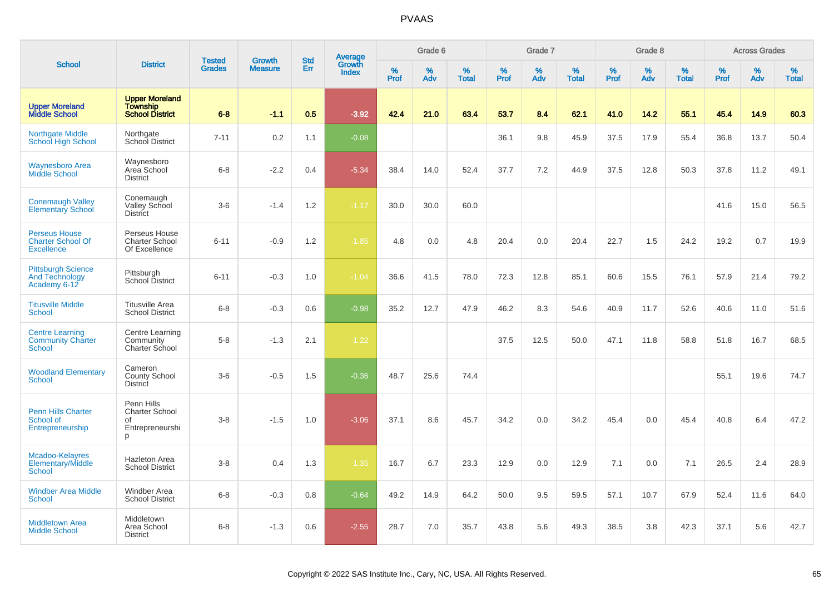|                                                                       |                                                                    | <b>Tested</b> | <b>Growth</b>  | <b>Std</b> |                                          |                  | Grade 6  |                   |           | Grade 7  |                   |              | Grade 8  |                   |                     | <b>Across Grades</b> |                   |
|-----------------------------------------------------------------------|--------------------------------------------------------------------|---------------|----------------|------------|------------------------------------------|------------------|----------|-------------------|-----------|----------|-------------------|--------------|----------|-------------------|---------------------|----------------------|-------------------|
| <b>School</b>                                                         | <b>District</b>                                                    | <b>Grades</b> | <b>Measure</b> | Err        | <b>Average</b><br>Growth<br><b>Index</b> | %<br><b>Prof</b> | %<br>Adv | %<br><b>Total</b> | %<br>Prof | %<br>Adv | %<br><b>Total</b> | $\%$<br>Prof | %<br>Adv | %<br><b>Total</b> | $\%$<br><b>Prof</b> | %<br>Adv             | %<br><b>Total</b> |
| <b>Upper Moreland</b><br><b>Middle School</b>                         | <b>Upper Moreland</b><br><b>Township</b><br><b>School District</b> | $6 - 8$       | $-1.1$         | 0.5        | $-3.92$                                  | 42.4             | 21.0     | 63.4              | 53.7      | 8.4      | 62.1              | 41.0         | 14.2     | 55.1              | 45.4                | 14.9                 | 60.3              |
| <b>Northgate Middle</b><br><b>School High School</b>                  | Northgate<br>School District                                       | $7 - 11$      | 0.2            | 1.1        | $-0.08$                                  |                  |          |                   | 36.1      | 9.8      | 45.9              | 37.5         | 17.9     | 55.4              | 36.8                | 13.7                 | 50.4              |
| <b>Waynesboro Area</b><br><b>Middle School</b>                        | Waynesboro<br>Area School<br><b>District</b>                       | $6 - 8$       | $-2.2$         | 0.4        | $-5.34$                                  | 38.4             | 14.0     | 52.4              | 37.7      | 7.2      | 44.9              | 37.5         | 12.8     | 50.3              | 37.8                | 11.2                 | 49.1              |
| <b>Conemaugh Valley</b><br><b>Elementary School</b>                   | Conemaugh<br>Valley School<br><b>District</b>                      | $3-6$         | $-1.4$         | 1.2        | $-1.17$                                  | 30.0             | 30.0     | 60.0              |           |          |                   |              |          |                   | 41.6                | 15.0                 | 56.5              |
| <b>Perseus House</b><br><b>Charter School Of</b><br><b>Excellence</b> | Perseus House<br><b>Charter School</b><br>Of Excellence            | $6 - 11$      | $-0.9$         | 1.2        | $-1.85$                                  | 4.8              | 0.0      | 4.8               | 20.4      | 0.0      | 20.4              | 22.7         | 1.5      | 24.2              | 19.2                | 0.7                  | 19.9              |
| <b>Pittsburgh Science</b><br><b>And Technology</b><br>Academy 6-12    | Pittsburgh<br>School District                                      | $6 - 11$      | $-0.3$         | 1.0        | $-1.04$                                  | 36.6             | 41.5     | 78.0              | 72.3      | 12.8     | 85.1              | 60.6         | 15.5     | 76.1              | 57.9                | 21.4                 | 79.2              |
| <b>Titusville Middle</b><br>School                                    | <b>Titusville Area</b><br><b>School District</b>                   | $6 - 8$       | $-0.3$         | 0.6        | $-0.98$                                  | 35.2             | 12.7     | 47.9              | 46.2      | 8.3      | 54.6              | 40.9         | 11.7     | 52.6              | 40.6                | 11.0                 | 51.6              |
| <b>Centre Learning</b><br><b>Community Charter</b><br>School          | Centre Learning<br>Community<br><b>Charter School</b>              | $5-8$         | $-1.3$         | 2.1        | $-1.22$                                  |                  |          |                   | 37.5      | 12.5     | 50.0              | 47.1         | 11.8     | 58.8              | 51.8                | 16.7                 | 68.5              |
| <b>Woodland Elementary</b><br>School                                  | Cameron<br><b>County School</b><br><b>District</b>                 | $3-6$         | $-0.5$         | 1.5        | $-0.36$                                  | 48.7             | 25.6     | 74.4              |           |          |                   |              |          |                   | 55.1                | 19.6                 | 74.7              |
| <b>Penn Hills Charter</b><br>School of<br>Entrepreneurship            | Penn Hills<br>Charter School<br>of<br>Entrepreneurshi<br>D         | $3 - 8$       | $-1.5$         | 1.0        | $-3.06$                                  | 37.1             | 8.6      | 45.7              | 34.2      | 0.0      | 34.2              | 45.4         | 0.0      | 45.4              | 40.8                | 6.4                  | 47.2              |
| Mcadoo-Kelayres<br><b>Elementary/Middle</b><br><b>School</b>          | Hazleton Area<br><b>School District</b>                            | $3 - 8$       | 0.4            | 1.3        | $-1.35$                                  | 16.7             | 6.7      | 23.3              | 12.9      | 0.0      | 12.9              | 7.1          | 0.0      | 7.1               | 26.5                | 2.4                  | 28.9              |
| <b>Windber Area Middle</b><br><b>School</b>                           | Windber Area<br><b>School District</b>                             | $6 - 8$       | $-0.3$         | 0.8        | $-0.64$                                  | 49.2             | 14.9     | 64.2              | 50.0      | 9.5      | 59.5              | 57.1         | 10.7     | 67.9              | 52.4                | 11.6                 | 64.0              |
| <b>Middletown Area</b><br><b>Middle School</b>                        | Middletown<br>Area School<br><b>District</b>                       | $6 - 8$       | $-1.3$         | 0.6        | $-2.55$                                  | 28.7             | 7.0      | 35.7              | 43.8      | 5.6      | 49.3              | 38.5         | 3.8      | 42.3              | 37.1                | 5.6                  | 42.7              |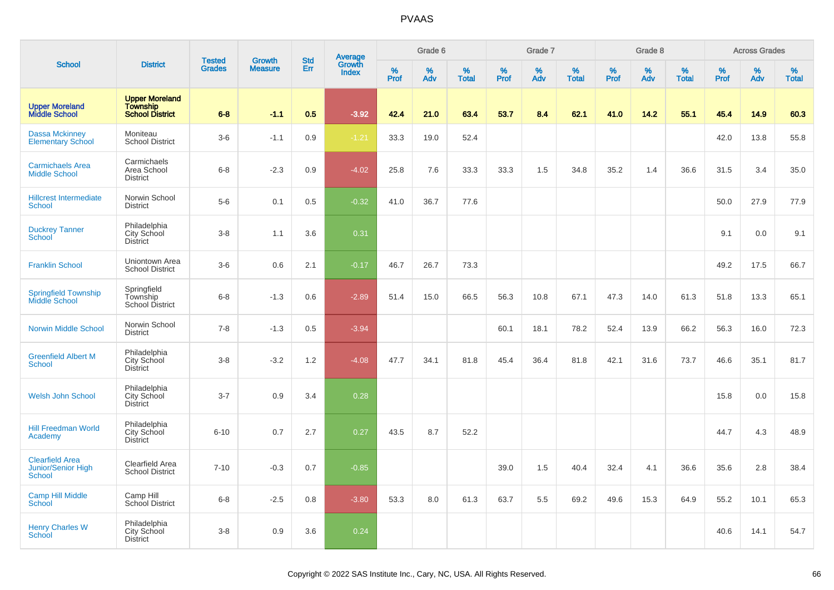|                                                        |                                                                    | <b>Tested</b> | Growth         | <b>Std</b> |                                          |           | Grade 6  |                   |           | Grade 7  |                   |           | Grade 8  |                   |           | <b>Across Grades</b> |                   |
|--------------------------------------------------------|--------------------------------------------------------------------|---------------|----------------|------------|------------------------------------------|-----------|----------|-------------------|-----------|----------|-------------------|-----------|----------|-------------------|-----------|----------------------|-------------------|
| <b>School</b>                                          | <b>District</b>                                                    | <b>Grades</b> | <b>Measure</b> | Err        | <b>Average</b><br>Growth<br><b>Index</b> | %<br>Prof | %<br>Adv | %<br><b>Total</b> | %<br>Prof | %<br>Adv | %<br><b>Total</b> | %<br>Prof | %<br>Adv | %<br><b>Total</b> | %<br>Prof | %<br>Adv             | %<br><b>Total</b> |
| <b>Upper Moreland</b><br><b>Middle School</b>          | <b>Upper Moreland</b><br><b>Township</b><br><b>School District</b> | $6 - 8$       | $-1.1$         | 0.5        | $-3.92$                                  | 42.4      | 21.0     | 63.4              | 53.7      | 8.4      | 62.1              | 41.0      | 14.2     | 55.1              | 45.4      | 14.9                 | 60.3              |
| <b>Dassa Mckinney</b><br><b>Elementary School</b>      | Moniteau<br><b>School District</b>                                 | $3-6$         | $-1.1$         | 0.9        | $-1.21$                                  | 33.3      | 19.0     | 52.4              |           |          |                   |           |          |                   | 42.0      | 13.8                 | 55.8              |
| <b>Carmichaels Area</b><br><b>Middle School</b>        | Carmichaels<br>Area School<br><b>District</b>                      | $6-8$         | $-2.3$         | 0.9        | $-4.02$                                  | 25.8      | 7.6      | 33.3              | 33.3      | 1.5      | 34.8              | 35.2      | 1.4      | 36.6              | 31.5      | 3.4                  | 35.0              |
| <b>Hillcrest Intermediate</b><br>School                | Norwin School<br><b>District</b>                                   | $5-6$         | 0.1            | 0.5        | $-0.32$                                  | 41.0      | 36.7     | 77.6              |           |          |                   |           |          |                   | 50.0      | 27.9                 | 77.9              |
| <b>Duckrey Tanner</b><br>School                        | Philadelphia<br>City School<br><b>District</b>                     | $3 - 8$       | 1.1            | 3.6        | 0.31                                     |           |          |                   |           |          |                   |           |          |                   | 9.1       | 0.0                  | 9.1               |
| <b>Franklin School</b>                                 | Uniontown Area<br><b>School District</b>                           | $3-6$         | 0.6            | 2.1        | $-0.17$                                  | 46.7      | 26.7     | 73.3              |           |          |                   |           |          |                   | 49.2      | 17.5                 | 66.7              |
| <b>Springfield Township</b><br>Middle School           | Springfield<br>Township<br><b>School District</b>                  | $6 - 8$       | $-1.3$         | 0.6        | $-2.89$                                  | 51.4      | 15.0     | 66.5              | 56.3      | 10.8     | 67.1              | 47.3      | 14.0     | 61.3              | 51.8      | 13.3                 | 65.1              |
| <b>Norwin Middle School</b>                            | Norwin School<br><b>District</b>                                   | $7 - 8$       | $-1.3$         | 0.5        | $-3.94$                                  |           |          |                   | 60.1      | 18.1     | 78.2              | 52.4      | 13.9     | 66.2              | 56.3      | 16.0                 | 72.3              |
| <b>Greenfield Albert M</b><br><b>School</b>            | Philadelphia<br>City School<br><b>District</b>                     | $3-8$         | $-3.2$         | 1.2        | $-4.08$                                  | 47.7      | 34.1     | 81.8              | 45.4      | 36.4     | 81.8              | 42.1      | 31.6     | 73.7              | 46.6      | 35.1                 | 81.7              |
| <b>Welsh John School</b>                               | Philadelphia<br>City School<br><b>District</b>                     | $3 - 7$       | 0.9            | 3.4        | 0.28                                     |           |          |                   |           |          |                   |           |          |                   | 15.8      | 0.0                  | 15.8              |
| <b>Hill Freedman World</b><br>Academy                  | Philadelphia<br>City School<br><b>District</b>                     | $6 - 10$      | 0.7            | 2.7        | 0.27                                     | 43.5      | 8.7      | 52.2              |           |          |                   |           |          |                   | 44.7      | 4.3                  | 48.9              |
| <b>Clearfield Area</b><br>Junior/Senior High<br>School | Clearfield Area<br><b>School District</b>                          | $7 - 10$      | $-0.3$         | 0.7        | $-0.85$                                  |           |          |                   | 39.0      | 1.5      | 40.4              | 32.4      | 4.1      | 36.6              | 35.6      | 2.8                  | 38.4              |
| <b>Camp Hill Middle</b><br>School                      | Camp Hill<br>School District                                       | $6 - 8$       | $-2.5$         | 0.8        | $-3.80$                                  | 53.3      | 8.0      | 61.3              | 63.7      | 5.5      | 69.2              | 49.6      | 15.3     | 64.9              | 55.2      | 10.1                 | 65.3              |
| <b>Henry Charles W</b><br>School                       | Philadelphia<br>City School<br><b>District</b>                     | $3 - 8$       | 0.9            | 3.6        | 0.24                                     |           |          |                   |           |          |                   |           |          |                   | 40.6      | 14.1                 | 54.7              |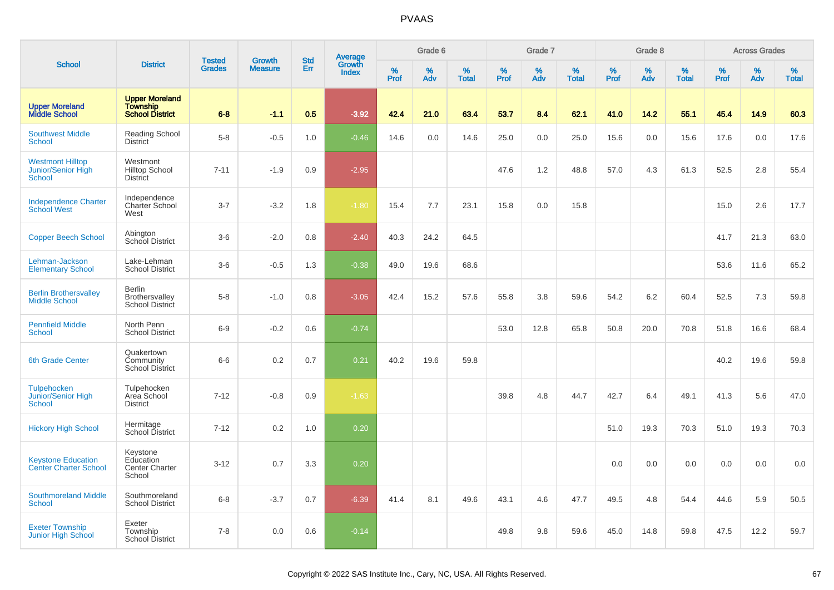|                                                           |                                                                    |                                |                                 | <b>Std</b> |                                          |                  | Grade 6  |                   |           | Grade 7  |                   |           | Grade 8  |                   |           | <b>Across Grades</b> |                   |
|-----------------------------------------------------------|--------------------------------------------------------------------|--------------------------------|---------------------------------|------------|------------------------------------------|------------------|----------|-------------------|-----------|----------|-------------------|-----------|----------|-------------------|-----------|----------------------|-------------------|
| <b>School</b>                                             | <b>District</b>                                                    | <b>Tested</b><br><b>Grades</b> | <b>Growth</b><br><b>Measure</b> | Err        | <b>Average</b><br>Growth<br><b>Index</b> | %<br><b>Prof</b> | %<br>Adv | %<br><b>Total</b> | %<br>Prof | %<br>Adv | %<br><b>Total</b> | %<br>Prof | %<br>Adv | %<br><b>Total</b> | %<br>Prof | %<br>Adv             | %<br><b>Total</b> |
| <b>Upper Moreland</b><br><b>Middle School</b>             | <b>Upper Moreland</b><br><b>Township</b><br><b>School District</b> | $6 - 8$                        | $-1.1$                          | 0.5        | $-3.92$                                  | 42.4             | 21.0     | 63.4              | 53.7      | 8.4      | 62.1              | 41.0      | 14.2     | 55.1              | 45.4      | 14.9                 | 60.3              |
| <b>Southwest Middle</b><br><b>School</b>                  | <b>Reading School</b><br><b>District</b>                           | $5-8$                          | $-0.5$                          | 1.0        | $-0.46$                                  | 14.6             | 0.0      | 14.6              | 25.0      | 0.0      | 25.0              | 15.6      | 0.0      | 15.6              | 17.6      | 0.0                  | 17.6              |
| <b>Westmont Hilltop</b><br>Junior/Senior High<br>School   | Westmont<br><b>Hilltop School</b><br><b>District</b>               | $7 - 11$                       | $-1.9$                          | 0.9        | $-2.95$                                  |                  |          |                   | 47.6      | 1.2      | 48.8              | 57.0      | 4.3      | 61.3              | 52.5      | 2.8                  | 55.4              |
| <b>Independence Charter</b><br><b>School West</b>         | Independence<br>Charter School<br>West                             | $3 - 7$                        | $-3.2$                          | 1.8        | $-1.80$                                  | 15.4             | 7.7      | 23.1              | 15.8      | 0.0      | 15.8              |           |          |                   | 15.0      | 2.6                  | 17.7              |
| <b>Copper Beech School</b>                                | Abington<br><b>School District</b>                                 | $3-6$                          | $-2.0$                          | 0.8        | $-2.40$                                  | 40.3             | 24.2     | 64.5              |           |          |                   |           |          |                   | 41.7      | 21.3                 | 63.0              |
| Lehman-Jackson<br><b>Elementary School</b>                | Lake-Lehman<br><b>School District</b>                              | $3-6$                          | $-0.5$                          | 1.3        | $-0.38$                                  | 49.0             | 19.6     | 68.6              |           |          |                   |           |          |                   | 53.6      | 11.6                 | 65.2              |
| <b>Berlin Brothersvalley</b><br><b>Middle School</b>      | <b>Berlin</b><br>Brothersvalley<br>School District                 | $5-8$                          | $-1.0$                          | 0.8        | $-3.05$                                  | 42.4             | 15.2     | 57.6              | 55.8      | 3.8      | 59.6              | 54.2      | 6.2      | 60.4              | 52.5      | 7.3                  | 59.8              |
| <b>Pennfield Middle</b><br>School                         | North Penn<br><b>School District</b>                               | $6-9$                          | $-0.2$                          | 0.6        | $-0.74$                                  |                  |          |                   | 53.0      | 12.8     | 65.8              | 50.8      | 20.0     | 70.8              | 51.8      | 16.6                 | 68.4              |
| <b>6th Grade Center</b>                                   | Quakertown<br>Community<br><b>School District</b>                  | $6-6$                          | 0.2                             | 0.7        | 0.21                                     | 40.2             | 19.6     | 59.8              |           |          |                   |           |          |                   | 40.2      | 19.6                 | 59.8              |
| Tulpehocken<br>Junior/Senior High<br>School               | Tulpehocken<br>Area School<br><b>District</b>                      | $7 - 12$                       | $-0.8$                          | 0.9        | $-1.63$                                  |                  |          |                   | 39.8      | 4.8      | 44.7              | 42.7      | 6.4      | 49.1              | 41.3      | 5.6                  | 47.0              |
| <b>Hickory High School</b>                                | Hermitage<br>School District                                       | $7 - 12$                       | 0.2                             | 1.0        | 0.20                                     |                  |          |                   |           |          |                   | 51.0      | 19.3     | 70.3              | 51.0      | 19.3                 | 70.3              |
| <b>Keystone Education</b><br><b>Center Charter School</b> | Keystone<br>Education<br>Center Charter<br>School                  | $3 - 12$                       | 0.7                             | 3.3        | 0.20                                     |                  |          |                   |           |          |                   | 0.0       | 0.0      | 0.0               | 0.0       | 0.0                  | 0.0               |
| <b>Southmoreland Middle</b><br>School                     | Southmoreland<br><b>School District</b>                            | $6 - 8$                        | $-3.7$                          | 0.7        | $-6.39$                                  | 41.4             | 8.1      | 49.6              | 43.1      | 4.6      | 47.7              | 49.5      | 4.8      | 54.4              | 44.6      | 5.9                  | 50.5              |
| <b>Exeter Township</b><br>Junior High School              | Exeter<br>Township<br><b>School District</b>                       | $7 - 8$                        | 0.0                             | 0.6        | $-0.14$                                  |                  |          |                   | 49.8      | 9.8      | 59.6              | 45.0      | 14.8     | 59.8              | 47.5      | 12.2                 | 59.7              |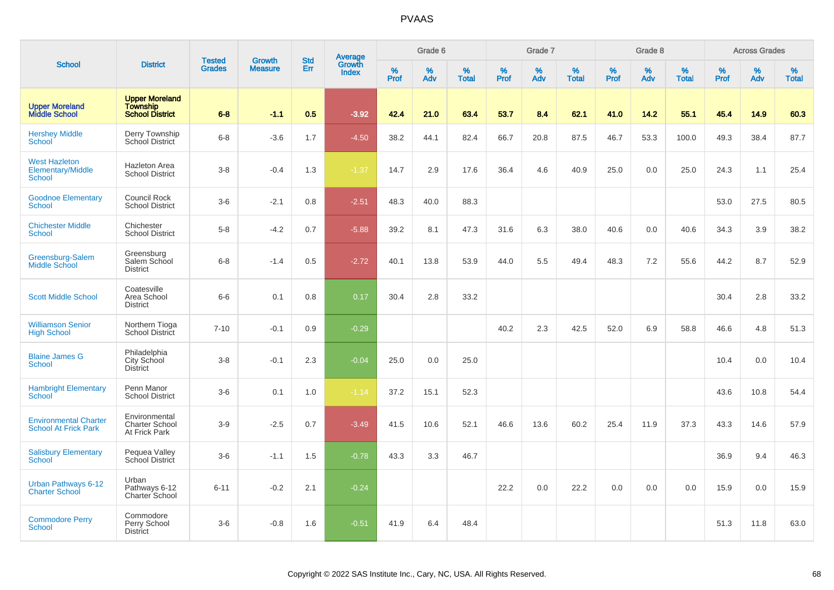|                                                             |                                                                    | <b>Tested</b> | <b>Growth</b>  | <b>Std</b> |                                          |                  | Grade 6     |                   |           | Grade 7  |                   |           | Grade 8  |                   |              | <b>Across Grades</b> |                   |
|-------------------------------------------------------------|--------------------------------------------------------------------|---------------|----------------|------------|------------------------------------------|------------------|-------------|-------------------|-----------|----------|-------------------|-----------|----------|-------------------|--------------|----------------------|-------------------|
| <b>School</b>                                               | <b>District</b>                                                    | <b>Grades</b> | <b>Measure</b> | <b>Err</b> | <b>Average</b><br>Growth<br><b>Index</b> | %<br><b>Prof</b> | $\%$<br>Adv | %<br><b>Total</b> | %<br>Prof | %<br>Adv | %<br><b>Total</b> | %<br>Prof | %<br>Adv | %<br><b>Total</b> | $\%$<br>Prof | %<br>Adv             | %<br><b>Total</b> |
| <b>Upper Moreland</b><br><b>Middle School</b>               | <b>Upper Moreland</b><br><b>Township</b><br><b>School District</b> | $6 - 8$       | $-1.1$         | 0.5        | $-3.92$                                  | 42.4             | 21.0        | 63.4              | 53.7      | 8.4      | 62.1              | 41.0      | 14.2     | 55.1              | 45.4         | 14.9                 | 60.3              |
| <b>Hershey Middle</b><br>School                             | Derry Township<br>School District                                  | $6-8$         | $-3.6$         | 1.7        | $-4.50$                                  | 38.2             | 44.1        | 82.4              | 66.7      | 20.8     | 87.5              | 46.7      | 53.3     | 100.0             | 49.3         | 38.4                 | 87.7              |
| <b>West Hazleton</b><br>Elementary/Middle<br>School         | Hazleton Area<br><b>School District</b>                            | $3 - 8$       | $-0.4$         | 1.3        | $-1.37$                                  | 14.7             | 2.9         | 17.6              | 36.4      | 4.6      | 40.9              | 25.0      | 0.0      | 25.0              | 24.3         | 1.1                  | 25.4              |
| <b>Goodnoe Elementary</b><br><b>School</b>                  | Council Rock<br><b>School District</b>                             | $3-6$         | $-2.1$         | 0.8        | $-2.51$                                  | 48.3             | 40.0        | 88.3              |           |          |                   |           |          |                   | 53.0         | 27.5                 | 80.5              |
| <b>Chichester Middle</b><br>School                          | Chichester<br><b>School District</b>                               | $5-8$         | $-4.2$         | 0.7        | $-5.88$                                  | 39.2             | 8.1         | 47.3              | 31.6      | 6.3      | 38.0              | 40.6      | 0.0      | 40.6              | 34.3         | 3.9                  | 38.2              |
| Greensburg-Salem<br><b>Middle School</b>                    | Greensburg<br>Salem School<br><b>District</b>                      | $6 - 8$       | $-1.4$         | 0.5        | $-2.72$                                  | 40.1             | 13.8        | 53.9              | 44.0      | 5.5      | 49.4              | 48.3      | 7.2      | 55.6              | 44.2         | 8.7                  | 52.9              |
| <b>Scott Middle School</b>                                  | Coatesville<br>Area School<br><b>District</b>                      | $6-6$         | 0.1            | 0.8        | 0.17                                     | 30.4             | 2.8         | 33.2              |           |          |                   |           |          |                   | 30.4         | 2.8                  | 33.2              |
| <b>Williamson Senior</b><br><b>High School</b>              | Northern Tioga<br>School District                                  | $7 - 10$      | $-0.1$         | 0.9        | $-0.29$                                  |                  |             |                   | 40.2      | 2.3      | 42.5              | 52.0      | 6.9      | 58.8              | 46.6         | 4.8                  | 51.3              |
| <b>Blaine James G</b><br>School                             | Philadelphia<br>City School<br><b>District</b>                     | $3 - 8$       | $-0.1$         | 2.3        | $-0.04$                                  | 25.0             | 0.0         | 25.0              |           |          |                   |           |          |                   | 10.4         | 0.0                  | 10.4              |
| <b>Hambright Elementary</b><br>School                       | Penn Manor<br><b>School District</b>                               | $3-6$         | 0.1            | 1.0        | $-1.14$                                  | 37.2             | 15.1        | 52.3              |           |          |                   |           |          |                   | 43.6         | 10.8                 | 54.4              |
| <b>Environmental Charter</b><br><b>School At Frick Park</b> | Environmental<br>Charter School<br>At Frick Park                   | $3-9$         | $-2.5$         | 0.7        | $-3.49$                                  | 41.5             | 10.6        | 52.1              | 46.6      | 13.6     | 60.2              | 25.4      | 11.9     | 37.3              | 43.3         | 14.6                 | 57.9              |
| <b>Salisbury Elementary</b><br><b>School</b>                | Pequea Valley<br>School District                                   | $3-6$         | $-1.1$         | 1.5        | $-0.78$                                  | 43.3             | 3.3         | 46.7              |           |          |                   |           |          |                   | 36.9         | 9.4                  | 46.3              |
| Urban Pathways 6-12<br><b>Charter School</b>                | Urban<br>Pathways 6-12<br>Charter School                           | $6 - 11$      | $-0.2$         | 2.1        | $-0.24$                                  |                  |             |                   | 22.2      | 0.0      | 22.2              | 0.0       | 0.0      | 0.0               | 15.9         | 0.0                  | 15.9              |
| <b>Commodore Perry</b><br>School                            | Commodore<br>Perry School<br><b>District</b>                       | $3-6$         | $-0.8$         | 1.6        | $-0.51$                                  | 41.9             | 6.4         | 48.4              |           |          |                   |           |          |                   | 51.3         | 11.8                 | 63.0              |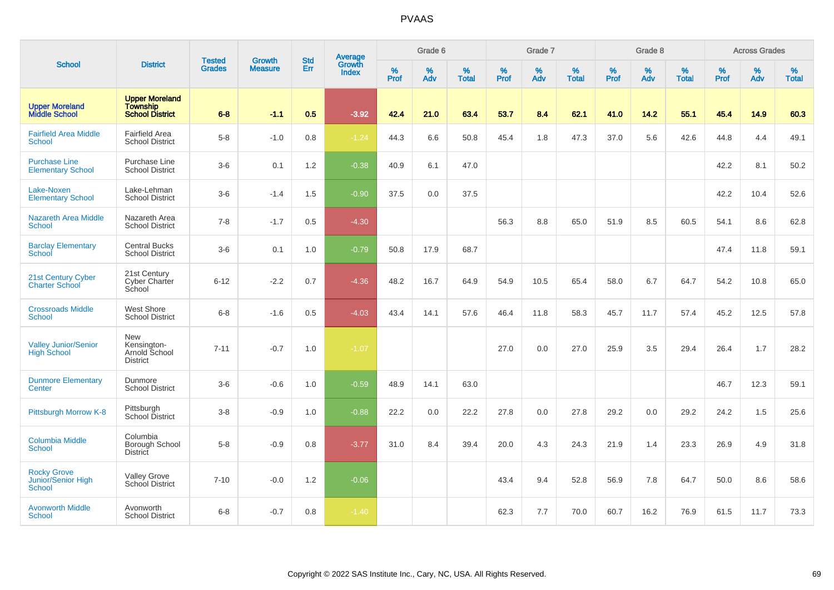|                                                           |                                                                    |                                | <b>Growth</b>  | <b>Std</b> |                                          |           | Grade 6  |                   |           | Grade 7  |                   |           | Grade 8  |                   |           | <b>Across Grades</b> |                   |
|-----------------------------------------------------------|--------------------------------------------------------------------|--------------------------------|----------------|------------|------------------------------------------|-----------|----------|-------------------|-----------|----------|-------------------|-----------|----------|-------------------|-----------|----------------------|-------------------|
| <b>School</b>                                             | <b>District</b>                                                    | <b>Tested</b><br><b>Grades</b> | <b>Measure</b> | Err        | <b>Average</b><br>Growth<br><b>Index</b> | %<br>Prof | %<br>Adv | %<br><b>Total</b> | %<br>Prof | %<br>Adv | %<br><b>Total</b> | %<br>Prof | %<br>Adv | %<br><b>Total</b> | %<br>Prof | %<br>Adv             | %<br><b>Total</b> |
| <b>Upper Moreland<br/>Middle School</b>                   | <b>Upper Moreland</b><br><b>Township</b><br><b>School District</b> | $6 - 8$                        | $-1.1$         | 0.5        | $-3.92$                                  | 42.4      | 21.0     | 63.4              | 53.7      | 8.4      | 62.1              | 41.0      | 14.2     | 55.1              | 45.4      | 14.9                 | 60.3              |
| <b>Fairfield Area Middle</b><br><b>School</b>             | Fairfield Area<br><b>School District</b>                           | $5-8$                          | $-1.0$         | 0.8        | $-1.24$                                  | 44.3      | 6.6      | 50.8              | 45.4      | 1.8      | 47.3              | 37.0      | 5.6      | 42.6              | 44.8      | 4.4                  | 49.1              |
| <b>Purchase Line</b><br><b>Elementary School</b>          | Purchase Line<br><b>School District</b>                            | $3-6$                          | 0.1            | 1.2        | $-0.38$                                  | 40.9      | 6.1      | 47.0              |           |          |                   |           |          |                   | 42.2      | 8.1                  | 50.2              |
| Lake-Noxen<br><b>Elementary School</b>                    | Lake-Lehman<br><b>School District</b>                              | $3-6$                          | $-1.4$         | 1.5        | $-0.90$                                  | 37.5      | 0.0      | 37.5              |           |          |                   |           |          |                   | 42.2      | 10.4                 | 52.6              |
| <b>Nazareth Area Middle</b><br><b>School</b>              | Nazareth Area<br><b>School District</b>                            | $7 - 8$                        | $-1.7$         | 0.5        | $-4.30$                                  |           |          |                   | 56.3      | 8.8      | 65.0              | 51.9      | 8.5      | 60.5              | 54.1      | 8.6                  | 62.8              |
| <b>Barclay Elementary</b><br><b>School</b>                | <b>Central Bucks</b><br><b>School District</b>                     | $3-6$                          | 0.1            | 1.0        | $-0.79$                                  | 50.8      | 17.9     | 68.7              |           |          |                   |           |          |                   | 47.4      | 11.8                 | 59.1              |
| 21st Century Cyber<br><b>Charter School</b>               | 21st Century<br><b>Cyber Charter</b><br>School                     | $6 - 12$                       | $-2.2$         | 0.7        | $-4.36$                                  | 48.2      | 16.7     | 64.9              | 54.9      | 10.5     | 65.4              | 58.0      | 6.7      | 64.7              | 54.2      | 10.8                 | 65.0              |
| <b>Crossroads Middle</b><br>School                        | West Shore<br><b>School District</b>                               | $6 - 8$                        | $-1.6$         | 0.5        | $-4.03$                                  | 43.4      | 14.1     | 57.6              | 46.4      | 11.8     | 58.3              | 45.7      | 11.7     | 57.4              | 45.2      | 12.5                 | 57.8              |
| <b>Valley Junior/Senior</b><br><b>High School</b>         | <b>New</b><br>Kensington-<br>Arnold School<br><b>District</b>      | $7 - 11$                       | $-0.7$         | 1.0        | $-1.07$                                  |           |          |                   | 27.0      | 0.0      | 27.0              | 25.9      | 3.5      | 29.4              | 26.4      | 1.7                  | 28.2              |
| <b>Dunmore Elementary</b><br>Center                       | Dunmore<br><b>School District</b>                                  | $3-6$                          | $-0.6$         | 1.0        | $-0.59$                                  | 48.9      | 14.1     | 63.0              |           |          |                   |           |          |                   | 46.7      | 12.3                 | 59.1              |
| Pittsburgh Morrow K-8                                     | Pittsburgh<br>School District                                      | $3 - 8$                        | $-0.9$         | 1.0        | $-0.88$                                  | 22.2      | 0.0      | 22.2              | 27.8      | 0.0      | 27.8              | 29.2      | 0.0      | 29.2              | 24.2      | 1.5                  | 25.6              |
| <b>Columbia Middle</b><br>School                          | Columbia<br>Borough School<br>District                             | $5 - 8$                        | $-0.9$         | 0.8        | $-3.77$                                  | 31.0      | 8.4      | 39.4              | 20.0      | 4.3      | 24.3              | 21.9      | 1.4      | 23.3              | 26.9      | 4.9                  | 31.8              |
| <b>Rocky Grove</b><br>Junior/Senior High<br><b>School</b> | <b>Valley Grove</b><br>School District                             | $7 - 10$                       | $-0.0$         | 1.2        | $-0.06$                                  |           |          |                   | 43.4      | 9.4      | 52.8              | 56.9      | 7.8      | 64.7              | 50.0      | 8.6                  | 58.6              |
| <b>Avonworth Middle</b><br><b>School</b>                  | Avonworth<br><b>School District</b>                                | $6 - 8$                        | $-0.7$         | 0.8        | $-1.40$                                  |           |          |                   | 62.3      | 7.7      | 70.0              | 60.7      | 16.2     | 76.9              | 61.5      | 11.7                 | 73.3              |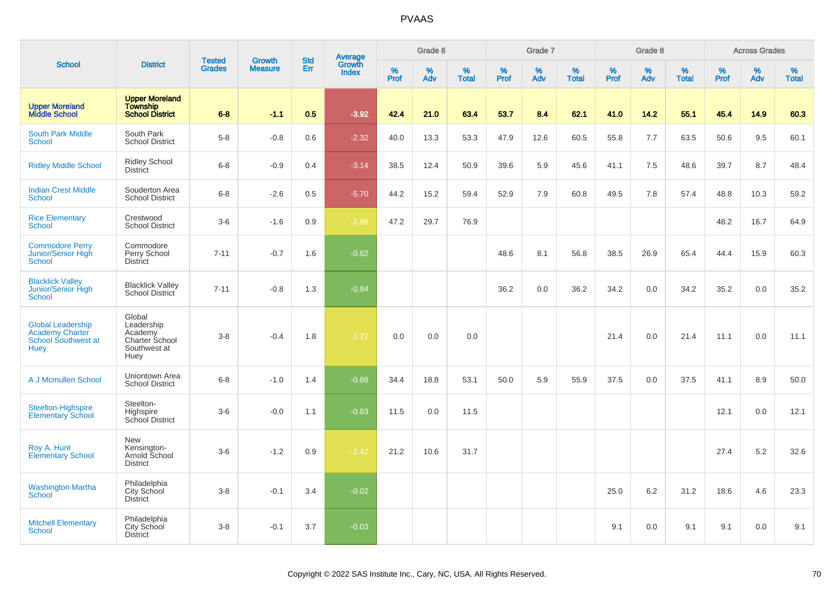| <b>School</b><br><b>Upper Moreland</b><br><b>Middle School</b><br><b>South Park Middle</b><br>School<br><b>Ridley Middle School</b><br><b>Indian Crest Middle</b><br>School<br><b>Rice Elementary</b><br><b>School</b><br><b>Commodore Perry</b><br>Junior/Senior High<br>School |                                                                           | <b>Tested</b> | <b>Growth</b>  | <b>Std</b> |                                          |                     | Grade 6     |                   |           | Grade 7  |                   |              | Grade 8  |                   |              | <b>Across Grades</b> |                   |
|----------------------------------------------------------------------------------------------------------------------------------------------------------------------------------------------------------------------------------------------------------------------------------|---------------------------------------------------------------------------|---------------|----------------|------------|------------------------------------------|---------------------|-------------|-------------------|-----------|----------|-------------------|--------------|----------|-------------------|--------------|----------------------|-------------------|
|                                                                                                                                                                                                                                                                                  | <b>District</b>                                                           | <b>Grades</b> | <b>Measure</b> | Err        | <b>Average</b><br>Growth<br><b>Index</b> | $\%$<br><b>Prof</b> | $\%$<br>Adv | %<br><b>Total</b> | %<br>Prof | %<br>Adv | %<br><b>Total</b> | $\%$<br>Prof | %<br>Adv | %<br><b>Total</b> | $\%$<br>Prof | $\%$<br>Adv          | %<br><b>Total</b> |
|                                                                                                                                                                                                                                                                                  | <b>Upper Moreland</b><br><b>Township</b><br><b>School District</b>        | $6 - 8$       | $-1.1$         | 0.5        | $-3.92$                                  | 42.4                | 21.0        | 63.4              | 53.7      | 8.4      | 62.1              | 41.0         | 14.2     | 55.1              | 45.4         | 14.9                 | 60.3              |
|                                                                                                                                                                                                                                                                                  | South Park<br><b>School District</b>                                      | $5-8$         | $-0.8$         | 0.6        | $-2.32$                                  | 40.0                | 13.3        | 53.3              | 47.9      | 12.6     | 60.5              | 55.8         | 7.7      | 63.5              | 50.6         | 9.5                  | 60.1              |
|                                                                                                                                                                                                                                                                                  | <b>Ridley School</b><br><b>District</b>                                   | $6 - 8$       | $-0.9$         | 0.4        | $-3.14$                                  | 38.5                | 12.4        | 50.9              | 39.6      | 5.9      | 45.6              | 41.1         | 7.5      | 48.6              | 39.7         | 8.7                  | 48.4              |
|                                                                                                                                                                                                                                                                                  | Souderton Area<br><b>School District</b>                                  | $6-8$         | $-2.6$         | 0.5        | $-5.70$                                  | 44.2                | 15.2        | 59.4              | 52.9      | 7.9      | 60.8              | 49.5         | 7.8      | 57.4              | 48.8         | 10.3                 | 59.2              |
|                                                                                                                                                                                                                                                                                  | Crestwood<br><b>School District</b>                                       | $3-6$         | $-1.6$         | 0.9        | $-1.86$                                  | 47.2                | 29.7        | 76.9              |           |          |                   |              |          |                   | 48.2         | 16.7                 | 64.9              |
|                                                                                                                                                                                                                                                                                  | Commodore<br>Perry School<br><b>District</b>                              | $7 - 11$      | $-0.7$         | 1.6        | $-0.62$                                  |                     |             |                   | 48.6      | 8.1      | 56.8              | 38.5         | 26.9     | 65.4              | 44.4         | 15.9                 | 60.3              |
| <b>Blacklick Valley</b><br>Junior/Senior High<br>School                                                                                                                                                                                                                          | <b>Blacklick Valley</b><br><b>School District</b>                         | $7 - 11$      | $-0.8$         | 1.3        | $-0.94$                                  |                     |             |                   | 36.2      | 0.0      | 36.2              | 34.2         | 0.0      | 34.2              | 35.2         | 0.0                  | 35.2              |
| <b>Global Leadership</b><br><b>Academy Charter</b><br>School Southwest at<br>Huey                                                                                                                                                                                                | Global<br>Leadership<br>Academy<br>Charter School<br>Southwest at<br>Huey | $3 - 8$       | $-0.4$         | 1.8        | $-1.72$                                  | 0.0                 | 0.0         | 0.0               |           |          |                   | 21.4         | 0.0      | 21.4              | 11.1         | 0.0                  | 11.1              |
| A J Mcmullen School                                                                                                                                                                                                                                                              | Uniontown Area<br><b>School District</b>                                  | $6-8$         | $-1.0$         | 1.4        | $-0.88$                                  | 34.4                | 18.8        | 53.1              | 50.0      | 5.9      | 55.9              | 37.5         | 0.0      | 37.5              | 41.1         | 8.9                  | 50.0              |
| Steelton-Highspire<br><b>Elementary School</b>                                                                                                                                                                                                                                   | Steelton-<br>Highspire<br>School District                                 | $3-6$         | $-0.0$         | 1.1        | $-0.83$                                  | 11.5                | 0.0         | 11.5              |           |          |                   |              |          |                   | 12.1         | 0.0                  | 12.1              |
| Roy A. Hunt<br><b>Elementary School</b>                                                                                                                                                                                                                                          | New<br>Kensington-<br>Arnold School<br><b>District</b>                    | $3-6$         | $-1.2$         | 0.9        | $-1.42$                                  | 21.2                | 10.6        | 31.7              |           |          |                   |              |          |                   | 27.4         | 5.2                  | 32.6              |
| <b>Washington Martha</b><br>School                                                                                                                                                                                                                                               | Philadelphia<br>City School<br><b>District</b>                            | $3 - 8$       | $-0.1$         | 3.4        | $-0.02$                                  |                     |             |                   |           |          |                   | 25.0         | 6.2      | 31.2              | 18.6         | 4.6                  | 23.3              |
| <b>Mitchell Elementary</b><br>School                                                                                                                                                                                                                                             | Philadelphia<br>City School<br><b>District</b>                            | $3 - 8$       | $-0.1$         | 3.7        | $-0.03$                                  |                     |             |                   |           |          |                   | 9.1          | 0.0      | 9.1               | 9.1          | 0.0                  | 9.1               |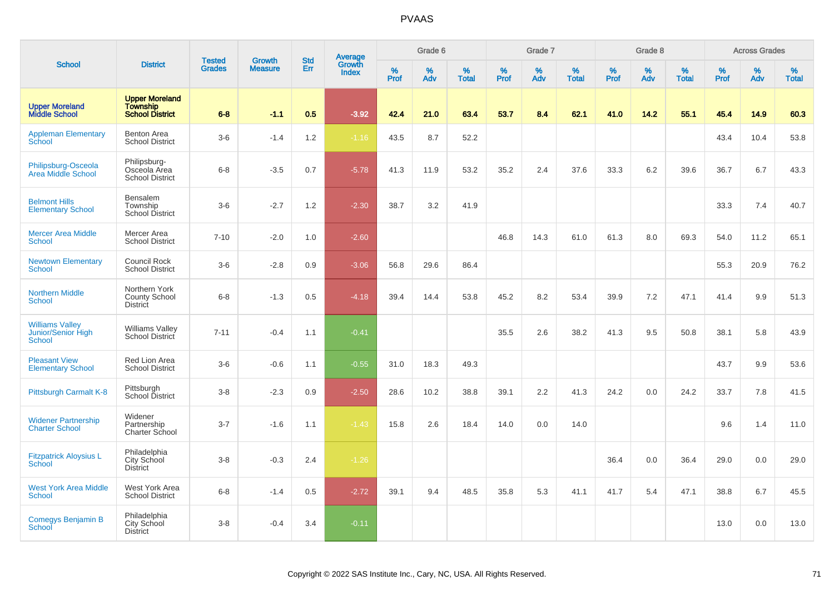|                                                        |                                                                    | <b>Tested</b> | <b>Growth</b>  | <b>Std</b> |                                          |                  | Grade 6     |                   |           | Grade 7  |                   |              | Grade 8  |                   |              | <b>Across Grades</b> |                   |
|--------------------------------------------------------|--------------------------------------------------------------------|---------------|----------------|------------|------------------------------------------|------------------|-------------|-------------------|-----------|----------|-------------------|--------------|----------|-------------------|--------------|----------------------|-------------------|
| <b>School</b>                                          | <b>District</b>                                                    | <b>Grades</b> | <b>Measure</b> | Err        | <b>Average</b><br>Growth<br><b>Index</b> | %<br><b>Prof</b> | $\%$<br>Adv | %<br><b>Total</b> | %<br>Prof | %<br>Adv | %<br><b>Total</b> | $\%$<br>Prof | %<br>Adv | %<br><b>Total</b> | $\%$<br>Prof | $\%$<br>Adv          | %<br><b>Total</b> |
| <b>Upper Moreland</b><br><b>Middle School</b>          | <b>Upper Moreland</b><br><b>Township</b><br><b>School District</b> | $6 - 8$       | $-1.1$         | 0.5        | $-3.92$                                  | 42.4             | 21.0        | 63.4              | 53.7      | 8.4      | 62.1              | 41.0         | 14.2     | 55.1              | 45.4         | 14.9                 | 60.3              |
| <b>Appleman Elementary</b><br>School                   | <b>Benton Area</b><br><b>School District</b>                       | $3-6$         | $-1.4$         | 1.2        | $-1.16$                                  | 43.5             | 8.7         | 52.2              |           |          |                   |              |          |                   | 43.4         | 10.4                 | 53.8              |
| Philipsburg-Osceola<br>Area Middle School              | Philipsburg-<br>Osceola Area<br><b>School District</b>             | $6 - 8$       | $-3.5$         | 0.7        | $-5.78$                                  | 41.3             | 11.9        | 53.2              | 35.2      | 2.4      | 37.6              | 33.3         | 6.2      | 39.6              | 36.7         | 6.7                  | 43.3              |
| <b>Belmont Hills</b><br><b>Elementary School</b>       | Bensalem<br>Township<br><b>School District</b>                     | $3-6$         | $-2.7$         | 1.2        | $-2.30$                                  | 38.7             | 3.2         | 41.9              |           |          |                   |              |          |                   | 33.3         | 7.4                  | 40.7              |
| <b>Mercer Area Middle</b><br><b>School</b>             | Mercer Area<br><b>School District</b>                              | $7 - 10$      | $-2.0$         | 1.0        | $-2.60$                                  |                  |             |                   | 46.8      | 14.3     | 61.0              | 61.3         | 8.0      | 69.3              | 54.0         | 11.2                 | 65.1              |
| <b>Newtown Elementary</b><br>School                    | Council Rock<br><b>School District</b>                             | $3-6$         | $-2.8$         | 0.9        | $-3.06$                                  | 56.8             | 29.6        | 86.4              |           |          |                   |              |          |                   | 55.3         | 20.9                 | 76.2              |
| <b>Northern Middle</b><br>School                       | Northern York<br><b>County School</b><br><b>District</b>           | $6 - 8$       | $-1.3$         | 0.5        | $-4.18$                                  | 39.4             | 14.4        | 53.8              | 45.2      | 8.2      | 53.4              | 39.9         | 7.2      | 47.1              | 41.4         | 9.9                  | 51.3              |
| <b>Williams Valley</b><br>Junior/Senior High<br>School | <b>Williams Valley</b><br>School District                          | $7 - 11$      | $-0.4$         | 1.1        | $-0.41$                                  |                  |             |                   | 35.5      | 2.6      | 38.2              | 41.3         | 9.5      | 50.8              | 38.1         | 5.8                  | 43.9              |
| <b>Pleasant View</b><br><b>Elementary School</b>       | Red Lion Area<br><b>School District</b>                            | $3 - 6$       | $-0.6$         | 1.1        | $-0.55$                                  | 31.0             | 18.3        | 49.3              |           |          |                   |              |          |                   | 43.7         | 9.9                  | 53.6              |
| Pittsburgh Carmalt K-8                                 | Pittsburgh<br>School District                                      | $3 - 8$       | $-2.3$         | 0.9        | $-2.50$                                  | 28.6             | 10.2        | 38.8              | 39.1      | 2.2      | 41.3              | 24.2         | 0.0      | 24.2              | 33.7         | 7.8                  | 41.5              |
| <b>Widener Partnership</b><br><b>Charter School</b>    | Widener<br>Partnership<br>Charter School                           | $3 - 7$       | $-1.6$         | 1.1        | $-1.43$                                  | 15.8             | 2.6         | 18.4              | 14.0      | 0.0      | 14.0              |              |          |                   | 9.6          | 1.4                  | 11.0              |
| <b>Fitzpatrick Aloysius L</b><br><b>School</b>         | Philadelphia<br>City School<br><b>District</b>                     | $3 - 8$       | $-0.3$         | 2.4        | $-1.26$                                  |                  |             |                   |           |          |                   | 36.4         | 0.0      | 36.4              | 29.0         | 0.0                  | 29.0              |
| <b>West York Area Middle</b><br><b>School</b>          | West York Area<br><b>School District</b>                           | $6 - 8$       | $-1.4$         | 0.5        | $-2.72$                                  | 39.1             | 9.4         | 48.5              | 35.8      | 5.3      | 41.1              | 41.7         | 5.4      | 47.1              | 38.8         | 6.7                  | 45.5              |
| Comegys Benjamin B<br>School                           | Philadelphia<br>City School<br><b>District</b>                     | $3 - 8$       | $-0.4$         | 3.4        | $-0.11$                                  |                  |             |                   |           |          |                   |              |          |                   | 13.0         | 0.0                  | 13.0              |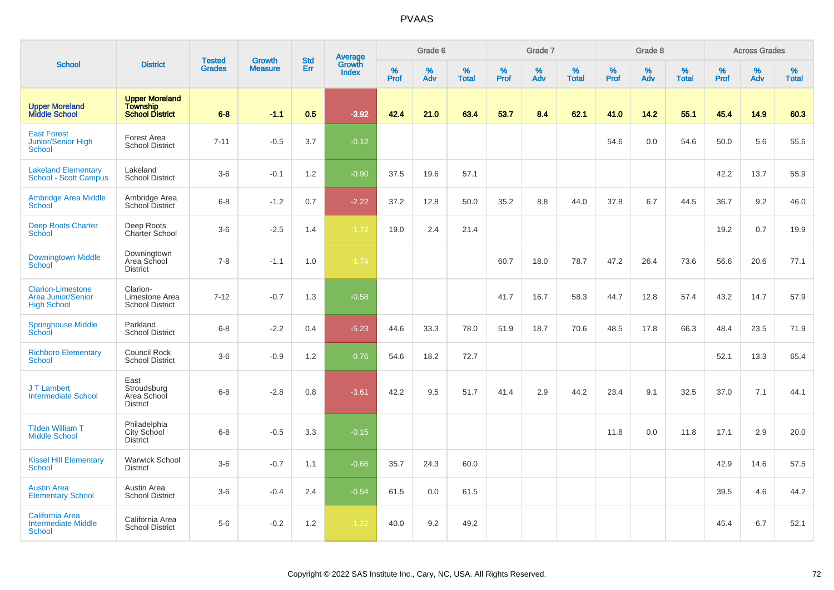|                                                                             |                                                                    | <b>Tested</b> | <b>Growth</b>  | <b>Std</b> |                                          |                  | Grade 6     |                   |           | Grade 7  |                   |              | Grade 8  |                   |              | <b>Across Grades</b> |                   |
|-----------------------------------------------------------------------------|--------------------------------------------------------------------|---------------|----------------|------------|------------------------------------------|------------------|-------------|-------------------|-----------|----------|-------------------|--------------|----------|-------------------|--------------|----------------------|-------------------|
| <b>School</b>                                                               | <b>District</b>                                                    | <b>Grades</b> | <b>Measure</b> | Err        | <b>Average</b><br>Growth<br><b>Index</b> | %<br><b>Prof</b> | $\%$<br>Adv | %<br><b>Total</b> | %<br>Prof | %<br>Adv | %<br><b>Total</b> | $\%$<br>Prof | %<br>Adv | %<br><b>Total</b> | $\%$<br>Prof | $\%$<br>Adv          | %<br><b>Total</b> |
| <b>Upper Moreland</b><br><b>Middle School</b>                               | <b>Upper Moreland</b><br><b>Township</b><br><b>School District</b> | $6 - 8$       | $-1.1$         | 0.5        | $-3.92$                                  | 42.4             | 21.0        | 63.4              | 53.7      | 8.4      | 62.1              | 41.0         | 14.2     | 55.1              | 45.4         | 14.9                 | 60.3              |
| <b>East Forest</b><br>Junior/Senior High<br>School                          | Forest Area<br><b>School District</b>                              | $7 - 11$      | $-0.5$         | 3.7        | $-0.12$                                  |                  |             |                   |           |          |                   | 54.6         | 0.0      | 54.6              | 50.0         | 5.6                  | 55.6              |
| <b>Lakeland Elementary</b><br>School - Scott Campus                         | Lakeland<br><b>School District</b>                                 | $3-6$         | $-0.1$         | 1.2        | $-0.90$                                  | 37.5             | 19.6        | 57.1              |           |          |                   |              |          |                   | 42.2         | 13.7                 | 55.9              |
| <b>Ambridge Area Middle</b><br>School                                       | Ambridge Area<br>School District                                   | $6 - 8$       | $-1.2$         | 0.7        | $-2.22$                                  | 37.2             | 12.8        | 50.0              | 35.2      | 8.8      | 44.0              | 37.8         | 6.7      | 44.5              | 36.7         | 9.2                  | 46.0              |
| <b>Deep Roots Charter</b><br><b>School</b>                                  | Deep Roots<br>Charter School                                       | $3 - 6$       | $-2.5$         | 1.4        | $-1.72$                                  | 19.0             | 2.4         | 21.4              |           |          |                   |              |          |                   | 19.2         | 0.7                  | 19.9              |
| <b>Downingtown Middle</b><br>School                                         | Downingtown<br>Area School<br><b>District</b>                      | $7 - 8$       | $-1.1$         | 1.0        | $-1.74$                                  |                  |             |                   | 60.7      | 18.0     | 78.7              | 47.2         | 26.4     | 73.6              | 56.6         | 20.6                 | 77.1              |
| <b>Clarion-Limestone</b><br><b>Area Junior/Senior</b><br><b>High School</b> | Clarion-<br>Limestone Area<br><b>School District</b>               | $7 - 12$      | $-0.7$         | 1.3        | $-0.58$                                  |                  |             |                   | 41.7      | 16.7     | 58.3              | 44.7         | 12.8     | 57.4              | 43.2         | 14.7                 | 57.9              |
| <b>Springhouse Middle</b><br>School                                         | Parkland<br><b>School District</b>                                 | $6 - 8$       | $-2.2$         | 0.4        | $-5.23$                                  | 44.6             | 33.3        | 78.0              | 51.9      | 18.7     | 70.6              | 48.5         | 17.8     | 66.3              | 48.4         | 23.5                 | 71.9              |
| <b>Richboro Elementary</b><br><b>School</b>                                 | Council Rock<br><b>School District</b>                             | $3-6$         | $-0.9$         | 1.2        | $-0.76$                                  | 54.6             | 18.2        | 72.7              |           |          |                   |              |          |                   | 52.1         | 13.3                 | 65.4              |
| J T Lambert<br><b>Intermediate School</b>                                   | East<br>Stroudsburg<br>Area School<br><b>District</b>              | $6 - 8$       | $-2.8$         | 0.8        | $-3.61$                                  | 42.2             | 9.5         | 51.7              | 41.4      | 2.9      | 44.2              | 23.4         | 9.1      | 32.5              | 37.0         | 7.1                  | 44.1              |
| <b>Tilden William T</b><br><b>Middle School</b>                             | Philadelphia<br>City School<br>District                            | $6 - 8$       | $-0.5$         | 3.3        | $-0.15$                                  |                  |             |                   |           |          |                   | 11.8         | 0.0      | 11.8              | 17.1         | 2.9                  | 20.0              |
| <b>Kissel Hill Elementary</b><br><b>School</b>                              | <b>Warwick School</b><br><b>District</b>                           | $3-6$         | $-0.7$         | 1.1        | $-0.66$                                  | 35.7             | 24.3        | 60.0              |           |          |                   |              |          |                   | 42.9         | 14.6                 | 57.5              |
| <b>Austin Area</b><br><b>Elementary School</b>                              | Austin Area<br><b>School District</b>                              | $3-6$         | $-0.4$         | 2.4        | $-0.54$                                  | 61.5             | 0.0         | 61.5              |           |          |                   |              |          |                   | 39.5         | 4.6                  | 44.2              |
| California Area<br><b>Intermediate Middle</b><br>School                     | California Area<br><b>School District</b>                          | $5-6$         | $-0.2$         | 1.2        | $-1.22$                                  | 40.0             | 9.2         | 49.2              |           |          |                   |              |          |                   | 45.4         | 6.7                  | 52.1              |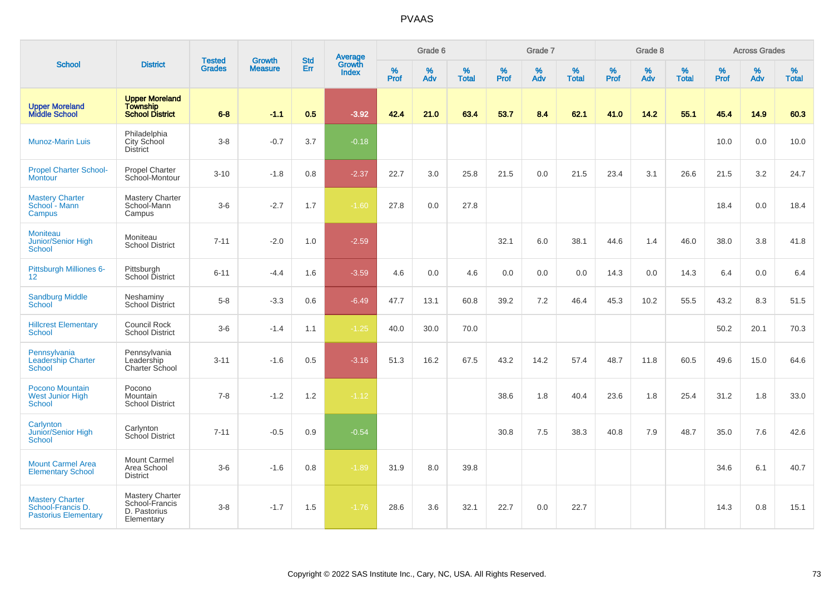|                                                                            |                                                                        |                                |                                 | <b>Std</b> |                                          |                  | Grade 6  |                   |           | Grade 7  |                   |           | Grade 8  |                   |           | <b>Across Grades</b> |                   |
|----------------------------------------------------------------------------|------------------------------------------------------------------------|--------------------------------|---------------------------------|------------|------------------------------------------|------------------|----------|-------------------|-----------|----------|-------------------|-----------|----------|-------------------|-----------|----------------------|-------------------|
| <b>School</b>                                                              | <b>District</b>                                                        | <b>Tested</b><br><b>Grades</b> | <b>Growth</b><br><b>Measure</b> | Err        | <b>Average</b><br>Growth<br><b>Index</b> | %<br><b>Prof</b> | %<br>Adv | %<br><b>Total</b> | %<br>Prof | %<br>Adv | %<br><b>Total</b> | %<br>Prof | %<br>Adv | %<br><b>Total</b> | %<br>Prof | %<br>Adv             | %<br><b>Total</b> |
| <b>Upper Moreland</b><br><b>Middle School</b>                              | <b>Upper Moreland</b><br><b>Township</b><br><b>School District</b>     | $6 - 8$                        | $-1.1$                          | 0.5        | $-3.92$                                  | 42.4             | 21.0     | 63.4              | 53.7      | 8.4      | 62.1              | 41.0      | 14.2     | 55.1              | 45.4      | 14.9                 | 60.3              |
| <b>Munoz-Marin Luis</b>                                                    | Philadelphia<br>City School<br><b>District</b>                         | $3 - 8$                        | $-0.7$                          | 3.7        | $-0.18$                                  |                  |          |                   |           |          |                   |           |          |                   | 10.0      | 0.0                  | 10.0              |
| <b>Propel Charter School-</b><br><b>Montour</b>                            | <b>Propel Charter</b><br>School-Montour                                | $3 - 10$                       | $-1.8$                          | 0.8        | $-2.37$                                  | 22.7             | 3.0      | 25.8              | 21.5      | 0.0      | 21.5              | 23.4      | 3.1      | 26.6              | 21.5      | 3.2                  | 24.7              |
| <b>Mastery Charter</b><br>School - Mann<br>Campus                          | <b>Mastery Charter</b><br>School-Mann<br>Campus                        | $3-6$                          | $-2.7$                          | 1.7        | $-1.60$                                  | 27.8             | 0.0      | 27.8              |           |          |                   |           |          |                   | 18.4      | 0.0                  | 18.4              |
| <b>Moniteau</b><br>Junior/Senior High<br>School                            | Moniteau<br><b>School District</b>                                     | $7 - 11$                       | $-2.0$                          | 1.0        | $-2.59$                                  |                  |          |                   | 32.1      | 6.0      | 38.1              | 44.6      | 1.4      | 46.0              | 38.0      | 3.8                  | 41.8              |
| Pittsburgh Milliones 6-<br>12 <sup>2</sup>                                 | Pittsburgh<br>School District                                          | $6 - 11$                       | $-4.4$                          | 1.6        | $-3.59$                                  | 4.6              | 0.0      | 4.6               | 0.0       | 0.0      | 0.0               | 14.3      | 0.0      | 14.3              | 6.4       | 0.0                  | 6.4               |
| <b>Sandburg Middle</b><br>School                                           | Neshaminy<br><b>School District</b>                                    | $5-8$                          | $-3.3$                          | 0.6        | $-6.49$                                  | 47.7             | 13.1     | 60.8              | 39.2      | 7.2      | 46.4              | 45.3      | 10.2     | 55.5              | 43.2      | 8.3                  | 51.5              |
| <b>Hillcrest Elementary</b><br><b>School</b>                               | Council Rock<br><b>School District</b>                                 | $3-6$                          | $-1.4$                          | 1.1        | $-1.25$                                  | 40.0             | 30.0     | 70.0              |           |          |                   |           |          |                   | 50.2      | 20.1                 | 70.3              |
| Pennsylvania<br><b>Leadership Charter</b><br>School                        | Pennsylvania<br>Leadership<br><b>Charter School</b>                    | $3 - 11$                       | $-1.6$                          | 0.5        | $-3.16$                                  | 51.3             | 16.2     | 67.5              | 43.2      | 14.2     | 57.4              | 48.7      | 11.8     | 60.5              | 49.6      | 15.0                 | 64.6              |
| Pocono Mountain<br><b>West Junior High</b><br><b>School</b>                | Pocono<br>Mountain<br><b>School District</b>                           | $7 - 8$                        | $-1.2$                          | 1.2        | $-1.12$                                  |                  |          |                   | 38.6      | 1.8      | 40.4              | 23.6      | 1.8      | 25.4              | 31.2      | 1.8                  | 33.0              |
| Carlynton<br>Junior/Senior High<br>School                                  | Carlynton<br>School District                                           | $7 - 11$                       | $-0.5$                          | 0.9        | $-0.54$                                  |                  |          |                   | 30.8      | 7.5      | 38.3              | 40.8      | 7.9      | 48.7              | 35.0      | 7.6                  | 42.6              |
| <b>Mount Carmel Area</b><br><b>Elementary School</b>                       | <b>Mount Carmel</b><br>Area School<br><b>District</b>                  | $3-6$                          | $-1.6$                          | 0.8        | $-1.89$                                  | 31.9             | 8.0      | 39.8              |           |          |                   |           |          |                   | 34.6      | 6.1                  | 40.7              |
| <b>Mastery Charter</b><br>School-Francis D.<br><b>Pastorius Elementary</b> | <b>Mastery Charter</b><br>School-Francis<br>D. Pastorius<br>Elementary | $3 - 8$                        | $-1.7$                          | 1.5        | $-1.76$                                  | 28.6             | 3.6      | 32.1              | 22.7      | 0.0      | 22.7              |           |          |                   | 14.3      | 0.8                  | 15.1              |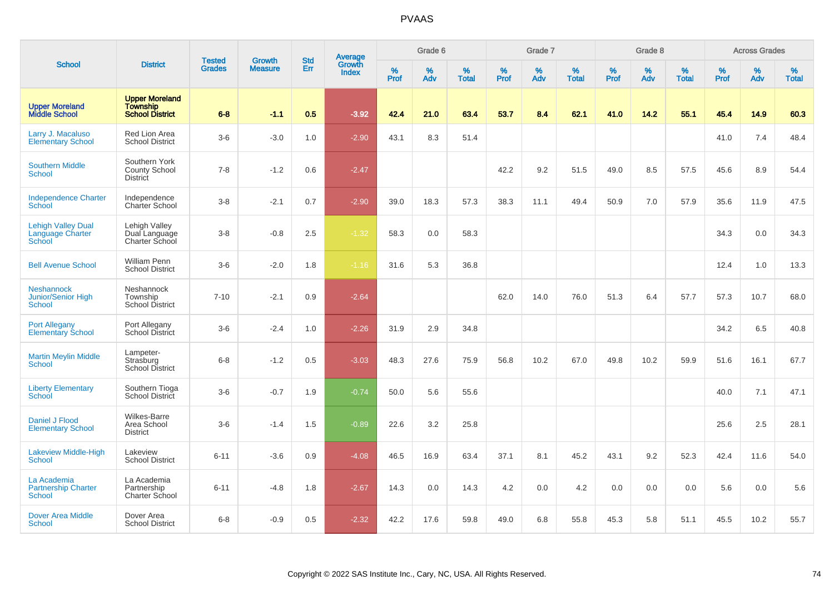|                                                            |                                                                    |                                |                                 | <b>Std</b> |                                   |                     | Grade 6     |                   |              | Grade 7     |                   |              | Grade 8  |                   |              | <b>Across Grades</b> |                   |
|------------------------------------------------------------|--------------------------------------------------------------------|--------------------------------|---------------------------------|------------|-----------------------------------|---------------------|-------------|-------------------|--------------|-------------|-------------------|--------------|----------|-------------------|--------------|----------------------|-------------------|
| <b>School</b>                                              | <b>District</b>                                                    | <b>Tested</b><br><b>Grades</b> | <b>Growth</b><br><b>Measure</b> | Err        | Average<br>Growth<br><b>Index</b> | $\%$<br><b>Prof</b> | $\%$<br>Adv | %<br><b>Total</b> | $\%$<br>Prof | $\%$<br>Adv | %<br><b>Total</b> | $\%$<br>Prof | %<br>Adv | %<br><b>Total</b> | $\%$<br>Prof | $\%$<br>Adv          | %<br><b>Total</b> |
| <b>Upper Moreland<br/>Middle School</b>                    | <b>Upper Moreland</b><br><b>Township</b><br><b>School District</b> | $6 - 8$                        | $-1.1$                          | 0.5        | $-3.92$                           | 42.4                | 21.0        | 63.4              | 53.7         | 8.4         | 62.1              | 41.0         | 14.2     | 55.1              | 45.4         | 14.9                 | 60.3              |
| Larry J. Macaluso<br><b>Elementary School</b>              | Red Lion Area<br><b>School District</b>                            | $3-6$                          | $-3.0$                          | 1.0        | $-2.90$                           | 43.1                | 8.3         | 51.4              |              |             |                   |              |          |                   | 41.0         | 7.4                  | 48.4              |
| <b>Southern Middle</b><br>School                           | Southern York<br>County School<br><b>District</b>                  | $7 - 8$                        | $-1.2$                          | 0.6        | $-2.47$                           |                     |             |                   | 42.2         | 9.2         | 51.5              | 49.0         | 8.5      | 57.5              | 45.6         | 8.9                  | 54.4              |
| <b>Independence Charter</b><br><b>School</b>               | Independence<br>Charter School                                     | $3 - 8$                        | $-2.1$                          | 0.7        | $-2.90$                           | 39.0                | 18.3        | 57.3              | 38.3         | 11.1        | 49.4              | 50.9         | 7.0      | 57.9              | 35.6         | 11.9                 | 47.5              |
| <b>Lehigh Valley Dual</b><br>Language Charter<br>School    | Lehigh Valley<br>Dual Language<br>Charter School                   | $3 - 8$                        | $-0.8$                          | 2.5        | $-1.32$                           | 58.3                | 0.0         | 58.3              |              |             |                   |              |          |                   | 34.3         | 0.0                  | 34.3              |
| <b>Bell Avenue School</b>                                  | <b>William Penn</b><br><b>School District</b>                      | $3-6$                          | $-2.0$                          | 1.8        | $-1.16$                           | 31.6                | 5.3         | 36.8              |              |             |                   |              |          |                   | 12.4         | 1.0                  | 13.3              |
| <b>Neshannock</b><br>Junior/Senior High<br><b>School</b>   | Neshannock<br>Township<br>School District                          | $7 - 10$                       | $-2.1$                          | 0.9        | $-2.64$                           |                     |             |                   | 62.0         | 14.0        | 76.0              | 51.3         | 6.4      | 57.7              | 57.3         | 10.7                 | 68.0              |
| <b>Port Allegany</b><br><b>Elementary School</b>           | Port Allegany<br>School District                                   | $3-6$                          | $-2.4$                          | 1.0        | $-2.26$                           | 31.9                | 2.9         | 34.8              |              |             |                   |              |          |                   | 34.2         | 6.5                  | 40.8              |
| <b>Martin Meylin Middle</b><br>School                      | Lampeter-<br>Strasburg<br>School District                          | $6 - 8$                        | $-1.2$                          | 0.5        | $-3.03$                           | 48.3                | 27.6        | 75.9              | 56.8         | 10.2        | 67.0              | 49.8         | 10.2     | 59.9              | 51.6         | 16.1                 | 67.7              |
| <b>Liberty Elementary</b><br><b>School</b>                 | Southern Tioga<br>School District                                  | $3-6$                          | $-0.7$                          | 1.9        | $-0.74$                           | 50.0                | 5.6         | 55.6              |              |             |                   |              |          |                   | 40.0         | 7.1                  | 47.1              |
| Daniel J Flood<br><b>Elementary School</b>                 | Wilkes-Barre<br>Area School<br><b>District</b>                     | $3-6$                          | $-1.4$                          | 1.5        | $-0.89$                           | 22.6                | 3.2         | 25.8              |              |             |                   |              |          |                   | 25.6         | 2.5                  | 28.1              |
| <b>Lakeview Middle-High</b><br>School                      | Lakeview<br><b>School District</b>                                 | $6 - 11$                       | $-3.6$                          | 0.9        | $-4.08$                           | 46.5                | 16.9        | 63.4              | 37.1         | 8.1         | 45.2              | 43.1         | 9.2      | 52.3              | 42.4         | 11.6                 | 54.0              |
| La Academia<br><b>Partnership Charter</b><br><b>School</b> | La Academia<br>Partnership<br>Charter School                       | $6 - 11$                       | $-4.8$                          | 1.8        | $-2.67$                           | 14.3                | 0.0         | 14.3              | 4.2          | 0.0         | 4.2               | 0.0          | 0.0      | 0.0               | 5.6          | 0.0                  | 5.6               |
| <b>Dover Area Middle</b><br>School                         | Dover Area<br><b>School District</b>                               | $6 - 8$                        | $-0.9$                          | 0.5        | $-2.32$                           | 42.2                | 17.6        | 59.8              | 49.0         | 6.8         | 55.8              | 45.3         | 5.8      | 51.1              | 45.5         | 10.2                 | 55.7              |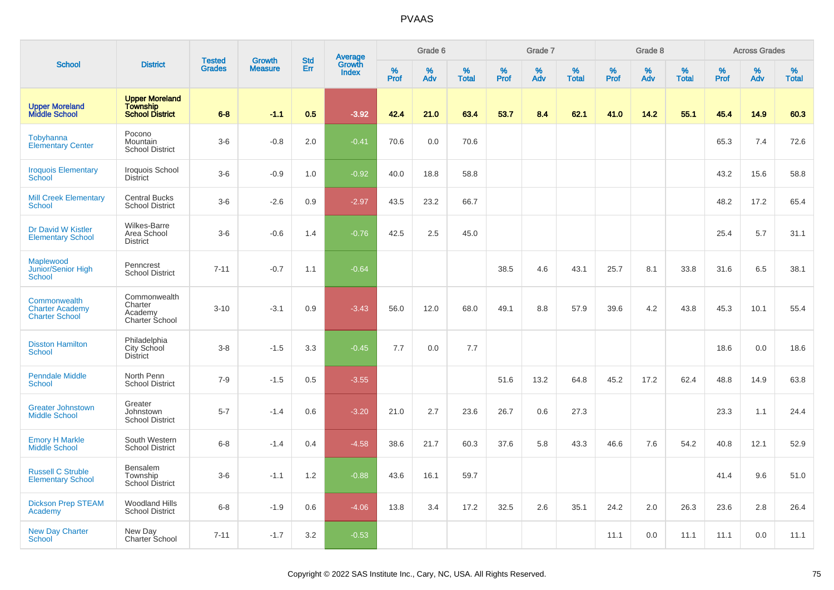|                                                                 |                                                                    |                                |                                 | <b>Std</b> |                                          |                  | Grade 6  |                   |           | Grade 7  |                   |           | Grade 8  |                   |           | <b>Across Grades</b> |                   |
|-----------------------------------------------------------------|--------------------------------------------------------------------|--------------------------------|---------------------------------|------------|------------------------------------------|------------------|----------|-------------------|-----------|----------|-------------------|-----------|----------|-------------------|-----------|----------------------|-------------------|
| <b>School</b>                                                   | <b>District</b>                                                    | <b>Tested</b><br><b>Grades</b> | <b>Growth</b><br><b>Measure</b> | Err        | <b>Average</b><br>Growth<br><b>Index</b> | %<br><b>Prof</b> | %<br>Adv | %<br><b>Total</b> | %<br>Prof | %<br>Adv | %<br><b>Total</b> | %<br>Prof | %<br>Adv | %<br><b>Total</b> | %<br>Prof | %<br>Adv             | %<br><b>Total</b> |
| <b>Upper Moreland</b><br>Middle School                          | <b>Upper Moreland</b><br><b>Township</b><br><b>School District</b> | $6 - 8$                        | $-1.1$                          | 0.5        | $-3.92$                                  | 42.4             | 21.0     | 63.4              | 53.7      | 8.4      | 62.1              | 41.0      | 14.2     | 55.1              | 45.4      | 14.9                 | 60.3              |
| Tobyhanna<br><b>Elementary Center</b>                           | Pocono<br>Mountain<br><b>School District</b>                       | $3-6$                          | $-0.8$                          | 2.0        | $-0.41$                                  | 70.6             | 0.0      | 70.6              |           |          |                   |           |          |                   | 65.3      | 7.4                  | 72.6              |
| <b>Iroquois Elementary</b><br>School                            | Iroquois School<br><b>District</b>                                 | $3-6$                          | $-0.9$                          | 1.0        | $-0.92$                                  | 40.0             | 18.8     | 58.8              |           |          |                   |           |          |                   | 43.2      | 15.6                 | 58.8              |
| <b>Mill Creek Elementary</b><br>School                          | <b>Central Bucks</b><br><b>School District</b>                     | $3-6$                          | $-2.6$                          | 0.9        | $-2.97$                                  | 43.5             | 23.2     | 66.7              |           |          |                   |           |          |                   | 48.2      | 17.2                 | 65.4              |
| Dr David W Kistler<br><b>Elementary School</b>                  | <b>Wilkes-Barre</b><br>Area School<br><b>District</b>              | $3-6$                          | $-0.6$                          | 1.4        | $-0.76$                                  | 42.5             | 2.5      | 45.0              |           |          |                   |           |          |                   | 25.4      | 5.7                  | 31.1              |
| Maplewood<br>Junior/Senior High<br><b>School</b>                | Penncrest<br><b>School District</b>                                | $7 - 11$                       | $-0.7$                          | 1.1        | $-0.64$                                  |                  |          |                   | 38.5      | 4.6      | 43.1              | 25.7      | 8.1      | 33.8              | 31.6      | 6.5                  | 38.1              |
| Commonwealth<br><b>Charter Academy</b><br><b>Charter School</b> | Commonwealth<br>Charter<br>Academy<br>Charter School               | $3 - 10$                       | $-3.1$                          | 0.9        | $-3.43$                                  | 56.0             | 12.0     | 68.0              | 49.1      | 8.8      | 57.9              | 39.6      | 4.2      | 43.8              | 45.3      | 10.1                 | 55.4              |
| <b>Disston Hamilton</b><br><b>School</b>                        | Philadelphia<br>City School<br>District                            | $3-8$                          | $-1.5$                          | 3.3        | $-0.45$                                  | 7.7              | 0.0      | 7.7               |           |          |                   |           |          |                   | 18.6      | 0.0                  | 18.6              |
| <b>Penndale Middle</b><br><b>School</b>                         | North Penn<br><b>School District</b>                               | $7 - 9$                        | $-1.5$                          | 0.5        | $-3.55$                                  |                  |          |                   | 51.6      | 13.2     | 64.8              | 45.2      | 17.2     | 62.4              | 48.8      | 14.9                 | 63.8              |
| <b>Greater Johnstown</b><br><b>Middle School</b>                | Greater<br>Johnstown<br><b>School District</b>                     | $5 - 7$                        | $-1.4$                          | 0.6        | $-3.20$                                  | 21.0             | 2.7      | 23.6              | 26.7      | 0.6      | 27.3              |           |          |                   | 23.3      | 1.1                  | 24.4              |
| <b>Emory H Markle</b><br>Middle School                          | South Western<br><b>School District</b>                            | $6 - 8$                        | $-1.4$                          | 0.4        | $-4.58$                                  | 38.6             | 21.7     | 60.3              | 37.6      | 5.8      | 43.3              | 46.6      | 7.6      | 54.2              | 40.8      | 12.1                 | 52.9              |
| <b>Russell C Struble</b><br><b>Elementary School</b>            | <b>Bensalem</b><br>Township<br><b>School District</b>              | $3-6$                          | $-1.1$                          | 1.2        | $-0.88$                                  | 43.6             | 16.1     | 59.7              |           |          |                   |           |          |                   | 41.4      | 9.6                  | 51.0              |
| <b>Dickson Prep STEAM</b><br>Academy                            | <b>Woodland Hills</b><br><b>School District</b>                    | $6-8$                          | $-1.9$                          | 0.6        | $-4.06$                                  | 13.8             | 3.4      | 17.2              | 32.5      | 2.6      | 35.1              | 24.2      | 2.0      | 26.3              | 23.6      | 2.8                  | 26.4              |
| <b>New Day Charter</b><br><b>School</b>                         | New Day<br>Charter School                                          | $7 - 11$                       | $-1.7$                          | 3.2        | $-0.53$                                  |                  |          |                   |           |          |                   | 11.1      | 0.0      | 11.1              | 11.1      | 0.0                  | 11.1              |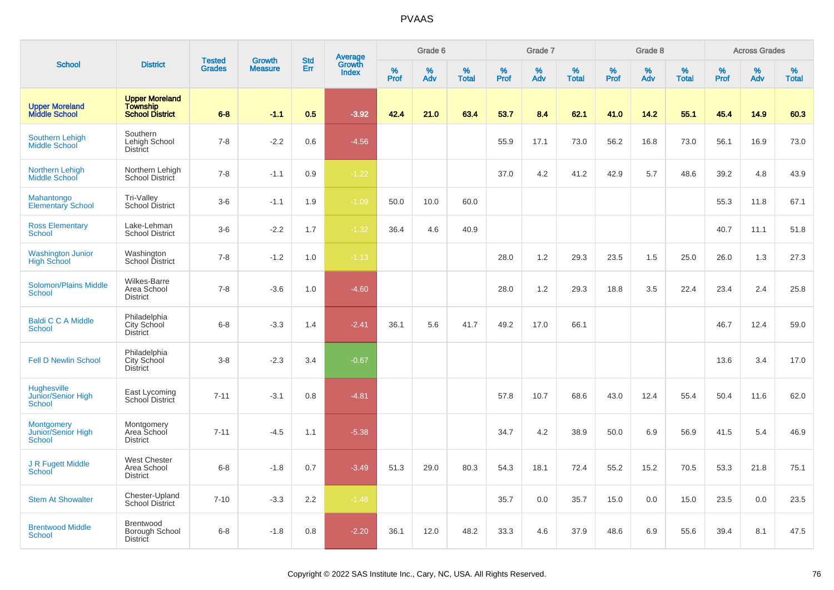|                                                   |                                                                    | <b>Tested</b> | <b>Growth</b>  | <b>Std</b> |                                   |           | Grade 6  |                   |           | Grade 7  |                   |           | Grade 8  |                   |           | <b>Across Grades</b> |                   |
|---------------------------------------------------|--------------------------------------------------------------------|---------------|----------------|------------|-----------------------------------|-----------|----------|-------------------|-----------|----------|-------------------|-----------|----------|-------------------|-----------|----------------------|-------------------|
| <b>School</b>                                     | <b>District</b>                                                    | <b>Grades</b> | <b>Measure</b> | Err        | Average<br>Growth<br><b>Index</b> | %<br>Prof | %<br>Adv | %<br><b>Total</b> | %<br>Prof | %<br>Adv | %<br><b>Total</b> | %<br>Prof | %<br>Adv | %<br><b>Total</b> | %<br>Prof | %<br>Adv             | %<br><b>Total</b> |
| <b>Upper Moreland</b><br><b>Middle School</b>     | <b>Upper Moreland</b><br><b>Township</b><br><b>School District</b> | $6 - 8$       | $-1.1$         | 0.5        | $-3.92$                           | 42.4      | 21.0     | 63.4              | 53.7      | 8.4      | 62.1              | 41.0      | 14.2     | 55.1              | 45.4      | 14.9                 | 60.3              |
| <b>Southern Lehigh</b><br>Middle School           | Southern<br>Lehigh School<br>District                              | $7 - 8$       | $-2.2$         | 0.6        | $-4.56$                           |           |          |                   | 55.9      | 17.1     | 73.0              | 56.2      | 16.8     | 73.0              | 56.1      | 16.9                 | 73.0              |
| <b>Northern Lehigh</b><br><b>Middle School</b>    | Northern Lehigh<br>School District                                 | $7 - 8$       | $-1.1$         | 0.9        | $-1.22$                           |           |          |                   | 37.0      | 4.2      | 41.2              | 42.9      | 5.7      | 48.6              | 39.2      | 4.8                  | 43.9              |
| Mahantongo<br><b>Elementary School</b>            | Tri-Valley<br><b>School District</b>                               | $3-6$         | $-1.1$         | 1.9        | $-1.09$                           | 50.0      | 10.0     | 60.0              |           |          |                   |           |          |                   | 55.3      | 11.8                 | 67.1              |
| <b>Ross Elementary</b><br>School                  | Lake-Lehman<br><b>School District</b>                              | $3-6$         | $-2.2$         | 1.7        | $-1.32$                           | 36.4      | 4.6      | 40.9              |           |          |                   |           |          |                   | 40.7      | 11.1                 | 51.8              |
| Washington Junior<br>High School                  | Washington<br>School District                                      | $7 - 8$       | $-1.2$         | 1.0        | $-1.13$                           |           |          |                   | 28.0      | 1.2      | 29.3              | 23.5      | 1.5      | 25.0              | 26.0      | 1.3                  | 27.3              |
| <b>Solomon/Plains Middle</b><br>School            | Wilkes-Barre<br>Area School<br><b>District</b>                     | $7 - 8$       | $-3.6$         | 1.0        | $-4.60$                           |           |          |                   | 28.0      | 1.2      | 29.3              | 18.8      | 3.5      | 22.4              | 23.4      | 2.4                  | 25.8              |
| <b>Baldi C C A Middle</b><br>School               | Philadelphia<br>City School<br><b>District</b>                     | $6 - 8$       | $-3.3$         | 1.4        | $-2.41$                           | 36.1      | 5.6      | 41.7              | 49.2      | 17.0     | 66.1              |           |          |                   | 46.7      | 12.4                 | 59.0              |
| <b>Fell D Newlin School</b>                       | Philadelphia<br>City School<br><b>District</b>                     | $3-8$         | $-2.3$         | 3.4        | $-0.67$                           |           |          |                   |           |          |                   |           |          |                   | 13.6      | 3.4                  | 17.0              |
| Hughesville<br>Junior/Senior High<br>School       | East Lycoming<br>School District                                   | $7 - 11$      | $-3.1$         | 0.8        | $-4.81$                           |           |          |                   | 57.8      | 10.7     | 68.6              | 43.0      | 12.4     | 55.4              | 50.4      | 11.6                 | 62.0              |
| Montgomery<br>Junior/Senior High<br><b>School</b> | Montgomery<br>Area School<br><b>District</b>                       | $7 - 11$      | $-4.5$         | 1.1        | $-5.38$                           |           |          |                   | 34.7      | 4.2      | 38.9              | 50.0      | 6.9      | 56.9              | 41.5      | 5.4                  | 46.9              |
| J R Fugett Middle<br>School                       | <b>West Chester</b><br>Area School<br><b>District</b>              | $6 - 8$       | $-1.8$         | 0.7        | $-3.49$                           | 51.3      | 29.0     | 80.3              | 54.3      | 18.1     | 72.4              | 55.2      | 15.2     | 70.5              | 53.3      | 21.8                 | 75.1              |
| <b>Stem At Showalter</b>                          | Chester-Upland<br><b>School District</b>                           | $7 - 10$      | $-3.3$         | 2.2        | $-1.48$                           |           |          |                   | 35.7      | 0.0      | 35.7              | 15.0      | 0.0      | 15.0              | 23.5      | 0.0                  | 23.5              |
| <b>Brentwood Middle</b><br>School                 | Brentwood<br>Borough School<br><b>District</b>                     | $6 - 8$       | $-1.8$         | 0.8        | $-2.20$                           | 36.1      | 12.0     | 48.2              | 33.3      | 4.6      | 37.9              | 48.6      | 6.9      | 55.6              | 39.4      | 8.1                  | 47.5              |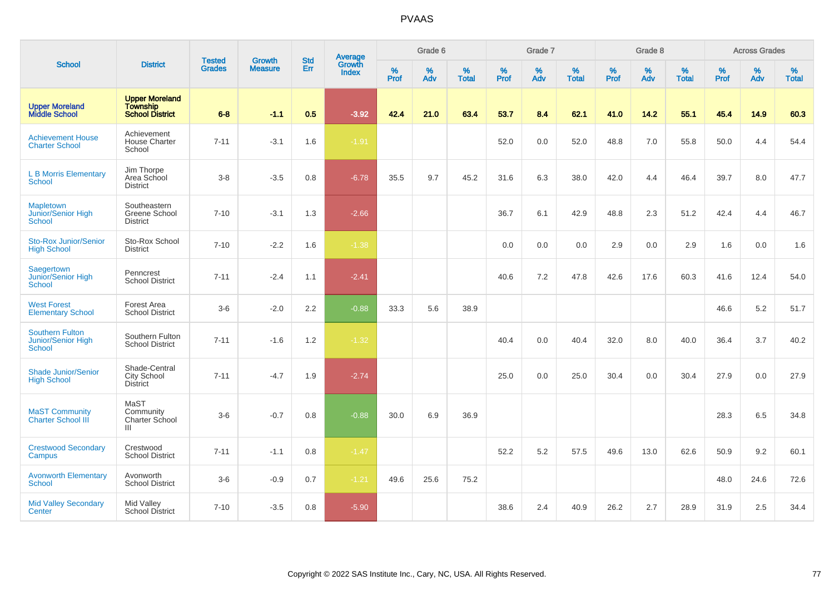|                                                        |                                                      | <b>Tested</b> | <b>Growth</b>  | <b>Std</b> |                                          |                     | Grade 6     |                      |                     | Grade 7     |                      |                     | Grade 8  |                      |              | <b>Across Grades</b> |                   |
|--------------------------------------------------------|------------------------------------------------------|---------------|----------------|------------|------------------------------------------|---------------------|-------------|----------------------|---------------------|-------------|----------------------|---------------------|----------|----------------------|--------------|----------------------|-------------------|
| <b>School</b>                                          | <b>District</b>                                      | <b>Grades</b> | <b>Measure</b> | <b>Err</b> | <b>Average</b><br>Growth<br><b>Index</b> | $\%$<br><b>Prof</b> | $\%$<br>Adv | $\%$<br><b>Total</b> | $\%$<br><b>Prof</b> | $\%$<br>Adv | $\%$<br><b>Total</b> | $\%$<br><b>Prof</b> | %<br>Adv | $\%$<br><b>Total</b> | $\%$<br>Prof | $\%$<br>Adv          | %<br><b>Total</b> |
| <b>Upper Moreland<br/>Middle School</b>                | <b>Upper Moreland</b><br>Township<br>School District | $6 - 8$       | $-1.1$         | 0.5        | $-3.92$                                  | 42.4                | 21.0        | 63.4                 | 53.7                | 8.4         | 62.1                 | 41.0                | 14.2     | 55.1                 | 45.4         | 14.9                 | 60.3              |
| <b>Achievement House</b><br><b>Charter School</b>      | Achievement<br><b>House Charter</b><br>School        | $7 - 11$      | $-3.1$         | 1.6        | $-1.91$                                  |                     |             |                      | 52.0                | 0.0         | 52.0                 | 48.8                | 7.0      | 55.8                 | 50.0         | 4.4                  | 54.4              |
| <b>L B Morris Elementary</b><br>School                 | Jim Thorpe<br>Area School<br><b>District</b>         | $3 - 8$       | $-3.5$         | 0.8        | $-6.78$                                  | 35.5                | 9.7         | 45.2                 | 31.6                | 6.3         | 38.0                 | 42.0                | 4.4      | 46.4                 | 39.7         | 8.0                  | 47.7              |
| <b>Mapletown</b><br>Junior/Senior High<br>School       | Southeastern<br>Greene School<br><b>District</b>     | $7 - 10$      | $-3.1$         | 1.3        | $-2.66$                                  |                     |             |                      | 36.7                | 6.1         | 42.9                 | 48.8                | 2.3      | 51.2                 | 42.4         | 4.4                  | 46.7              |
| <b>Sto-Rox Junior/Senior</b><br><b>High School</b>     | Sto-Rox School<br><b>District</b>                    | $7 - 10$      | $-2.2$         | 1.6        | $-1.38$                                  |                     |             |                      | 0.0                 | 0.0         | 0.0                  | 2.9                 | 0.0      | 2.9                  | 1.6          | 0.0                  | 1.6               |
| Saegertown<br>Junior/Senior High<br><b>School</b>      | Penncrest<br><b>School District</b>                  | $7 - 11$      | $-2.4$         | 1.1        | $-2.41$                                  |                     |             |                      | 40.6                | 7.2         | 47.8                 | 42.6                | 17.6     | 60.3                 | 41.6         | 12.4                 | 54.0              |
| <b>West Forest</b><br><b>Elementary School</b>         | Forest Area<br><b>School District</b>                | $3-6$         | $-2.0$         | 2.2        | $-0.88$                                  | 33.3                | 5.6         | 38.9                 |                     |             |                      |                     |          |                      | 46.6         | 5.2                  | 51.7              |
| <b>Southern Fulton</b><br>Junior/Senior High<br>School | Southern Fulton<br><b>School District</b>            | $7 - 11$      | $-1.6$         | 1.2        | $-1.32$                                  |                     |             |                      | 40.4                | 0.0         | 40.4                 | 32.0                | 8.0      | 40.0                 | 36.4         | 3.7                  | 40.2              |
| <b>Shade Junior/Senior</b><br><b>High School</b>       | Shade-Central<br>City School<br>District             | $7 - 11$      | $-4.7$         | 1.9        | $-2.74$                                  |                     |             |                      | 25.0                | 0.0         | 25.0                 | 30.4                | 0.0      | 30.4                 | 27.9         | 0.0                  | 27.9              |
| <b>MaST Community</b><br><b>Charter School III</b>     | MaST<br>Community<br>Charter School<br>III           | $3-6$         | $-0.7$         | 0.8        | $-0.88$                                  | 30.0                | 6.9         | 36.9                 |                     |             |                      |                     |          |                      | 28.3         | 6.5                  | 34.8              |
| <b>Crestwood Secondary</b><br>Campus                   | Crestwood<br><b>School District</b>                  | $7 - 11$      | $-1.1$         | 0.8        | $-1.47$                                  |                     |             |                      | 52.2                | 5.2         | 57.5                 | 49.6                | 13.0     | 62.6                 | 50.9         | 9.2                  | 60.1              |
| <b>Avonworth Elementary</b><br><b>School</b>           | Avonworth<br><b>School District</b>                  | $3-6$         | $-0.9$         | 0.7        | $-1.21$                                  | 49.6                | 25.6        | 75.2                 |                     |             |                      |                     |          |                      | 48.0         | 24.6                 | 72.6              |
| <b>Mid Valley Secondary</b><br>Center                  | Mid Valley<br><b>School District</b>                 | $7 - 10$      | $-3.5$         | 0.8        | $-5.90$                                  |                     |             |                      | 38.6                | 2.4         | 40.9                 | 26.2                | 2.7      | 28.9                 | 31.9         | 2.5                  | 34.4              |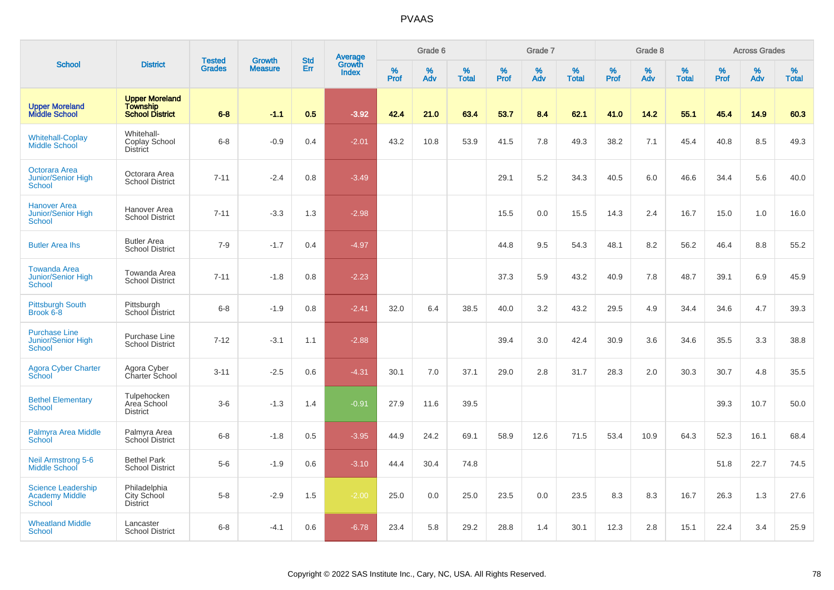|                                                                    |                                                                    |                                |                          | <b>Std</b> |                                   |                     | Grade 6     |                   |                  | Grade 7     |                   |              | Grade 8  |                   |              | <b>Across Grades</b> |                   |
|--------------------------------------------------------------------|--------------------------------------------------------------------|--------------------------------|--------------------------|------------|-----------------------------------|---------------------|-------------|-------------------|------------------|-------------|-------------------|--------------|----------|-------------------|--------------|----------------------|-------------------|
| <b>School</b>                                                      | <b>District</b>                                                    | <b>Tested</b><br><b>Grades</b> | Growth<br><b>Measure</b> | Err        | <b>Average</b><br>Growth<br>Index | $\%$<br><b>Prof</b> | $\%$<br>Adv | %<br><b>Total</b> | %<br><b>Prof</b> | $\%$<br>Adv | %<br><b>Total</b> | $\%$<br>Prof | %<br>Adv | %<br><b>Total</b> | $\%$<br>Prof | $\%$<br>Adv          | %<br><b>Total</b> |
| <b>Upper Moreland<br/>Middle School</b>                            | <b>Upper Moreland</b><br><b>Township</b><br><b>School District</b> | $6 - 8$                        | $-1.1$                   | 0.5        | $-3.92$                           | 42.4                | 21.0        | 63.4              | 53.7             | 8.4         | 62.1              | 41.0         | 14.2     | 55.1              | 45.4         | 14.9                 | 60.3              |
| <b>Whitehall-Coplay</b><br>Middle School                           | Whitehall-<br>Coplay School<br><b>District</b>                     | $6 - 8$                        | $-0.9$                   | 0.4        | $-2.01$                           | 43.2                | 10.8        | 53.9              | 41.5             | 7.8         | 49.3              | 38.2         | 7.1      | 45.4              | 40.8         | 8.5                  | 49.3              |
| <b>Octorara Area</b><br><b>Junior/Senior High</b><br><b>School</b> | Octorara Area<br><b>School District</b>                            | $7 - 11$                       | $-2.4$                   | 0.8        | $-3.49$                           |                     |             |                   | 29.1             | 5.2         | 34.3              | 40.5         | 6.0      | 46.6              | 34.4         | 5.6                  | 40.0              |
| <b>Hanover Area</b><br><b>Junior/Senior High</b><br>School         | Hanover Area<br><b>School District</b>                             | $7 - 11$                       | $-3.3$                   | 1.3        | $-2.98$                           |                     |             |                   | 15.5             | 0.0         | 15.5              | 14.3         | 2.4      | 16.7              | 15.0         | 1.0                  | 16.0              |
| <b>Butler Area Ihs</b>                                             | <b>Butler Area</b><br><b>School District</b>                       | $7 - 9$                        | $-1.7$                   | 0.4        | $-4.97$                           |                     |             |                   | 44.8             | 9.5         | 54.3              | 48.1         | 8.2      | 56.2              | 46.4         | 8.8                  | 55.2              |
| <b>Towanda Area</b><br><b>Junior/Senior High</b><br><b>School</b>  | Towanda Area<br><b>School District</b>                             | $7 - 11$                       | $-1.8$                   | 0.8        | $-2.23$                           |                     |             |                   | 37.3             | 5.9         | 43.2              | 40.9         | 7.8      | 48.7              | 39.1         | 6.9                  | 45.9              |
| <b>Pittsburgh South</b><br>Brook 6-8                               | Pittsburgh<br>School District                                      | $6 - 8$                        | $-1.9$                   | 0.8        | $-2.41$                           | 32.0                | 6.4         | 38.5              | 40.0             | 3.2         | 43.2              | 29.5         | 4.9      | 34.4              | 34.6         | 4.7                  | 39.3              |
| <b>Purchase Line</b><br><b>Junior/Senior High</b><br><b>School</b> | Purchase Line<br><b>School District</b>                            | $7 - 12$                       | $-3.1$                   | 1.1        | $-2.88$                           |                     |             |                   | 39.4             | 3.0         | 42.4              | 30.9         | 3.6      | 34.6              | 35.5         | 3.3                  | 38.8              |
| <b>Agora Cyber Charter</b><br>School                               | Agora Cyber<br>Charter School                                      | $3 - 11$                       | $-2.5$                   | 0.6        | $-4.31$                           | 30.1                | 7.0         | 37.1              | 29.0             | 2.8         | 31.7              | 28.3         | 2.0      | 30.3              | 30.7         | 4.8                  | 35.5              |
| <b>Bethel Elementary</b><br>School                                 | Tulpehocken<br>Area School<br><b>District</b>                      | $3-6$                          | $-1.3$                   | 1.4        | $-0.91$                           | 27.9                | 11.6        | 39.5              |                  |             |                   |              |          |                   | 39.3         | 10.7                 | 50.0              |
| Palmyra Area Middle<br>School                                      | Palmyra Area<br>School District                                    | $6 - 8$                        | $-1.8$                   | 0.5        | $-3.95$                           | 44.9                | 24.2        | 69.1              | 58.9             | 12.6        | 71.5              | 53.4         | 10.9     | 64.3              | 52.3         | 16.1                 | 68.4              |
| <b>Neil Armstrong 5-6</b><br>Middle School                         | <b>Bethel Park</b><br><b>School District</b>                       | $5-6$                          | $-1.9$                   | 0.6        | $-3.10$                           | 44.4                | 30.4        | 74.8              |                  |             |                   |              |          |                   | 51.8         | 22.7                 | 74.5              |
| <b>Science Leadership</b><br><b>Academy Middle</b><br>School       | Philadelphia<br>City School<br><b>District</b>                     | $5-8$                          | $-2.9$                   | 1.5        | $-2.00$                           | 25.0                | 0.0         | 25.0              | 23.5             | 0.0         | 23.5              | 8.3          | 8.3      | 16.7              | 26.3         | 1.3                  | 27.6              |
| <b>Wheatland Middle</b><br>School                                  | Lancaster<br><b>School District</b>                                | $6 - 8$                        | $-4.1$                   | 0.6        | $-6.78$                           | 23.4                | 5.8         | 29.2              | 28.8             | 1.4         | 30.1              | 12.3         | 2.8      | 15.1              | 22.4         | 3.4                  | 25.9              |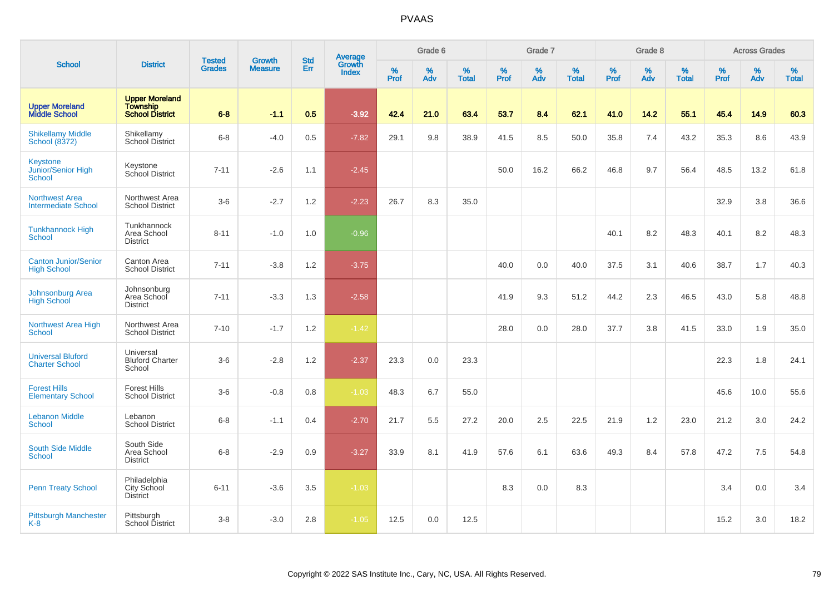| <b>School</b>                                       |                                                                    |                                |                                 | <b>Std</b> |                                          |                  | Grade 6  |                   |           | Grade 7  |                   |           | Grade 8     |                   |           | <b>Across Grades</b> |                   |
|-----------------------------------------------------|--------------------------------------------------------------------|--------------------------------|---------------------------------|------------|------------------------------------------|------------------|----------|-------------------|-----------|----------|-------------------|-----------|-------------|-------------------|-----------|----------------------|-------------------|
|                                                     | <b>District</b>                                                    | <b>Tested</b><br><b>Grades</b> | <b>Growth</b><br><b>Measure</b> | Err        | <b>Average</b><br>Growth<br><b>Index</b> | %<br><b>Prof</b> | %<br>Adv | %<br><b>Total</b> | %<br>Prof | %<br>Adv | %<br><b>Total</b> | %<br>Prof | $\%$<br>Adv | %<br><b>Total</b> | %<br>Prof | %<br>Adv             | %<br><b>Total</b> |
| <b>Upper Moreland</b><br><b>Middle School</b>       | <b>Upper Moreland</b><br><b>Township</b><br><b>School District</b> | $6 - 8$                        | $-1.1$                          | 0.5        | $-3.92$                                  | 42.4             | 21.0     | 63.4              | 53.7      | 8.4      | 62.1              | 41.0      | 14.2        | 55.1              | 45.4      | 14.9                 | 60.3              |
| <b>Shikellamy Middle</b><br>School (8372)           | Shikellamy<br><b>School District</b>                               | $6 - 8$                        | $-4.0$                          | 0.5        | $-7.82$                                  | 29.1             | 9.8      | 38.9              | 41.5      | 8.5      | 50.0              | 35.8      | 7.4         | 43.2              | 35.3      | 8.6                  | 43.9              |
| Keystone<br>Junior/Senior High<br><b>School</b>     | Keystone<br>School District                                        | $7 - 11$                       | $-2.6$                          | 1.1        | $-2.45$                                  |                  |          |                   | 50.0      | 16.2     | 66.2              | 46.8      | 9.7         | 56.4              | 48.5      | 13.2                 | 61.8              |
| <b>Northwest Area</b><br><b>Intermediate School</b> | Northwest Area<br><b>School District</b>                           | $3-6$                          | $-2.7$                          | 1.2        | $-2.23$                                  | 26.7             | 8.3      | 35.0              |           |          |                   |           |             |                   | 32.9      | 3.8                  | 36.6              |
| <b>Tunkhannock High</b><br>School                   | Tunkhannock<br>Area School<br><b>District</b>                      | $8 - 11$                       | $-1.0$                          | 1.0        | $-0.96$                                  |                  |          |                   |           |          |                   | 40.1      | 8.2         | 48.3              | 40.1      | 8.2                  | 48.3              |
| <b>Canton Junior/Senior</b><br><b>High School</b>   | Canton Area<br><b>School District</b>                              | $7 - 11$                       | $-3.8$                          | 1.2        | $-3.75$                                  |                  |          |                   | 40.0      | 0.0      | 40.0              | 37.5      | 3.1         | 40.6              | 38.7      | 1.7                  | 40.3              |
| <b>Johnsonburg Area</b><br><b>High School</b>       | Johnsonburg<br>Area School<br><b>District</b>                      | $7 - 11$                       | $-3.3$                          | 1.3        | $-2.58$                                  |                  |          |                   | 41.9      | 9.3      | 51.2              | 44.2      | 2.3         | 46.5              | 43.0      | 5.8                  | 48.8              |
| <b>Northwest Area High</b><br>School                | Northwest Area<br><b>School District</b>                           | $7 - 10$                       | $-1.7$                          | 1.2        | $-1.42$                                  |                  |          |                   | 28.0      | 0.0      | 28.0              | 37.7      | 3.8         | 41.5              | 33.0      | 1.9                  | 35.0              |
| <b>Universal Bluford</b><br><b>Charter School</b>   | Universal<br><b>Bluford Charter</b><br>School                      | $3 - 6$                        | $-2.8$                          | 1.2        | $-2.37$                                  | 23.3             | 0.0      | 23.3              |           |          |                   |           |             |                   | 22.3      | 1.8                  | 24.1              |
| <b>Forest Hills</b><br><b>Elementary School</b>     | <b>Forest Hills</b><br><b>School District</b>                      | $3-6$                          | $-0.8$                          | 0.8        | $-1.03$                                  | 48.3             | 6.7      | 55.0              |           |          |                   |           |             |                   | 45.6      | 10.0                 | 55.6              |
| <b>Lebanon Middle</b><br>School                     | Lebanon<br><b>School District</b>                                  | $6 - 8$                        | $-1.1$                          | 0.4        | $-2.70$                                  | 21.7             | 5.5      | 27.2              | 20.0      | 2.5      | 22.5              | 21.9      | 1.2         | 23.0              | 21.2      | 3.0                  | 24.2              |
| South Side Middle<br><b>School</b>                  | South Side<br>Area School<br><b>District</b>                       | $6 - 8$                        | $-2.9$                          | 0.9        | $-3.27$                                  | 33.9             | 8.1      | 41.9              | 57.6      | 6.1      | 63.6              | 49.3      | 8.4         | 57.8              | 47.2      | 7.5                  | 54.8              |
| <b>Penn Treaty School</b>                           | Philadelphia<br>City School<br><b>District</b>                     | $6 - 11$                       | $-3.6$                          | 3.5        | $-1.03$                                  |                  |          |                   | 8.3       | 0.0      | 8.3               |           |             |                   | 3.4       | 0.0                  | 3.4               |
| <b>Pittsburgh Manchester</b><br>$K-8$               | Pittsburgh<br>School District                                      | $3 - 8$                        | $-3.0$                          | 2.8        | $-1.05$                                  | 12.5             | 0.0      | 12.5              |           |          |                   |           |             |                   | 15.2      | 3.0                  | 18.2              |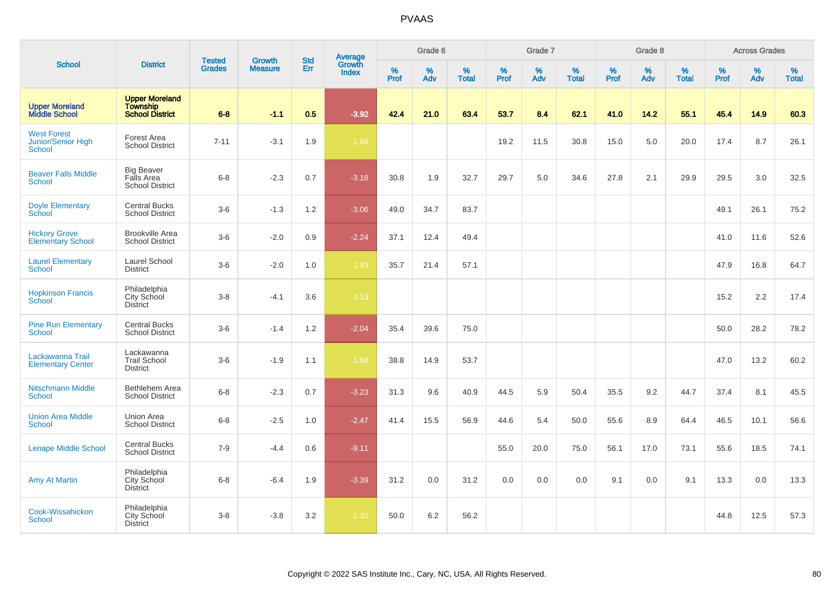|                                                    |                                                                    |                                |                          | <b>Std</b> |                                          |           | Grade 6  |                   |           | Grade 7  |                   |           | Grade 8  |                   |           | <b>Across Grades</b> |                   |
|----------------------------------------------------|--------------------------------------------------------------------|--------------------------------|--------------------------|------------|------------------------------------------|-----------|----------|-------------------|-----------|----------|-------------------|-----------|----------|-------------------|-----------|----------------------|-------------------|
| <b>School</b>                                      | <b>District</b>                                                    | <b>Tested</b><br><b>Grades</b> | Growth<br><b>Measure</b> | Err        | <b>Average</b><br>Growth<br><b>Index</b> | %<br>Prof | %<br>Adv | %<br><b>Total</b> | %<br>Prof | %<br>Adv | %<br><b>Total</b> | %<br>Prof | %<br>Adv | %<br><b>Total</b> | %<br>Prof | %<br>Adv             | %<br><b>Total</b> |
| <b>Upper Moreland<br/>Middle School</b>            | <b>Upper Moreland</b><br><b>Township</b><br><b>School District</b> | $6 - 8$                        | $-1.1$                   | 0.5        | $-3.92$                                  | 42.4      | 21.0     | 63.4              | 53.7      | 8.4      | 62.1              | 41.0      | 14.2     | 55.1              | 45.4      | 14.9                 | 60.3              |
| <b>West Forest</b><br>Junior/Senior High<br>School | Forest Area<br><b>School District</b>                              | $7 - 11$                       | $-3.1$                   | 1.9        | $-1.66$                                  |           |          |                   | 19.2      | 11.5     | 30.8              | 15.0      | 5.0      | 20.0              | 17.4      | 8.7                  | 26.1              |
| <b>Beaver Falls Middle</b><br><b>School</b>        | <b>Big Beaver</b><br>Falls Area<br><b>School District</b>          | $6 - 8$                        | $-2.3$                   | 0.7        | $-3.18$                                  | 30.8      | 1.9      | 32.7              | 29.7      | 5.0      | 34.6              | 27.8      | 2.1      | 29.9              | 29.5      | 3.0                  | 32.5              |
| <b>Doyle Elementary</b><br>School                  | <b>Central Bucks</b><br><b>School District</b>                     | $3-6$                          | $-1.3$                   | 1.2        | $-3.06$                                  | 49.0      | 34.7     | 83.7              |           |          |                   |           |          |                   | 49.1      | 26.1                 | 75.2              |
| <b>Hickory Grove</b><br><b>Elementary School</b>   | <b>Brookville Area</b><br>School District                          | $3-6$                          | $-2.0$                   | 0.9        | $-2.24$                                  | 37.1      | 12.4     | 49.4              |           |          |                   |           |          |                   | 41.0      | 11.6                 | 52.6              |
| <b>Laurel Elementary</b><br><b>School</b>          | Laurel School<br><b>District</b>                                   | $3-6$                          | $-2.0$                   | 1.0        | $-1.93$                                  | 35.7      | 21.4     | 57.1              |           |          |                   |           |          |                   | 47.9      | 16.8                 | 64.7              |
| <b>Hopkinson Francis</b><br>School                 | Philadelphia<br>City School<br><b>District</b>                     | $3 - 8$                        | $-4.1$                   | 3.6        | $-1.13$                                  |           |          |                   |           |          |                   |           |          |                   | 15.2      | 2.2                  | 17.4              |
| <b>Pine Run Elementary</b><br><b>School</b>        | <b>Central Bucks</b><br><b>School District</b>                     | $3-6$                          | $-1.4$                   | 1.2        | $-2.04$                                  | 35.4      | 39.6     | 75.0              |           |          |                   |           |          |                   | 50.0      | 28.2                 | 78.2              |
| Lackawanna Trail<br><b>Elementary Center</b>       | Lackawanna<br><b>Trail School</b><br><b>District</b>               | $3-6$                          | $-1.9$                   | 1.1        | $-1.68$                                  | 38.8      | 14.9     | 53.7              |           |          |                   |           |          |                   | 47.0      | 13.2                 | 60.2              |
| <b>Nitschmann Middle</b><br><b>School</b>          | Bethlehem Area<br><b>School District</b>                           | $6 - 8$                        | $-2.3$                   | 0.7        | $-3.23$                                  | 31.3      | 9.6      | 40.9              | 44.5      | 5.9      | 50.4              | 35.5      | 9.2      | 44.7              | 37.4      | 8.1                  | 45.5              |
| <b>Union Area Middle</b><br><b>School</b>          | Union Area<br><b>School District</b>                               | $6 - 8$                        | $-2.5$                   | 1.0        | $-2.47$                                  | 41.4      | 15.5     | 56.9              | 44.6      | 5.4      | 50.0              | 55.6      | 8.9      | 64.4              | 46.5      | 10.1                 | 56.6              |
| <b>Lenape Middle School</b>                        | <b>Central Bucks</b><br><b>School District</b>                     | $7 - 9$                        | $-4.4$                   | 0.6        | $-9.11$                                  |           |          |                   | 55.0      | 20.0     | 75.0              | 56.1      | 17.0     | 73.1              | 55.6      | 18.5                 | 74.1              |
| <b>Amy At Martin</b>                               | Philadelphia<br>City School<br><b>District</b>                     | $6 - 8$                        | $-6.4$                   | 1.9        | $-3.39$                                  | 31.2      | 0.0      | 31.2              | 0.0       | 0.0      | 0.0               | 9.1       | 0.0      | 9.1               | 13.3      | 0.0                  | 13.3              |
| Cook-Wissahickon<br><b>School</b>                  | Philadelphia<br><b>City School</b><br>District                     | $3 - 8$                        | $-3.8$                   | 3.2        | $-1.20$                                  | 50.0      | 6.2      | 56.2              |           |          |                   |           |          |                   | 44.8      | 12.5                 | 57.3              |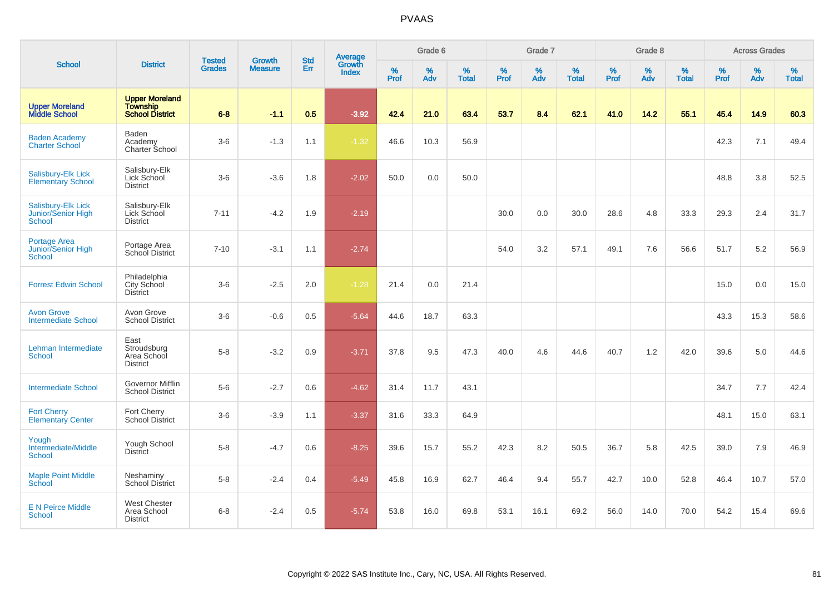|                                                     |                                                                    |                                |                                 | <b>Std</b> |                                          |           | Grade 6  |                   |           | Grade 7  |                   |           | Grade 8  |                   |           | <b>Across Grades</b> |                   |
|-----------------------------------------------------|--------------------------------------------------------------------|--------------------------------|---------------------------------|------------|------------------------------------------|-----------|----------|-------------------|-----------|----------|-------------------|-----------|----------|-------------------|-----------|----------------------|-------------------|
| <b>School</b>                                       | <b>District</b>                                                    | <b>Tested</b><br><b>Grades</b> | <b>Growth</b><br><b>Measure</b> | Err        | <b>Average</b><br>Growth<br><b>Index</b> | %<br>Prof | %<br>Adv | %<br><b>Total</b> | %<br>Prof | %<br>Adv | %<br><b>Total</b> | %<br>Prof | %<br>Adv | %<br><b>Total</b> | %<br>Prof | %<br>Adv             | %<br><b>Total</b> |
| <b>Upper Moreland<br/>Middle School</b>             | <b>Upper Moreland</b><br><b>Township</b><br><b>School District</b> | $6 - 8$                        | $-1.1$                          | 0.5        | $-3.92$                                  | 42.4      | 21.0     | 63.4              | 53.7      | 8.4      | 62.1              | 41.0      | 14.2     | 55.1              | 45.4      | 14.9                 | 60.3              |
| <b>Baden Academy</b><br><b>Charter School</b>       | Baden<br>Academy<br>Charter School                                 | $3-6$                          | $-1.3$                          | 1.1        | $-1.32$                                  | 46.6      | 10.3     | 56.9              |           |          |                   |           |          |                   | 42.3      | 7.1                  | 49.4              |
| Salisbury-Elk Lick<br><b>Elementary School</b>      | Salisbury-Elk<br>Lick School<br><b>District</b>                    | $3-6$                          | $-3.6$                          | 1.8        | $-2.02$                                  | 50.0      | 0.0      | 50.0              |           |          |                   |           |          |                   | 48.8      | 3.8                  | 52.5              |
| Salisbury-Elk Lick<br>Junior/Senior High<br>School  | Salisbury-Elk<br>Lick School<br><b>District</b>                    | $7 - 11$                       | $-4.2$                          | 1.9        | $-2.19$                                  |           |          |                   | 30.0      | 0.0      | 30.0              | 28.6      | 4.8      | 33.3              | 29.3      | 2.4                  | 31.7              |
| Portage Area<br>Junior/Senior High<br><b>School</b> | Portage Area<br>School District                                    | $7 - 10$                       | $-3.1$                          | 1.1        | $-2.74$                                  |           |          |                   | 54.0      | 3.2      | 57.1              | 49.1      | 7.6      | 56.6              | 51.7      | 5.2                  | 56.9              |
| <b>Forrest Edwin School</b>                         | Philadelphia<br>City School<br><b>District</b>                     | $3-6$                          | $-2.5$                          | 2.0        | $-1.28$                                  | 21.4      | 0.0      | 21.4              |           |          |                   |           |          |                   | 15.0      | 0.0                  | 15.0              |
| <b>Avon Grove</b><br><b>Intermediate School</b>     | Avon Grove<br><b>School District</b>                               | $3-6$                          | $-0.6$                          | 0.5        | $-5.64$                                  | 44.6      | 18.7     | 63.3              |           |          |                   |           |          |                   | 43.3      | 15.3                 | 58.6              |
| Lehman Intermediate<br>School                       | East<br>Stroudsburg<br>Area School<br><b>District</b>              | $5-8$                          | $-3.2$                          | 0.9        | $-3.71$                                  | 37.8      | 9.5      | 47.3              | 40.0      | 4.6      | 44.6              | 40.7      | 1.2      | 42.0              | 39.6      | 5.0                  | 44.6              |
| <b>Intermediate School</b>                          | Governor Mifflin<br><b>School District</b>                         | $5-6$                          | $-2.7$                          | 0.6        | $-4.62$                                  | 31.4      | 11.7     | 43.1              |           |          |                   |           |          |                   | 34.7      | 7.7                  | 42.4              |
| <b>Fort Cherry</b><br><b>Elementary Center</b>      | Fort Cherry<br><b>School District</b>                              | $3-6$                          | $-3.9$                          | 1.1        | $-3.37$                                  | 31.6      | 33.3     | 64.9              |           |          |                   |           |          |                   | 48.1      | 15.0                 | 63.1              |
| Yough<br>Intermediate/Middle<br><b>School</b>       | Yough School<br><b>District</b>                                    | $5-8$                          | $-4.7$                          | 0.6        | $-8.25$                                  | 39.6      | 15.7     | 55.2              | 42.3      | 8.2      | 50.5              | 36.7      | 5.8      | 42.5              | 39.0      | 7.9                  | 46.9              |
| <b>Maple Point Middle</b><br>School                 | Neshaminy<br><b>School District</b>                                | $5-8$                          | $-2.4$                          | 0.4        | $-5.49$                                  | 45.8      | 16.9     | 62.7              | 46.4      | 9.4      | 55.7              | 42.7      | 10.0     | 52.8              | 46.4      | 10.7                 | 57.0              |
| <b>E N Peirce Middle</b><br><b>School</b>           | <b>West Chester</b><br>Area School<br><b>District</b>              | $6 - 8$                        | $-2.4$                          | 0.5        | $-5.74$                                  | 53.8      | 16.0     | 69.8              | 53.1      | 16.1     | 69.2              | 56.0      | 14.0     | 70.0              | 54.2      | 15.4                 | 69.6              |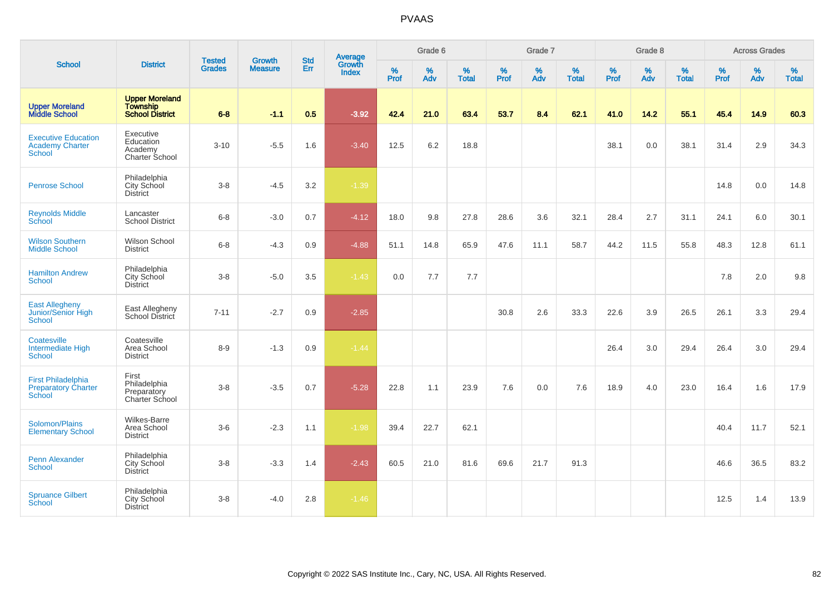|                                                                   |                                                        |                                |                                 | <b>Std</b> |                                          |           | Grade 6     |                      |                  | Grade 7  |                   |                     | Grade 8  |                   |                     | <b>Across Grades</b> |                   |
|-------------------------------------------------------------------|--------------------------------------------------------|--------------------------------|---------------------------------|------------|------------------------------------------|-----------|-------------|----------------------|------------------|----------|-------------------|---------------------|----------|-------------------|---------------------|----------------------|-------------------|
| <b>School</b>                                                     | <b>District</b>                                        | <b>Tested</b><br><b>Grades</b> | <b>Growth</b><br><b>Measure</b> | Err        | <b>Average</b><br>Growth<br><b>Index</b> | %<br>Prof | $\%$<br>Adv | $\%$<br><b>Total</b> | %<br><b>Prof</b> | %<br>Adv | %<br><b>Total</b> | $\%$<br><b>Prof</b> | %<br>Adv | %<br><b>Total</b> | $\%$<br><b>Prof</b> | $\%$<br>Adv          | %<br><b>Total</b> |
| <b>Upper Moreland<br/>Middle School</b>                           | <b>Upper Moreland</b><br>Township<br>School District   | $6-8$                          | $-1.1$                          | 0.5        | $-3.92$                                  | 42.4      | 21.0        | 63.4                 | 53.7             | 8.4      | 62.1              | 41.0                | 14.2     | 55.1              | 45.4                | 14.9                 | 60.3              |
| <b>Executive Education</b><br><b>Academy Charter</b><br>School    | Executive<br>Education<br>Academy<br>Charter School    | $3 - 10$                       | $-5.5$                          | 1.6        | $-3.40$                                  | 12.5      | 6.2         | 18.8                 |                  |          |                   | 38.1                | 0.0      | 38.1              | 31.4                | 2.9                  | 34.3              |
| <b>Penrose School</b>                                             | Philadelphia<br>City School<br><b>District</b>         | $3 - 8$                        | $-4.5$                          | 3.2        | $-1.39$                                  |           |             |                      |                  |          |                   |                     |          |                   | 14.8                | 0.0                  | 14.8              |
| <b>Reynolds Middle</b><br>School                                  | Lancaster<br><b>School District</b>                    | $6 - 8$                        | $-3.0$                          | 0.7        | $-4.12$                                  | 18.0      | 9.8         | 27.8                 | 28.6             | 3.6      | 32.1              | 28.4                | 2.7      | 31.1              | 24.1                | 6.0                  | 30.1              |
| <b>Wilson Southern</b><br><b>Middle School</b>                    | Wilson School<br><b>District</b>                       | $6-8$                          | $-4.3$                          | 0.9        | $-4.88$                                  | 51.1      | 14.8        | 65.9                 | 47.6             | 11.1     | 58.7              | 44.2                | 11.5     | 55.8              | 48.3                | 12.8                 | 61.1              |
| <b>Hamilton Andrew</b><br><b>School</b>                           | Philadelphia<br>City School<br>District                | $3-8$                          | $-5.0$                          | 3.5        | $-1.43$                                  | 0.0       | 7.7         | 7.7                  |                  |          |                   |                     |          |                   | 7.8                 | 2.0                  | 9.8               |
| East Allegheny<br>Junior/Senior High<br>School                    | East Allegheny<br>School District                      | $7 - 11$                       | $-2.7$                          | 0.9        | $-2.85$                                  |           |             |                      | 30.8             | 2.6      | 33.3              | 22.6                | 3.9      | 26.5              | 26.1                | 3.3                  | 29.4              |
| Coatesville<br>Intermediate High<br>School                        | Coatesville<br>Area School<br><b>District</b>          | $8-9$                          | $-1.3$                          | 0.9        | $-1.44$                                  |           |             |                      |                  |          |                   | 26.4                | 3.0      | 29.4              | 26.4                | 3.0                  | 29.4              |
| <b>First Philadelphia</b><br><b>Preparatory Charter</b><br>School | First<br>Philadelphia<br>Preparatory<br>Charter School | $3 - 8$                        | $-3.5$                          | 0.7        | $-5.28$                                  | 22.8      | 1.1         | 23.9                 | 7.6              | 0.0      | 7.6               | 18.9                | 4.0      | 23.0              | 16.4                | 1.6                  | 17.9              |
| Solomon/Plains<br><b>Elementary School</b>                        | Wilkes-Barre<br>Area School<br><b>District</b>         | $3-6$                          | $-2.3$                          | 1.1        | $-1.98$                                  | 39.4      | 22.7        | 62.1                 |                  |          |                   |                     |          |                   | 40.4                | 11.7                 | 52.1              |
| <b>Penn Alexander</b><br><b>School</b>                            | Philadelphia<br>City School<br><b>District</b>         | $3 - 8$                        | $-3.3$                          | 1.4        | $-2.43$                                  | 60.5      | 21.0        | 81.6                 | 69.6             | 21.7     | 91.3              |                     |          |                   | 46.6                | 36.5                 | 83.2              |
| <b>Spruance Gilbert</b><br>School                                 | Philadelphia<br>City School<br><b>District</b>         | $3-8$                          | $-4.0$                          | 2.8        | $-1.46$                                  |           |             |                      |                  |          |                   |                     |          |                   | 12.5                | 1.4                  | 13.9              |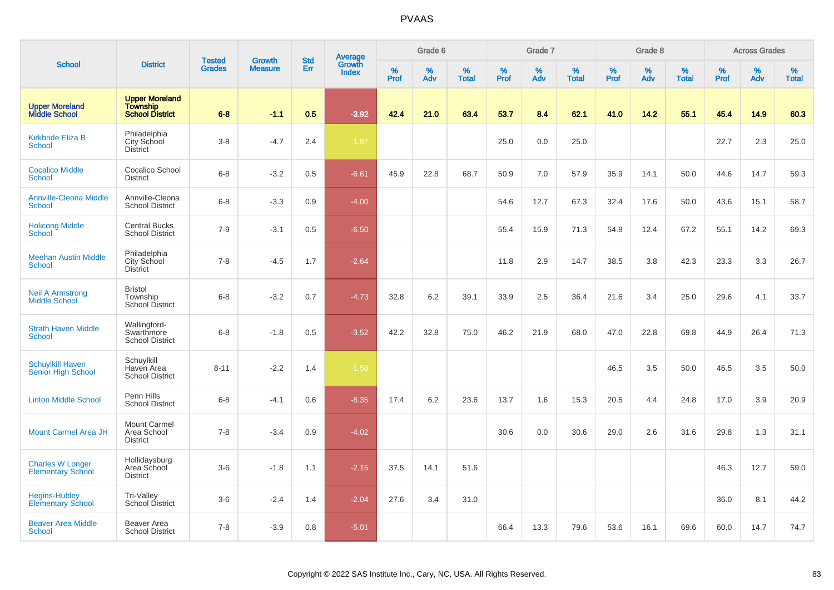|                                                     |                                                                    | <b>Tested</b> | <b>Growth</b>  | <b>Std</b> |                                   |                  | Grade 6  |                   |           | Grade 7  |                   |              | Grade 8  |                   |              | <b>Across Grades</b> |                   |
|-----------------------------------------------------|--------------------------------------------------------------------|---------------|----------------|------------|-----------------------------------|------------------|----------|-------------------|-----------|----------|-------------------|--------------|----------|-------------------|--------------|----------------------|-------------------|
| <b>School</b>                                       | <b>District</b>                                                    | <b>Grades</b> | <b>Measure</b> | <b>Err</b> | Average<br>Growth<br><b>Index</b> | %<br><b>Prof</b> | %<br>Adv | %<br><b>Total</b> | %<br>Prof | %<br>Adv | %<br><b>Total</b> | $\%$<br>Prof | %<br>Adv | %<br><b>Total</b> | $\%$<br>Prof | %<br>Adv             | %<br><b>Total</b> |
| <b>Upper Moreland</b><br><b>Middle School</b>       | <b>Upper Moreland</b><br><b>Township</b><br><b>School District</b> | $6 - 8$       | $-1.1$         | 0.5        | $-3.92$                           | 42.4             | 21.0     | 63.4              | 53.7      | 8.4      | 62.1              | 41.0         | 14.2     | 55.1              | 45.4         | 14.9                 | 60.3              |
| <b>Kirkbride Eliza B</b><br><b>School</b>           | Philadelphia<br>City School<br><b>District</b>                     | $3 - 8$       | $-4.7$         | 2.4        | $-1.97$                           |                  |          |                   | 25.0      | 0.0      | 25.0              |              |          |                   | 22.7         | 2.3                  | 25.0              |
| <b>Cocalico Middle</b><br><b>School</b>             | Cocalico School<br><b>District</b>                                 | $6-8$         | $-3.2$         | 0.5        | $-6.61$                           | 45.9             | 22.8     | 68.7              | 50.9      | 7.0      | 57.9              | 35.9         | 14.1     | 50.0              | 44.6         | 14.7                 | 59.3              |
| <b>Annville-Cleona Middle</b><br><b>School</b>      | Annville-Cleona<br><b>School District</b>                          | $6 - 8$       | $-3.3$         | 0.9        | $-4.00$                           |                  |          |                   | 54.6      | 12.7     | 67.3              | 32.4         | 17.6     | 50.0              | 43.6         | 15.1                 | 58.7              |
| <b>Holicong Middle</b><br><b>School</b>             | <b>Central Bucks</b><br><b>School District</b>                     | $7 - 9$       | $-3.1$         | 0.5        | $-6.50$                           |                  |          |                   | 55.4      | 15.9     | 71.3              | 54.8         | 12.4     | 67.2              | 55.1         | 14.2                 | 69.3              |
| <b>Meehan Austin Middle</b><br><b>School</b>        | Philadelphia<br>City School<br><b>District</b>                     | $7 - 8$       | $-4.5$         | 1.7        | $-2.64$                           |                  |          |                   | 11.8      | 2.9      | 14.7              | 38.5         | 3.8      | 42.3              | 23.3         | 3.3                  | 26.7              |
| <b>Neil A Armstrong</b><br><b>Middle School</b>     | <b>Bristol</b><br>Township<br>School District                      | $6 - 8$       | $-3.2$         | 0.7        | $-4.73$                           | 32.8             | 6.2      | 39.1              | 33.9      | 2.5      | 36.4              | 21.6         | 3.4      | 25.0              | 29.6         | 4.1                  | 33.7              |
| <b>Strath Haven Middle</b><br><b>School</b>         | Wallingford-<br>Swarthmore<br><b>School District</b>               | $6 - 8$       | $-1.8$         | 0.5        | $-3.52$                           | 42.2             | 32.8     | 75.0              | 46.2      | 21.9     | 68.0              | 47.0         | 22.8     | 69.8              | 44.9         | 26.4                 | 71.3              |
| <b>Schuylkill Haven</b><br>Senior High School       | Schuylkill<br>Haven Area<br><b>School District</b>                 | $8 - 11$      | $-2.2$         | 1.4        | $-1.58$                           |                  |          |                   |           |          |                   | 46.5         | 3.5      | 50.0              | 46.5         | 3.5                  | 50.0              |
| <b>Linton Middle School</b>                         | Penn Hills<br><b>School District</b>                               | $6-8$         | $-4.1$         | 0.6        | $-8.35$                           | 17.4             | 6.2      | 23.6              | 13.7      | 1.6      | 15.3              | 20.5         | 4.4      | 24.8              | 17.0         | 3.9                  | 20.9              |
| <b>Mount Carmel Area JH</b>                         | <b>Mount Carmel</b><br>Area School<br><b>District</b>              | $7 - 8$       | $-3.4$         | 0.9        | $-4.02$                           |                  |          |                   | 30.6      | 0.0      | 30.6              | 29.0         | 2.6      | 31.6              | 29.8         | 1.3                  | 31.1              |
| <b>Charles W Longer</b><br><b>Elementary School</b> | Hollidaysburg<br>Area School<br><b>District</b>                    | $3-6$         | $-1.8$         | 1.1        | $-2.15$                           | 37.5             | 14.1     | 51.6              |           |          |                   |              |          |                   | 46.3         | 12.7                 | 59.0              |
| <b>Hegins-Hubley</b><br><b>Elementary School</b>    | Tri-Valley<br>School District                                      | $3-6$         | $-2.4$         | 1.4        | $-2.04$                           | 27.6             | 3.4      | 31.0              |           |          |                   |              |          |                   | 36.0         | 8.1                  | 44.2              |
| <b>Beaver Area Middle</b><br>School                 | Beaver Area<br><b>School District</b>                              | $7 - 8$       | $-3.9$         | 0.8        | $-5.01$                           |                  |          |                   | 66.4      | 13.3     | 79.6              | 53.6         | 16.1     | 69.6              | 60.0         | 14.7                 | 74.7              |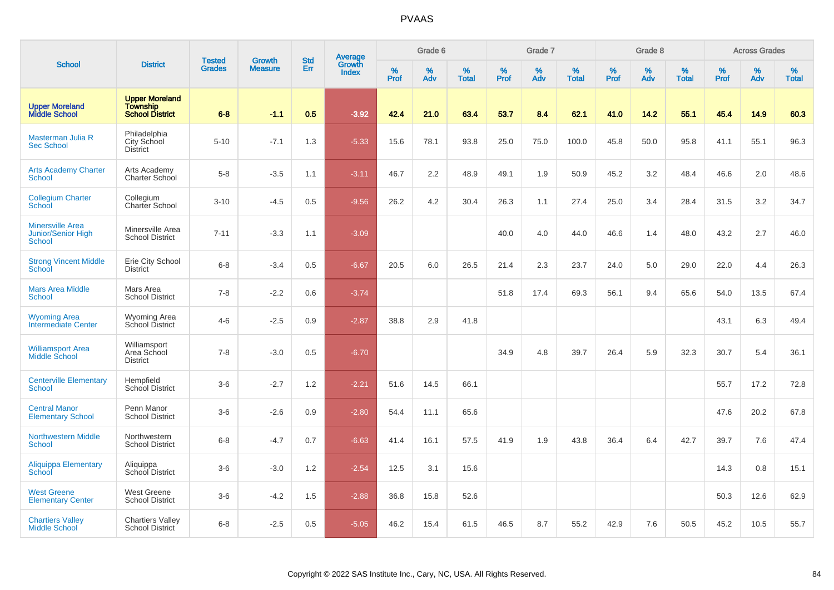|                                                                |                                                                    | <b>Tested</b> | <b>Growth</b>  | <b>Std</b> |                                   |                  | Grade 6  |                   |           | Grade 7  |                   |           | Grade 8     |                   |                  | <b>Across Grades</b> |                   |
|----------------------------------------------------------------|--------------------------------------------------------------------|---------------|----------------|------------|-----------------------------------|------------------|----------|-------------------|-----------|----------|-------------------|-----------|-------------|-------------------|------------------|----------------------|-------------------|
| <b>School</b>                                                  | <b>District</b>                                                    | <b>Grades</b> | <b>Measure</b> | Err        | Average<br>Growth<br><b>Index</b> | %<br><b>Prof</b> | %<br>Adv | %<br><b>Total</b> | %<br>Prof | %<br>Adv | %<br><b>Total</b> | %<br>Prof | $\%$<br>Adv | %<br><b>Total</b> | %<br><b>Prof</b> | %<br>Adv             | %<br><b>Total</b> |
| <b>Upper Moreland</b><br><b>Middle School</b>                  | <b>Upper Moreland</b><br><b>Township</b><br><b>School District</b> | $6 - 8$       | $-1.1$         | 0.5        | $-3.92$                           | 42.4             | 21.0     | 63.4              | 53.7      | 8.4      | 62.1              | 41.0      | 14.2        | 55.1              | 45.4             | 14.9                 | 60.3              |
| Masterman Julia R<br><b>Sec School</b>                         | Philadelphia<br>City School<br><b>District</b>                     | $5 - 10$      | $-7.1$         | 1.3        | $-5.33$                           | 15.6             | 78.1     | 93.8              | 25.0      | 75.0     | 100.0             | 45.8      | 50.0        | 95.8              | 41.1             | 55.1                 | 96.3              |
| <b>Arts Academy Charter</b><br><b>School</b>                   | Arts Academy<br>Charter School                                     | $5-8$         | $-3.5$         | 1.1        | $-3.11$                           | 46.7             | 2.2      | 48.9              | 49.1      | 1.9      | 50.9              | 45.2      | 3.2         | 48.4              | 46.6             | 2.0                  | 48.6              |
| <b>Collegium Charter</b><br>School                             | Collegium<br>Charter School                                        | $3 - 10$      | $-4.5$         | 0.5        | $-9.56$                           | 26.2             | 4.2      | 30.4              | 26.3      | 1.1      | 27.4              | 25.0      | 3.4         | 28.4              | 31.5             | 3.2                  | 34.7              |
| <b>Minersville Area</b><br>Junior/Senior High<br><b>School</b> | Minersville Area<br><b>School District</b>                         | $7 - 11$      | $-3.3$         | 1.1        | $-3.09$                           |                  |          |                   | 40.0      | 4.0      | 44.0              | 46.6      | 1.4         | 48.0              | 43.2             | 2.7                  | 46.0              |
| <b>Strong Vincent Middle</b><br>School                         | Erie City School<br><b>District</b>                                | $6 - 8$       | $-3.4$         | 0.5        | $-6.67$                           | 20.5             | 6.0      | 26.5              | 21.4      | 2.3      | 23.7              | 24.0      | 5.0         | 29.0              | 22.0             | 4.4                  | 26.3              |
| <b>Mars Area Middle</b><br><b>School</b>                       | Mars Area<br><b>School District</b>                                | $7 - 8$       | $-2.2$         | 0.6        | $-3.74$                           |                  |          |                   | 51.8      | 17.4     | 69.3              | 56.1      | 9.4         | 65.6              | 54.0             | 13.5                 | 67.4              |
| <b>Wyoming Area</b><br><b>Intermediate Center</b>              | Wyoming Area<br>School District                                    | $4-6$         | $-2.5$         | 0.9        | $-2.87$                           | 38.8             | 2.9      | 41.8              |           |          |                   |           |             |                   | 43.1             | 6.3                  | 49.4              |
| <b>Williamsport Area</b><br>Middle School                      | Williamsport<br>Area School<br><b>District</b>                     | $7 - 8$       | $-3.0$         | 0.5        | $-6.70$                           |                  |          |                   | 34.9      | 4.8      | 39.7              | 26.4      | 5.9         | 32.3              | 30.7             | 5.4                  | 36.1              |
| <b>Centerville Elementary</b><br><b>School</b>                 | Hempfield<br><b>School District</b>                                | $3-6$         | $-2.7$         | 1.2        | $-2.21$                           | 51.6             | 14.5     | 66.1              |           |          |                   |           |             |                   | 55.7             | 17.2                 | 72.8              |
| <b>Central Manor</b><br><b>Elementary School</b>               | Penn Manor<br><b>School District</b>                               | $3-6$         | $-2.6$         | 0.9        | $-2.80$                           | 54.4             | 11.1     | 65.6              |           |          |                   |           |             |                   | 47.6             | 20.2                 | 67.8              |
| <b>Northwestern Middle</b><br>School                           | Northwestern<br><b>School District</b>                             | $6 - 8$       | $-4.7$         | 0.7        | $-6.63$                           | 41.4             | 16.1     | 57.5              | 41.9      | 1.9      | 43.8              | 36.4      | 6.4         | 42.7              | 39.7             | 7.6                  | 47.4              |
| <b>Aliquippa Elementary</b><br>School                          | Aliquippa<br>School District                                       | $3-6$         | $-3.0$         | 1.2        | $-2.54$                           | 12.5             | 3.1      | 15.6              |           |          |                   |           |             |                   | 14.3             | 0.8                  | 15.1              |
| <b>West Greene</b><br><b>Elementary Center</b>                 | West Greene<br><b>School District</b>                              | $3-6$         | $-4.2$         | 1.5        | $-2.88$                           | 36.8             | 15.8     | 52.6              |           |          |                   |           |             |                   | 50.3             | 12.6                 | 62.9              |
| <b>Chartiers Valley</b><br><b>Middle School</b>                | <b>Chartiers Valley</b><br><b>School District</b>                  | $6 - 8$       | $-2.5$         | 0.5        | $-5.05$                           | 46.2             | 15.4     | 61.5              | 46.5      | 8.7      | 55.2              | 42.9      | 7.6         | 50.5              | 45.2             | 10.5                 | 55.7              |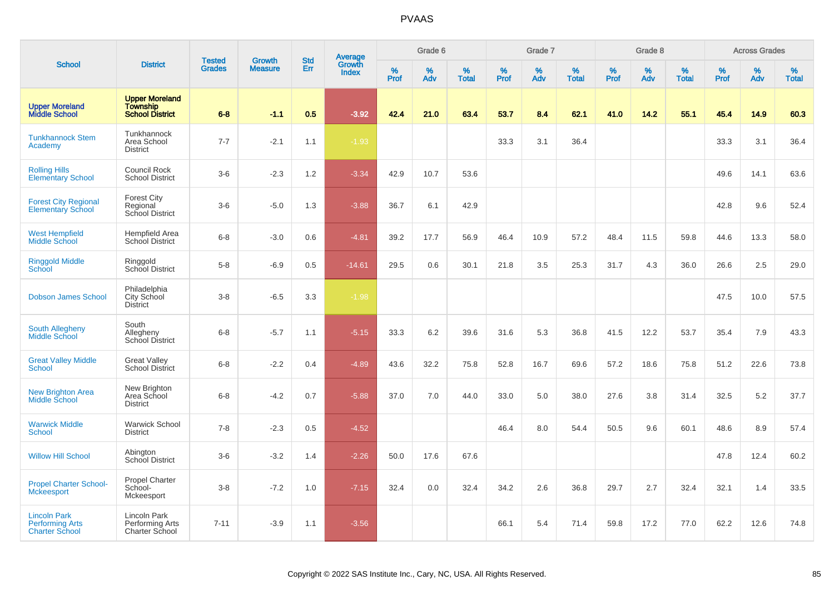|                                                                        |                                                                    | <b>Tested</b> | <b>Growth</b>  | <b>Std</b> |                                   |                  | Grade 6     |                   |           | Grade 7  |                   |              | Grade 8  |                   |              | <b>Across Grades</b> |                   |
|------------------------------------------------------------------------|--------------------------------------------------------------------|---------------|----------------|------------|-----------------------------------|------------------|-------------|-------------------|-----------|----------|-------------------|--------------|----------|-------------------|--------------|----------------------|-------------------|
| <b>School</b>                                                          | <b>District</b>                                                    | <b>Grades</b> | <b>Measure</b> | <b>Err</b> | Average<br>Growth<br><b>Index</b> | %<br><b>Prof</b> | $\%$<br>Adv | %<br><b>Total</b> | %<br>Prof | %<br>Adv | %<br><b>Total</b> | $\%$<br>Prof | %<br>Adv | %<br><b>Total</b> | $\%$<br>Prof | $\%$<br>Adv          | %<br><b>Total</b> |
| <b>Upper Moreland</b><br><b>Middle School</b>                          | <b>Upper Moreland</b><br><b>Township</b><br><b>School District</b> | $6 - 8$       | $-1.1$         | 0.5        | $-3.92$                           | 42.4             | 21.0        | 63.4              | 53.7      | 8.4      | 62.1              | 41.0         | 14.2     | 55.1              | 45.4         | 14.9                 | 60.3              |
| <b>Tunkhannock Stem</b><br>Academy                                     | Tunkhannock<br>Area School<br><b>District</b>                      | $7 - 7$       | $-2.1$         | 1.1        | $-1.93$                           |                  |             |                   | 33.3      | 3.1      | 36.4              |              |          |                   | 33.3         | 3.1                  | 36.4              |
| <b>Rolling Hills</b><br><b>Elementary School</b>                       | Council Rock<br><b>School District</b>                             | $3-6$         | $-2.3$         | 1.2        | $-3.34$                           | 42.9             | 10.7        | 53.6              |           |          |                   |              |          |                   | 49.6         | 14.1                 | 63.6              |
| <b>Forest City Regional</b><br><b>Elementary School</b>                | <b>Forest City</b><br>Regional<br>School District                  | $3-6$         | $-5.0$         | 1.3        | $-3.88$                           | 36.7             | 6.1         | 42.9              |           |          |                   |              |          |                   | 42.8         | 9.6                  | 52.4              |
| <b>West Hempfield</b><br>Middle School                                 | <b>Hempfield Area</b><br>School District                           | $6 - 8$       | $-3.0$         | 0.6        | $-4.81$                           | 39.2             | 17.7        | 56.9              | 46.4      | 10.9     | 57.2              | 48.4         | 11.5     | 59.8              | 44.6         | 13.3                 | 58.0              |
| <b>Ringgold Middle</b><br>School                                       | Ringgold<br>School District                                        | $5-8$         | $-6.9$         | 0.5        | $-14.61$                          | 29.5             | 0.6         | 30.1              | 21.8      | 3.5      | 25.3              | 31.7         | 4.3      | 36.0              | 26.6         | 2.5                  | 29.0              |
| <b>Dobson James School</b>                                             | Philadelphia<br>City School<br><b>District</b>                     | $3 - 8$       | $-6.5$         | 3.3        | $-1.98$                           |                  |             |                   |           |          |                   |              |          |                   | 47.5         | 10.0                 | 57.5              |
| <b>South Allegheny</b><br>Middle School                                | South<br>Allegheny<br>School District                              | $6 - 8$       | $-5.7$         | 1.1        | $-5.15$                           | 33.3             | 6.2         | 39.6              | 31.6      | 5.3      | 36.8              | 41.5         | 12.2     | 53.7              | 35.4         | 7.9                  | 43.3              |
| <b>Great Valley Middle</b><br>School                                   | <b>Great Valley</b><br>School District                             | $6 - 8$       | $-2.2$         | 0.4        | $-4.89$                           | 43.6             | 32.2        | 75.8              | 52.8      | 16.7     | 69.6              | 57.2         | 18.6     | 75.8              | 51.2         | 22.6                 | 73.8              |
| New Brighton Area<br><b>Middle School</b>                              | New Brighton<br>Area School<br><b>District</b>                     | $6 - 8$       | $-4.2$         | 0.7        | $-5.88$                           | 37.0             | 7.0         | 44.0              | 33.0      | 5.0      | 38.0              | 27.6         | 3.8      | 31.4              | 32.5         | 5.2                  | 37.7              |
| <b>Warwick Middle</b><br>School                                        | <b>Warwick School</b><br><b>District</b>                           | $7 - 8$       | $-2.3$         | 0.5        | $-4.52$                           |                  |             |                   | 46.4      | 8.0      | 54.4              | 50.5         | 9.6      | 60.1              | 48.6         | 8.9                  | 57.4              |
| <b>Willow Hill School</b>                                              | Abington<br>School District                                        | $3-6$         | $-3.2$         | 1.4        | $-2.26$                           | 50.0             | 17.6        | 67.6              |           |          |                   |              |          |                   | 47.8         | 12.4                 | 60.2              |
| <b>Propel Charter School-</b><br><b>Mckeesport</b>                     | Propel Charter<br>School-<br>Mckeesport                            | $3-8$         | $-7.2$         | 1.0        | $-7.15$                           | 32.4             | 0.0         | 32.4              | 34.2      | 2.6      | 36.8              | 29.7         | 2.7      | 32.4              | 32.1         | 1.4                  | 33.5              |
| <b>Lincoln Park</b><br><b>Performing Arts</b><br><b>Charter School</b> | Lincoln Park<br>Performing Arts<br><b>Charter School</b>           | $7 - 11$      | $-3.9$         | 1.1        | $-3.56$                           |                  |             |                   | 66.1      | 5.4      | 71.4              | 59.8         | 17.2     | 77.0              | 62.2         | 12.6                 | 74.8              |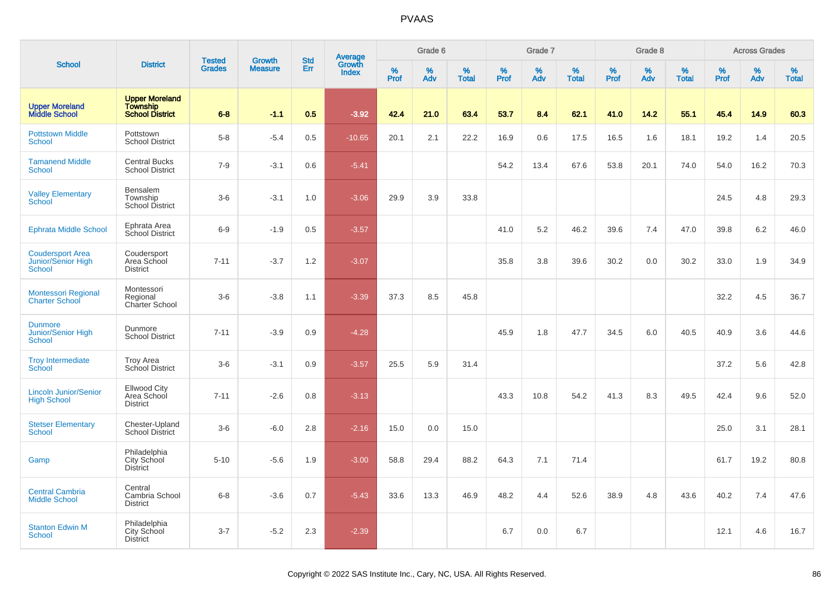|                                                         |                                                                    | <b>Tested</b> | <b>Growth</b>  | <b>Std</b> |                                   |           | Grade 6  |                   |           | Grade 7  |                   |           | Grade 8  |                   |           | <b>Across Grades</b> |                   |
|---------------------------------------------------------|--------------------------------------------------------------------|---------------|----------------|------------|-----------------------------------|-----------|----------|-------------------|-----------|----------|-------------------|-----------|----------|-------------------|-----------|----------------------|-------------------|
| <b>School</b>                                           | <b>District</b>                                                    | <b>Grades</b> | <b>Measure</b> | Err        | Average<br>Growth<br><b>Index</b> | %<br>Prof | %<br>Adv | %<br><b>Total</b> | %<br>Prof | %<br>Adv | %<br><b>Total</b> | %<br>Prof | %<br>Adv | %<br><b>Total</b> | %<br>Prof | %<br>Adv             | %<br><b>Total</b> |
| <b>Upper Moreland</b><br><b>Middle School</b>           | <b>Upper Moreland</b><br><b>Township</b><br><b>School District</b> | $6 - 8$       | $-1.1$         | 0.5        | $-3.92$                           | 42.4      | 21.0     | 63.4              | 53.7      | 8.4      | 62.1              | 41.0      | 14.2     | 55.1              | 45.4      | 14.9                 | 60.3              |
| <b>Pottstown Middle</b><br><b>School</b>                | Pottstown<br><b>School District</b>                                | $5-8$         | $-5.4$         | 0.5        | $-10.65$                          | 20.1      | 2.1      | 22.2              | 16.9      | 0.6      | 17.5              | 16.5      | 1.6      | 18.1              | 19.2      | 1.4                  | 20.5              |
| <b>Tamanend Middle</b><br><b>School</b>                 | <b>Central Bucks</b><br><b>School District</b>                     | $7-9$         | $-3.1$         | 0.6        | $-5.41$                           |           |          |                   | 54.2      | 13.4     | 67.6              | 53.8      | 20.1     | 74.0              | 54.0      | 16.2                 | 70.3              |
| <b>Valley Elementary</b><br>School                      | Bensalem<br>Township<br>School District                            | $3-6$         | $-3.1$         | 1.0        | $-3.06$                           | 29.9      | 3.9      | 33.8              |           |          |                   |           |          |                   | 24.5      | 4.8                  | 29.3              |
| <b>Ephrata Middle School</b>                            | Ephrata Area<br>School District                                    | $6-9$         | $-1.9$         | 0.5        | $-3.57$                           |           |          |                   | 41.0      | 5.2      | 46.2              | 39.6      | 7.4      | 47.0              | 39.8      | 6.2                  | 46.0              |
| <b>Coudersport Area</b><br>Junior/Senior High<br>School | Coudersport<br>Area School<br><b>District</b>                      | $7 - 11$      | $-3.7$         | 1.2        | $-3.07$                           |           |          |                   | 35.8      | 3.8      | 39.6              | 30.2      | 0.0      | 30.2              | 33.0      | 1.9                  | 34.9              |
| Montessori Regional<br><b>Charter School</b>            | Montessori<br>Regional<br>Charter School                           | $3-6$         | $-3.8$         | 1.1        | $-3.39$                           | 37.3      | 8.5      | 45.8              |           |          |                   |           |          |                   | 32.2      | 4.5                  | 36.7              |
| <b>Dunmore</b><br>Junior/Senior High<br>School          | Dunmore<br><b>School District</b>                                  | $7 - 11$      | $-3.9$         | 0.9        | $-4.28$                           |           |          |                   | 45.9      | 1.8      | 47.7              | 34.5      | 6.0      | 40.5              | 40.9      | 3.6                  | 44.6              |
| <b>Troy Intermediate</b><br>School                      | <b>Troy Area</b><br>School District                                | $3-6$         | $-3.1$         | 0.9        | $-3.57$                           | 25.5      | 5.9      | 31.4              |           |          |                   |           |          |                   | 37.2      | 5.6                  | 42.8              |
| <b>Lincoln Junior/Senior</b><br><b>High School</b>      | <b>Ellwood City</b><br>Area School<br><b>District</b>              | $7 - 11$      | $-2.6$         | 0.8        | $-3.13$                           |           |          |                   | 43.3      | 10.8     | 54.2              | 41.3      | 8.3      | 49.5              | 42.4      | 9.6                  | 52.0              |
| <b>Stetser Elementary</b><br><b>School</b>              | Chester-Upland<br><b>School District</b>                           | $3-6$         | $-6.0$         | 2.8        | $-2.16$                           | 15.0      | 0.0      | 15.0              |           |          |                   |           |          |                   | 25.0      | 3.1                  | 28.1              |
| Gamp                                                    | Philadelphia<br>City School<br><b>District</b>                     | $5 - 10$      | $-5.6$         | 1.9        | $-3.00$                           | 58.8      | 29.4     | 88.2              | 64.3      | 7.1      | 71.4              |           |          |                   | 61.7      | 19.2                 | 80.8              |
| <b>Central Cambria</b><br><b>Middle School</b>          | Central<br>Cambria School<br><b>District</b>                       | $6-8$         | $-3.6$         | 0.7        | $-5.43$                           | 33.6      | 13.3     | 46.9              | 48.2      | 4.4      | 52.6              | 38.9      | 4.8      | 43.6              | 40.2      | 7.4                  | 47.6              |
| <b>Stanton Edwin M</b><br><b>School</b>                 | Philadelphia<br>City School<br><b>District</b>                     | $3 - 7$       | $-5.2$         | 2.3        | $-2.39$                           |           |          |                   | 6.7       | 0.0      | 6.7               |           |          |                   | 12.1      | 4.6                  | 16.7              |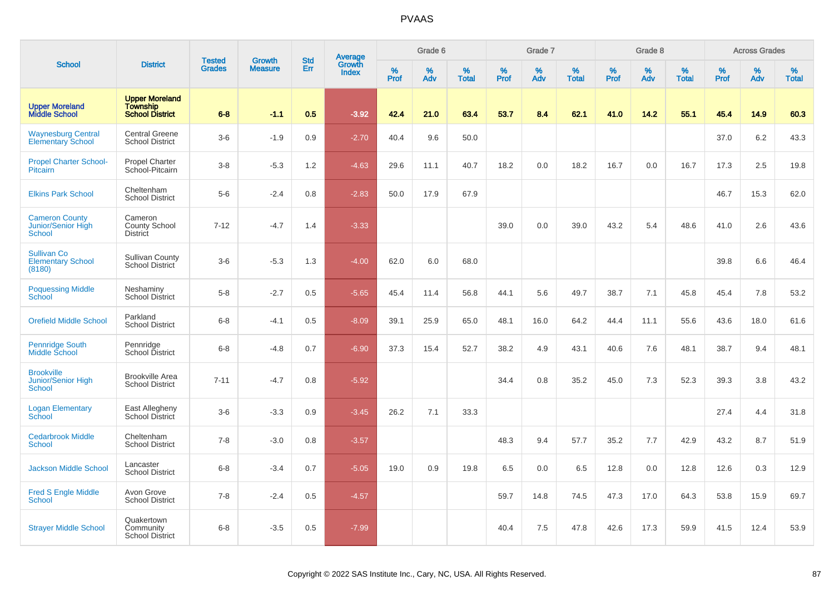|                                                              |                                                                    | <b>Tested</b> | Growth         | <b>Std</b> | Average<br>Growth |           | Grade 6  |                   |           | Grade 7  |                   |           | Grade 8  |                   |           | <b>Across Grades</b> |                   |
|--------------------------------------------------------------|--------------------------------------------------------------------|---------------|----------------|------------|-------------------|-----------|----------|-------------------|-----------|----------|-------------------|-----------|----------|-------------------|-----------|----------------------|-------------------|
| <b>School</b>                                                | <b>District</b>                                                    | <b>Grades</b> | <b>Measure</b> | Err        | <b>Index</b>      | %<br>Prof | %<br>Adv | %<br><b>Total</b> | %<br>Prof | %<br>Adv | %<br><b>Total</b> | %<br>Prof | %<br>Adv | %<br><b>Total</b> | %<br>Prof | %<br>Adv             | %<br><b>Total</b> |
| <b>Upper Moreland</b><br><b>Middle School</b>                | <b>Upper Moreland</b><br><b>Township</b><br><b>School District</b> | $6 - 8$       | $-1.1$         | 0.5        | $-3.92$           | 42.4      | 21.0     | 63.4              | 53.7      | 8.4      | 62.1              | 41.0      | 14.2     | 55.1              | 45.4      | 14.9                 | 60.3              |
| <b>Waynesburg Central</b><br><b>Elementary School</b>        | <b>Central Greene</b><br><b>School District</b>                    | $3-6$         | $-1.9$         | 0.9        | $-2.70$           | 40.4      | 9.6      | 50.0              |           |          |                   |           |          |                   | 37.0      | 6.2                  | 43.3              |
| <b>Propel Charter School-</b><br>Pitcairn                    | <b>Propel Charter</b><br>School-Pitcairn                           | $3 - 8$       | $-5.3$         | 1.2        | $-4.63$           | 29.6      | 11.1     | 40.7              | 18.2      | 0.0      | 18.2              | 16.7      | 0.0      | 16.7              | 17.3      | 2.5                  | 19.8              |
| <b>Elkins Park School</b>                                    | Cheltenham<br><b>School District</b>                               | $5-6$         | $-2.4$         | 0.8        | $-2.83$           | 50.0      | 17.9     | 67.9              |           |          |                   |           |          |                   | 46.7      | 15.3                 | 62.0              |
| <b>Cameron County</b><br>Junior/Senior High<br><b>School</b> | Cameron<br><b>County School</b><br><b>District</b>                 | $7 - 12$      | $-4.7$         | 1.4        | $-3.33$           |           |          |                   | 39.0      | 0.0      | 39.0              | 43.2      | 5.4      | 48.6              | 41.0      | 2.6                  | 43.6              |
| <b>Sullivan Co</b><br><b>Elementary School</b><br>(8180)     | <b>Sullivan County</b><br>School District                          | $3-6$         | $-5.3$         | 1.3        | $-4.00$           | 62.0      | 6.0      | 68.0              |           |          |                   |           |          |                   | 39.8      | 6.6                  | 46.4              |
| <b>Poquessing Middle</b><br>School                           | Neshaminy<br><b>School District</b>                                | $5-8$         | $-2.7$         | 0.5        | $-5.65$           | 45.4      | 11.4     | 56.8              | 44.1      | 5.6      | 49.7              | 38.7      | 7.1      | 45.8              | 45.4      | 7.8                  | 53.2              |
| <b>Orefield Middle School</b>                                | Parkland<br><b>School District</b>                                 | $6 - 8$       | $-4.1$         | 0.5        | $-8.09$           | 39.1      | 25.9     | 65.0              | 48.1      | 16.0     | 64.2              | 44.4      | 11.1     | 55.6              | 43.6      | 18.0                 | 61.6              |
| <b>Pennridge South</b><br>Middle School                      | Pennridge<br>School District                                       | $6 - 8$       | $-4.8$         | 0.7        | $-6.90$           | 37.3      | 15.4     | 52.7              | 38.2      | 4.9      | 43.1              | 40.6      | 7.6      | 48.1              | 38.7      | 9.4                  | 48.1              |
| <b>Brookville</b><br><b>Junior/Senior High</b><br>School     | <b>Brookville Area</b><br><b>School District</b>                   | $7 - 11$      | $-4.7$         | 0.8        | $-5.92$           |           |          |                   | 34.4      | 0.8      | 35.2              | 45.0      | 7.3      | 52.3              | 39.3      | 3.8                  | 43.2              |
| <b>Logan Elementary</b><br>School                            | East Allegheny<br>School District                                  | $3-6$         | $-3.3$         | 0.9        | $-3.45$           | 26.2      | 7.1      | 33.3              |           |          |                   |           |          |                   | 27.4      | 4.4                  | 31.8              |
| <b>Cedarbrook Middle</b><br>School                           | Cheltenham<br><b>School District</b>                               | $7 - 8$       | $-3.0$         | 0.8        | $-3.57$           |           |          |                   | 48.3      | 9.4      | 57.7              | 35.2      | 7.7      | 42.9              | 43.2      | 8.7                  | 51.9              |
| <b>Jackson Middle School</b>                                 | Lancaster<br><b>School District</b>                                | $6 - 8$       | $-3.4$         | 0.7        | $-5.05$           | 19.0      | 0.9      | 19.8              | 6.5       | 0.0      | 6.5               | 12.8      | 0.0      | 12.8              | 12.6      | 0.3                  | 12.9              |
| <b>Fred S Engle Middle</b><br>School                         | Avon Grove<br><b>School District</b>                               | $7 - 8$       | $-2.4$         | 0.5        | $-4.57$           |           |          |                   | 59.7      | 14.8     | 74.5              | 47.3      | 17.0     | 64.3              | 53.8      | 15.9                 | 69.7              |
| <b>Strayer Middle School</b>                                 | Quakertown<br>Community<br><b>School District</b>                  | $6 - 8$       | $-3.5$         | 0.5        | $-7.99$           |           |          |                   | 40.4      | 7.5      | 47.8              | 42.6      | 17.3     | 59.9              | 41.5      | 12.4                 | 53.9              |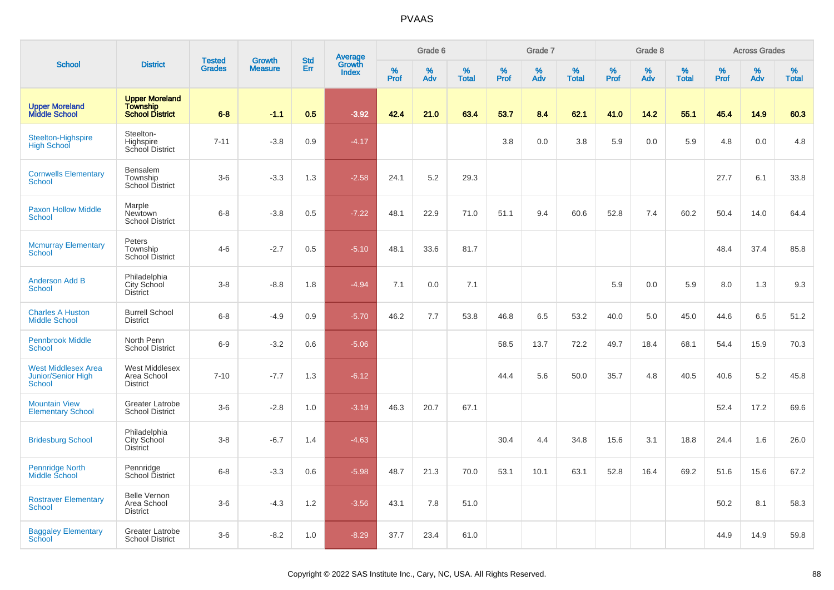|                                                            |                                                                    | <b>Tested</b> | <b>Growth</b>  | <b>Std</b> | <b>Average</b><br>Growth |           | Grade 6  |                   |           | Grade 7  |                   |           | Grade 8  |                   |           | <b>Across Grades</b> |                   |
|------------------------------------------------------------|--------------------------------------------------------------------|---------------|----------------|------------|--------------------------|-----------|----------|-------------------|-----------|----------|-------------------|-----------|----------|-------------------|-----------|----------------------|-------------------|
| <b>School</b>                                              | <b>District</b>                                                    | <b>Grades</b> | <b>Measure</b> | <b>Err</b> | <b>Index</b>             | %<br>Prof | %<br>Adv | %<br><b>Total</b> | %<br>Prof | %<br>Adv | %<br><b>Total</b> | %<br>Prof | %<br>Adv | %<br><b>Total</b> | %<br>Prof | %<br>Adv             | %<br><b>Total</b> |
| <b>Upper Moreland<br/>Middle School</b>                    | <b>Upper Moreland</b><br><b>Township</b><br><b>School District</b> | $6 - 8$       | $-1.1$         | 0.5        | $-3.92$                  | 42.4      | 21.0     | 63.4              | 53.7      | 8.4      | 62.1              | 41.0      | 14.2     | 55.1              | 45.4      | 14.9                 | 60.3              |
| <b>Steelton-Highspire</b><br><b>High School</b>            | Steelton-<br>Highspire<br>School District                          | $7 - 11$      | $-3.8$         | 0.9        | $-4.17$                  |           |          |                   | 3.8       | 0.0      | 3.8               | 5.9       | 0.0      | 5.9               | 4.8       | 0.0                  | 4.8               |
| <b>Cornwells Elementary</b><br>School                      | Bensalem<br>Township<br><b>School District</b>                     | $3-6$         | $-3.3$         | 1.3        | $-2.58$                  | 24.1      | 5.2      | 29.3              |           |          |                   |           |          |                   | 27.7      | 6.1                  | 33.8              |
| <b>Paxon Hollow Middle</b><br><b>School</b>                | Marple<br>Newtown<br><b>School District</b>                        | $6 - 8$       | $-3.8$         | 0.5        | $-7.22$                  | 48.1      | 22.9     | 71.0              | 51.1      | 9.4      | 60.6              | 52.8      | 7.4      | 60.2              | 50.4      | 14.0                 | 64.4              |
| <b>Mcmurray Elementary</b><br><b>School</b>                | Peters<br>Township<br><b>School District</b>                       | $4 - 6$       | $-2.7$         | 0.5        | $-5.10$                  | 48.1      | 33.6     | 81.7              |           |          |                   |           |          |                   | 48.4      | 37.4                 | 85.8              |
| <b>Anderson Add B</b><br><b>School</b>                     | Philadelphia<br>City School<br><b>District</b>                     | $3 - 8$       | $-8.8$         | 1.8        | $-4.94$                  | 7.1       | 0.0      | 7.1               |           |          |                   | 5.9       | 0.0      | 5.9               | 8.0       | 1.3                  | 9.3               |
| <b>Charles A Huston</b><br><b>Middle School</b>            | <b>Burrell School</b><br><b>District</b>                           | $6 - 8$       | $-4.9$         | 0.9        | $-5.70$                  | 46.2      | 7.7      | 53.8              | 46.8      | 6.5      | 53.2              | 40.0      | 5.0      | 45.0              | 44.6      | 6.5                  | 51.2              |
| <b>Pennbrook Middle</b><br><b>School</b>                   | North Penn<br><b>School District</b>                               | $6 - 9$       | $-3.2$         | 0.6        | $-5.06$                  |           |          |                   | 58.5      | 13.7     | 72.2              | 49.7      | 18.4     | 68.1              | 54.4      | 15.9                 | 70.3              |
| <b>West Middlesex Area</b><br>Junior/Senior High<br>School | West Middlesex<br>Area School<br><b>District</b>                   | $7 - 10$      | $-7.7$         | 1.3        | $-6.12$                  |           |          |                   | 44.4      | 5.6      | 50.0              | 35.7      | 4.8      | 40.5              | 40.6      | 5.2                  | 45.8              |
| <b>Mountain View</b><br><b>Elementary School</b>           | Greater Latrobe<br><b>School District</b>                          | $3-6$         | $-2.8$         | 1.0        | $-3.19$                  | 46.3      | 20.7     | 67.1              |           |          |                   |           |          |                   | 52.4      | 17.2                 | 69.6              |
| <b>Bridesburg School</b>                                   | Philadelphia<br>City School<br><b>District</b>                     | $3 - 8$       | $-6.7$         | 1.4        | $-4.63$                  |           |          |                   | 30.4      | 4.4      | 34.8              | 15.6      | 3.1      | 18.8              | 24.4      | 1.6                  | 26.0              |
| Pennridge North<br>Middle School                           | Pennridge<br>School District                                       | $6 - 8$       | $-3.3$         | 0.6        | $-5.98$                  | 48.7      | 21.3     | 70.0              | 53.1      | 10.1     | 63.1              | 52.8      | 16.4     | 69.2              | 51.6      | 15.6                 | 67.2              |
| <b>Rostraver Elementary</b><br><b>School</b>               | <b>Belle Vernon</b><br>Area School<br><b>District</b>              | $3-6$         | $-4.3$         | 1.2        | $-3.56$                  | 43.1      | 7.8      | 51.0              |           |          |                   |           |          |                   | 50.2      | 8.1                  | 58.3              |
| <b>Baggaley Elementary</b><br><b>School</b>                | Greater Latrobe<br><b>School District</b>                          | $3-6$         | $-8.2$         | 1.0        | $-8.29$                  | 37.7      | 23.4     | 61.0              |           |          |                   |           |          |                   | 44.9      | 14.9                 | 59.8              |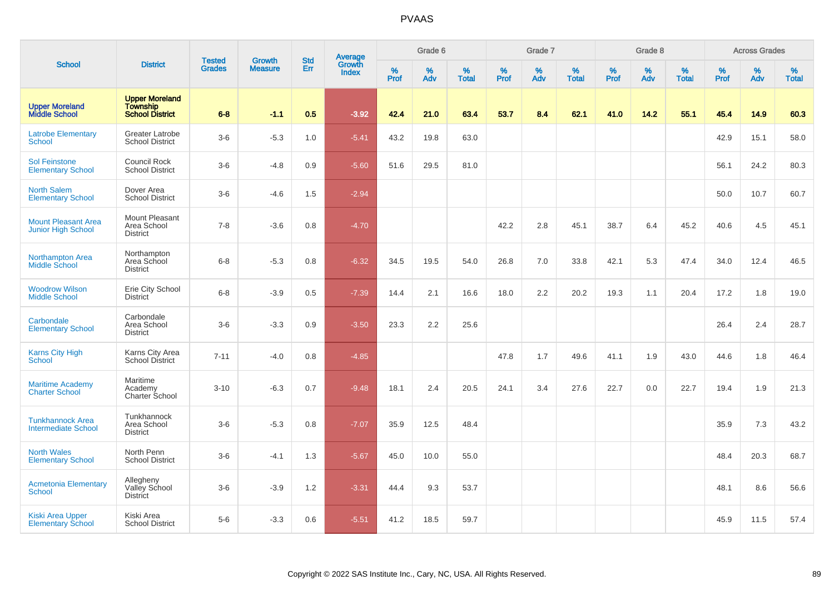|                                                         |                                                                    |                                | <b>Growth</b>  | <b>Std</b> |                                          |                  | Grade 6     |                   |              | Grade 7     |                      |              | Grade 8  |                   |              | <b>Across Grades</b> |                   |
|---------------------------------------------------------|--------------------------------------------------------------------|--------------------------------|----------------|------------|------------------------------------------|------------------|-------------|-------------------|--------------|-------------|----------------------|--------------|----------|-------------------|--------------|----------------------|-------------------|
| <b>School</b>                                           | <b>District</b>                                                    | <b>Tested</b><br><b>Grades</b> | <b>Measure</b> | Err        | <b>Average</b><br>Growth<br><b>Index</b> | %<br><b>Prof</b> | $\%$<br>Adv | %<br><b>Total</b> | $\%$<br>Prof | $\%$<br>Adv | $\%$<br><b>Total</b> | $\%$<br>Prof | %<br>Adv | %<br><b>Total</b> | $\%$<br>Prof | $\%$<br>Adv          | %<br><b>Total</b> |
| <b>Upper Moreland<br/>Middle School</b>                 | <b>Upper Moreland</b><br><b>Township</b><br><b>School District</b> | $6 - 8$                        | $-1.1$         | 0.5        | $-3.92$                                  | 42.4             | 21.0        | 63.4              | 53.7         | 8.4         | 62.1                 | 41.0         | 14.2     | 55.1              | 45.4         | 14.9                 | 60.3              |
| <b>Latrobe Elementary</b><br>School                     | <b>Greater Latrobe</b><br><b>School District</b>                   | $3-6$                          | $-5.3$         | 1.0        | $-5.41$                                  | 43.2             | 19.8        | 63.0              |              |             |                      |              |          |                   | 42.9         | 15.1                 | 58.0              |
| <b>Sol Feinstone</b><br><b>Elementary School</b>        | Council Rock<br><b>School District</b>                             | $3-6$                          | $-4.8$         | 0.9        | $-5.60$                                  | 51.6             | 29.5        | 81.0              |              |             |                      |              |          |                   | 56.1         | 24.2                 | 80.3              |
| <b>North Salem</b><br><b>Elementary School</b>          | Dover Area<br><b>School District</b>                               | $3-6$                          | $-4.6$         | 1.5        | $-2.94$                                  |                  |             |                   |              |             |                      |              |          |                   | 50.0         | 10.7                 | 60.7              |
| <b>Mount Pleasant Area</b><br><b>Junior High School</b> | Mount Pleasant<br>Area School<br><b>District</b>                   | $7 - 8$                        | $-3.6$         | 0.8        | $-4.70$                                  |                  |             |                   | 42.2         | 2.8         | 45.1                 | 38.7         | 6.4      | 45.2              | 40.6         | 4.5                  | 45.1              |
| Northampton Area<br><b>Middle School</b>                | Northampton<br>Area School<br><b>District</b>                      | $6 - 8$                        | $-5.3$         | 0.8        | $-6.32$                                  | 34.5             | 19.5        | 54.0              | 26.8         | 7.0         | 33.8                 | 42.1         | 5.3      | 47.4              | 34.0         | 12.4                 | 46.5              |
| <b>Woodrow Wilson</b><br><b>Middle School</b>           | Erie City School<br><b>District</b>                                | $6-8$                          | $-3.9$         | 0.5        | $-7.39$                                  | 14.4             | 2.1         | 16.6              | 18.0         | 2.2         | 20.2                 | 19.3         | 1.1      | 20.4              | 17.2         | 1.8                  | 19.0              |
| Carbondale<br><b>Elementary School</b>                  | Carbondale<br>Area School<br><b>District</b>                       | $3-6$                          | $-3.3$         | 0.9        | $-3.50$                                  | 23.3             | 2.2         | 25.6              |              |             |                      |              |          |                   | 26.4         | 2.4                  | 28.7              |
| <b>Karns City High</b><br>School                        | Karns City Area<br>School District                                 | $7 - 11$                       | $-4.0$         | 0.8        | $-4.85$                                  |                  |             |                   | 47.8         | 1.7         | 49.6                 | 41.1         | 1.9      | 43.0              | 44.6         | 1.8                  | 46.4              |
| <b>Maritime Academy</b><br><b>Charter School</b>        | Maritime<br>Academy<br>Charter School                              | $3 - 10$                       | $-6.3$         | 0.7        | $-9.48$                                  | 18.1             | 2.4         | 20.5              | 24.1         | 3.4         | 27.6                 | 22.7         | 0.0      | 22.7              | 19.4         | 1.9                  | 21.3              |
| <b>Tunkhannock Area</b><br><b>Intermediate School</b>   | Tunkhannock<br>Area School<br><b>District</b>                      | $3-6$                          | $-5.3$         | 0.8        | $-7.07$                                  | 35.9             | 12.5        | 48.4              |              |             |                      |              |          |                   | 35.9         | 7.3                  | 43.2              |
| <b>North Wales</b><br><b>Elementary School</b>          | North Penn<br><b>School District</b>                               | $3-6$                          | $-4.1$         | 1.3        | $-5.67$                                  | 45.0             | 10.0        | 55.0              |              |             |                      |              |          |                   | 48.4         | 20.3                 | 68.7              |
| <b>Acmetonia Elementary</b><br><b>School</b>            | Allegheny<br>Valley School<br><b>District</b>                      | $3-6$                          | $-3.9$         | 1.2        | $-3.31$                                  | 44.4             | 9.3         | 53.7              |              |             |                      |              |          |                   | 48.1         | 8.6                  | 56.6              |
| <b>Kiski Area Upper</b><br><b>Elementary School</b>     | Kiski Area<br><b>School District</b>                               | $5-6$                          | $-3.3$         | 0.6        | $-5.51$                                  | 41.2             | 18.5        | 59.7              |              |             |                      |              |          |                   | 45.9         | 11.5                 | 57.4              |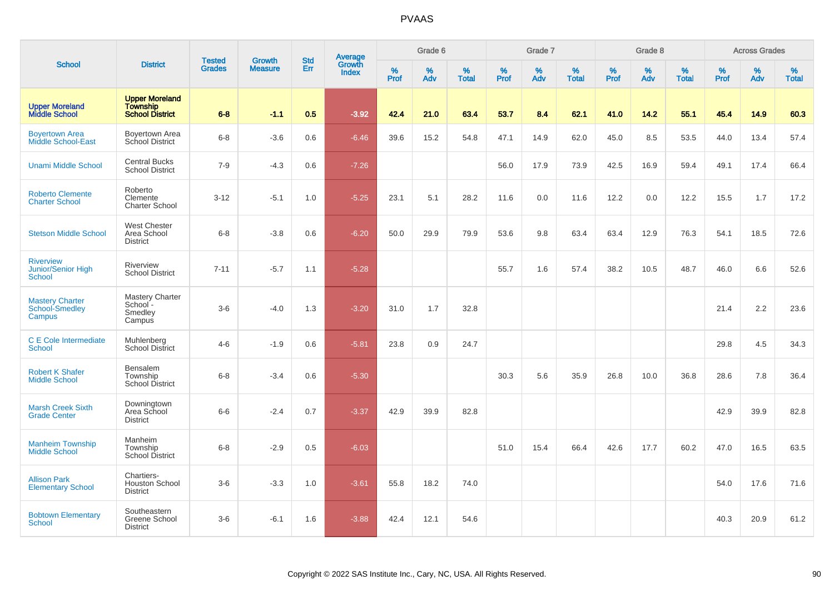|                                                           |                                                                    |                                | <b>Growth</b>  | <b>Std</b> |                                          |                  | Grade 6  |                   |              | Grade 7  |                   |                  | Grade 8  |                   |                     | <b>Across Grades</b> |                   |
|-----------------------------------------------------------|--------------------------------------------------------------------|--------------------------------|----------------|------------|------------------------------------------|------------------|----------|-------------------|--------------|----------|-------------------|------------------|----------|-------------------|---------------------|----------------------|-------------------|
| <b>School</b>                                             | <b>District</b>                                                    | <b>Tested</b><br><b>Grades</b> | <b>Measure</b> | Err        | <b>Average</b><br>Growth<br><b>Index</b> | %<br><b>Prof</b> | %<br>Adv | %<br><b>Total</b> | $\%$<br>Prof | %<br>Adv | %<br><b>Total</b> | %<br><b>Prof</b> | %<br>Adv | %<br><b>Total</b> | $\%$<br><b>Prof</b> | $\%$<br>Adv          | %<br><b>Total</b> |
| <b>Upper Moreland<br/>Middle School</b>                   | <b>Upper Moreland</b><br><b>Township</b><br><b>School District</b> | $6 - 8$                        | $-1.1$         | 0.5        | $-3.92$                                  | 42.4             | 21.0     | 63.4              | 53.7         | 8.4      | 62.1              | 41.0             | 14.2     | 55.1              | 45.4                | 14.9                 | 60.3              |
| <b>Boyertown Area</b><br>Middle School-East               | Boyertown Area<br>School District                                  | $6-8$                          | $-3.6$         | 0.6        | $-6.46$                                  | 39.6             | 15.2     | 54.8              | 47.1         | 14.9     | 62.0              | 45.0             | 8.5      | 53.5              | 44.0                | 13.4                 | 57.4              |
| <b>Unami Middle School</b>                                | <b>Central Bucks</b><br><b>School District</b>                     | $7 - 9$                        | $-4.3$         | 0.6        | $-7.26$                                  |                  |          |                   | 56.0         | 17.9     | 73.9              | 42.5             | 16.9     | 59.4              | 49.1                | 17.4                 | 66.4              |
| <b>Roberto Clemente</b><br><b>Charter School</b>          | Roberto<br>Clemente<br>Charter School                              | $3 - 12$                       | $-5.1$         | 1.0        | $-5.25$                                  | 23.1             | 5.1      | 28.2              | 11.6         | 0.0      | 11.6              | 12.2             | 0.0      | 12.2              | 15.5                | 1.7                  | 17.2              |
| <b>Stetson Middle School</b>                              | <b>West Chester</b><br>Area School<br><b>District</b>              | $6-8$                          | $-3.8$         | 0.6        | $-6.20$                                  | 50.0             | 29.9     | 79.9              | 53.6         | 9.8      | 63.4              | 63.4             | 12.9     | 76.3              | 54.1                | 18.5                 | 72.6              |
| <b>Riverview</b><br>Junior/Senior High<br>School          | <b>Riverview</b><br><b>School District</b>                         | $7 - 11$                       | $-5.7$         | 1.1        | $-5.28$                                  |                  |          |                   | 55.7         | 1.6      | 57.4              | 38.2             | 10.5     | 48.7              | 46.0                | 6.6                  | 52.6              |
| <b>Mastery Charter</b><br>School-Smedley<br><b>Campus</b> | Mastery Charter<br>School-<br>Smedley<br>Campus                    | $3-6$                          | $-4.0$         | 1.3        | $-3.20$                                  | 31.0             | 1.7      | 32.8              |              |          |                   |                  |          |                   | 21.4                | 2.2                  | 23.6              |
| C E Cole Intermediate<br>School                           | Muhlenberg<br><b>School District</b>                               | $4 - 6$                        | $-1.9$         | 0.6        | $-5.81$                                  | 23.8             | 0.9      | 24.7              |              |          |                   |                  |          |                   | 29.8                | 4.5                  | 34.3              |
| <b>Robert K Shafer</b><br><b>Middle School</b>            | Bensalem<br>Township<br><b>School District</b>                     | $6 - 8$                        | $-3.4$         | 0.6        | $-5.30$                                  |                  |          |                   | 30.3         | 5.6      | 35.9              | 26.8             | 10.0     | 36.8              | 28.6                | 7.8                  | 36.4              |
| <b>Marsh Creek Sixth</b><br><b>Grade Center</b>           | Downingtown<br>Area School<br><b>District</b>                      | $6-6$                          | $-2.4$         | 0.7        | $-3.37$                                  | 42.9             | 39.9     | 82.8              |              |          |                   |                  |          |                   | 42.9                | 39.9                 | 82.8              |
| <b>Manheim Township</b><br><b>Middle School</b>           | Manheim<br>Township<br><b>School District</b>                      | $6 - 8$                        | $-2.9$         | 0.5        | $-6.03$                                  |                  |          |                   | 51.0         | 15.4     | 66.4              | 42.6             | 17.7     | 60.2              | 47.0                | 16.5                 | 63.5              |
| <b>Allison Park</b><br><b>Elementary School</b>           | Chartiers-<br><b>Houston School</b><br><b>District</b>             | $3-6$                          | $-3.3$         | 1.0        | $-3.61$                                  | 55.8             | 18.2     | 74.0              |              |          |                   |                  |          |                   | 54.0                | 17.6                 | 71.6              |
| <b>Bobtown Elementary</b><br>School                       | Southeastern<br>Greene School<br><b>District</b>                   | $3-6$                          | $-6.1$         | 1.6        | $-3.88$                                  | 42.4             | 12.1     | 54.6              |              |          |                   |                  |          |                   | 40.3                | 20.9                 | 61.2              |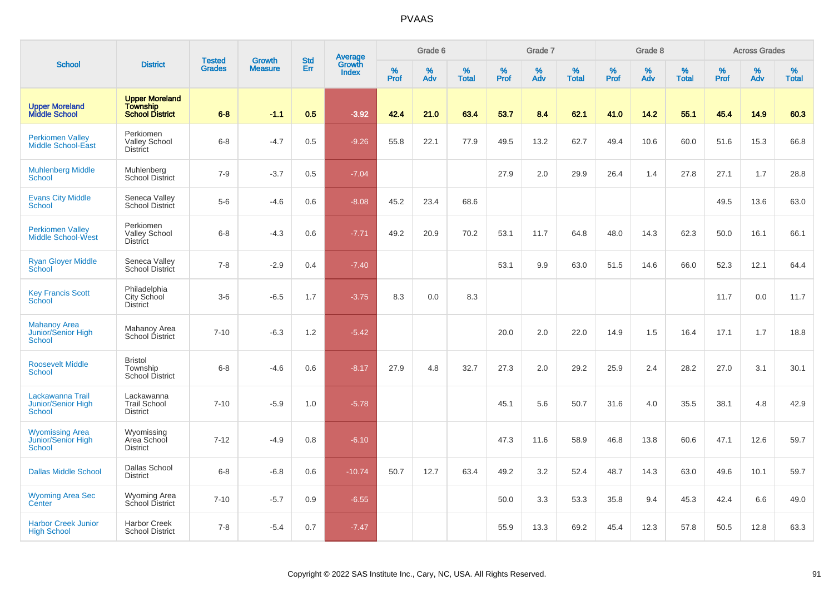|                                                                   |                                                                    | <b>Tested</b> | <b>Growth</b>  | <b>Std</b> |                                   |           | Grade 6     |                   |           | Grade 7     |                   |           | Grade 8  |                   |              | <b>Across Grades</b> |                   |
|-------------------------------------------------------------------|--------------------------------------------------------------------|---------------|----------------|------------|-----------------------------------|-----------|-------------|-------------------|-----------|-------------|-------------------|-----------|----------|-------------------|--------------|----------------------|-------------------|
| <b>School</b>                                                     | <b>District</b>                                                    | <b>Grades</b> | <b>Measure</b> | Err        | Average<br>Growth<br><b>Index</b> | %<br>Prof | $\%$<br>Adv | %<br><b>Total</b> | %<br>Prof | $\%$<br>Adv | %<br><b>Total</b> | %<br>Prof | %<br>Adv | %<br><b>Total</b> | $\%$<br>Prof | %<br>Adv             | %<br><b>Total</b> |
| <b>Upper Moreland</b><br><b>Middle School</b>                     | <b>Upper Moreland</b><br><b>Township</b><br><b>School District</b> | $6 - 8$       | $-1.1$         | 0.5        | $-3.92$                           | 42.4      | 21.0        | 63.4              | 53.7      | 8.4         | 62.1              | 41.0      | 14.2     | 55.1              | 45.4         | 14.9                 | 60.3              |
| <b>Perkiomen Valley</b><br>Middle School-East                     | Perkiomen<br><b>Valley School</b><br><b>District</b>               | $6 - 8$       | $-4.7$         | 0.5        | $-9.26$                           | 55.8      | 22.1        | 77.9              | 49.5      | 13.2        | 62.7              | 49.4      | 10.6     | 60.0              | 51.6         | 15.3                 | 66.8              |
| <b>Muhlenberg Middle</b><br>School                                | Muhlenberg<br><b>School District</b>                               | $7-9$         | $-3.7$         | 0.5        | $-7.04$                           |           |             |                   | 27.9      | 2.0         | 29.9              | 26.4      | 1.4      | 27.8              | 27.1         | 1.7                  | 28.8              |
| <b>Evans City Middle</b><br><b>School</b>                         | Seneca Valley<br>School District                                   | $5-6$         | $-4.6$         | 0.6        | $-8.08$                           | 45.2      | 23.4        | 68.6              |           |             |                   |           |          |                   | 49.5         | 13.6                 | 63.0              |
| <b>Perkiomen Valley</b><br><b>Middle School-West</b>              | Perkiomen<br><b>Valley School</b><br><b>District</b>               | $6 - 8$       | $-4.3$         | 0.6        | $-7.71$                           | 49.2      | 20.9        | 70.2              | 53.1      | 11.7        | 64.8              | 48.0      | 14.3     | 62.3              | 50.0         | 16.1                 | 66.1              |
| <b>Ryan Gloyer Middle</b><br>School                               | Seneca Valley<br>School District                                   | $7 - 8$       | $-2.9$         | 0.4        | $-7.40$                           |           |             |                   | 53.1      | 9.9         | 63.0              | 51.5      | 14.6     | 66.0              | 52.3         | 12.1                 | 64.4              |
| <b>Key Francis Scott</b><br>School                                | Philadelphia<br>City School<br><b>District</b>                     | $3-6$         | $-6.5$         | 1.7        | $-3.75$                           | 8.3       | 0.0         | 8.3               |           |             |                   |           |          |                   | 11.7         | 0.0                  | 11.7              |
| <b>Mahanoy Area</b><br><b>Junior/Senior High</b><br><b>School</b> | Mahanoy Area<br>School District                                    | $7 - 10$      | $-6.3$         | 1.2        | $-5.42$                           |           |             |                   | 20.0      | 2.0         | 22.0              | 14.9      | 1.5      | 16.4              | 17.1         | 1.7                  | 18.8              |
| <b>Roosevelt Middle</b><br><b>School</b>                          | <b>Bristol</b><br>Township<br><b>School District</b>               | $6 - 8$       | $-4.6$         | 0.6        | $-8.17$                           | 27.9      | 4.8         | 32.7              | 27.3      | 2.0         | 29.2              | 25.9      | 2.4      | 28.2              | 27.0         | 3.1                  | 30.1              |
| Lackawanna Trail<br><b>Junior/Senior High</b><br><b>School</b>    | Lackawanna<br><b>Trail School</b><br><b>District</b>               | $7 - 10$      | $-5.9$         | 1.0        | $-5.78$                           |           |             |                   | 45.1      | 5.6         | 50.7              | 31.6      | 4.0      | 35.5              | 38.1         | 4.8                  | 42.9              |
| <b>Wyomissing Area</b><br>Junior/Senior High<br><b>School</b>     | Wyomissing<br>Area School<br><b>District</b>                       | $7 - 12$      | $-4.9$         | 0.8        | $-6.10$                           |           |             |                   | 47.3      | 11.6        | 58.9              | 46.8      | 13.8     | 60.6              | 47.1         | 12.6                 | 59.7              |
| <b>Dallas Middle School</b>                                       | <b>Dallas School</b><br><b>District</b>                            | $6 - 8$       | $-6.8$         | 0.6        | $-10.74$                          | 50.7      | 12.7        | 63.4              | 49.2      | 3.2         | 52.4              | 48.7      | 14.3     | 63.0              | 49.6         | 10.1                 | 59.7              |
| <b>Wyoming Area Sec</b><br>Center                                 | Wyoming Area<br>School District                                    | $7 - 10$      | $-5.7$         | 0.9        | $-6.55$                           |           |             |                   | 50.0      | 3.3         | 53.3              | 35.8      | 9.4      | 45.3              | 42.4         | 6.6                  | 49.0              |
| <b>Harbor Creek Junior</b><br><b>High School</b>                  | <b>Harbor Creek</b><br><b>School District</b>                      | $7 - 8$       | $-5.4$         | 0.7        | $-7.47$                           |           |             |                   | 55.9      | 13.3        | 69.2              | 45.4      | 12.3     | 57.8              | 50.5         | 12.8                 | 63.3              |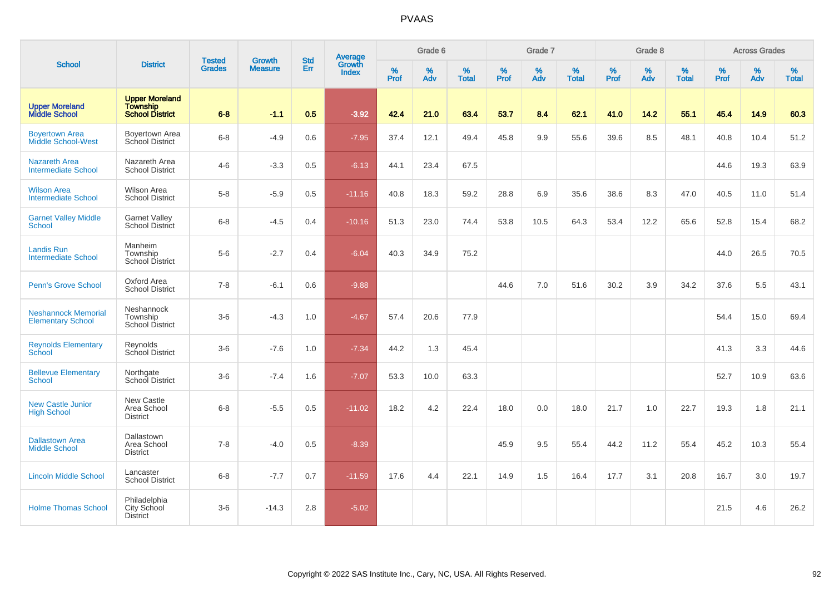|                                                        |                                                                    |                                |                                 | <b>Std</b>    |                                          |           | Grade 6  |                   |           | Grade 7  |                   |           | Grade 8  |                   |           | <b>Across Grades</b> |                   |
|--------------------------------------------------------|--------------------------------------------------------------------|--------------------------------|---------------------------------|---------------|------------------------------------------|-----------|----------|-------------------|-----------|----------|-------------------|-----------|----------|-------------------|-----------|----------------------|-------------------|
| <b>School</b>                                          | <b>District</b>                                                    | <b>Tested</b><br><b>Grades</b> | <b>Growth</b><br><b>Measure</b> | Err           | <b>Average</b><br>Growth<br><b>Index</b> | %<br>Prof | %<br>Adv | %<br><b>Total</b> | %<br>Prof | %<br>Adv | %<br><b>Total</b> | %<br>Prof | %<br>Adv | %<br><b>Total</b> | %<br>Prof | $\%$<br>Adv          | %<br><b>Total</b> |
| <b>Upper Moreland<br/>Middle School</b>                | <b>Upper Moreland</b><br><b>Township</b><br><b>School District</b> | $6 - 8$                        | $-1.1$                          | 0.5           | $-3.92$                                  | 42.4      | 21.0     | 63.4              | 53.7      | 8.4      | 62.1              | 41.0      | 14.2     | 55.1              | 45.4      | 14.9                 | 60.3              |
| <b>Boyertown Area</b><br><b>Middle School-West</b>     | Boyertown Area<br>School District                                  | $6 - 8$                        | $-4.9$                          | 0.6           | $-7.95$                                  | 37.4      | 12.1     | 49.4              | 45.8      | 9.9      | 55.6              | 39.6      | 8.5      | 48.1              | 40.8      | 10.4                 | 51.2              |
| <b>Nazareth Area</b><br><b>Intermediate School</b>     | Nazareth Area<br><b>School District</b>                            | $4 - 6$                        | $-3.3$                          | 0.5           | $-6.13$                                  | 44.1      | 23.4     | 67.5              |           |          |                   |           |          |                   | 44.6      | 19.3                 | 63.9              |
| <b>Wilson Area</b><br><b>Intermediate School</b>       | <b>Wilson Area</b><br><b>School District</b>                       | $5-8$                          | $-5.9$                          | 0.5           | $-11.16$                                 | 40.8      | 18.3     | 59.2              | 28.8      | 6.9      | 35.6              | 38.6      | 8.3      | 47.0              | 40.5      | 11.0                 | 51.4              |
| <b>Garnet Valley Middle</b><br><b>School</b>           | <b>Garnet Valley</b><br>School District                            | $6 - 8$                        | $-4.5$                          | $0.4^{\circ}$ | $-10.16$                                 | 51.3      | 23.0     | 74.4              | 53.8      | 10.5     | 64.3              | 53.4      | 12.2     | 65.6              | 52.8      | 15.4                 | 68.2              |
| Landis Run<br><b>Intermediate School</b>               | Manheim<br>Township<br><b>School District</b>                      | $5-6$                          | $-2.7$                          | $0.4^{\circ}$ | $-6.04$                                  | 40.3      | 34.9     | 75.2              |           |          |                   |           |          |                   | 44.0      | 26.5                 | 70.5              |
| <b>Penn's Grove School</b>                             | Oxford Area<br><b>School District</b>                              | $7 - 8$                        | $-6.1$                          | 0.6           | $-9.88$                                  |           |          |                   | 44.6      | 7.0      | 51.6              | 30.2      | 3.9      | 34.2              | 37.6      | 5.5                  | 43.1              |
| <b>Neshannock Memorial</b><br><b>Elementary School</b> | Neshannock<br>Township<br><b>School District</b>                   | $3-6$                          | $-4.3$                          | 1.0           | $-4.67$                                  | 57.4      | 20.6     | 77.9              |           |          |                   |           |          |                   | 54.4      | 15.0                 | 69.4              |
| <b>Reynolds Elementary</b><br>School                   | Reynolds<br>School District                                        | $3-6$                          | $-7.6$                          | 1.0           | $-7.34$                                  | 44.2      | 1.3      | 45.4              |           |          |                   |           |          |                   | 41.3      | 3.3                  | 44.6              |
| <b>Bellevue Elementary</b><br>School                   | Northgate<br>School District                                       | $3-6$                          | $-7.4$                          | 1.6           | $-7.07$                                  | 53.3      | 10.0     | 63.3              |           |          |                   |           |          |                   | 52.7      | 10.9                 | 63.6              |
| <b>New Castle Junior</b><br><b>High School</b>         | New Castle<br>Area School<br><b>District</b>                       | $6 - 8$                        | $-5.5$                          | 0.5           | $-11.02$                                 | 18.2      | 4.2      | 22.4              | 18.0      | 0.0      | 18.0              | 21.7      | 1.0      | 22.7              | 19.3      | 1.8                  | 21.1              |
| <b>Dallastown Area</b><br><b>Middle School</b>         | Dallastown<br>Area School<br><b>District</b>                       | $7 - 8$                        | $-4.0$                          | 0.5           | $-8.39$                                  |           |          |                   | 45.9      | 9.5      | 55.4              | 44.2      | 11.2     | 55.4              | 45.2      | 10.3                 | 55.4              |
| <b>Lincoln Middle School</b>                           | Lancaster<br><b>School District</b>                                | $6 - 8$                        | $-7.7$                          | 0.7           | $-11.59$                                 | 17.6      | 4.4      | 22.1              | 14.9      | 1.5      | 16.4              | 17.7      | 3.1      | 20.8              | 16.7      | 3.0                  | 19.7              |
| <b>Holme Thomas School</b>                             | Philadelphia<br>City School<br><b>District</b>                     | $3-6$                          | $-14.3$                         | 2.8           | $-5.02$                                  |           |          |                   |           |          |                   |           |          |                   | 21.5      | 4.6                  | 26.2              |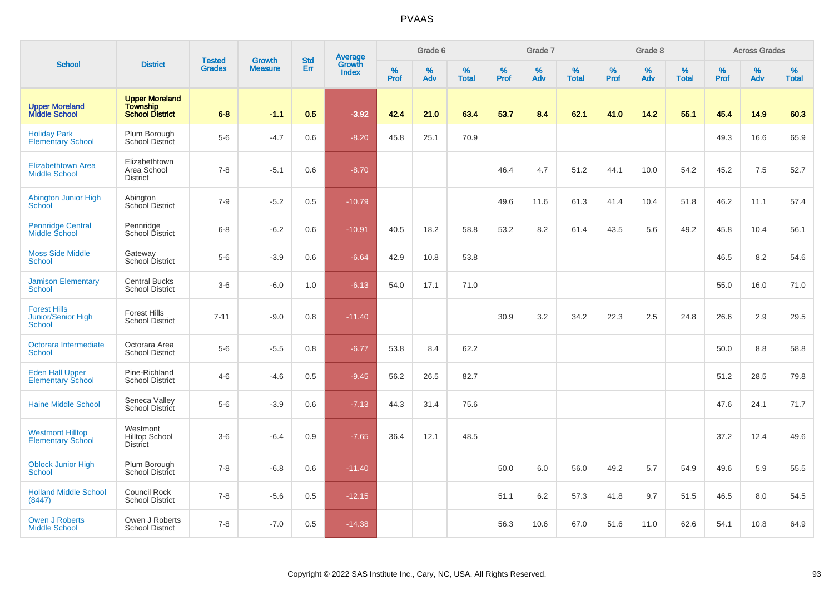|                                                                   |                                                                    | <b>Tested</b> | <b>Growth</b>  | <b>Std</b> |                                          |                  | Grade 6     |                   |                     | Grade 7     |                   |           | Grade 8  |                   |                     | <b>Across Grades</b> |                   |
|-------------------------------------------------------------------|--------------------------------------------------------------------|---------------|----------------|------------|------------------------------------------|------------------|-------------|-------------------|---------------------|-------------|-------------------|-----------|----------|-------------------|---------------------|----------------------|-------------------|
| <b>School</b>                                                     | <b>District</b>                                                    | <b>Grades</b> | <b>Measure</b> | Err        | <b>Average</b><br>Growth<br><b>Index</b> | %<br><b>Prof</b> | $\%$<br>Adv | %<br><b>Total</b> | $\%$<br><b>Prof</b> | $\%$<br>Adv | %<br><b>Total</b> | %<br>Prof | %<br>Adv | %<br><b>Total</b> | $\%$<br><b>Prof</b> | $\%$<br>Adv          | %<br><b>Total</b> |
| <b>Upper Moreland</b><br>Middle School                            | <b>Upper Moreland</b><br><b>Township</b><br><b>School District</b> | $6 - 8$       | $-1.1$         | 0.5        | $-3.92$                                  | 42.4             | 21.0        | 63.4              | 53.7                | 8.4         | 62.1              | 41.0      | 14.2     | 55.1              | 45.4                | 14.9                 | 60.3              |
| <b>Holiday Park</b><br><b>Elementary School</b>                   | Plum Borough<br>School District                                    | $5-6$         | $-4.7$         | 0.6        | $-8.20$                                  | 45.8             | 25.1        | 70.9              |                     |             |                   |           |          |                   | 49.3                | 16.6                 | 65.9              |
| <b>Elizabethtown Area</b><br><b>Middle School</b>                 | Elizabethtown<br>Area School<br><b>District</b>                    | $7 - 8$       | $-5.1$         | 0.6        | $-8.70$                                  |                  |             |                   | 46.4                | 4.7         | 51.2              | 44.1      | 10.0     | 54.2              | 45.2                | 7.5                  | 52.7              |
| Abington Junior High<br><b>School</b>                             | Abington<br>School District                                        | $7 - 9$       | $-5.2$         | $0.5\,$    | $-10.79$                                 |                  |             |                   | 49.6                | 11.6        | 61.3              | 41.4      | 10.4     | 51.8              | 46.2                | 11.1                 | 57.4              |
| <b>Pennridge Central</b><br>Middle School                         | Pennridge<br>School District                                       | $6-8$         | $-6.2$         | 0.6        | $-10.91$                                 | 40.5             | 18.2        | 58.8              | 53.2                | 8.2         | 61.4              | 43.5      | 5.6      | 49.2              | 45.8                | 10.4                 | 56.1              |
| <b>Moss Side Middle</b><br><b>School</b>                          | Gateway<br>School District                                         | $5-6$         | $-3.9$         | 0.6        | $-6.64$                                  | 42.9             | 10.8        | 53.8              |                     |             |                   |           |          |                   | 46.5                | 8.2                  | 54.6              |
| <b>Jamison Elementary</b><br><b>School</b>                        | <b>Central Bucks</b><br><b>School District</b>                     | $3-6$         | $-6.0$         | 1.0        | $-6.13$                                  | 54.0             | 17.1        | 71.0              |                     |             |                   |           |          |                   | 55.0                | 16.0                 | 71.0              |
| <b>Forest Hills</b><br><b>Junior/Senior High</b><br><b>School</b> | <b>Forest Hills</b><br><b>School District</b>                      | $7 - 11$      | $-9.0$         | 0.8        | $-11.40$                                 |                  |             |                   | 30.9                | 3.2         | 34.2              | 22.3      | 2.5      | 24.8              | 26.6                | 2.9                  | 29.5              |
| Octorara Intermediate<br><b>School</b>                            | Octorara Area<br><b>School District</b>                            | $5-6$         | $-5.5$         | 0.8        | $-6.77$                                  | 53.8             | 8.4         | 62.2              |                     |             |                   |           |          |                   | 50.0                | 8.8                  | 58.8              |
| <b>Eden Hall Upper</b><br><b>Elementary School</b>                | Pine-Richland<br><b>School District</b>                            | $4 - 6$       | $-4.6$         | 0.5        | $-9.45$                                  | 56.2             | 26.5        | 82.7              |                     |             |                   |           |          |                   | 51.2                | 28.5                 | 79.8              |
| <b>Haine Middle School</b>                                        | Seneca Valley<br>School District                                   | $5-6$         | $-3.9$         | 0.6        | $-7.13$                                  | 44.3             | 31.4        | 75.6              |                     |             |                   |           |          |                   | 47.6                | 24.1                 | 71.7              |
| <b>Westmont Hilltop</b><br><b>Elementary School</b>               | Westmont<br><b>Hilltop School</b><br><b>District</b>               | $3-6$         | $-6.4$         | 0.9        | $-7.65$                                  | 36.4             | 12.1        | 48.5              |                     |             |                   |           |          |                   | 37.2                | 12.4                 | 49.6              |
| <b>Oblock Junior High</b><br><b>School</b>                        | Plum Borough<br>School District                                    | $7 - 8$       | $-6.8$         | 0.6        | $-11.40$                                 |                  |             |                   | 50.0                | 6.0         | 56.0              | 49.2      | 5.7      | 54.9              | 49.6                | 5.9                  | 55.5              |
| <b>Holland Middle School</b><br>(8447)                            | <b>Council Rock</b><br><b>School District</b>                      | $7 - 8$       | $-5.6$         | 0.5        | $-12.15$                                 |                  |             |                   | 51.1                | 6.2         | 57.3              | 41.8      | 9.7      | 51.5              | 46.5                | 8.0                  | 54.5              |
| <b>Owen J Roberts</b><br><b>Middle School</b>                     | Owen J Roberts<br><b>School District</b>                           | $7 - 8$       | $-7.0$         | 0.5        | $-14.38$                                 |                  |             |                   | 56.3                | 10.6        | 67.0              | 51.6      | 11.0     | 62.6              | 54.1                | 10.8                 | 64.9              |